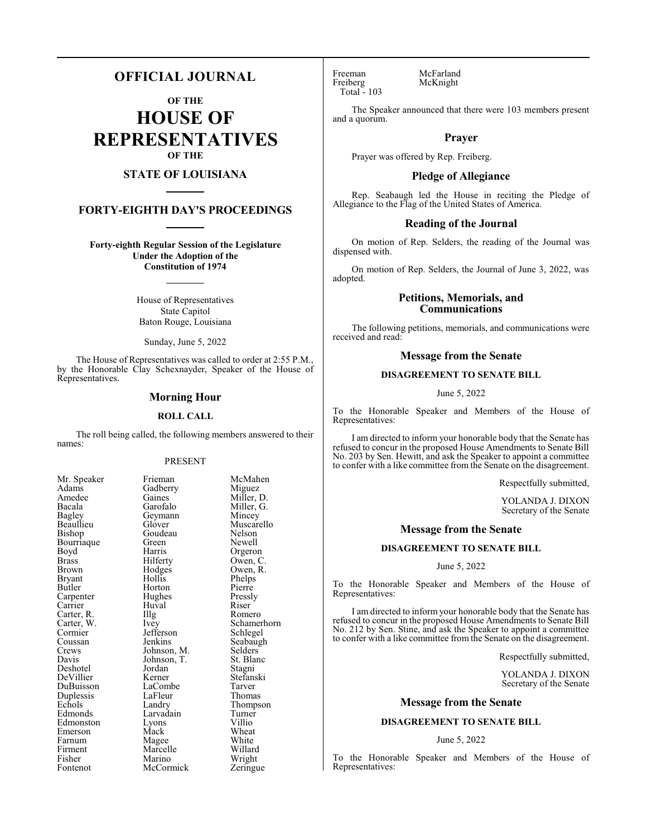# **OFFICIAL JOURNAL**

**OF THE**

**HOUSE OF REPRESENTATIVES OF THE**

# **STATE OF LOUISIANA**

# **FORTY-EIGHTH DAY'S PROCEEDINGS**

**Forty-eighth Regular Session of the Legislature Under the Adoption of the Constitution of 1974**

> House of Representatives State Capitol Baton Rouge, Louisiana

Sunday, June 5, 2022

The House of Representatives was called to order at 2:55 P.M., by the Honorable Clay Schexnayder, Speaker of the House of Representatives.

## **Morning Hour**

#### **ROLL CALL**

The roll being called, the following members answered to their names:

### PRESENT

| Mr. Speaker | Frieman     | McMa    |
|-------------|-------------|---------|
| Adams       | Gadberry    | Migue   |
| Amedee      | Gaines      | Miller  |
| Bacala      | Garofalo    | Miller  |
| Bagley      | Geymann     | Mince   |
| Beaullieu   | Glover      | Musca   |
| Bishop      | Goudeau     | Nelson  |
| Bourriaque  | Green       | Newel   |
| Boyd        | Harris      | Orgero  |
| Brass       | Hilferty    | Owen,   |
| Brown       | Hodges      | Owen,   |
| Bryant      | Hollis      | Phelps  |
| Butler      | Horton      | Pierre  |
| Carpenter   | Hughes      | Pressly |
| Carrier     | Huval       | Riser   |
| Carter, R.  | Illg        | Romer   |
| Carter, W.  | Ivey        | Scham   |
| Cormier     | Jefferson   | Schleg  |
| Coussan     | Jenkins     | Seabai  |
| Crews       | Johnson, M. | Selder  |
| Davis       | Johnson, T. | St. Bla |
| Deshotel    | Jordan      | Stagni  |
| DeVillier   | Kerner      | Stefan  |
| DuBuisson   | LaCombe     | Tarver  |
| Duplessis   | LaFleur     | Thoma   |
| Echols      | Landry      | Thomp   |
| Edmonds     | Larvadain   | Turnei  |
| Edmonston   | Lyons       | Villio  |
| Emerson     | Mack        | Wheat   |
| Farnum      | Magee       | White   |
| Firment     | Marcelle    | Willar  |
| Fisher      | Marino      | Wrigh   |
| Fontenot    | McCormick   | Zering  |

McMahen Miguez Miller, D. Miller, G. Mincey Muscarello Nelson Newell Orgeron Owen, C. Owen, R. Phelps Pierre Pressly<br>Riser Romero Schamerhorn Schlegel Seabaugh<br>M. Selders M. Selders<br>T. St. Blan St. Blanc Stagni Stefanski Tarver Thomas Thompson<br>
Turner Turner<br>Villio White Willard Field Wright<br>Externge Zeringue

Freeman McFarland<br>Freiberg McKnight Total - 103

McKnight

The Speaker announced that there were 103 members present and a quorum.

### **Prayer**

Prayer was offered by Rep. Freiberg.

#### **Pledge of Allegiance**

Rep. Seabaugh led the House in reciting the Pledge of Allegiance to the Flag of the United States of America.

### **Reading of the Journal**

On motion of Rep. Selders, the reading of the Journal was dispensed with.

On motion of Rep. Selders, the Journal of June 3, 2022, was adopted.

# **Petitions, Memorials, and Communications**

The following petitions, memorials, and communications were received and read:

## **Message from the Senate**

# **DISAGREEMENT TO SENATE BILL**

June 5, 2022

To the Honorable Speaker and Members of the House of Representatives:

I am directed to inform your honorable body that the Senate has refused to concur in the proposed House Amendments to Senate Bill No. 203 by Sen. Hewitt, and ask the Speaker to appoint a committee to confer with a like committee from the Senate on the disagreement.

Respectfully submitted,

YOLANDA J. DIXON Secretary of the Senate

#### **Message from the Senate**

#### **DISAGREEMENT TO SENATE BILL**

#### June 5, 2022

To the Honorable Speaker and Members of the House of Representatives:

I am directed to inform your honorable body that the Senate has refused to concur in the proposed House Amendments to Senate Bill No. 212 by Sen. Stine, and ask the Speaker to appoint a committee to confer with a like committee from the Senate on the disagreement.

Respectfully submitted,

YOLANDA J. DIXON Secretary of the Senate

#### **Message from the Senate**

### **DISAGREEMENT TO SENATE BILL**

#### June 5, 2022

To the Honorable Speaker and Members of the House of Representatives: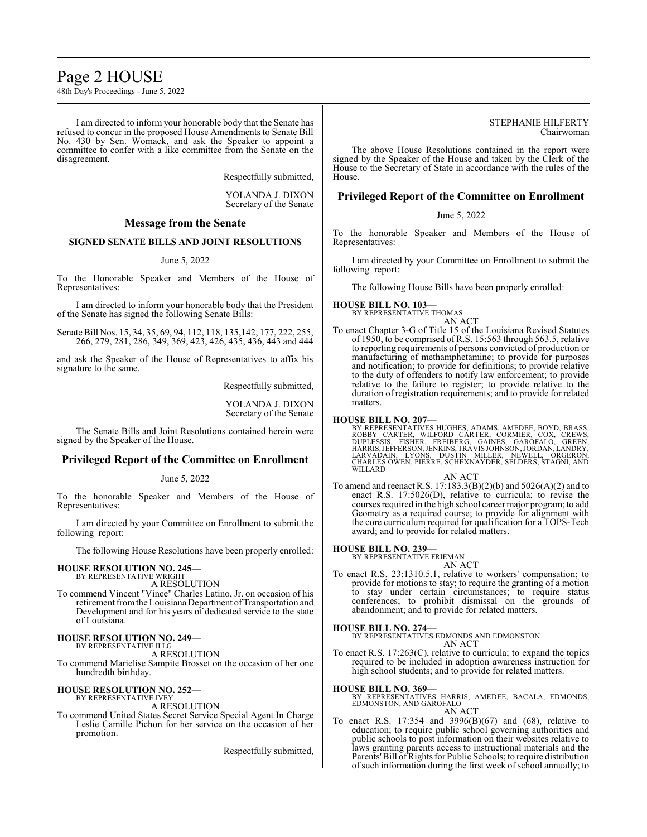# Page 2 HOUSE

48th Day's Proceedings - June 5, 2022

I am directed to inform your honorable body that the Senate has refused to concur in the proposed House Amendments to Senate Bill No. 430 by Sen. Womack, and ask the Speaker to appoint a committee to confer with a like committee from the Senate on the disagreement.

Respectfully submitted,

YOLANDA J. DIXON Secretary of the Senate

# **Message from the Senate**

# **SIGNED SENATE BILLS AND JOINT RESOLUTIONS**

#### June 5, 2022

To the Honorable Speaker and Members of the House of Representatives:

I am directed to inform your honorable body that the President of the Senate has signed the following Senate Bills:

Senate Bill Nos. 15, 34, 35, 69, 94, 112, 118, 135,142, 177, 222, 255, 266, 279, 281, 286, 349, 369, 423, 426, 435, 436, 443 and 444

and ask the Speaker of the House of Representatives to affix his signature to the same.

Respectfully submitted,

YOLANDA J. DIXON Secretary of the Senate

The Senate Bills and Joint Resolutions contained herein were signed by the Speaker of the House.

# **Privileged Report of the Committee on Enrollment**

#### June 5, 2022

To the honorable Speaker and Members of the House of Representatives:

I am directed by your Committee on Enrollment to submit the following report:

The following House Resolutions have been properly enrolled:

#### **HOUSE RESOLUTION NO. 245—** BY REPRESENTATIVE WRIGHT

A RESOLUTION

To commend Vincent "Vince" Charles Latino, Jr. on occasion of his retirement from the Louisiana Department of Transportation and Development and for his years of dedicated service to the state of Louisiana.

### **HOUSE RESOLUTION NO. 249—**

BY REPRESENTATIVE ILLG A RESOLUTION

To commend Marielise Sampite Brosset on the occasion of her one hundredth birthday.

#### **HOUSE RESOLUTION NO. 252—** BY REPRESENTATIVE IVEY

A RESOLUTION

To commend United States Secret Service Special Agent In Charge Leslie Camille Pichon for her service on the occasion of her promotion.

Respectfully submitted,

#### STEPHANIE HILFERTY Chairwoman

The above House Resolutions contained in the report were signed by the Speaker of the House and taken by the Clerk of the House to the Secretary of State in accordance with the rules of the House.

# **Privileged Report of the Committee on Enrollment**

# June 5, 2022

To the honorable Speaker and Members of the House of Representatives:

I am directed by your Committee on Enrollment to submit the following report:

The following House Bills have been properly enrolled:

# **HOUSE BILL NO. 103—** BY REPRESENTATIVE THOMAS



To enact Chapter 3-G of Title 15 of the Louisiana Revised Statutes of 1950, to be comprised of R.S. 15:563 through 563.5, relative to reporting requirements of persons convicted of production or manufacturing of methamphetamine; to provide for purposes and notification; to provide for definitions; to provide relative to the duty of offenders to notify law enforcement; to provide relative to the failure to register; to provide relative to the duration of registration requirements; and to provide for related matters.

**HOUSE BILL NO. 207—**<br>BY REPRESENTATIVES HUGHES, ADAMS, AMEDEE, BOYD, BRASS,<br>ROBBY CARTER, WILFORD CARTER, CORMIER, COX, CREWS,<br>DUPLESSIS, FISHER, FREIBERG, GAINES, GAROFALO, GREEN,<br>HARRIS,JEFFERSON,JENKINS,TRAVISJOHNSON,J

AN ACT

To amend and reenact R.S. 17:183.3(B)(2)(b) and 5026(A)(2) and to enact R.S. 17:5026(D), relative to curricula; to revise the courses required in the high school career major program; to add Geometry as a required course; to provide for alignment with the core curriculum required for qualification for a TOPS-Tech award; and to provide for related matters.

#### **HOUSE BILL NO. 239—**

BY REPRESENTATIVE FRIEMAN AN ACT

To enact R.S. 23:1310.5.1, relative to workers' compensation; to provide for motions to stay; to require the granting of a motion to stay under certain circumstances; to require status conferences; to prohibit dismissal on the grounds of abandonment; and to provide for related matters.

#### **HOUSE BILL NO. 274—**

BY REPRESENTATIVES EDMONDS AND EDMONSTON AN ACT

To enact R.S. 17:263(C), relative to curricula; to expand the topics required to be included in adoption awareness instruction for high school students; and to provide for related matters.

#### **HOUSE BILL NO. 369—**

BY REPRESENTATIVES HARRIS, AMEDEE, BACALA, EDMONDS, EDMONSTON, AND GAROFALO AN ACT

To enact R.S. 17:354 and 3996(B)(67) and (68), relative to education; to require public school governing authorities and public schools to post information on their websites relative to laws granting parents access to instructional materials and the Parents' Bill of Rights for Public Schools; to require distribution of such information during the first week ofschool annually; to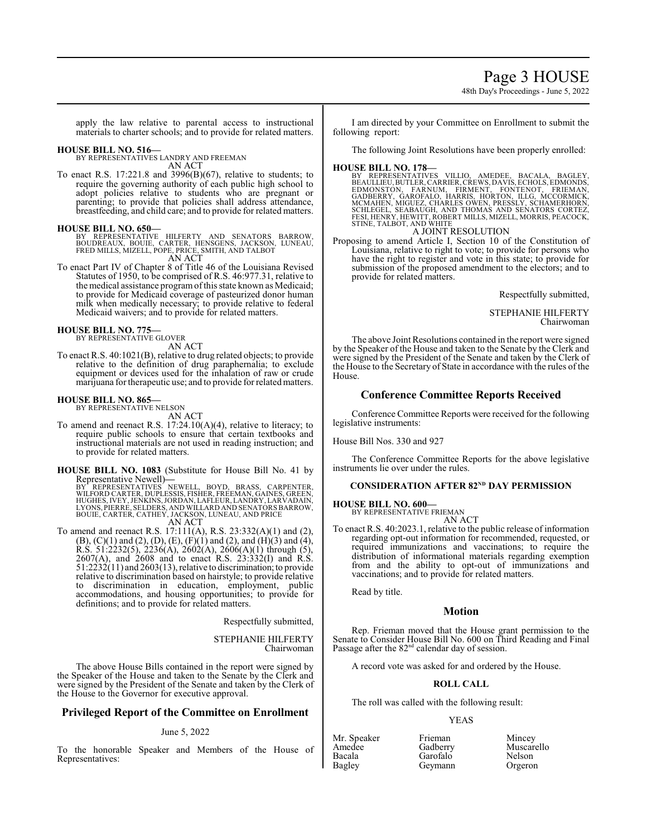Page 3 HOUSE

48th Day's Proceedings - June 5, 2022

apply the law relative to parental access to instructional materials to charter schools; and to provide for related matters.

### **HOUSE BILL NO. 516—**

BY REPRESENTATIVES LANDRY AND FREEMAN AN ACT

To enact R.S. 17:221.8 and 3996(B)(67), relative to students; to require the governing authority of each public high school to adopt policies relative to students who are pregnant or parenting; to provide that policies shall address attendance, breastfeeding, and child care; and to provide for related matters.

#### **HOUSE BILL NO. 650—**

BY REPRESENTATIVE HILFERTY AND SENATORS BARROW,<br>BOUDREAUX, BOUIE, CARTER, HENSGENS, JACKSON, LUNEAU,<br>FRED MILLS, MIZELL, POPE, PRICE, SMITH, AND TALBOT AN ACT

To enact Part IV of Chapter 8 of Title 46 of the Louisiana Revised Statutes of 1950, to be comprised of R.S. 46:977.31, relative to the medical assistance programofthis state known as Medicaid; to provide for Medicaid coverage of pasteurized donor human milk when medically necessary; to provide relative to federal Medicaid waivers; and to provide for related matters.

# **HOUSE BILL NO. 775—** BY REPRESENTATIVE GLOVER

AN ACT

To enact R.S. 40:1021(B), relative to drug related objects; to provide relative to the definition of drug paraphernalia; to exclude equipment or devices used for the inhalation of raw or crude marijuana for therapeutic use; and to provide for related matters.

# **HOUSE BILL NO. 865—** BY REPRESENTATIVE NELSON

AN ACT

To amend and reenact R.S.  $17:24.10(A)(4)$ , relative to literacy; to require public schools to ensure that certain textbooks and instructional materials are not used in reading instruction; and to provide for related matters.

**HOUSE BILL NO. 1083** (Substitute for House Bill No. 41 by Representative Newell)**—**

BY" REPRESENTATIVES `NEWELL, `BOYD, `BRASS, CARPENTER,<br>WILFORD CARTER, DUPLESSIS, FISHER, FREEMAN, GAINES, GREEN,<br>HUGHES, IVEY, JENKINS, JORDAN, LAFLEUR, LANDRY, LARVADAIN,<br>LYONS, PIERRE, SELDERS, AND WILLARD AND SENATORS AN ACT

To amend and reenact R.S. 17:111(A), R.S. 23:332(A)(1) and (2),

 $(B)$ ,  $(C)(1)$  and  $(2)$ ,  $(D)$ ,  $(E)$ ,  $(F)(1)$  and  $(2)$ , and  $(H)(3)$  and  $(4)$ ,  $R.S. 51:2232(5), 2236(A), 2602(A), 2606(A)(1)$  through (5), 2607(A), and 2608 and to enact R.S. 23:332(I) and R.S.  $51:2232(11)$  and  $2603(13)$ , relative to discrimination; to provide relative to discrimination based on hairstyle; to provide relative to discrimination in education, employment, public accommodations, and housing opportunities; to provide for definitions; and to provide for related matters.

Respectfully submitted,

STEPHANIE HILFERTY Chairwoman

The above House Bills contained in the report were signed by the Speaker of the House and taken to the Senate by the Clerk and were signed by the President of the Senate and taken by the Clerk of the House to the Governor for executive approval.

# **Privileged Report of the Committee on Enrollment**

# June 5, 2022

To the honorable Speaker and Members of the House of Representatives:

I am directed by your Committee on Enrollment to submit the following report:

The following Joint Resolutions have been properly enrolled:

**HOUSE BILL NO. 178—**<br>BY REPRESENTATIVES VILLIO, AMEDEE, BACALA, BAGLEY,<br>BEAULLIEU,BUTLER,CARRIER,CREWS,DAVIS,ECHOLS,EDMONDS,<br>EDMONSTÓN, FARNUM, FÍRMENT, FONTENOT, FRIEMAN,<br>GADBERRY, GAROFALO, HARRIS, HORTON, ILLG, MCCORMI A JOINT RESOLUTION

Proposing to amend Article I, Section 10 of the Constitution of Louisiana, relative to right to vote; to provide for persons who have the right to register and vote in this state; to provide for submission of the proposed amendment to the electors; and to provide for related matters.

Respectfully submitted,

STEPHANIE HILFERTY Chairwoman

The above Joint Resolutions contained in the report were signed by the Speaker of the House and taken to the Senate by the Clerk and were signed by the President of the Senate and taken by the Clerk of the House to the Secretary of State in accordance with the rules of the House.

#### **Conference Committee Reports Received**

Conference Committee Reports were received for the following legislative instruments:

House Bill Nos. 330 and 927

The Conference Committee Reports for the above legislative instruments lie over under the rules.

# **CONSIDERATION AFTER 82<sup>ND</sup> DAY PERMISSION**

**HOUSE BILL NO. 600—**

BY REPRESENTATIVE FRIEMAN AN ACT

To enact R.S. 40:2023.1, relative to the public release of information regarding opt-out information for recommended, requested, or required immunizations and vaccinations; to require the distribution of informational materials regarding exemption from and the ability to opt-out of immunizations and vaccinations; and to provide for related matters.

Read by title.

# **Motion**

Rep. Frieman moved that the House grant permission to the Senate to Consider House Bill No. 600 on Third Reading and Final Passage after the 82<sup>nd</sup> calendar day of session.

A record vote was asked for and ordered by the House.

#### **ROLL CALL**

The roll was called with the following result:

#### YEAS

| Mr. Speaker | Frieman  | Mincey  |
|-------------|----------|---------|
| Amedee      | Gadberry | Muscar  |
| Bacala      | Garofalo | Nelson  |
| Bagley      | Geymann  | Orgeror |

Muscarello<br>Nelson Orgeron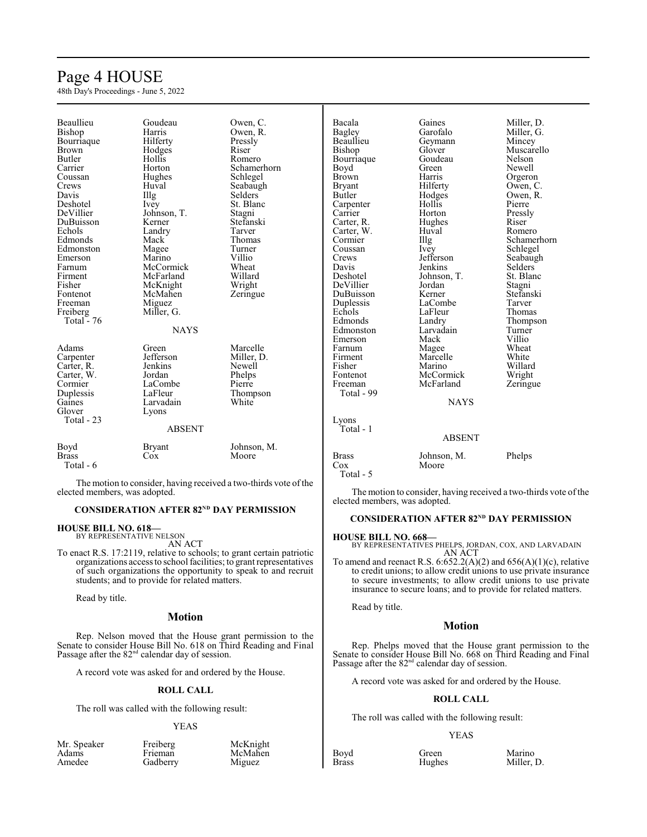# Page 4 HOUSE

48th Day's Proceedings - June 5, 2022

| Beaullieu     | Goudeau       | Owen, C.            | Bacala        | Gaines        | Miller, D.     |
|---------------|---------------|---------------------|---------------|---------------|----------------|
| Bishop        | Harris        | Owen, R.            | <b>Bagley</b> | Garofalo      | Miller, G.     |
| Bourriaque    | Hilferty      | Pressly             | Beaullieu     | Geymann       | Mincey         |
| <b>Brown</b>  | Hodges        | Riser               | Bishop        | Glover        | Muscarello     |
| <b>Butler</b> | Hollis        | Romero              | Bourriaque    | Goudeau       | Nelson         |
| Carrier       | Horton        | Schamerhorn         | Boyd          | Green         | Newell         |
| Coussan       | Hughes        | Schlegel            | <b>Brown</b>  | Harris        | Orgeron        |
| Crews         | Huval         |                     |               | Hilferty      |                |
|               |               | Seabaugh<br>Selders | <b>Bryant</b> |               | Owen, C.       |
| Davis         | Illg          |                     | Butler        | Hodges        | Owen, R.       |
| Deshotel      | Ivey          | St. Blanc           | Carpenter     | Hollis        | Pierre         |
| DeVillier     | Johnson, T.   | Stagni              | Carrier       | Horton        | Pressly        |
| DuBuisson     | Kerner        | Stefanski           | Carter, R.    | Hughes        | Riser          |
| Echols        | Landry        | Tarver              | Carter, W.    | Huval         | Romero         |
| Edmonds       | Mack          | Thomas              | Cormier       | Illg          | Schamerhorn    |
| Edmonston     | Magee         | Turner              | Coussan       | Ivey          | Schlegel       |
| Emerson       | Marino        | Villio              | Crews         | Jefferson     | Seabaugh       |
| Farnum        | McCormick     | Wheat               | Davis         | Jenkins       | <b>Selders</b> |
| Firment       | McFarland     | Willard             | Deshotel      | Johnson, T.   | St. Blanc      |
| Fisher        | McKnight      | Wright              | DeVillier     | Jordan        | Stagni         |
| Fontenot      | McMahen       | Zeringue            | DuBuisson     | Kerner        | Stefanski      |
| Freeman       | Miguez        |                     | Duplessis     | LaCombe       | Tarver         |
| Freiberg      | Miller, G.    |                     | Echols        | LaFleur       | <b>Thomas</b>  |
| Total - 76    |               |                     | Edmonds       | Landry        | Thompson       |
|               | <b>NAYS</b>   |                     | Edmonston     | Larvadain     | Turner         |
|               |               |                     | Emerson       | Mack          | Villio         |
| Adams         | Green         | Marcelle            | Farnum        | Magee         | Wheat          |
| Carpenter     | Jefferson     | Miller, D.          | Firment       | Marcelle      | White          |
| Carter, R.    | Jenkins       | Newell              | Fisher        | Marino        | Willard        |
| Carter, W.    | Jordan        | Phelps              | Fontenot      | McCormick     | Wright         |
| Cormier       | LaCombe       | Pierre              | Freeman       | McFarland     | Zeringue       |
| Duplessis     | LaFleur       | Thompson            | Total - 99    |               |                |
| Gaines        | Larvadain     | White               |               | <b>NAYS</b>   |                |
| Glover        | Lyons         |                     |               |               |                |
| Total - 23    |               |                     | Lyons         |               |                |
|               | <b>ABSENT</b> |                     | Total - 1     |               |                |
|               |               |                     |               | <b>ABSENT</b> |                |
| Boyd          | <b>Bryant</b> | Johnson, M.         |               |               |                |
| <b>Brass</b>  | Cox           | Moore               | <b>Brass</b>  | Johnson, M.   | Phelps         |
| Total - 6     |               |                     | Cox           | Moore         |                |
|               |               |                     | Total - 5     |               |                |
|               |               |                     |               |               |                |

The motion to consider, having received a two-thirds vote of the elected members, was adopted.

#### **CONSIDERATION AFTER 82<sup>ND</sup> DAY PERMISSION**

# **HOUSE BILL NO. 618—** BY REPRESENTATIVE NELSON

AN ACT

To enact R.S. 17:2119, relative to schools; to grant certain patriotic organizations access to school facilities; to grant representatives of such organizations the opportunity to speak to and recruit students; and to provide for related matters.

Read by title.

#### **Motion**

Rep. Nelson moved that the House grant permission to the Senate to consider House Bill No. 618 on Third Reading and Final Passage after the  $82<sup>nd</sup>$  calendar day of session.

A record vote was asked for and ordered by the House.

#### **ROLL CALL**

The roll was called with the following result:

#### YEAS

| Mr. Speaker | Freiberg | McKnight |
|-------------|----------|----------|
| Adams       | Frieman  | McMahen  |
| Amedee      | Gadberry | Miguez   |
|             |          |          |

The motion to consider, having received a two-thirds vote of the elected members, was adopted.

# **CONSIDERATION AFTER 82<sup>ND</sup> DAY PERMISSION**

# **HOUSE BILL NO. 668—** BY REPRESENTATIVES PHELPS, JORDAN, COX, AND LARVADAIN AN ACT

To amend and reenact R.S.  $6:652.2(A)(2)$  and  $656(A)(1)(c)$ , relative to credit unions; to allow credit unions to use private insurance to secure investments; to allow credit unions to use private insurance to secure loans; and to provide for related matters.

Read by title.

# **Motion**

Rep. Phelps moved that the House grant permission to the Senate to consider House Bill No. 668 on Third Reading and Final Passage after the 82<sup>nd</sup> calendar day of session.

A record vote was asked for and ordered by the House.

#### **ROLL CALL**

The roll was called with the following result:

#### YEAS

Boyd Green Marino<br>Brass Hughes Miller, 1 Miller, D.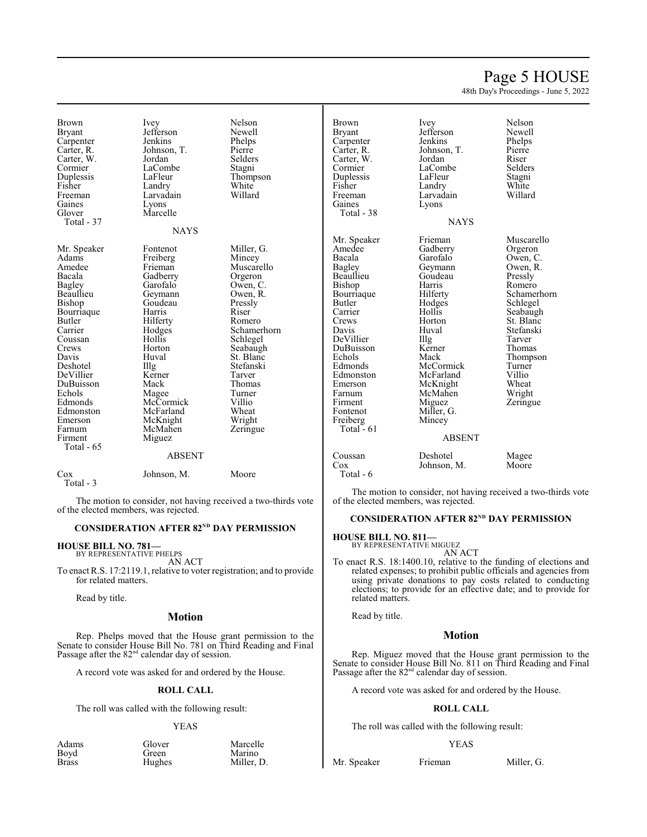# Page 5 HOUSE

48th Day's Proceedings - June 5, 2022

Brown Ivey Nelson<br>Bryant Jefferson Newell Carpenter Jenkins Phelps<br>Carter, R. Johnson, T. Pierre Carter, W. Jordan Selders<br>
Cormier LaCombe Stagni Cormier LaCombe<br>
Duplessis LaFleur Duplessis LaFleur Thompson<br>
Fisher Landry White Fisher Landry White<br>
Freeman Larvadain Willard Gaines<br>Glover Total - 37

Mr. Speaker Fontenot Miller, G.<br>Adams Freiberg Mincey en Adams Freiberg Mincey<br>Amedee Frieman Muscar Amedee Frieman Muscarello<br>Bacala Gadberry Orgeron Bacala Gadberry<br>Bagley Garofalo Bagley Garofalo Owen, C.<br>Beaullieu Geymann Owen, R. Beaullieu Geymann Owen, I<br>Bishop Goudeau Pressly Bourriaque Harris Riser<br>Butler Hilferty Romero Butler Hilferty<br>Carrier Hodges Coussan Hollis Schlegel Crews Horton Seabaugh<br>
Davis Huval St. Blanc Davis Huval St. Blanc<br>Deshotel IIIg Stefanski DeVillier Kerner Tarver<br>DuBuisson Mack Thomas DuBuisson Mack Thoma<br>
Echols Magee Turner Echols Magee Turner<br>
Edmonds McCormick Villio Edmonds McCormick Villio<br>Edmonston McFarland Wheat Edmonston McFarland Wheat<br>
Emerson McKnight Wright Emerson McKnight Wright<br>
Farnum McMahen Zeringue Farnum McMahen<br>Firment Miguez Total - 65

Larvadain<br>Lyons Marcelle **NAYS** 

Jefferson Newell<br>Jenkins Phelps Johnson, T. Pierre<br>Jordan Selders

Goudeau Pressl<br>Harris Riser Carrier Hodges Schamerhorn<br>Coussan Hollis Schlegel Illg Stefanski<br>Kerner Tarver

#### ABSENT

Miguez

| Cox       | Johnson, M. | Moore |
|-----------|-------------|-------|
| Total - 3 |             |       |

The motion to consider, not having received a two-thirds vote of the elected members, was rejected.

#### **CONSIDERATION AFTER 82<sup>ND</sup> DAY PERMISSION**

#### **HOUSE BILL NO. 781—** BY REPRESENTATIVE PHELPS

AN ACT

To enact R.S. 17:2119.1, relative to voter registration; and to provide for related matters.

Read by title.

#### **Motion**

Rep. Phelps moved that the House grant permission to the Senate to consider House Bill No. 781 on Third Reading and Final Passage after the  $82<sup>nd</sup>$  calendar day of session.

A record vote was asked for and ordered by the House.

#### **ROLL CALL**

The roll was called with the following result:

#### YEAS

| Adams        | Glover | Marcelle   |
|--------------|--------|------------|
| Boyd         | Green  | Marino     |
| <b>Brass</b> | Hughes | Miller, D. |

Carpenter Jenkins Phelps<br>Carter, R. Johnson, T. Pierre Carter, W. Jordan Riser<br>
Cormier LaCombe Selders Duplessis LaFleur Stagni<br>
Fisher Landry White Fisher Landry White<br>Freeman Larvadain Willard Freeman Larvadain<br>Gaines Lyons Total - 38

Beaullieu Goudeau<br>Bishop Harris Bourriaque Hilferty<br>Butler Hodges DuBuisson Kerne<br>Echols Mack Farnum McMahen<br>Firment Miguez Freiberg Total  $-61$ 

Brown Ivey Nelson<br>Bryant Jefferson Newell Jefferson Newell<br>Jenkins Phelps Johnson, T. Pierre<br>Jordan Riser LaCombe<br>LaFleur Lyons NAYS

Amedee Gadberry Orgeron<br>Bacala Garofalo Owen, C. Bacala Garofalo Owen, C.<br>Bagley Geymann Owen, R. Bagley Geymann Owen, R. Butler Hodges Schlegel<br>Carrier Hollis Seabaugl Carrier Hollis Seabaugh<br>Crews Horton St. Blanc Crews Horton St. Blanc<br>
Davis Huval Stefanski Huval Stefanski<br>Illg Tarver DeVillier Illg Tarver<br>DuBuisson Kerner Thomas Echols Mack Thompson<br>Edmonds McCormick Turner Edmonds McCormick Turner<br>Edmonston McFarland Villio Edmonston McFarland Villio<br>Emerson McKnight Wheat Emerson McKnight Wheat<br>Farnum McMahen Wright Firment Miguez Zeringue<br>Fontenot Miller, G. Zeringue Miller, G.<br>Mincey

Mr. Speaker Frieman Muscarello<br>Amedee Gadberry Orgeron Harris Romero<br>Hilferty Schamerhorn

# ABSENT Coussan Deshotel Magee<br>Cox Johnson, M. Moore Johnson, M. Total - 6

The motion to consider, not having received a two-thirds vote of the elected members, was rejected.

## **CONSIDERATION AFTER 82<sup>ND</sup> DAY PERMISSION**

#### **HOUSE BILL NO. 811—**

BY REPRESENTATIVE MIGUEZ

AN ACT To enact R.S. 18:1400.10, relative to the funding of elections and related expenses; to prohibit public officials and agencies from using private donations to pay costs related to conducting elections; to provide for an effective date; and to provide for related matters.

Read by title.

#### **Motion**

Rep. Miguez moved that the House grant permission to the Senate to consider House Bill No. 811 on Third Reading and Final Passage after the 82<sup>nd</sup> calendar day of session.

A record vote was asked for and ordered by the House.

#### **ROLL CALL**

The roll was called with the following result:

#### YEAS

Mr. Speaker Frieman Miller, G.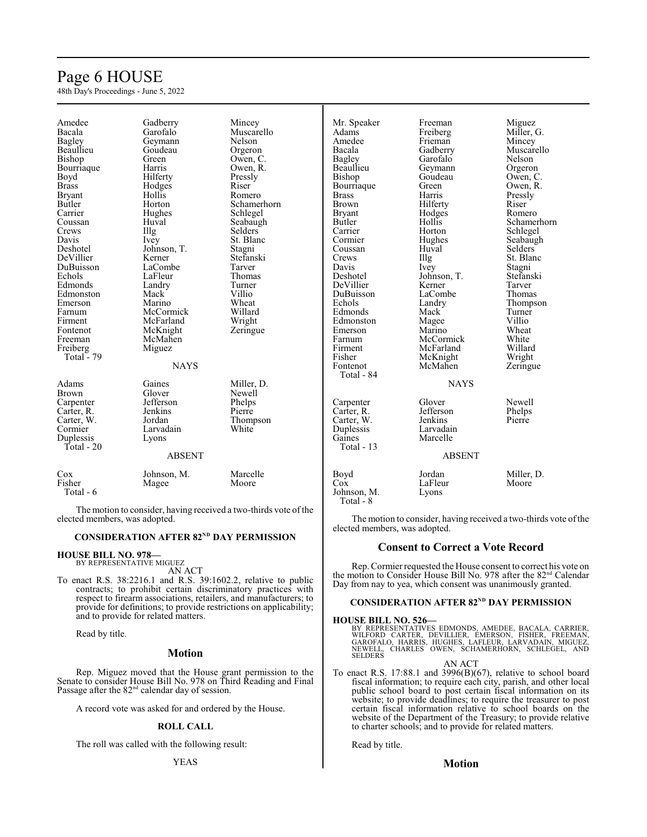# Page 6 HOUSE

48th Day's Proceedings - June 5, 2022

| Amedee        | Gadberry      | Mincey         | Mr. Speaker   | Freeman       | Miguez         |
|---------------|---------------|----------------|---------------|---------------|----------------|
| Bacala        | Garofalo      | Muscarello     | Adams         | Freiberg      | Miller, G.     |
| Bagley        | Geymann       | Nelson         | Amedee        | Frieman       | Mincey         |
| Beaullieu     | Goudeau       | Orgeron        | Bacala        | Gadberry      | Muscarello     |
| Bishop        | Green         | Owen, C.       | <b>Bagley</b> | Garofalo      | Nelson         |
| Bourriaque    | Harris        | Owen, R.       | Beaullieu     | Geymann       | Orgeron        |
| Boyd          | Hilferty      | Pressly        | Bishop        | Goudeau       | Owen, C.       |
| <b>Brass</b>  | Hodges        | Riser          | Bourriaque    | Green         | Owen, R.       |
| <b>Bryant</b> | Hollis        | Romero         | <b>Brass</b>  | Harris        | Pressly        |
| Butler        | Horton        | Schamerhorn    | <b>Brown</b>  | Hilferty      | Riser          |
| Carrier       | Hughes        | Schlegel       | <b>Bryant</b> | Hodges        | Romero         |
| Coussan       | Huval         | Seabaugh       | Butler        | Hollis        | Schamerhorn    |
| Crews         | Illg          | <b>Selders</b> | Carrier       | Horton        | Schlegel       |
| Davis         | Ivey          | St. Blanc      | Cormier       | Hughes        | Seabaugh       |
| Deshotel      | Johnson, T.   | Stagni         | Coussan       | Huval         | <b>Selders</b> |
| DeVillier     | Kerner        | Stefanski      | Crews         | Illg          | St. Blanc      |
| DuBuisson     | LaCombe       | Tarver         | Davis         | Ivey          | Stagni         |
| Echols        | LaFleur       | Thomas         | Deshotel      | Johnson, T.   | Stefanski      |
| Edmonds       | Landry        | Turner         | DeVillier     | Kerner        | Tarver         |
| Edmonston     | Mack          | Villio         | DuBuisson     | LaCombe       | Thomas         |
| Emerson       | Marino        | Wheat          | Echols        | Landry        | Thompson       |
| Farnum        | McCormick     | Willard        | Edmonds       | Mack          | Turner         |
| Firment       | McFarland     | Wright         | Edmonston     | Magee         | Villio         |
| Fontenot      | McKnight      | Zeringue       | Emerson       | Marino        | Wheat          |
| Freeman       | McMahen       |                | Farnum        | McCormick     | White          |
| Freiberg      | Miguez        |                | Firment       | McFarland     | Willard        |
| Total $-79$   |               |                | Fisher        | McKnight      |                |
|               | <b>NAYS</b>   |                | Fontenot      | McMahen       | Wright         |
|               |               |                | Total - 84    |               | Zeringue       |
| Adams         | Gaines        | Miller, D.     |               |               |                |
|               |               |                |               | <b>NAYS</b>   |                |
| <b>Brown</b>  | Glover        | Newell         |               |               |                |
| Carpenter     | Jefferson     | Phelps         | Carpenter     | Glover        | Newell         |
| Carter, R.    | Jenkins       | Pierre         | Carter, R.    | Jefferson     | Phelps         |
| Carter, W.    | Jordan        | Thompson       | Carter, W.    | Jenkins       | Pierre         |
| Cormier       | Larvadain     | White          | Duplessis     | Larvadain     |                |
| Duplessis     | Lyons         |                | Gaines        | Marcelle      |                |
| Total $-20$   |               |                | Total - $13$  |               |                |
|               | <b>ABSENT</b> |                |               | <b>ABSENT</b> |                |
| Cox           | Johnson, M.   | Marcelle       | Boyd          | Jordan        | Miller, D.     |
| Fisher        | Magee         | Moore          | Cox           | LaFleur       | Moore          |
| Total - 6     |               |                | Johnson, M.   | Lyons         |                |
|               |               |                | Total - 8     |               |                |
|               |               |                |               |               |                |

The motion to consider, having received a two-thirds vote of the elected members, was adopted.

#### **CONSIDERATION AFTER 82<sup>ND</sup> DAY PERMISSION**

#### **HOUSE BILL NO. 978—**

BY REPRESENTATIVE MIGUEZ AN ACT

To enact R.S. 38:2216.1 and R.S. 39:1602.2, relative to public contracts; to prohibit certain discriminatory practices with respect to firearm associations, retailers, and manufacturers; to provide for definitions; to provide restrictions on applicability; and to provide for related matters.

Read by title.

# **Motion**

Rep. Miguez moved that the House grant permission to the Senate to consider House Bill No. 978 on Third Reading and Final Passage after the  $82<sup>nd</sup>$  calendar day of session.

A record vote was asked for and ordered by the House.

#### **ROLL CALL**

The roll was called with the following result:

The motion to consider, having received a two-thirds vote of the elected members, was adopted.

# **Consent to Correct a Vote Record**

Rep. Cormier requested the House consent to correct his vote on the motion to Consider House Bill No. 978 after the 82<sup>nd</sup> Calendar Day from nay to yea, which consent was unanimously granted.

## **CONSIDERATION AFTER 82<sup>ND</sup> DAY PERMISSION**

#### **HOUSE BILL NO. 526—**

BY REPRESENTATIVES EDMONDS, AMEDEE, BACALA, CARRIER,<br>WILFORD CARTER, DEVILLIER, EMERSON, FISHER, FREEMAN,<br>GAROFALO, HARRIS, HUGHES, LAFLEUR, LARVADAIN, MIGUEZ,<br>NEWELL, CHARLES OWEN, SCHAMERHORN, SCHLEGEL, AND<br>SELDERS

AN ACT

To enact R.S. 17:88.1 and 3996(B)(67), relative to school board fiscal information; to require each city, parish, and other local public school board to post certain fiscal information on its website; to provide deadlines; to require the treasurer to post certain fiscal information relative to school boards on the website of the Department of the Treasury; to provide relative to charter schools; and to provide for related matters.

Read by title.

### **Motion**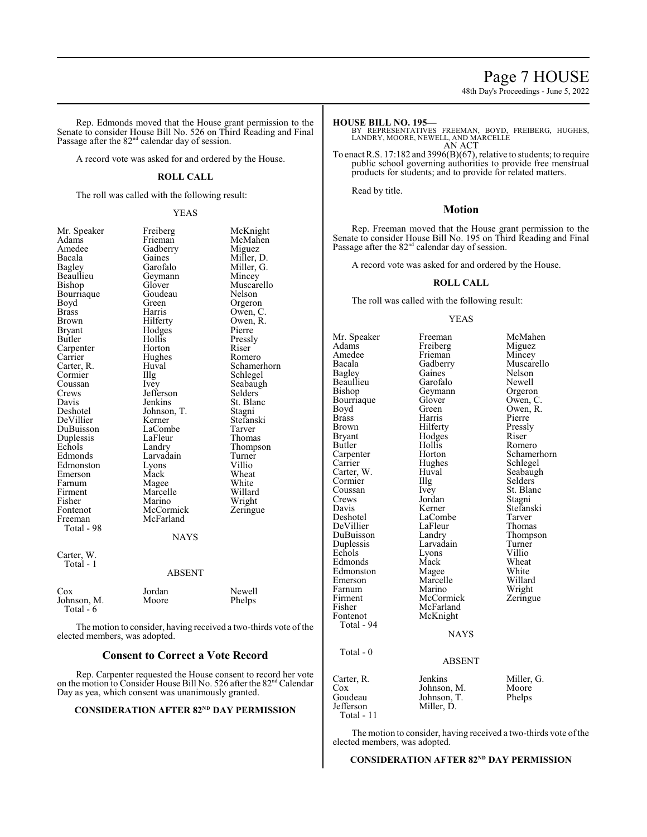# Page 7 HOUSE

48th Day's Proceedings - June 5, 2022

Rep. Edmonds moved that the House grant permission to the Senate to consider House Bill No. 526 on Third Reading and Final Passage after the 82<sup>nd</sup> calendar day of session.

A record vote was asked for and ordered by the House.

#### **ROLL CALL**

The roll was called with the following result:

#### YEAS

Amedee Gadberry<br>Bacala Gaines Beaullieu Geymann<br>Bishop Glover Bourriaque Goude<br>Boyd Green Bryant Hodges<br>Butler Hollis Carrier Hughes<br>Carter, R. Huyal Crews Jefferson<br>Davis Jenkins Deshotel Johnson, T.<br>DeVillier Kerner Duplessis LaFleur<br>Echols Landry Firment Marcelle<br>Fisher Marino Fontenot McCormick<br>Freeman McFarland Total - 98 Carter, W. Total - 1

Mr. Speaker Freiberg McKnight<br>Adams Frieman McMahen Adams Frieman McMahen Bacala Gaines Miller, D. Bagley Garofalo Miller, G. Bagley Garofalo Miller, G.<br>Beaullieu Geymann Mincey Glover Muscarello<br>Goudeau Nelson Boyd Green Orgeron<br>Brass Harris Owen, C Brass Harris Owen, C. Brown Hilferty Owen, R.<br>Brvant Hodges Pierre Hollis Pressly<br>
Horton Riser Carpenter Horton Riser Carrier Hughes Romero Carter, R. Huval Schamerhorn<br>
Cormier IIIg Schlegel Cormier Illg Schlegel<br>
Coussan Ivey Seabaug Coussan Ivey Seabaugh<br>Crews Jefferson Selders Davis Jenkins St. Blanc<br>Deshotel Johnson, T. Stagni Kerner Stefanski<br>LaCombe Tarver DuBuisson LaCombe Tarver Echols Landry Thompson<br>
Edmonds Larvadain Turner Larvadain Turner<br>Lyons Villio Edmonston Lyons Villio Emerson Mack Wheat<br>
Farnum Magee White Farnum Magee White<br>
Firment Marcelle Willard Fisher Marino Wright<br>
Fontenot McCormick Zeringue McFarland NAYS ABSENT

| Cox         | Jordan | Newell |
|-------------|--------|--------|
| Johnson, M. | Moore  | Phelps |
| Total - 6   |        |        |

The motion to consider, having received a two-thirds vote of the elected members, was adopted.

# **Consent to Correct a Vote Record**

Rep. Carpenter requested the House consent to record her vote on the motion to Consider House Bill No. 526 after the 82 nd Calendar Day as yea, which consent was unanimously granted.

# **CONSIDERATION AFTER 82<sup>ND</sup> DAY PERMISSION**

**HOUSE BILL NO. 195—**

BY REPRESENTATIVES FREEMAN, BOYD, FREIBERG, HUGHES, LANDRY, MOORE, NEWELL, AND MARCELLE AN ACT

To enact R.S. 17:182 and 3996(B)(67), relative to students; to require public school governing authorities to provide free menstrual products for students; and to provide for related matters.

Read by title.

# **Motion**

Rep. Freeman moved that the House grant permission to the Senate to consider House Bill No. 195 on Third Reading and Final Passage after the  $82<sup>nd</sup>$  calendar day of session.

A record vote was asked for and ordered by the House.

#### **ROLL CALL**

The roll was called with the following result:

#### YEAS

Mr. Speaker Freeman McMahen<br>Adams Freiberg Miguez Adams Freiberg<br>
Amedee Frieman Amedee Frieman Mincey<br>Bacala Gadberry Muscare Bacala Gadberry Muscarello<br>
Bagley Gaines Nelson Gaines Nelson<br>Garofalo Newell Beaullieu Garofalo Newell Geymann Orgeron<br>Glover Owen, C Bourriaque Glover<br>Boyd Green Boyd Green Owen, R.<br>Brass Harris Pierre Brass Harris Pierre Brown Hilferty Press<br>Bryant Hodges Riser Bryant Hodges<br>Butler Hollis Butler Hollis Romero<br>
Carpenter Horton Schamer Carpenter Horton Schamerhorn<br>Carrier Hughes Schlegel Hughes Schlegel<br>Huval Seabaugh Carter, W. Huval Seabaugh Seabaugh Seabaugh Seabaugh Seabaugh Seabaugh Seabaugh Seabaugh Seabaugh Seabaugh Seabaugh Seabaugh Seabaugh Seabaugh Seabaugh Seabaugh Seabaugh Seabaugh Seabaugh Seabaugh Seabaugh Seabaugh Seabaug Cormier Illg<br>Coussan Ivey Coussan Ivey St. Blanc<br>Crews Jordan Stagni Crews Jordan<br>Davis Kerner Davis Kerner Stefanski LaCombe<br>
LaFleur Thomas DeVillier LaFleu<br>DuBuisson Landry DuBuisson Landry Thompson Duplessis Larvadain Turner<br>
Echols Lyons Villio Lyons Villio<br>Mack Wheat Edmonds Mack Wheat<br>Edmonston Magee White Edmonston Magee White Marcelle Willard<br>
Marino Wright Farnum Marino Wright<br>Firment McCormick Zeringue Firment McCormick<br>Fisher McFarland Fisher McFarland<br>Fontenot McKnight McKnight Total - 94 Total - 0 Carter, R. Jenkins Miller, G. Cox Johnson, M. Moore Cox Johnson, M. Moore<br>Goudeau Johnson, T. Phelps Goudeau Johnson, T.<br>Jefferson Miller D.

Total - 11

The motion to consider, having received a two-thirds vote of the elected members, was adopted.

Miller, D.

**NAYS** 

ABSENT

**CONSIDERATION AFTER 82<sup>ND</sup> DAY PERMISSION**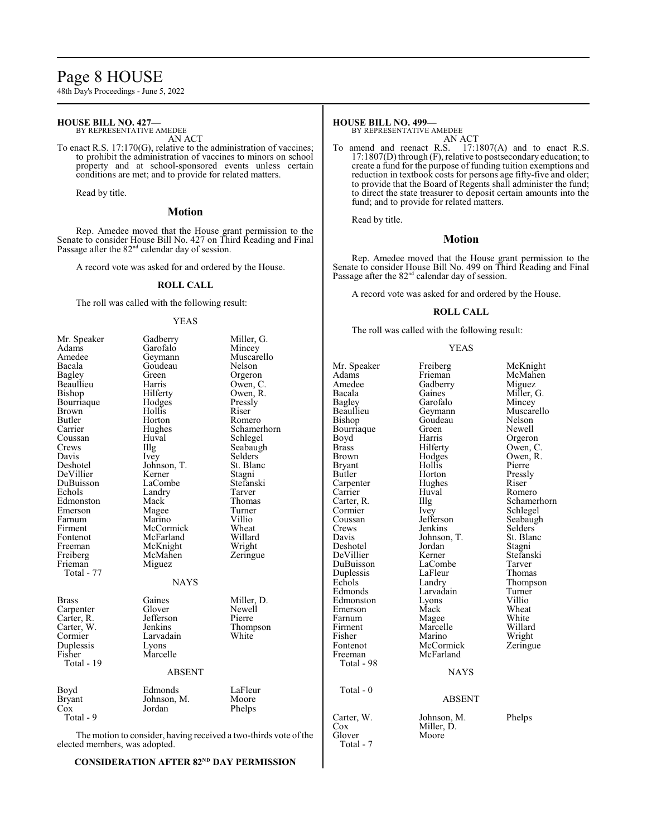# Page 8 HOUSE

48th Day's Proceedings - June 5, 2022

#### **HOUSE BILL NO. 427—** BY REPRESENTATIVE AMEDEE

AN ACT

To enact R.S. 17:170(G), relative to the administration of vaccines; to prohibit the administration of vaccines to minors on school property and at school-sponsored events unless certain conditions are met; and to provide for related matters.

Read by title.

#### **Motion**

Rep. Amedee moved that the House grant permission to the Senate to consider House Bill No. 427 on Third Reading and Final Passage after the 82<sup>nd</sup> calendar day of session.

A record vote was asked for and ordered by the House.

#### **ROLL CALL**

The roll was called with the following result:

#### YEAS

| Mr. Speaker                                                      | Gadberry      | Miller, G.  |  |  |
|------------------------------------------------------------------|---------------|-------------|--|--|
| Adams                                                            | Garofalo      | Mincey      |  |  |
| Amedee                                                           | Geymann       | Muscarello  |  |  |
| Bacala                                                           | Goudeau       | Nelson      |  |  |
| <b>Bagley</b>                                                    | Green         | Orgeron     |  |  |
| Beaullieu                                                        | Harris        | Owen, C.    |  |  |
| Bishop                                                           | Hilferty      | Owen, R.    |  |  |
| Bourriaque                                                       | Hodges        | Pressly     |  |  |
| <b>Brown</b>                                                     | Hollis        | Riser       |  |  |
| Butler                                                           | Horton        | Romero      |  |  |
| Carrier                                                          | Hughes        | Schamerhorn |  |  |
| Coussan                                                          | Huval         | Schlegel    |  |  |
| Crews                                                            | Illg          | Seabaugh    |  |  |
| Davis                                                            | Ivey          | Selders     |  |  |
| Deshotel                                                         | Johnson, T.   | St. Blanc   |  |  |
| DeVillier                                                        | Kerner        | Stagni      |  |  |
| DuBuisson                                                        | LaCombe       | Stefanski   |  |  |
| Echols                                                           | Landry        | Tarver      |  |  |
| Edmonston                                                        | Mack          | Thomas      |  |  |
| Emerson                                                          | Magee         | Turner      |  |  |
| Farnum                                                           | Marino        | Villio      |  |  |
| Firment                                                          | McCormick     | Wheat       |  |  |
| Fontenot                                                         | McFarland     | Willard     |  |  |
| Freeman                                                          | McKnight      | Wright      |  |  |
| Freiberg                                                         | McMahen       | Zeringue    |  |  |
| Frieman                                                          | Miguez        |             |  |  |
| Total - 77                                                       |               |             |  |  |
| <b>NAYS</b>                                                      |               |             |  |  |
| <b>Brass</b>                                                     | Gaines        | Miller, D.  |  |  |
| Carpenter                                                        | Glover        | Newell      |  |  |
| Carter, R.                                                       | Jefferson     | Pierre      |  |  |
| Carter, W.                                                       | Jenkins       | Thompson    |  |  |
| Cormier                                                          | Larvadain     | White       |  |  |
| Duplessis                                                        | Lyons         |             |  |  |
| Fisher                                                           | Marcelle      |             |  |  |
| Total - 19                                                       |               |             |  |  |
|                                                                  | <b>ABSENT</b> |             |  |  |
|                                                                  |               |             |  |  |
| Boyd                                                             | Edmonds       | LaFleur     |  |  |
| <b>Bryant</b>                                                    | Johnson, M.   | Moore       |  |  |
| Cox                                                              | Jordan        | Phelps      |  |  |
| Total - 9                                                        |               |             |  |  |
| The motion to consider, having received a two-thirds vote of the |               |             |  |  |

The motion to consider, having received a two-thirds vote of the elected members, was adopted.

#### **CONSIDERATION AFTER 82<sup>ND</sup> DAY PERMISSION**

# **HOUSE BILL NO. 499—**

BY REPRESENTATIVE AMEDEE AN ACT

To amend and reenact R.S. 17:1807(A) and to enact R.S. 17:1807(D) through (F), relative to postsecondary education; to create a fund for the purpose of funding tuition exemptions and reduction in textbook costs for persons age fifty-five and older; to provide that the Board of Regents shall administer the fund; to direct the state treasurer to deposit certain amounts into the fund; and to provide for related matters.

Read by title.

### **Motion**

Rep. Amedee moved that the House grant permission to the Senate to consider House Bill No. 499 on Third Reading and Final Passage after the 82<sup>nd</sup> calendar day of session.

A record vote was asked for and ordered by the House.

#### **ROLL CALL**

The roll was called with the following result:

#### YEAS

Mr. Speaker Freiberg McKnight<br>
Adams Frieman McMahen Adams Frieman McMahen<br>Amedee Gadberry Miguez Amedee Gadberry<br>Bacala Gaines Bacala Gaines Miller, G.<br>Bagley Garofalo Mincey Bagley Garofalo<br>Beaullieu Geymann Beaullieu Geymann Muscarello<br>Bishop Goudeau Nelson Bourriaque Green<br>Boyd Harris Boyd Harris Orgeron<br>Brass Hilferty Owen, C Brass Hilferty Owen, C.<br>Brown Hodges Owen, R. Bryant Hollis Pierre<br>Butler Horton Pressly Carpenter Hughes Riser<br>Carrier Huval Romero Carrier Huval<br>Carter, R. Illg Carter, R. Illg Schamerhorn<br>
Cormier Ivey Schlegel Cormier Ivey Schlegel<br>
Coussan Jefferson Seabaugl Coussan Jefferson Seabaugh<br>Crews Jenkins Selders Crews Jenkins Selders<br>Davis Johnson, T. St. Blanc Deshotel Jordan Stagni<br>
DeVillier Kerner Stefanski DeVillier Kerner Stefans<br>DuBuisson LaCombe Tarver Duplessis LaFleur<br>Echols Landry Echols Landry Thompson<br>Edmonds Larvadain Turner Edmonston Lyons Villio<br>Emerson Mack Wheat Farnum Magee White<br>
Firment Marcelle Willard Firment Marcelle Willard<br>Fisher Marino Wright Fisher Marino<br>Fontenot McCorr Fontenot McCormick Zeringue<br>Freeman McFarland Total - 98 Total - 0 Carter, W. Johnson, M. Phelps<br>Cox Miller D Cox Miller, D.<br>Glover Moore Total - 7

Goudeau Nelson<br>Green Newell Hodges Owen, R.<br>Hollis Pierre Horton Press!<br>Hughes Riser Johnson, T. St. Bla<br>Jordan Stagni LaCombe Tarver<br>
LaFleur Thomas Larvadain Turner<br>Lyons Villio Mack Wheat<br>
Mage White

#### ABSENT

**NAYS** 

McFarland

Moore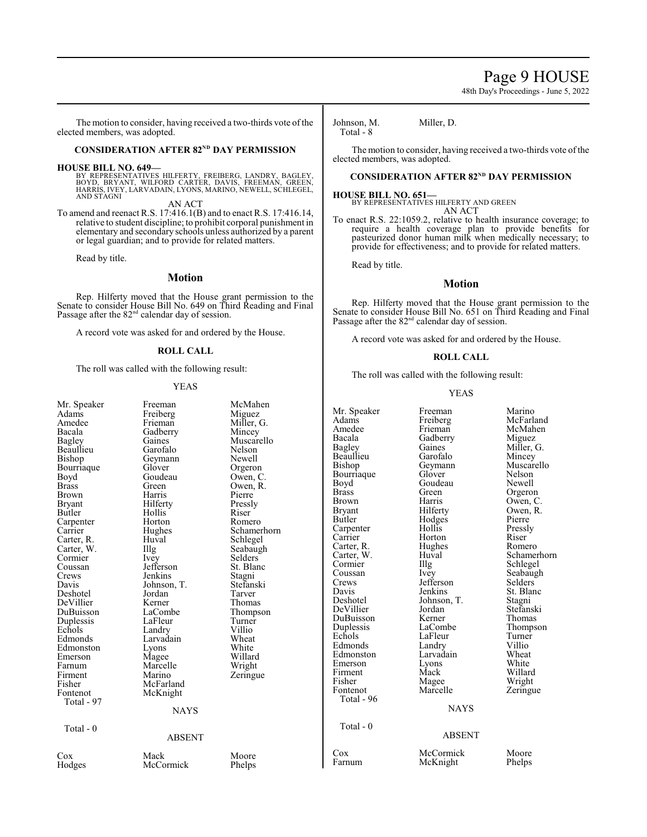# Page 9 HOUSE

48th Day's Proceedings - June 5, 2022

The motion to consider, having received a two-thirds vote of the elected members, was adopted.

### **CONSIDERATION AFTER 82<sup>ND</sup> DAY PERMISSION**

**HOUSE BILL NO. 649—**<br>BY REPRESENTATIVES HILFERTY, FREIBERG, LANDRY, BAGLEY,<br>BOYD, BRYANT, WILFORD CARTER, DAVIS, FREEMAN, GREEN,<br>HARRIS, IVEY, LARVADAIN, LYONS, MARINO, NEWELL, SCHLEGEL, AND STAGNI

AN ACT To amend and reenact R.S. 17:416.1(B) and to enact R.S. 17:416.14, relative to student discipline; to prohibit corporal punishment in elementary and secondary schools unless authorized by a parent or legal guardian; and to provide for related matters.

Read by title.

# **Motion**

Rep. Hilferty moved that the House grant permission to the Senate to consider House Bill No. 649 on Third Reading and Final Passage after the  $82<sup>nd</sup>$  calendar day of session.

A record vote was asked for and ordered by the House.

#### **ROLL CALL**

The roll was called with the following result:

#### YEAS

| Mr. Speaker<br>Adams<br>Amedee<br>Bacala<br>Bagley<br>Beaullieu<br>Bishop<br>Bourriaque<br>Boyd<br><b>Brass</b><br><b>Brown</b><br><b>Bryant</b><br>Butler<br>Carpenter<br>Carrier<br>Carter, R.<br>Carter, W.<br>Cormier<br>Coussan<br>Crews<br>Davis<br>Deshotel<br>DeVillier<br>DuBuisson<br>Duplessis<br>Echols<br>Edmonds<br>Edmonston<br>Emerson<br>Farnum<br>Firment<br>Fisher<br>Fontenot<br>Total - 97<br>Total $-0$ | Freeman<br>Freiberg<br>Frieman<br>Gadberry<br>Gaines<br>Garofalo<br>Geymann<br>Glover<br>Goudeau<br>Green<br>Harris<br>Hilferty<br>Hollis<br>Horton<br>Hughes<br>Huval<br>Illg<br>Ivey<br>Jefferson<br>Jenkins<br>Johnson, T.<br>Jordan<br>Kerner<br>LaCombe<br>LaFleur<br>Landry<br>Larvadain<br>Lyons<br>Magee<br>Marcelle<br>Marino<br>McFarland<br>McKnight<br><b>NAYS</b><br><b>ABSENT</b> | McMahen<br>Miguez<br>Miller, G.<br>Mincey<br>Muscarello<br>Nelson<br>Newell<br>Orgeron<br>Owen, C.<br>Owen, R.<br>Pierre<br>Pressly<br>Riser<br>Romero<br>Schamerhorn<br>Schlegel<br>Seabaugh<br><b>Selders</b><br>St. Blanc<br>Stagni<br>Stefanski<br>Tarver<br>Thomas<br>Thompson<br>Turner<br>Villio<br>Wheat<br>White<br>Willard<br>Wright<br>Zeringue | Mr. Spe<br>Adams<br>Amedee<br>Bacala<br>Bagley<br>Beaullie<br>Bishop<br>Bourria<br>Boyd<br><b>Brass</b><br>Brown<br>Bryant<br>Butler<br>Carpent<br>Carrier<br>Carter,<br>Carter,<br>Cormier<br>Coussar<br>Crews<br>Davis<br>Deshote<br>DeVilli<br><b>DuBuis</b><br>Dupless<br>Echols<br>Edmono<br>Edmons<br>Emerson<br>Firment<br>Fisher<br>Fontenc<br>Total<br>Total |
|-------------------------------------------------------------------------------------------------------------------------------------------------------------------------------------------------------------------------------------------------------------------------------------------------------------------------------------------------------------------------------------------------------------------------------|-------------------------------------------------------------------------------------------------------------------------------------------------------------------------------------------------------------------------------------------------------------------------------------------------------------------------------------------------------------------------------------------------|------------------------------------------------------------------------------------------------------------------------------------------------------------------------------------------------------------------------------------------------------------------------------------------------------------------------------------------------------------|-----------------------------------------------------------------------------------------------------------------------------------------------------------------------------------------------------------------------------------------------------------------------------------------------------------------------------------------------------------------------|
| $\cos$<br>Hodges                                                                                                                                                                                                                                                                                                                                                                                                              | Mack<br>McCormick                                                                                                                                                                                                                                                                                                                                                                               | Moore<br>Phelps                                                                                                                                                                                                                                                                                                                                            | $\cos$<br>Farnum                                                                                                                                                                                                                                                                                                                                                      |
|                                                                                                                                                                                                                                                                                                                                                                                                                               |                                                                                                                                                                                                                                                                                                                                                                                                 |                                                                                                                                                                                                                                                                                                                                                            |                                                                                                                                                                                                                                                                                                                                                                       |

Johnson, M. Miller, D. Total  $-8$ 

The motion to consider, having received a two-thirds vote of the elected members, was adopted.

#### **CONSIDERATION AFTER 82<sup>ND</sup> DAY PERMISSION**

#### **HOUSE BILL NO. 651—**

BY REPRESENTATIVES HILFERTY AND GREEN AN ACT

To enact R.S. 22:1059.2, relative to health insurance coverage; to require a health coverage plan to provide benefits for pasteurized donor human milk when medically necessary; to provide for effectiveness; and to provide for related matters.

Read by title.

#### **Motion**

Rep. Hilferty moved that the House grant permission to the Senate to consider House Bill No. 651 on Third Reading and Final Passage after the 82<sup>nd</sup> calendar day of session.

A record vote was asked for and ordered by the House.

#### **ROLL CALL**

The roll was called with the following result:

#### YEAS

|     | Mr. Speaker<br>Adams<br>Amedee | Freeman<br>Freiberg | Marino<br>McFarland<br>McMahen |
|-----|--------------------------------|---------------------|--------------------------------|
|     | Bacala                         | Frieman<br>Gadberry | Miguez                         |
|     | Bagley                         | Gaines              | Miller, G.                     |
|     | Beaullieu                      | Garofalo            | Mincey                         |
|     | Bishop                         |                     | Muscarello                     |
|     | Bourriaque                     | Geymann<br>Glover   | Nelson                         |
|     | Boyd                           | Goudeau             | Newell                         |
|     | <b>Brass</b>                   | Green               | Orgeron                        |
|     | <b>Brown</b>                   | Harris              | Owen, C.                       |
|     | <b>Bryant</b>                  | Hilferty            | Owen, R.                       |
|     | Butler                         | Hodges              | Pierre                         |
|     | Carpenter                      | Hollis              | Pressly                        |
| )rn | Carrier                        | Horton              | Riser                          |
|     | Carter, R.                     | Hughes              | Romero                         |
|     | Carter, W.                     | Huval               | Schamerhorn                    |
|     | Cormier                        | Illg                | Schlegel                       |
|     | Coussan                        | <i>lvey</i>         | Seabaugh                       |
|     | Crews                          | Jefferson           | Selders                        |
|     | Davis                          | Jenkins             | St. Blanc                      |
|     | Deshotel                       | Johnson, T.         | Stagni                         |
|     | DeVillier                      | Jordan              | Stefanski                      |
|     | DuBuisson                      | Kerner              | Thomas                         |
|     | Duplessis                      | LaCombe             | Thompson                       |
|     | Echols                         | LaFleur             | Turner                         |
|     | Edmonds                        | Landry              | Villio                         |
|     | Edmonston                      | Larvadain           | Wheat                          |
|     | Emerson                        | Lyons               | White                          |
|     | Firment                        | Mack                | Willard                        |
|     | Fisher                         | Magee               | Wright                         |
|     | Fontenot                       | Marcelle            | Zeringue                       |
|     | Total - 96                     |                     |                                |
|     |                                | <b>NAYS</b>         |                                |
|     | Total - $0$                    |                     |                                |
|     |                                | <b>ABSENT</b>       |                                |
|     | $\cos$                         | McCormick           | Moore                          |
|     | Farnum                         | McKnight            | Phelps                         |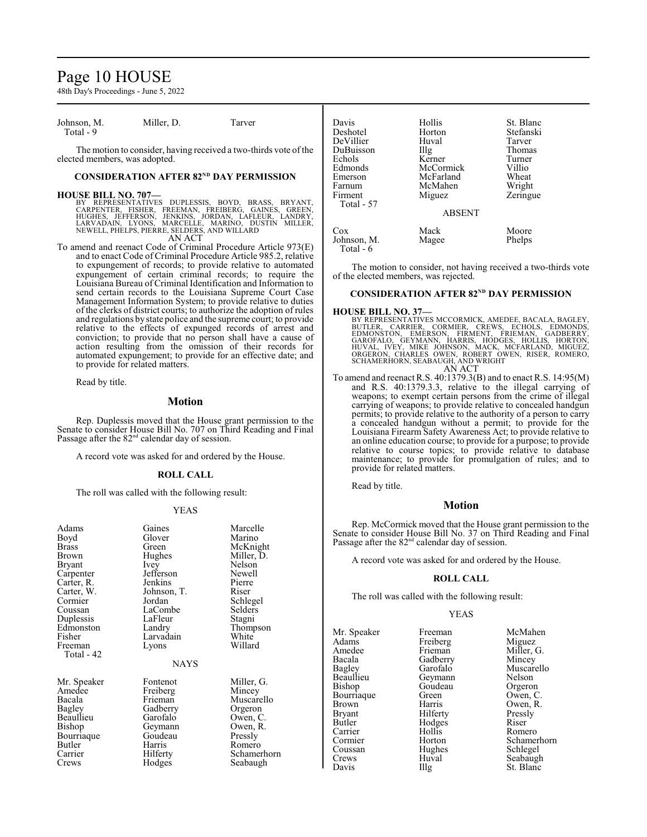# Page 10 HOUSE

48th Day's Proceedings - June 5, 2022

Johnson, M. Miller, D. Tarver Total  $-9$ 

The motion to consider, having received a two-thirds vote of the elected members, was adopted.

#### **CONSIDERATION AFTER 82<sup>ND</sup> DAY PERMISSION**

#### **HOUSE BILL NO. 707—**

BY REPRESENTATIVES DUPLESSIS, BOYD, BRASS, BRYANT,<br>CARPENTER, FISHER, FREEMAN, FREIBERG, GAINES, GREEN,<br>HUGHES, JEFFERSON, JENKINS, JORDAN, LAFLEUR, LANDRY,<br>LARVADAIN, LYONS, MARCELLE, MARINO, DUSTIN MILLER,<br>NEWELL,PHELPS,

To amend and reenact Code of Criminal Procedure Article 973(E) and to enact Code of Criminal Procedure Article 985.2, relative to expungement of records; to provide relative to automated expungement of certain criminal records; to require the Louisiana Bureau of Criminal Identification and Information to send certain records to the Louisiana Supreme Court Case Management Information System; to provide relative to duties of the clerks of district courts; to authorize the adoption of rules and regulations by state police and the supreme court; to provide relative to the effects of expunged records of arrest and conviction; to provide that no person shall have a cause of action resulting from the omission of their records for automated expungement; to provide for an effective date; and to provide for related matters.

Read by title.

#### **Motion**

Rep. Duplessis moved that the House grant permission to the Senate to consider House Bill No. 707 on Third Reading and Final Passage after the 82<sup>nd</sup> calendar day of session.

A record vote was asked for and ordered by the House.

#### **ROLL CALL**

The roll was called with the following result:

#### YEAS

| Gaines<br>Glover<br>Green<br>Hughes<br>Ivey<br>Jefferson<br>Jenkins<br>Johnson, T.<br>Jordan<br>LaCombe<br>LaFleur<br>Landry<br>Larvadain<br>Lyons | Marcelle<br>Marino<br>McKnight<br>Miller, D.<br>Nelson<br>Newell<br>Pierre<br>Riser<br>Schlegel<br>Selders<br>Stagni<br>Thompson<br>White<br>Willard |
|----------------------------------------------------------------------------------------------------------------------------------------------------|------------------------------------------------------------------------------------------------------------------------------------------------------|
|                                                                                                                                                    |                                                                                                                                                      |
|                                                                                                                                                    |                                                                                                                                                      |
| Fontenot<br>Freiberg<br>Frieman<br>Gadberry                                                                                                        | Miller, G.<br>Mincey<br>Muscarello<br>Orgeron                                                                                                        |
| Geymann<br>Goudeau<br>Harris<br>Hilferty<br>Hodges                                                                                                 | Owen, C.<br>Owen, R.<br>Pressly<br>Romero<br>Schamerhorn<br>Seabaugh                                                                                 |
|                                                                                                                                                    | <b>NAYS</b><br>Garofalo                                                                                                                              |

| Davis       | Hollis                                 | St. Blanc |
|-------------|----------------------------------------|-----------|
| Deshotel    | Horton                                 | Stefanski |
| DeVillier   | Huval                                  | Tarver    |
| DuBuisson   | $\prod$ <sup><math>\alpha</math></sup> | Thomas    |
| Echols      | Kerner                                 | Turner    |
| Edmonds     | McCormick                              | Villio    |
| Emerson     | McFarland                              | Wheat     |
| Farnum      | McMahen                                | Wright    |
| Firment     | Miguez                                 | Zeringue  |
| Total - 57  |                                        |           |
|             | <b>ABSENT</b>                          |           |
| Cox         | Mack                                   | Moore     |
| Johnson, M. | Magee                                  | Phelps    |
| Total - 6   |                                        |           |

The motion to consider, not having received a two-thirds vote of the elected members, was rejected.

#### **CONSIDERATION AFTER 82<sup>ND</sup> DAY PERMISSION**

#### **HOUSE BILL NO. 37—**

BY REPRESENTATIVES MCCORMICK, AMEDEE, BACALA, BAGLEY, CARRIER, CORMIER, CREWIS, ECHOLS, EDMONDS, ENEWISTON, EN<br>BUTLER, CARRIER, CORMIER, CREWIS, ECHOLS, EDMONSTON, EMERSON, FIRMENT, FRIEMAN, GADBERRY,<br>GAROFALO, GEYMANN, HA

To amend and reenact R.S. 40:1379.3(B) and to enact R.S. 14:95(M) and R.S. 40:1379.3.3, relative to the illegal carrying of weapons; to exempt certain persons from the crime of illegal carrying of weapons; to provide relative to concealed handgun permits; to provide relative to the authority of a person to carry a concealed handgun without a permit; to provide for the Louisiana Firearm Safety Awareness Act; to provide relative to an online education course; to provide for a purpose; to provide relative to course topics; to provide relative to database maintenance; to provide for promulgation of rules; and to provide for related matters.

Read by title.

#### **Motion**

Rep. McCormick moved that the House grant permission to the Senate to consider House Bill No. 37 on Third Reading and Final Passage after the 82<sup>nd</sup> calendar day of session.

A record vote was asked for and ordered by the House.

#### **ROLL CALL**

The roll was called with the following result:

#### YEAS

Mr. Speaker Freeman McMahen<br>Adams Freiberg Miguez Adams Freiberg<br>Amedee Frieman Amedee Frieman Miller, G.<br>Bacala Gadberry Mincey Bacala Gadberry<br>Bagley Garofalo Beaullieu Geymann Nelson<br>Bishop Goudeau Orgeron Bourriaque Green<br>Brown Harris Brown Harris Owen, R.<br>Bryant Hilferty Pressly Bryant Hilferty Press<br>Butler Hodges Riser Butler Hodges<br>Carrier Hollis Coussan Hughes Schlegel<br>Crews Huval Seabaugl

Bagley Garofalo Muscarello<br>Beaullieu Geymann Nelson Goudeau Orgeron<br>Green Owen, C Romero Cormier Horton Schamerhorn<br>
Coussan Hughes Schlegel Crews Huval Seabaugh<br>Davis Hlg St. Blanc St. Blanc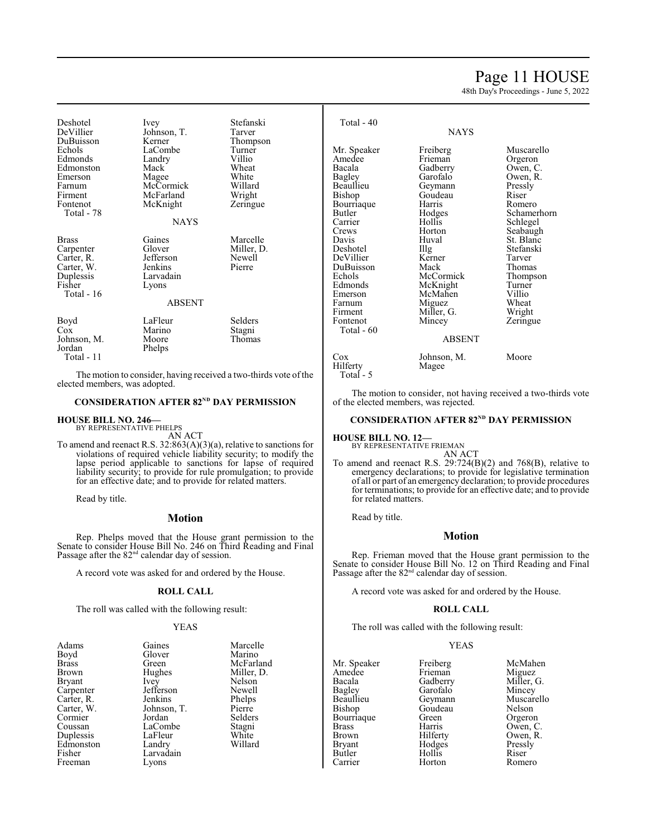# Page 11 HOUSE

48th Day's Proceedings - June 5, 2022

Deshotel Ivey Stefanski<br>
DeVillier Johnson T. Tarver DeVillier Johnson, T.<br>DuBuisson Kerner DuBuisson Kerner Thompson Echols LaCombe Turner Edmonds Landry Villio<br>Edmonston Mack Wheat Edmonston Mack Wheat<br>
Emerson Magee White Emerson Magee White<br>
Farnum McCormick Willard Farnum McCormick Willard Firment McFarland Wright<br>Fontenot McKnight Zeringue McKnight Total - 78 **NAYS** Brass Gaines Marcelle<br>Carpenter Glover Miller, D. Carpenter Glover Miller,<br>Carter, R. Jefferson Newell Carter, R. Jefferson Newel<br>Carter, W. Jenkins Pierre Carter, W.<br>Duplessis Duplessis Larvadain<br>Fisher Lyons Lyons Total - 16 ABSENT Boyd LaFleur Selders<br>Cox Marino Stagni Marino Stagni<br>Moore Thomas Johnson, M.<br>Jordan Phelps Total - 11 Total - 40 NAYS Beaullieu Geymann Pressly Bishop Goudeau Riser DeVillier Kerner Tarver Edmonds McKnight Turner Emerson McMahen Villio Farnum Miguez Wheat Firment Miller, G. Wright Total - 60 ABSENT Cox Johnson, M. Moore<br>Hilferty Magee

The motion to consider, having received a two-thirds vote of the elected members, was adopted.

#### **CONSIDERATION AFTER 82<sup>ND</sup> DAY PERMISSION**

**HOUSE BILL NO. 246—** BY REPRESENTATIVE PHELPS

AN ACT

To amend and reenact R.S. 32:863(A)(3)(a), relative to sanctions for violations of required vehicle liability security; to modify the lapse period applicable to sanctions for lapse of required liability security; to provide for rule promulgation; to provide for an effective date; and to provide for related matters.

Read by title.

#### **Motion**

Rep. Phelps moved that the House grant permission to the Senate to consider House Bill No. 246 on Third Reading and Final Passage after the  $82<sup>nd</sup>$  calendar day of session.

A record vote was asked for and ordered by the House.

# **ROLL CALL**

The roll was called with the following result:

#### YEAS

| Adams        | Gaines      | Marcelle   |
|--------------|-------------|------------|
| Boyd         | Glover      | Marino     |
| <b>Brass</b> | Green       | McFarland  |
| Brown        | Hughes      | Miller, D. |
| Bryant       | Ivey        | Nelson     |
| Carpenter    | Jefferson   | Newell     |
| Carter, R.   | Jenkins     | Phelps     |
| Carter, W.   | Johnson, T. | Pierre     |
| Cormier      | Jordan      | Selders    |
| Coussan      | LaCombe     | Stagni     |
| Duplessis    | LaFleur     | White      |
| Edmonston    | Landry      | Willard    |
| Fisher       | Larvadain   |            |
| Freeman      | Lyons       |            |
|              |             |            |

| Total - 40  |            |             |
|-------------|------------|-------------|
|             | NAYS       |             |
| Mr. Speaker | Freiberg   | Muscarello  |
| Amedee      | Frieman    | Orgeron     |
| Bacala      | Gadberry   | Owen, C.    |
| Bagley      | Garofalo   | Owen, R.    |
| Beaullieu   | Geymann    | Pressly     |
| Bishop      | Goudeau    | Riser       |
| Bourriaque  | Harris     | Romero      |
| Butler      | Hodges     | Schamerhorn |
| Carrier     | Hollis     | Schlegel    |
| Crews       | Horton     | Seabaugh    |
| Davis       | Huval      | St. Blanc   |
| Deshotel    | Illg       | Stefanski   |
| DeVillier   | Kerner     | Tarver      |
| DuBuisson   | Mack       | Thomas      |
| Echols      | McCormick  | Thompson    |
| Edmonds     | McKnight   | Turner      |
| Emerson     | McMahen    | Villio      |
| Farnum      | Miguez     | Wheat       |
| Firment     | Miller, G. | Wright      |
| Fontenot    | Mincey     | Zeringue    |
| Total - 60  |            |             |
|             | ABSENT     |             |

The motion to consider, not having received a two-thirds vote of the elected members, was rejected.

#### **CONSIDERATION AFTER 82<sup>ND</sup> DAY PERMISSION**

**HOUSE BILL NO. 12—** BY REPRESENTATIVE FRIEMAN

Hilferty Total - 5

AN ACT

To amend and reenact R.S. 29:724(B)(2) and 768(B), relative to emergency declarations; to provide for legislative termination of all or part of an emergency declaration; to provide procedures for terminations; to provide for an effective date; and to provide for related matters.

Read by title.

#### **Motion**

Rep. Frieman moved that the House grant permission to the Senate to consider House Bill No. 12 on Third Reading and Final Passage after the 82<sup>nd</sup> calendar day of session.

A record vote was asked for and ordered by the House.

#### **ROLL CALL**

The roll was called with the following result:

### YEAS

| Mr. Speaker   | Freiberg | McMahen    |
|---------------|----------|------------|
| Amedee        | Frieman  | Miguez     |
| Bacala        | Gadberry | Miller, G. |
| Bagley        | Garofalo | Mincey     |
| Beaullieu     | Geymann  | Muscarello |
| Bishop        | Goudeau  | Nelson     |
| Bourriaque    | Green    | Orgeron    |
| <b>Brass</b>  | Harris   | Owen, C.   |
| <b>Brown</b>  | Hilferty | Owen, R.   |
| <b>Bryant</b> | Hodges   | Pressly    |
| Butler        | Hollis   | Riser      |
| Carrier       | Horton   | Romero     |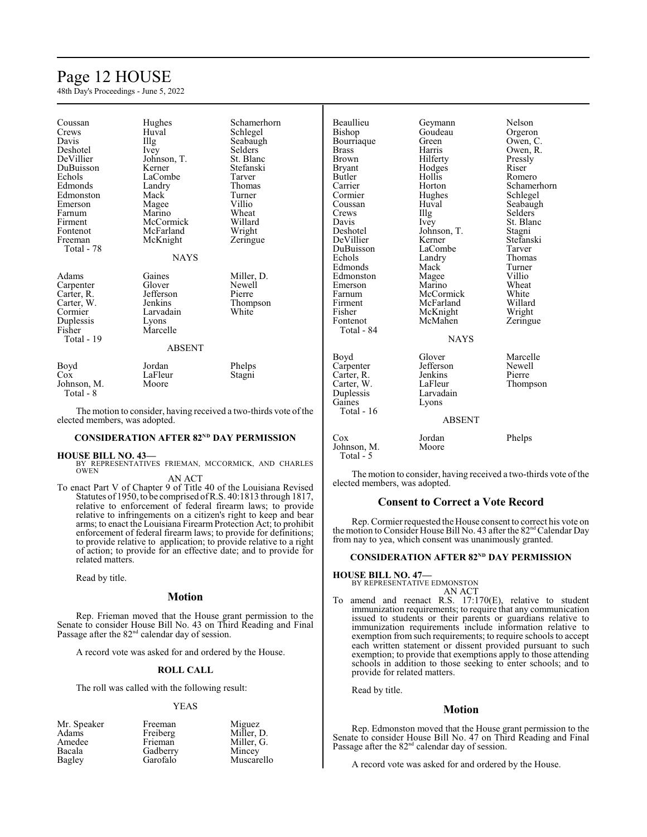# Page 12 HOUSE

48th Day's Proceedings - June 5, 2022

| Coussan               | Hughes        | Schamerhorn          |
|-----------------------|---------------|----------------------|
| Crews                 | Huval         | Schlegel             |
| Davis                 | Illg          | Seabaugh             |
| Deshotel              | <i>lvey</i>   | Selders <sup>®</sup> |
| DeVillier             | Johnson, T.   | St. Blanc            |
| DuBuisson             | Kerner        | Stefanski            |
| Echols                | LaCombe       | Tarver               |
| Edmonds               | Landry        | Thomas               |
| Edmonston             | Mack          | Turner               |
| Emerson               | Magee         | Villio               |
| Farnum                | Marino        | Wheat                |
| Firment               | McCormick     | Willard              |
| Fontenot              | McFarland     | Wright               |
| Freeman               | McKnight      | Zeringue             |
| Total - 78            |               |                      |
|                       | <b>NAYS</b>   |                      |
| Adams                 | Gaines        | Miller, D.           |
| Carpenter             | Glover        | Newell               |
|                       | Jefferson     | Pierre               |
| Carter, R.            | Jenkins       |                      |
| Carter, W.<br>Cormier | Larvadain     | Thompson<br>White    |
|                       |               |                      |
| Duplessis             | Lyons         |                      |
| Fisher                | Marcelle      |                      |
| Total - 19            |               |                      |
|                       | <b>ABSENT</b> |                      |
| Boyd                  | Jordan        | Phelps               |
| $\cos$                | LaFleur       | Stagni               |
| Johnson, M.           | Moore         |                      |
| Total - 8             |               |                      |

The motion to consider, having received a two-thirds vote of the elected members, was adopted.

#### **CONSIDERATION AFTER 82<sup>ND</sup> DAY PERMISSION**

**HOUSE BILL NO. 43—** BY REPRESENTATIVES FRIEMAN, MCCORMICK, AND CHARLES OWEN AN ACT

To enact Part V of Chapter 9 of Title 40 of the Louisiana Revised Statutes of 1950, to be comprised ofR.S. 40:1813 through 1817, relative to enforcement of federal firearm laws; to provide relative to infringements on a citizen's right to keep and bear arms; to enact the Louisiana Firearm Protection Act; to prohibit enforcement of federal firearm laws; to provide for definitions; to provide relative to application; to provide relative to a right of action; to provide for an effective date; and to provide for related matters.

Read by title.

#### **Motion**

Rep. Frieman moved that the House grant permission to the Senate to consider House Bill No. 43 on Third Reading and Final Passage after the  $82<sup>nd</sup>$  calendar day of session.

A record vote was asked for and ordered by the House.

### **ROLL CALL**

The roll was called with the following result:

#### YEAS

| Mr. Speaker | Freeman  | Miguez     |
|-------------|----------|------------|
| Adams       | Freiberg | Miller, D. |
| Amedee      | Frieman  | Miller, G. |
| Bacala      | Gadberry | Mincey     |
| Bagley      | Garofalo | Muscarello |

| Beaullieu                                                                          | Geymann                                                                          | Nelson                                   |
|------------------------------------------------------------------------------------|----------------------------------------------------------------------------------|------------------------------------------|
| Bishop                                                                             | Goudeau                                                                          | Orgeron                                  |
| Bourriaque                                                                         | Green                                                                            | Owen, C.                                 |
| <b>Brass</b>                                                                       | Harris                                                                           | Owen, R.                                 |
| Brown                                                                              | Hilferty                                                                         | Pressly                                  |
| <b>Bryant</b>                                                                      | Hodges                                                                           | Riser                                    |
| Butler                                                                             | Hollis                                                                           | Romero                                   |
| Carrier                                                                            | Horton                                                                           | Schamerhorn                              |
| Cormier                                                                            | Hughes                                                                           | Schlegel                                 |
| Coussan                                                                            | Huval                                                                            | Seabaugh                                 |
| Crews                                                                              | $\prod_{i=1}^{n}$                                                                | <b>Selders</b>                           |
| Davis                                                                              | Ivey                                                                             | St. Blanc                                |
| Deshotel                                                                           | Johnson, T.                                                                      | Stagni                                   |
| DeVillier                                                                          | Kerner                                                                           | Stefanski                                |
| DuBuisson                                                                          | LaCombe                                                                          | Tarver                                   |
| Echols                                                                             | Landry                                                                           | Thomas                                   |
| Edmonds                                                                            | Mack                                                                             | Turner                                   |
| Edmonston                                                                          | Magee                                                                            | Villio                                   |
| Emerson                                                                            | Marino                                                                           | Wheat                                    |
| Farnum                                                                             | McCormick                                                                        | White                                    |
| Firment<br>Fisher<br>Fontenot<br>Total - 84                                        | McFarland<br>McKnight<br>McMahen<br><b>NAYS</b>                                  | Willard<br>Wright<br>Zeringue            |
| Boyd<br>Carpenter<br>Carter, R.<br>Carter, W.<br>Duplessis<br>Gaines<br>Total - 16 | Glover<br>Jefferson<br>Jenkins<br>LaFleur<br>Larvadain<br>Lyons<br><b>ABSENT</b> | Marcelle<br>Newell<br>Pierre<br>Thompson |
| Cox<br>Johnson, M.<br>Total - 5                                                    | Jordan<br>Moore                                                                  |                                          |

The motion to consider, having received a two-thirds vote of the elected members, was adopted.

### **Consent to Correct a Vote Record**

Rep. Cormier requested the House consent to correct his vote on the motion to Consider House Bill No. 43 after the 82<sup>nd</sup> Calendar Day from nay to yea, which consent was unanimously granted.

#### **CONSIDERATION AFTER 82<sup>ND</sup> DAY PERMISSION**

**HOUSE BILL NO. 47—**

BY REPRESENTATIVE EDMONSTON AN ACT

To amend and reenact R.S. 17:170(E), relative to student immunization requirements; to require that any communication issued to students or their parents or guardians relative to immunization requirements include information relative to exemption from such requirements; to require schools to accept each written statement or dissent provided pursuant to such exemption; to provide that exemptions apply to those attending schools in addition to those seeking to enter schools; and to provide for related matters.

Read by title.

#### **Motion**

Rep. Edmonston moved that the House grant permission to the Senate to consider House Bill No. 47 on Third Reading and Final Passage after the 82<sup>nd</sup> calendar day of session.

A record vote was asked for and ordered by the House.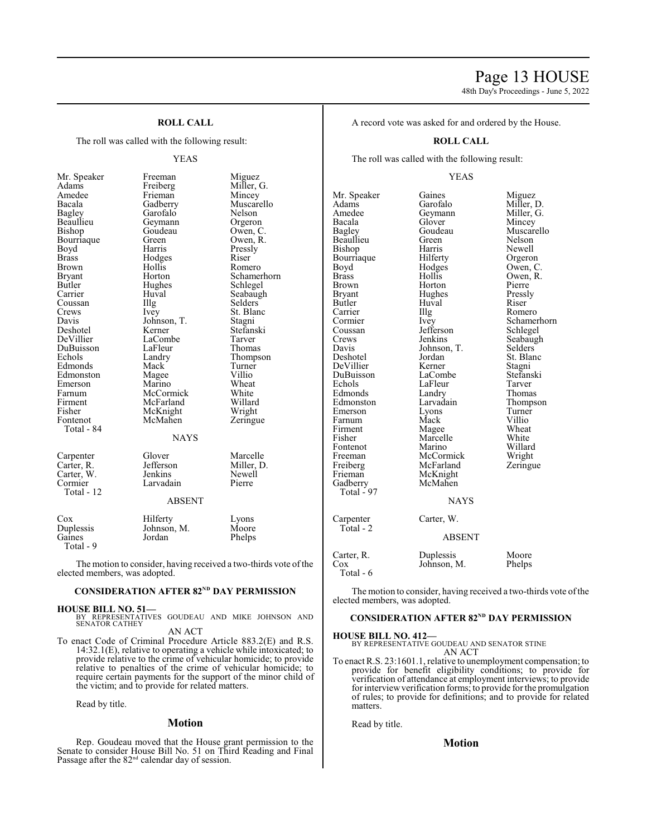48th Day's Proceedings - June 5, 2022

# **ROLL CALL**

The roll was called with the following result:

#### YEAS

| Mr. Speaker | Freeman       | Miguez     |
|-------------|---------------|------------|
| Adams       | Freiberg      | Miller, G. |
| Amedee      | Frieman       | Mincey     |
| Bacala      | Gadberry      | Muscarell  |
| Bagley      | Garofalo      | Nelson     |
| Beaullieu   | Geymann       | Orgeron    |
| Bishop      | Goudeau       | Owen, C.   |
| Bourriaque  | Green         | Owen, R.   |
| Boyd        | Harris        | Pressly    |
| Brass       | Hodges        | Riser      |
| Brown       | Hollis        | Romero     |
| Bryant      | Horton        | Schamerh   |
| Butler      | Hughes        | Schlegel   |
| Carrier     | Huval         | Seabaugh   |
| Coussan     | Illg          | Selders    |
| Crews       | Ivey          | St. Blanc  |
| Davis       | Johnson, T.   | Stagni     |
| Deshotel    | Kerner        | Stefanski  |
| DeVillier   | LaCombe       | Tarver     |
| DuBuisson   | LaFleur       | Thomas     |
| Echols      | Landry        | Thompsor   |
| Edmonds     | Mack          | Turner     |
| Edmonston   | Magee         | Villio     |
| Emerson     | Marino        | Wheat      |
| Farnum      | McCormick     | White      |
| Firment     | McFarland     | Willard    |
| Fisher      | McKnight      | Wright     |
| Fontenot    | McMahen       | Zeringue   |
| Total - 84  |               |            |
|             | NAYS          |            |
| Carpenter   | Glover        | Marcelle   |
| Carter, R.  | Jefferson     | Miller, D. |
| Carter, W.  | Jenkins       | Newell     |
| Cormier     | Larvadain     | Pierre     |
| Total - 12  |               |            |
|             | <b>ABSENT</b> |            |
|             |               |            |
| $\cos$      | Hilferty      | Lyons      |
| Duplessis   | Johnson, M.   | Moore      |
| Gaines      | Jordan        | Phelps     |

Muscarello<br>Nelson Garofalo Nelson<br>Geymann Orgeron Geymann<br>Goudeau Goudeau Owen, C.<br>Green Owen, R. Green Owen, R.<br>Harris Pressly Pressly<br>Riser Hollis Romero<br>Horton Schamer Horton Schamerhorn<br>Hughes Schlegel Hughes Schlegel<br>Huval Seabaugh Huval Seabaugh<br>Illg Selders Illg Selders<br>Ivey St. Blan St. Blanc<br>Stagni Johnson, T.<br>Kerner Stefanski<br>Tarver LaCombe Tarver<br>
LaFleur Thomas LaFleur<br>Landry Example 15 Extending Thompson<br>
Extending Turner<br>
Turner Turner<br>Villio Magee Villio<br>
Marino Wheat Marino Wheat<br>McCormick White McCormick White<br>
McFarland Willard McFarland Willard<br>
McKnight Wright McKnight<br>
McMahen Zeringue McMahen NAYS Glover Marcelle<br>
Jefferson Miller, D Jefferson Miller, D.<br>
Jenkins Newell Newell<br>Pierre Larvadain

#### Hilferty Lyons<br>Johnson M. Moore Johnson, M.<br>Jordan Phelps Total - 9

The motion to consider, having received a two-thirds vote of the elected members, was adopted.

#### **CONSIDERATION AFTER 82<sup>ND</sup> DAY PERMISSION**

#### **HOUSE BILL NO. 51—**

BY REPRESENTATIVES GOUDEAU AND MIKE JOHNSON AND SENATOR CATHEY

AN ACT

To enact Code of Criminal Procedure Article 883.2(E) and R.S. 14:32.1(E), relative to operating a vehicle while intoxicated; to provide relative to the crime of vehicular homicide; to provide relative to penalties of the crime of vehicular homicide; to require certain payments for the support of the minor child of the victim; and to provide for related matters.

Read by title.

# **Motion**

Rep. Goudeau moved that the House grant permission to the Senate to consider House Bill No. 51 on Third Reading and Final Passage after the  $82<sup>nd</sup>$  calendar day of session.

A record vote was asked for and ordered by the House.

#### **ROLL CALL**

The roll was called with the following result:

#### YEAS

Mr. Speaker Gaines Miguez<br>Adams Garofalo Miller, I Adams Garofalo Miller, D.<br>Amedee Geymann Miller, G. Amedee Geymann<br>Bacala Glover Bacala Glover Mincey Beaullieu Green Nelson Bishop Harris Newell<br>Bourriaque Hilferty Orgeron Bourriaque Hilferty<br>Boyd Hodges Boyd Hodges Owen, C.<br>Brass Hollis Owen, R. Brass Hollis Owen, R.<br>Brown Horton Pierre Brown Horton Pierre<br>Bryant Hughes Pressly Bryant Hughes Pressl<br>Butler Huval Riser Butler Huval<br>Carrier Huyal Carrier IIIg Romero<br>Cormier Ivey Schame! Cormier Ivey Schamerhorn<br>
Coussan Iefferson Schlegel Coussan Jefferson Schlegel<br>Crews Jenkins Seabaugh Crews Jenkins Seabaugh<br>
Davis Johnson, T. Selders Davis Johnson, T.<br>Deshotel Jordan DeVillier Kerner<br>DuBuisson LaCombe DuBuisson LaCombe Stefanski Edmonds Landry Thomas<br>Edmonston Larvadain Thompson Edmonston Larvadain Thomp<br>Emerson Lyons Turner Emerson Lyons Turner<br>
Farnum Mack Villio Farnum Mack Villio<br>Firment Magee Wheat Firment Magee Wheat<br>
Fisher Marcelle White Fontenot Marino Willard<br>
Freeman McCormick Wright Freeman McCormick Wright<br>
Freiberg McFarland Zeringue Freiberg McFarland<br>Frieman McKnight Frieman McKnight<br>Gadberry McMahen McMahen Total - 97 NAYS Carpenter Carter, W. Total - 2

Goudeau Muscarello<br>Green Nelson Jordan St. Blanc<br>
Kerner Stagni Example 12 LaFleur Tarver<br>
Landry Thomas Marcelle White<br>Marino Willard

ABSENT Carter, R. Duplessis Moore<br>Cox Johnson, M. Phelps Johnson, M. Total - 6

The motion to consider, having received a two-thirds vote ofthe elected members, was adopted.

#### **CONSIDERATION AFTER 82<sup>ND</sup> DAY PERMISSION**

#### **HOUSE BILL NO. 412—**

BY REPRESENTATIVE GOUDEAU AND SENATOR STINE AN ACT

To enact R.S. 23:1601.1, relative to unemployment compensation; to provide for benefit eligibility conditions; to provide for verification of attendance at employment interviews; to provide for interviewverification forms; to provide for the promulgation of rules; to provide for definitions; and to provide for related matters.

Read by title.

#### **Motion**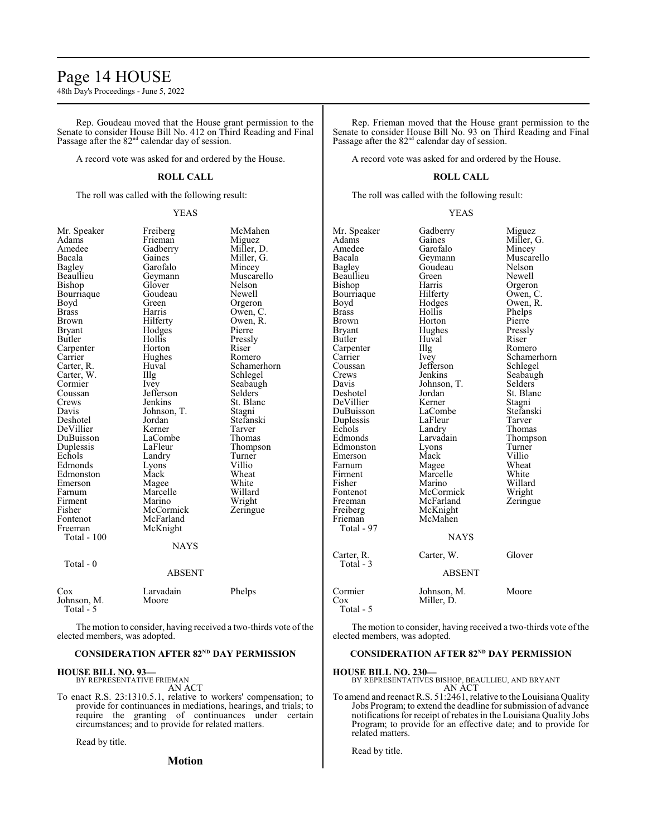# Page 14 HOUSE

48th Day's Proceedings - June 5, 2022

Rep. Goudeau moved that the House grant permission to the Senate to consider House Bill No. 412 on Third Reading and Final Passage after the 82<sup>nd</sup> calendar day of session.

A record vote was asked for and ordered by the House.

#### **ROLL CALL**

The roll was called with the following result:

#### YEAS

| Mr. Speaker              | Freiberg      | McMahen     |
|--------------------------|---------------|-------------|
| Adams                    | Frieman       | Miguez      |
| Amedee                   | Gadberry      | Miller, D.  |
| Bacala                   | Gaines        | Miller, G.  |
| <b>Bagley</b>            | Garofalo      | Mincey      |
| Beaullieu                | Geymann       | Muscarello  |
| Bishop                   | Glover        | Nelson      |
| Bourriaque               | Goudeau       | Newell      |
| Boyd                     | Green         | Orgeron     |
| Brass                    | Harris        | Owen, C.    |
| Brown                    | Hilferty      | Owen, R.    |
| Bryant                   | Hodges        | Pierre      |
| Butler                   | Hollis        | Pressly     |
| Carpenter                | Horton        | Riser       |
| Carrier                  | Hughes        | Romero      |
| Carter, R.               | Huval         | Schamerhorn |
| Carter, W.               | Illg          | Schlegel    |
| Cormier                  | <i>lvey</i>   | Seabaugh    |
| Coussan                  | Jefferson     | Selders     |
| Crews                    | Jenkins       | St. Blanc   |
| Davis                    | Johnson, T.   | Stagni      |
| Deshotel                 | Jordan        | Stefanski   |
| DeVillier                | Kerner        | Tarver      |
| DuBuisson                | LaCombe       | Thomas      |
| Duplessis                | LaFleur       | Thompson    |
| Echols                   | Landry        | Turner      |
| Edmonds                  | Lyons         | Villio      |
| Edmonston                | Mack          | Wheat       |
| Emerson                  | Magee         | White       |
| Farnum                   | Marcelle      | Willard     |
| Firment                  | Marino        | Wright      |
| Fisher                   | McCormick     | Zeringue    |
| Fontenot                 | McFarland     |             |
| Freeman                  | McKnight      |             |
| Total - 100              |               |             |
|                          | <b>NAYS</b>   |             |
| Total - 0                |               |             |
|                          | <b>ABSENT</b> |             |
| $\cos$                   | Larvadain     | Phelps      |
| Johnson, M.<br>Total - 5 | Moore         |             |

|                                   | ADOLIN I           |        |  |
|-----------------------------------|--------------------|--------|--|
| Cox<br>Johnson, M.<br>$Total - 5$ | Larvadain<br>Moore | Phelps |  |

The motion to consider, having received a two-thirds vote of the elected members, was adopted.

# **CONSIDERATION AFTER 82<sup>ND</sup> DAY PERMISSION**

#### **HOUSE BILL NO. 93—** BY REPRESENTATIVE FRIEMAN

AN ACT

To enact R.S. 23:1310.5.1, relative to workers' compensation; to provide for continuances in mediations, hearings, and trials; to require the granting of continuances under certain circumstances; and to provide for related matters.

Read by title.

# **Motion**

Rep. Frieman moved that the House grant permission to the Senate to consider House Bill No. 93 on Third Reading and Final Passage after the 82<sup>nd</sup> calendar day of session.

A record vote was asked for and ordered by the House.

# **ROLL CALL**

The roll was called with the following result:

YEAS

| Mr. Speaker<br>Adams<br>Amedee<br>Bacala<br>Bagley<br>Beaullieu<br>Bishop<br>Bourriaque<br>Boyd<br>Brass<br>Brown<br>Bryant<br>Butler<br>Carpenter<br>Carrier<br>Coussan<br>Crews<br>Davis<br>Deshotel<br>DeVillier<br>DuBuisson<br>Duplessis<br>Echols<br>Edmonds<br>Edmonston<br>Emerson<br>Farnum<br>Firment<br>Fisher<br>Fontenot<br>Freeman | Gadberry<br>Gaines<br>Garofalo<br>Geymann<br>Goudeau<br>Green<br>Harris<br>Hilferty<br>Hodges<br>Hollis<br>Horton<br>Hughes<br>Huval<br>Illg<br>Ivey<br>Jefferson<br>Jenkins<br>Johnson, T.<br>Jordan<br>Kerner<br>LaCombe<br>LaFleur<br>Landry<br>Larvadain<br>Lyons<br>Mack<br>Magee<br>Marcelle<br>Marino<br>McCormick<br>McFarland | Miguez<br>Miller, G.<br>Mincey<br>Muscarello<br>Nelson<br>Newell<br>Orgeron<br>Owen, C.<br>Owen, R.<br>Phelps<br>Pierre<br>Pressly<br>Riser<br>Romero<br>Schamerhorn<br>Schlegel<br>Seabaugh<br>Selders<br>St. Blanc<br>Stagni<br>Stefanski<br>Tarver<br>Thomas<br>Thompson<br>Turner<br>Villio<br>Wheat<br>White<br>Willard<br>Wright<br>Zeringue |
|--------------------------------------------------------------------------------------------------------------------------------------------------------------------------------------------------------------------------------------------------------------------------------------------------------------------------------------------------|----------------------------------------------------------------------------------------------------------------------------------------------------------------------------------------------------------------------------------------------------------------------------------------------------------------------------------------|----------------------------------------------------------------------------------------------------------------------------------------------------------------------------------------------------------------------------------------------------------------------------------------------------------------------------------------------------|
| Freiberg<br>Frieman<br>Total - 97                                                                                                                                                                                                                                                                                                                | McKnight<br>McMahen<br><b>NAYS</b>                                                                                                                                                                                                                                                                                                     |                                                                                                                                                                                                                                                                                                                                                    |
| Carter, R.<br>Total - 3                                                                                                                                                                                                                                                                                                                          | Carter, W.<br><b>ABSENT</b>                                                                                                                                                                                                                                                                                                            | Glover                                                                                                                                                                                                                                                                                                                                             |
| Cormier<br>Cox<br>Total - 5                                                                                                                                                                                                                                                                                                                      | Johnson, M.<br>Miller, D.                                                                                                                                                                                                                                                                                                              | Moore                                                                                                                                                                                                                                                                                                                                              |

The motion to consider, having received a two-thirds vote of the elected members, was adopted.

### **CONSIDERATION AFTER 82<sup>ND</sup> DAY PERMISSION**

**HOUSE BILL NO. 230—**

BY REPRESENTATIVES BISHOP, BEAULLIEU, AND BRYANT AN ACT

To amend and reenact R.S. 51:2461, relative to the Louisiana Quality Jobs Program; to extend the deadline for submission of advance notifications for receipt of rebates in the Louisiana Quality Jobs Program; to provide for an effective date; and to provide for related matters.

Read by title.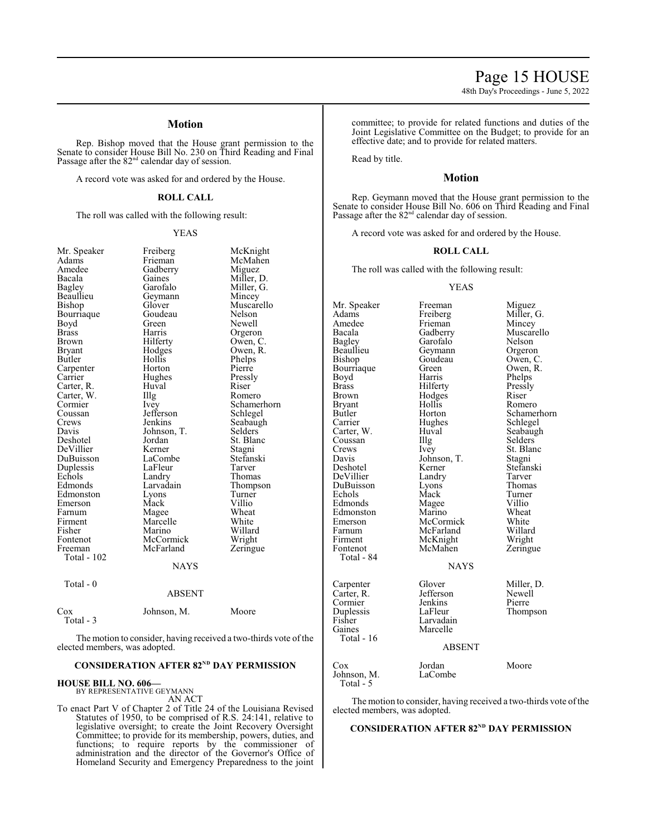48th Day's Proceedings - June 5, 2022

# **Motion**

Rep. Bishop moved that the House grant permission to the Senate to consider House Bill No. 230 on Third Reading and Final Passage after the 82<sup>nd</sup> calendar day of session.

A record vote was asked for and ordered by the House.

#### **ROLL CALL**

The roll was called with the following result:

#### YEAS

| Mr. Speaker  | Freiberg      | McKnight    |
|--------------|---------------|-------------|
| Adams        | Frieman       | McMahen     |
| Amedee       | Gadberry      | Miguez      |
| Bacala       | Gaines        | Miller, D.  |
| Bagley       | Garofalo      | Miller, G.  |
| Beaullieu    | Geymann       | Mincey      |
| Bishop       | Glover        | Muscarello  |
| Bourriaque   | Goudeau       | Nelson      |
| Boyd         | Green         | Newell      |
| <b>Brass</b> | Harris        | Orgeron     |
| Brown        | Hilferty      | Owen, C.    |
| Bryant       | Hodges        | Owen, R.    |
| Butler       | Hollis        | Phelps      |
| Carpenter    | Horton        | Pierre      |
| Carrier      | Hughes        | Pressly     |
| Carter, R.   | Huval         | Riser       |
| Carter, W.   | Illg          | Romero      |
| Cormier      | Ivey          | Schamerhorn |
| Coussan      | Jefferson     | Schlegel    |
| Crews        | Jenkins       | Seabaugh    |
| Davis        | Johnson, T.   | Selders     |
| Deshotel     | Jordan        | St. Blanc   |
| DeVillier    | Kerner        | Stagni      |
| DuBuisson    | LaCombe       | Stefanski   |
| Duplessis    | LaFleur       | Tarver      |
| Echols       | Landry        | Thomas      |
| Edmonds      | Larvadain     | Thompson    |
| Edmonston    | Lyons         | Turner      |
| Emerson      | Mack          | Villio      |
| Farnum       | Magee         | Wheat       |
| Firment      | Marcelle      | White       |
| Fisher       | Marino        | Willard     |
| Fontenot     | McCormick     | Wright      |
| Freeman      | McFarland     | Zeringue    |
| Total - 102  |               |             |
|              | <b>NAYS</b>   |             |
| Total - 0    |               |             |
|              | <b>ABSENT</b> |             |
| $\cos$       | Johnson, M.   | Moore       |

Total - 3

The motion to consider, having received a two-thirds vote of the elected members, was adopted.

# **CONSIDERATION AFTER 82<sup>ND</sup> DAY PERMISSION**

#### **HOUSE BILL NO. 606—**

BY REPRESENTATIVE GEYMANN

AN ACT

To enact Part V of Chapter 2 of Title 24 of the Louisiana Revised Statutes of 1950, to be comprised of R.S. 24:141, relative to legislative oversight; to create the Joint Recovery Oversight Committee; to provide for its membership, powers, duties, and functions; to require reports by the commissioner of administration and the director of the Governor's Office of Homeland Security and Emergency Preparedness to the joint committee; to provide for related functions and duties of the Joint Legislative Committee on the Budget; to provide for an effective date; and to provide for related matters.

Read by title.

#### **Motion**

Rep. Geymann moved that the House grant permission to the Senate to consider House Bill No. 606 on Third Reading and Final Passage after the 82<sup>nd</sup> calendar day of session.

A record vote was asked for and ordered by the House.

## **ROLL CALL**

The roll was called with the following result:

#### YEAS

| Mr. Speaker<br>Adams<br>Amedee<br>Bacala<br>Bagley<br>Beaullieu<br>Bishop<br>Bourriaque<br>Boyd<br>Brass<br>Brown<br>Bryant<br>Butler<br>Carrier<br>Carter, W.<br>Coussan<br>Crews<br>Davis<br>Deshotel<br>DeVillier<br>DuBuisson<br>Echols<br>Edmonds<br>Edmonston<br>Emerson<br>Farnum | Freeman<br>Freiberg<br>Frieman<br>Gadberry<br>Garofalo<br>Geymann<br>Goudeau<br>Green<br>Harris<br>Hilferty<br>Hodges<br>Hollis<br>Horton<br>Hughes<br>Huval<br>Illg<br>Ivey<br>Johnson, T.<br>Kerner<br>Landry<br>Lyons<br>Mack<br>Magee<br>Marino<br>McCormick<br>McFarland | Miguez<br>Miller, G.<br>Mincey<br>Muscarello<br>Nelson<br>Orgeron<br>Owen, C.<br>Owen, R.<br>Phelps<br>Pressly<br>Riser<br>Romero<br>Schamerhorn<br>Schlegel<br>Seabaugh<br>Selders<br>St. Blanc<br>Stagni<br>Stefanski<br>Tarver<br>Thomas<br>Turner<br>Villio<br>Wheat<br>White<br>Willard |
|------------------------------------------------------------------------------------------------------------------------------------------------------------------------------------------------------------------------------------------------------------------------------------------|-------------------------------------------------------------------------------------------------------------------------------------------------------------------------------------------------------------------------------------------------------------------------------|----------------------------------------------------------------------------------------------------------------------------------------------------------------------------------------------------------------------------------------------------------------------------------------------|
| Firment<br>Fontenot                                                                                                                                                                                                                                                                      | McKnight<br>McMahen                                                                                                                                                                                                                                                           | Wright<br>Zeringue                                                                                                                                                                                                                                                                           |
| Total - 84                                                                                                                                                                                                                                                                               | <b>NAYS</b>                                                                                                                                                                                                                                                                   |                                                                                                                                                                                                                                                                                              |
| Carpenter<br>Carter, R.<br>Cormier<br>Duplessis<br>Fisher<br>Gaines<br>Total - 16                                                                                                                                                                                                        | Glover<br>Jefferson<br>Jenkins<br>LaFleur<br>Larvadain<br>Marcelle<br><b>ABSENT</b>                                                                                                                                                                                           | Miller, D.<br>Newell<br>Pierre<br>Thompson                                                                                                                                                                                                                                                   |
| Cox<br>Johnson, M.                                                                                                                                                                                                                                                                       | Jordan<br>LaCombe                                                                                                                                                                                                                                                             | Moore                                                                                                                                                                                                                                                                                        |

The motion to consider, having received a two-thirds vote of the elected members, was adopted.

Total  $-5$ 

#### **CONSIDERATION AFTER 82<sup>ND</sup> DAY PERMISSION**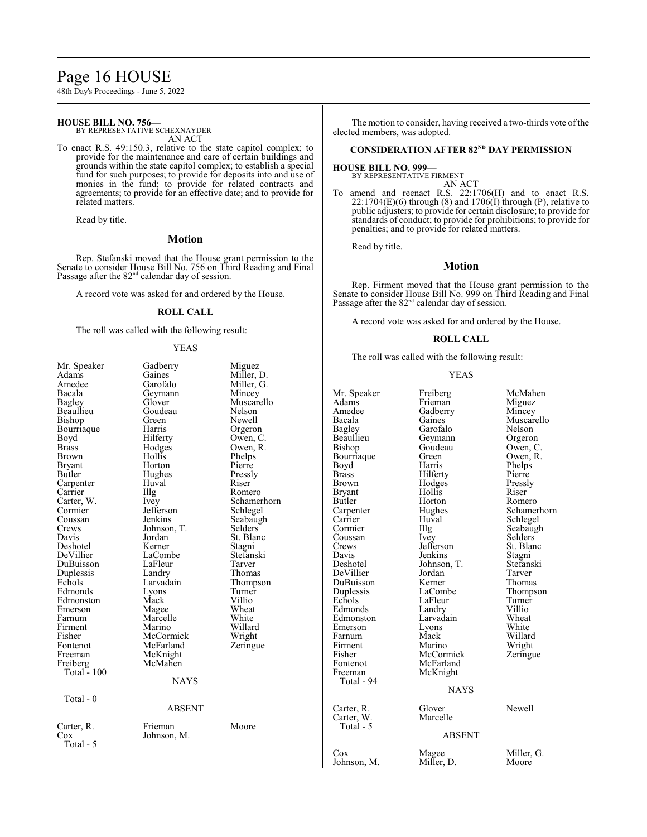# Page 16 HOUSE

48th Day's Proceedings - June 5, 2022

# **HOUSE BILL NO. 756—**

BY REPRESENTATIVE SCHEXNAYDER AN ACT

To enact R.S. 49:150.3, relative to the state capitol complex; to provide for the maintenance and care of certain buildings and grounds within the state capitol complex; to establish a special fund for such purposes; to provide for deposits into and use of monies in the fund; to provide for related contracts and agreements; to provide for an effective date; and to provide for related matters.

Read by title.

### **Motion**

Rep. Stefanski moved that the House grant permission to the Senate to consider House Bill No. 756 on Third Reading and Final Passage after the 82<sup>nd</sup> calendar day of session.

A record vote was asked for and ordered by the House.

### **ROLL CALL**

The roll was called with the following result:

#### YEAS

| Mr. Speaker<br>Adams<br>Amedee<br>Bacala<br>Bagley<br>Beaullieu<br>Bishop<br>Bourriaque<br>Boyd<br><b>Brass</b><br>Brown<br><b>Bryant</b><br>Butler<br>Carpenter<br>Carrier<br>Carter, W.<br>Cormier<br>Coussan<br>Crews<br>Davis<br>Deshotel<br>DeVillier<br>DuBuisson<br>Duplessis<br>Echols<br>Edmonds<br>Edmonston<br>Emerson<br>Farnum<br>Firment<br>Fisher<br>Fontenot<br>Freeman<br>Freiberg<br>Total $-100$ | Gadberry<br>Gaines<br>Garofalo<br>Geymann<br>Glover<br>Goudeau<br>Green<br>Harris<br>Hilferty<br>Hodges<br>Hollis<br>Horton<br>Hughes<br>Huval<br>Illg<br>Ivey<br>Jefferson<br>Jenkins<br>Johnson, T.<br>Jordan<br>Kerner<br>LaCombe<br>LaFleur<br>Landry<br>Larvadain<br>Lyons<br>Mack<br>Magee<br>Marcelle<br>Marino<br>McCormick<br>McFarland<br>McKnight<br>McMahen<br><b>NAYS</b> | Miguez<br>Miller, D.<br>Miller, G.<br>Mincey<br>Muscarello<br>Nelson<br>Newell<br>Orgeron<br>Owen, C.<br>Owen, R.<br>Phelps<br>Pierre<br>Pressly<br>Riser<br>Romero<br>Schamerhorn<br>Schlegel<br>Seabaugh<br>Selders<br>St. Blanc<br>Stagni<br>Stefanski<br>Tarver<br>Thomas<br>Thompson<br>Turner<br>Villio<br>Wheat<br>White<br>Willard<br>Wright<br>Zeringue | М<br>A<br>Aı<br>Bε<br>Bε<br>Bε<br>Bi<br>B <sub>c</sub><br>B <sub>c</sub><br>Br<br>Br<br>Br<br>Bι<br>Cε<br>$C\varepsilon$<br>C <sub>C</sub><br>C <sub>C</sub><br>Cr<br>Dε<br>$\mathrm{D}$<br>D <sub>6</sub><br>Dι<br>$D_1$<br>Ec<br>Ec<br>Ed<br>En<br>Fa<br>Fi<br>Fi<br>Fc<br>Fr |
|---------------------------------------------------------------------------------------------------------------------------------------------------------------------------------------------------------------------------------------------------------------------------------------------------------------------------------------------------------------------------------------------------------------------|----------------------------------------------------------------------------------------------------------------------------------------------------------------------------------------------------------------------------------------------------------------------------------------------------------------------------------------------------------------------------------------|------------------------------------------------------------------------------------------------------------------------------------------------------------------------------------------------------------------------------------------------------------------------------------------------------------------------------------------------------------------|---------------------------------------------------------------------------------------------------------------------------------------------------------------------------------------------------------------------------------------------------------------------------------|
|                                                                                                                                                                                                                                                                                                                                                                                                                     |                                                                                                                                                                                                                                                                                                                                                                                        |                                                                                                                                                                                                                                                                                                                                                                  |                                                                                                                                                                                                                                                                                 |
| Total - 0                                                                                                                                                                                                                                                                                                                                                                                                           | <b>ABSENT</b>                                                                                                                                                                                                                                                                                                                                                                          |                                                                                                                                                                                                                                                                                                                                                                  | Cε<br>$C\epsilon$                                                                                                                                                                                                                                                               |
| Carter, R.<br>$\cos$<br>Total - 5                                                                                                                                                                                                                                                                                                                                                                                   | Frieman<br>Johnson, M.                                                                                                                                                                                                                                                                                                                                                                 | Moore                                                                                                                                                                                                                                                                                                                                                            |                                                                                                                                                                                                                                                                                 |
|                                                                                                                                                                                                                                                                                                                                                                                                                     |                                                                                                                                                                                                                                                                                                                                                                                        |                                                                                                                                                                                                                                                                                                                                                                  | C <sub>C</sub><br>Jo                                                                                                                                                                                                                                                            |

The motion to consider, having received a two-thirds vote of the elected members, was adopted.

#### **CONSIDERATION AFTER 82<sup>ND</sup> DAY PERMISSION**

# **HOUSE BILL NO. 999—** BY REPRESENTATIVE FIRMENT

AN ACT

To amend and reenact R.S. 22:1706(H) and to enact R.S.  $22:1704(E)(6)$  through  $(8)$  and  $1706(I)$  through  $(P)$ , relative to public adjusters; to provide for certain disclosure; to provide for standards of conduct; to provide for prohibitions; to provide for penalties; and to provide for related matters.

Read by title.

#### **Motion**

Rep. Firment moved that the House grant permission to the Senate to consider House Bill No. 999 on Third Reading and Final Passage after the  $82<sup>nd</sup>$  calendar day of session.

A record vote was asked for and ordered by the House.

#### **ROLL CALL**

The roll was called with the following result:

#### YEAS

| Mr. Speaker<br>Adams<br>Amedee<br>Bacala<br>Bagley<br>Beaullieu<br>Bishop<br>Bourriaque<br>Boyd<br>Brass<br>Brown<br>Bryant<br>Butler<br>Carpenter<br>Carrier<br>Cormier<br>Coussan<br>Crews<br>Davis<br>Deshotel<br>DeVillier<br>DuBuisson<br>Duplessis<br>Echols<br>Edmonds<br>Edmonston<br>Emerson<br>Farnum<br>Firment<br>Fisher<br>Fontenot<br>Freeman | Freiberg<br>Frieman<br>Gadberry<br>Gaines<br>Garofalo<br>Geymann<br>Goudeau<br>Green<br>Harris<br>Hilferty<br>Hodges<br>Hollis<br>Horton<br>Hughes<br>Huval<br>Illg<br>Ivey<br>Jefferson<br>Jenkins<br>Johnson, T.<br>Jordan<br>Kerner<br>LaCombe<br>LaFleur<br>Landry<br>Larvadain<br>Lyons<br>Mack<br>Marino<br>McCormick<br>McFarland<br>McKnight | McMahen<br>Miguez<br>Mincey<br>Muscarello<br>Nelson<br>Orgeron<br>Owen, C.<br>Owen, R.<br>Phelps<br>Pierre<br>Pressly<br>Riser<br>Romero<br>Schamerhorn<br>Schlegel<br>Seabaugh<br>Selders<br>St. Blanc<br>Stagni<br>Stefanski<br>Tarver<br>Thomas<br>Thompson<br>Turner<br>Villio<br>Wheat<br>White<br>Willard<br>Wright<br>Zeringue |
|-------------------------------------------------------------------------------------------------------------------------------------------------------------------------------------------------------------------------------------------------------------------------------------------------------------------------------------------------------------|------------------------------------------------------------------------------------------------------------------------------------------------------------------------------------------------------------------------------------------------------------------------------------------------------------------------------------------------------|---------------------------------------------------------------------------------------------------------------------------------------------------------------------------------------------------------------------------------------------------------------------------------------------------------------------------------------|
| Total - 94                                                                                                                                                                                                                                                                                                                                                  | <b>NAYS</b>                                                                                                                                                                                                                                                                                                                                          |                                                                                                                                                                                                                                                                                                                                       |
| Carter, R.<br>Carter, W.<br>Total - 5                                                                                                                                                                                                                                                                                                                       | Glover<br>Marcelle<br><b>ABSENT</b>                                                                                                                                                                                                                                                                                                                  | Newell                                                                                                                                                                                                                                                                                                                                |
| Cox                                                                                                                                                                                                                                                                                                                                                         | Magee                                                                                                                                                                                                                                                                                                                                                | Miller, G.                                                                                                                                                                                                                                                                                                                            |
| Johnson, M.                                                                                                                                                                                                                                                                                                                                                 | Miller, D.                                                                                                                                                                                                                                                                                                                                           | Moore                                                                                                                                                                                                                                                                                                                                 |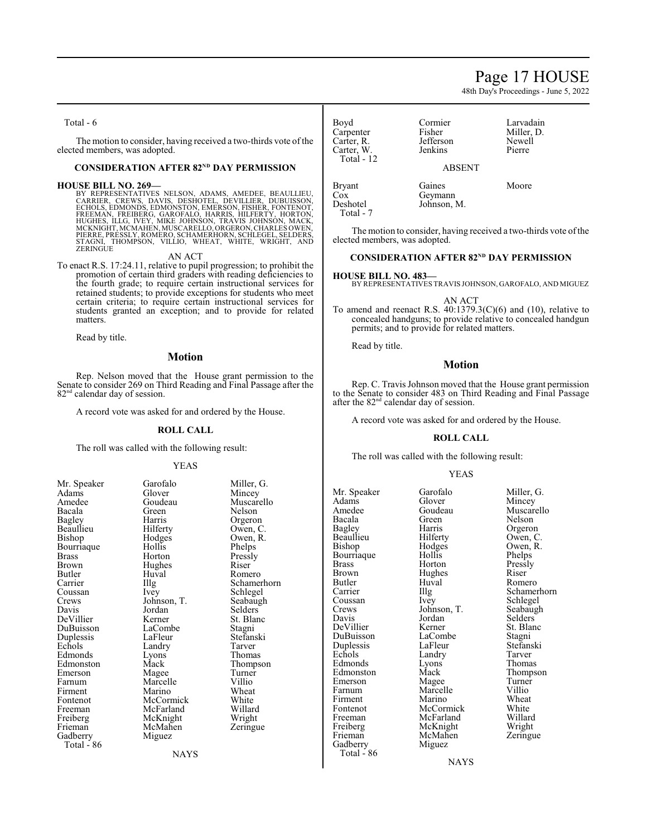# Page 17 HOUSE

48th Day's Proceedings - June 5, 2022

Total - 6

The motion to consider, having received a two-thirds vote of the elected members, was adopted.

#### **CONSIDERATION AFTER 82<sup>ND</sup> DAY PERMISSION**

HOUSE BILL NO. 269—<br>BY REPRESENTATIVES NELSON, ADAMS, AMEDEE, BEAULLIEU,<br>CARRIER, CREWS, DAVIS, DESHOTEL, DEVILLIER, DUBUISSON,<br>ECHOLS, EDMONDS, EDMONSTON, EMERSON, FISHER, FONTENOT,<br>FREEMAN, FREIBERG, GAROFALO, HARRIS, HI

AN ACT

To enact R.S. 17:24.11, relative to pupil progression; to prohibit the promotion of certain third graders with reading deficiencies to the fourth grade; to require certain instructional services for retained students; to provide exceptions for students who meet certain criteria; to require certain instructional services for students granted an exception; and to provide for related matters.

Read by title.

#### **Motion**

Rep. Nelson moved that the House grant permission to the Senate to consider 269 on Third Reading and Final Passage after the 82<sup>nd</sup> calendar day of session.

A record vote was asked for and ordered by the House.

#### **ROLL CALL**

The roll was called with the following result:

#### YEAS

| Mr. Speaker  |
|--------------|
| Adams        |
| Amedee       |
| Bacala       |
| Bagley       |
| Beaullieu    |
| Bishop       |
| Bourriaque   |
| <b>Brass</b> |
| Brown        |
| Butler       |
| Carrier      |
| Coussan      |
| Crews        |
| Davis        |
| DeVillier    |
| DuBuisson    |
| Duplessis    |
| Echols       |
| Edmonds      |
| Edmonston    |
| Emerson      |
| Farnum       |
| Firment      |
| Fontenot     |
| Freeman      |
| Freiberg     |
| Frieman      |
| Gadberry     |
| Total - 86   |

Garofalo Miller, G.<br>Glover Mincey Glover Mincey<br>Goudeau Muscare Goudeau Muscarello<br>
Green Nelson Green Nelson<br>Harris Orgerou Harris Orgeron<br>Hilferty Owen, C Hilferty Owen, C.<br>Hodges Owen, R. Hollis<br>Horton Hughes<br>Huval Huval Romero<br>Illg Schamer Ivey Schlegel Johnson, T. Seabaugh<br>Jordan Selders Jordan Selders<br>Kerner St. Blar LaCombe<br>LaFleur Landry<br>Lyons Lyons Thomas<br>
Mack Thomps Magee Turne<br>
Marcelle Villio Marcelle Villio<br>
Marino Wheat Marino Wheat<br>
McCormick White McCormick White<br>
McFarland Willard McFarland Willard<br>
McKnight Wright McKnight Wright<br>
McMahen Zeringue McMahen Miguez

**NAYS** 

St. Blanc<br>Stagni Stefanski<br>Tarver Thompson<br>Turner

Owen, R.<br>Phelps

Schamerhorn

Pressly<br>Riser

Boyd Cormier Larvadain<br>Carpenter Fisher Miller. D. Carpenter Fisher Miller,<br>Carter. R. Jefferson Newell Carter, R. Jefferson Newell Carter, W. Total - 12 ABSENT Bryant Gaines Moore<br>
Cox Geymann

The motion to consider, having received a two-thirds vote of the elected members, was adopted.

Johnson, M.

#### **CONSIDERATION AFTER 82<sup>ND</sup> DAY PERMISSION**

#### **HOUSE BILL NO. 483—**

Cox Geymann<br>Deshotel Johnson, 1

Total - 7

BY REPRESENTATIVES TRAVIS JOHNSON, GAROFALO, AND MIGUEZ

AN ACT

To amend and reenact R.S.  $40:1379.3(C)(6)$  and  $(10)$ , relative to concealed handguns; to provide relative to concealed handgun permits; and to provide for related matters.

Read by title.

#### **Motion**

Rep. C. Travis Johnson moved that the House grant permission to the Senate to consider 483 on Third Reading and Final Passage after the  $82<sup>nd</sup>$  calendar day of session.

A record vote was asked for and ordered by the House.

#### **ROLL CALL**

The roll was called with the following result:

#### YEAS

Mr. Speaker Garofalo Miller, G.<br>Adams Glover Mincey Adams Glover Mincey<br>Amedee Goudeau Muscare Amedee Goudeau Muscarello<br>Bacala Green Nelson Bacala Green Nelson Beaullieu Hilferty<br>Bishop Hodges Bourriaque Hollis<br>Brass Horton Brass Horton Pressly<br>Brown Hughes Riser Brown Hughes<br>Butler Huval Butler Huval Romero<br>
Carrier IIIg Schamer Coussan Ivey Schlegel<br>Crews Johnson, T. Seabaugh Crews Johnson, T.<br>Davis Jordan DeVillier Kerner St. Blanch<br>DuBuisson LaCombe Stagni DuBuisson LaCombe Stagni Duplessis LaFleur Stefan:<br>Echols Landry Tarver Edmonds Lyons Thomas<br>Edmonston Mack Thompson Edmonston Mack Thomp<br>
Emerson Magee Turner Emerson Magee Turner<br>Farnum Marcelle Villio Farnum Marcelle Villio<br>Firment Marino Wheat Firment Marino Wheat<br>
Fontenot McCormick White Fontenot McCormick White<br>
Freeman McFarland Willard Freeman McFarland Willard<br>
Freiberg McKnight Wright Freiberg McKnight Wright<br>
Frieman McMahen Zeringue Gadberry Total  $-86$ 

Harris Orgeron<br>Hilferty Owen, C. Example 20<br>
Landry Tarver<br>
Thomas McMahen<br>Miguez

Hodges Owen, R.<br>Hollis Phelps Carrier Illg Schamerhorn<br>
Coussan Ivev Schlegel Jordan Selders<br>
Kerner St. Blanc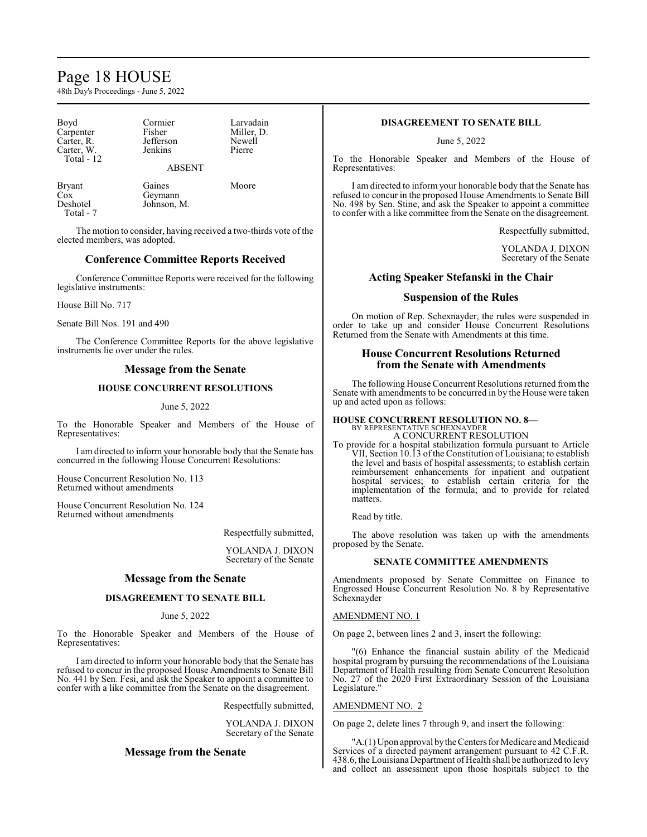# Page 18 HOUSE

48th Day's Proceedings - June 5, 2022

| Boyd<br>Carpenter<br>Carter, R.<br>Carter, W.<br>Total - 12 | Cormier<br>Fisher<br>Jefferson<br>Jenkins<br><b>ABSENT</b> | Larvadain<br>Miller, D.<br>Newell<br>Pierre |
|-------------------------------------------------------------|------------------------------------------------------------|---------------------------------------------|
|                                                             |                                                            |                                             |

Cox Geymann<br>Deshotel Johnson, 1 Total - 7

Bryant Gaines Moore<br>
Cox Geymann Johnson, M.

The motion to consider, having received a two-thirds vote of the elected members, was adopted.

# **Conference Committee Reports Received**

Conference Committee Reports were received for the following legislative instruments:

House Bill No. 717

Senate Bill Nos. 191 and 490

The Conference Committee Reports for the above legislative instruments lie over under the rules.

# **Message from the Senate**

# **HOUSE CONCURRENT RESOLUTIONS**

### June 5, 2022

To the Honorable Speaker and Members of the House of Representatives:

I am directed to inform your honorable body that the Senate has concurred in the following House Concurrent Resolutions:

House Concurrent Resolution No. 113 Returned without amendments

House Concurrent Resolution No. 124 Returned without amendments

Respectfully submitted,

YOLANDA J. DIXON Secretary of the Senate

# **Message from the Senate**

# **DISAGREEMENT TO SENATE BILL**

#### June 5, 2022

To the Honorable Speaker and Members of the House of Representatives:

I am directed to inform your honorable body that the Senate has refused to concur in the proposed House Amendments to Senate Bill No. 441 by Sen. Fesi, and ask the Speaker to appoint a committee to confer with a like committee from the Senate on the disagreement.

Respectfully submitted,

YOLANDA J. DIXON Secretary of the Senate

# **Message from the Senate**

# **DISAGREEMENT TO SENATE BILL**

June 5, 2022

To the Honorable Speaker and Members of the House of Representatives:

I am directed to inform your honorable body that the Senate has refused to concur in the proposed House Amendments to Senate Bill No. 498 by Sen. Stine, and ask the Speaker to appoint a committee to confer with a like committee from the Senate on the disagreement.

Respectfully submitted,

YOLANDA J. DIXON Secretary of the Senate

# **Acting Speaker Stefanski in the Chair**

# **Suspension of the Rules**

On motion of Rep. Schexnayder, the rules were suspended in order to take up and consider House Concurrent Resolutions Returned from the Senate with Amendments at this time.

# **House Concurrent Resolutions Returned from the Senate with Amendments**

The following House Concurrent Resolutions returned from the Senate with amendments to be concurred in by the House were taken up and acted upon as follows:

#### **HOUSE CONCURRENT RESOLUTION NO. 8—** BY REPRESENTATIVE SCHEXNAYDER

A CONCURRENT RESOLUTION

To provide for a hospital stabilization formula pursuant to Article VII, Section 10.13 of the Constitution of Louisiana; to establish the level and basis of hospital assessments; to establish certain reimbursement enhancements for inpatient and outpatient hospital services; to establish certain criteria for the implementation of the formula; and to provide for related matters.

Read by title.

The above resolution was taken up with the amendments proposed by the Senate.

# **SENATE COMMITTEE AMENDMENTS**

Amendments proposed by Senate Committee on Finance to Engrossed House Concurrent Resolution No. 8 by Representative Schexnayder

# AMENDMENT NO. 1

On page 2, between lines 2 and 3, insert the following:

"(6) Enhance the financial sustain ability of the Medicaid hospital program by pursuing the recommendations of the Louisiana Department of Health resulting from Senate Concurrent Resolution No. 27 of the 2020 First Extraordinary Session of the Louisiana Legislature."

#### AMENDMENT NO. 2

On page 2, delete lines 7 through 9, and insert the following:

"A.(1) Upon approval bythe Centers for Medicare and Medicaid Services of a directed payment arrangement pursuant to 42 C.F.R. 438.6, the Louisiana Department of Health shall be authorized to levy and collect an assessment upon those hospitals subject to the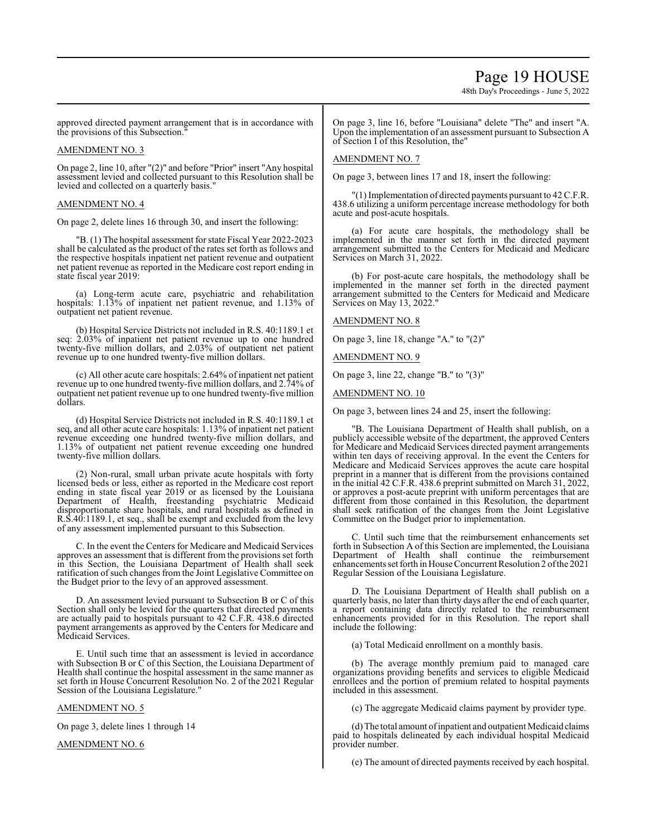48th Day's Proceedings - June 5, 2022

approved directed payment arrangement that is in accordance with the provisions of this Subsection."

#### AMENDMENT NO. 3

On page 2, line 10, after "(2)" and before "Prior" insert "Any hospital assessment levied and collected pursuant to this Resolution shall be levied and collected on a quarterly basis."

### AMENDMENT NO. 4

On page 2, delete lines 16 through 30, and insert the following:

"B. (1) The hospital assessment for state Fiscal Year 2022-2023 shall be calculated as the product of the rates set forth as follows and the respective hospitals inpatient net patient revenue and outpatient net patient revenue as reported in the Medicare cost report ending in state fiscal year 2019:

(a) Long-term acute care, psychiatric and rehabilitation hospitals: 1.13% of inpatient net patient revenue, and 1.13% of outpatient net patient revenue.

(b) Hospital Service Districts not included in R.S. 40:1189.1 et seq: 2.03% of inpatient net patient revenue up to one hundred twenty-five million dollars, and 2.03% of outpatient net patient revenue up to one hundred twenty-five million dollars.

(c) All other acute care hospitals: 2.64% of inpatient net patient revenue up to one hundred twenty-five million dollars, and 2.74% of outpatient net patient revenue up to one hundred twenty-five million dollars.

(d) Hospital Service Districts not included in R.S. 40:1189.1 et seq, and all other acute care hospitals: 1.13% of inpatient net patient revenue exceeding one hundred twenty-five million dollars, and 1.13% of outpatient net patient revenue exceeding one hundred twenty-five million dollars.

(2) Non-rural, small urban private acute hospitals with forty licensed beds or less, either as reported in the Medicare cost report ending in state fiscal year 2019 or as licensed by the Louisiana Department of Health, freestanding psychiatric Medicaid disproportionate share hospitals, and rural hospitals as defined in R.S.40:1189.1, et seq., shall be exempt and excluded from the levy of any assessment implemented pursuant to this Subsection.

C. In the event the Centers for Medicare and Medicaid Services approves an assessment that is different from the provisions set forth in this Section, the Louisiana Department of Health shall seek ratification of such changes from the Joint Legislative Committee on the Budget prior to the levy of an approved assessment.

D. An assessment levied pursuant to Subsection B or C of this Section shall only be levied for the quarters that directed payments are actually paid to hospitals pursuant to 42 C.F.R. 438.6 directed payment arrangements as approved by the Centers for Medicare and Medicaid Services.

E. Until such time that an assessment is levied in accordance with Subsection B or C of this Section, the Louisiana Department of Health shall continue the hospital assessment in the same manner as set forth in House Concurrent Resolution No. 2 of the 2021 Regular Session of the Louisiana Legislature."

#### AMENDMENT NO. 5

On page 3, delete lines 1 through 14

AMENDMENT NO. 6

On page 3, line 16, before "Louisiana" delete "The" and insert "A. Upon the implementation of an assessment pursuant to Subsection A of Section I of this Resolution, the"

#### AMENDMENT NO. 7

On page 3, between lines 17 and 18, insert the following:

"(1) Implementation of directed payments pursuant to 42 C.F.R. 438.6 utilizing a uniform percentage increase methodology for both acute and post-acute hospitals.

(a) For acute care hospitals, the methodology shall be implemented in the manner set forth in the directed payment arrangement submitted to the Centers for Medicaid and Medicare Services on March 31, 2022.

(b) For post-acute care hospitals, the methodology shall be implemented in the manner set forth in the directed payment arrangement submitted to the Centers for Medicaid and Medicare Services on May 13, 2022."

AMENDMENT NO. 8

On page 3, line 18, change "A." to "(2)"

AMENDMENT NO. 9

On page 3, line 22, change "B." to "(3)"

AMENDMENT NO. 10

On page 3, between lines 24 and 25, insert the following:

"B. The Louisiana Department of Health shall publish, on a publicly accessible website of the department, the approved Centers for Medicare and Medicaid Services directed payment arrangements within ten days of receiving approval. In the event the Centers for Medicare and Medicaid Services approves the acute care hospital preprint in a manner that is different from the provisions contained in the initial 42 C.F.R. 438.6 preprint submitted on March 31, 2022, or approves a post-acute preprint with uniform percentages that are different from those contained in this Resolution, the department shall seek ratification of the changes from the Joint Legislative Committee on the Budget prior to implementation.

C. Until such time that the reimbursement enhancements set forth in Subsection A of this Section are implemented, the Louisiana Department of Health shall continue the reimbursement enhancements set forth in House Concurrent Resolution 2 ofthe 2021 Regular Session of the Louisiana Legislature.

D. The Louisiana Department of Health shall publish on a quarterly basis, no later than thirty days after the end of each quarter, a report containing data directly related to the reimbursement enhancements provided for in this Resolution. The report shall include the following:

(a) Total Medicaid enrollment on a monthly basis.

(b) The average monthly premium paid to managed care organizations providing benefits and services to eligible Medicaid enrollees and the portion of premium related to hospital payments included in this assessment.

(c) The aggregate Medicaid claims payment by provider type.

(d)The total amount ofinpatient and outpatient Medicaid claims paid to hospitals delineated by each individual hospital Medicaid provider number.

(e) The amount of directed payments received by each hospital.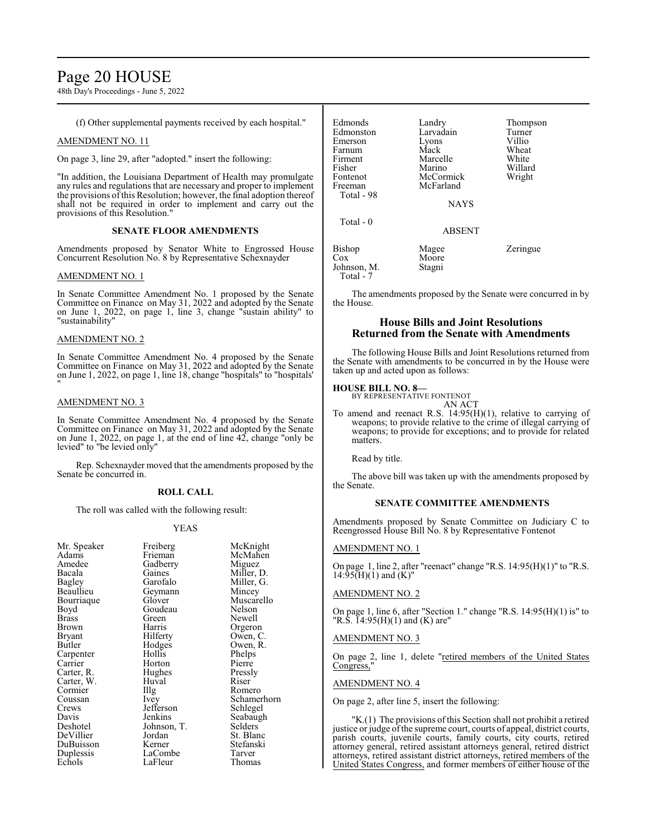# Page 20 HOUSE

48th Day's Proceedings - June 5, 2022

(f) Other supplemental payments received by each hospital."

### AMENDMENT NO. 11

On page 3, line 29, after "adopted." insert the following:

"In addition, the Louisiana Department of Health may promulgate any rules and regulations that are necessary and proper to implement the provisions of this Resolution; however, the final adoption thereof shall not be required in order to implement and carry out the provisions of this Resolution."

#### **SENATE FLOOR AMENDMENTS**

Amendments proposed by Senator White to Engrossed House Concurrent Resolution No. 8 by Representative Schexnayder

### AMENDMENT NO. 1

In Senate Committee Amendment No. 1 proposed by the Senate Committee on Finance on May 31, 2022 and adopted by the Senate on June 1, 2022, on page 1, line 3, change "sustain ability" to "sustainability"

#### AMENDMENT NO. 2

In Senate Committee Amendment No. 4 proposed by the Senate Committee on Finance on May 31, 2022 and adopted by the Senate on June 1, 2022, on page 1, line 18, change "hospitals" to "hospitals' "

### AMENDMENT NO. 3

In Senate Committee Amendment No. 4 proposed by the Senate Committee on Finance on May 31, 2022 and adopted by the Senate on June 1, 2022, on page 1, at the end of line 42, change "only be levied" to "be levied only"

Rep. Schexnayder moved that the amendments proposed by the Senate be concurred in.

#### **ROLL CALL**

The roll was called with the following result:

# YEAS

| Mr. Speaker<br>Adams<br>Amedee<br>Bacala<br><b>Bagley</b><br>Beaullieu<br>Bourriaque<br>Boyd<br>Brass<br>Brown | Freiberg<br>Frieman<br>Gadberry<br>Gaines<br>Garofalo<br>Geymann<br>Glover<br>Goudeau<br>Green<br>Harris | McKnight<br>McMahen<br>Miguez<br>Miller, D.<br>Miller, G.<br>Mincey<br>Muscarello<br>Nelson<br>Newell<br>Orgeron |
|----------------------------------------------------------------------------------------------------------------|----------------------------------------------------------------------------------------------------------|------------------------------------------------------------------------------------------------------------------|
|                                                                                                                |                                                                                                          |                                                                                                                  |
|                                                                                                                |                                                                                                          |                                                                                                                  |
|                                                                                                                |                                                                                                          |                                                                                                                  |
|                                                                                                                |                                                                                                          |                                                                                                                  |
|                                                                                                                |                                                                                                          |                                                                                                                  |
|                                                                                                                |                                                                                                          |                                                                                                                  |
|                                                                                                                |                                                                                                          |                                                                                                                  |
| Bryant                                                                                                         | Hilferty                                                                                                 | Owen, C.                                                                                                         |
| Butler                                                                                                         | Hodges                                                                                                   | Owen, R.                                                                                                         |
| Carpenter                                                                                                      | Hollis                                                                                                   | Phelps                                                                                                           |
| Carrier                                                                                                        | Horton                                                                                                   | Pierre                                                                                                           |
| Carter, R.                                                                                                     | Hughes                                                                                                   | Pressly                                                                                                          |
| Carter, W.                                                                                                     | Huval                                                                                                    | Riser                                                                                                            |
| Cormier                                                                                                        | Illg                                                                                                     | Romero                                                                                                           |
| Coussan                                                                                                        | <i>lvey</i>                                                                                              | Schamerhorn                                                                                                      |
| Crews                                                                                                          | Jefferson                                                                                                | Schlegel                                                                                                         |
| Davis                                                                                                          | Jenkins                                                                                                  | Seabaugh                                                                                                         |
| Deshotel                                                                                                       | Johnson, T.                                                                                              | Selders                                                                                                          |
| DeVillier                                                                                                      | Jordan                                                                                                   | St. Blanc                                                                                                        |
| DuBuisson                                                                                                      | Kerner                                                                                                   | Stefanski                                                                                                        |
| Duplessis                                                                                                      | LaCombe                                                                                                  | Tarver                                                                                                           |
| Echols                                                                                                         | LaFleur                                                                                                  | Thomas                                                                                                           |
|                                                                                                                |                                                                                                          |                                                                                                                  |

| Edmonds                  | Landry        | Thompson |
|--------------------------|---------------|----------|
| Edmonston                | Larvadain     | Turner   |
| Emerson                  | Lyons         | Villio   |
| Farnum                   | Mack          | Wheat    |
| Firment                  | Marcelle      | White    |
| Fisher                   | Marino        | Willard  |
| Fontenot                 | McCormick     | Wright   |
| Freeman                  | McFarland     |          |
| Total - 98               |               |          |
|                          | <b>NAYS</b>   |          |
| Total - 0                |               |          |
|                          | <b>ABSENT</b> |          |
| Bishop                   | Magee         | Zeringue |
| Cox                      | Moore         |          |
| Johnson, M.<br>Total - 7 | Stagni        |          |

The amendments proposed by the Senate were concurred in by the House.

# **House Bills and Joint Resolutions Returned from the Senate with Amendments**

The following House Bills and Joint Resolutions returned from the Senate with amendments to be concurred in by the House were taken up and acted upon as follows:

# **HOUSE BILL NO. 8—**

BY REPRESENTATIVE FONTENOT AN ACT

To amend and reenact R.S. 14:95(H)(1), relative to carrying of weapons; to provide relative to the crime of illegal carrying of weapons; to provide for exceptions; and to provide for related matters.

Read by title.

The above bill was taken up with the amendments proposed by the Senate.

# **SENATE COMMITTEE AMENDMENTS**

Amendments proposed by Senate Committee on Judiciary C to Reengrossed House Bill No. 8 by Representative Fontenot

# AMENDMENT NO. 1

On page 1, line 2, after "reenact" change "R.S. 14:95(H)(1)" to "R.S.  $14:95(H)(1)$  and  $(K)$ "

### AMENDMENT NO. 2

On page 1, line 6, after "Section 1." change "R.S. 14:95(H)(1) is" to "R.S.  $14:95(H)(1)$  and (K) are"

#### AMENDMENT NO. 3

On page 2, line 1, delete "retired members of the United States Congress,'

#### AMENDMENT NO. 4

On page 2, after line 5, insert the following:

'K.(1) The provisions of this Section shall not prohibit a retired justice or judge of the supreme court, courts of appeal, district courts, parish courts, juvenile courts, family courts, city courts, retired attorney general, retired assistant attorneys general, retired district attorneys, retired assistant district attorneys, retired members of the United States Congress, and former members of either house of the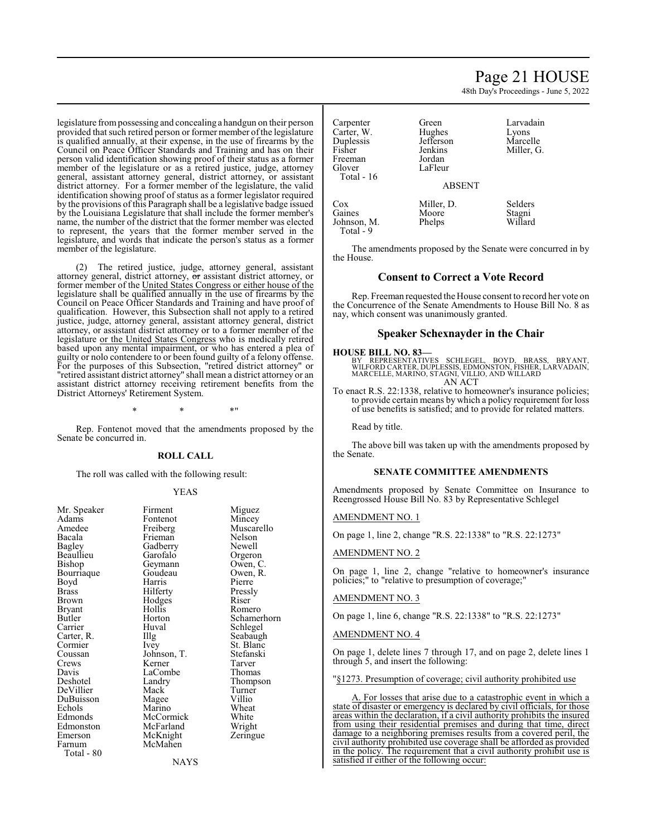#### legislature frompossessing and concealing a handgun on their person provided that such retired person or former member of the legislature is qualified annually, at their expense, in the use of firearms by the Council on Peace Officer Standards and Training and has on their person valid identification showing proof of their status as a former member of the legislature or as a retired justice, judge, attorney general, assistant attorney general, district attorney, or assistant district attorney. For a former member of the legislature, the valid identification showing proof of status as a former legislator required by the provisions of this Paragraph shall be a legislative badge issued by the Louisiana Legislature that shall include the former member's name, the number of the district that the former member was elected to represent, the years that the former member served in the legislature, and words that indicate the person's status as a former member of the legislature.

(2) The retired justice, judge, attorney general, assistant attorney general, district attorney, or assistant district attorney, or former member of the United States Congress or either house of the legislature shall be qualified annually in the use of firearms by the Council on Peace Officer Standards and Training and have proof of qualification. However, this Subsection shall not apply to a retired justice, judge, attorney general, assistant attorney general, district attorney, or assistant district attorney or to a former member of the legislature or the United States Congress who is medically retired based upon any mental impairment, or who has entered a plea of guilty or nolo contendere to or been found guilty of a felony offense. For the purposes of this Subsection, "retired district attorney" or "retired assistant district attorney" shall mean a district attorney or an assistant district attorney receiving retirement benefits from the District Attorneys' Retirement System.

 $*$  \*  $*$  \*

Rep. Fontenot moved that the amendments proposed by the Senate be concurred in.

#### **ROLL CALL**

The roll was called with the following result:

#### YEAS

| <b><i>IVII. Spearer</i></b> | 1 11111 <b>0111</b> | 101602   |
|-----------------------------|---------------------|----------|
| Adams                       | Fontenot            | Mincey   |
| Amedee                      | Freiberg            | Muscaro  |
| Bacala                      | Frieman             | Nelson   |
| <b>Bagley</b>               | Gadberry            | Newell   |
| Beaullieu                   | Garofalo            | Orgeron  |
| Bishop                      | Geymann             | Owen, (  |
| Bourriaque                  | Goudeau             | Owen, F  |
| Boyd                        | Harris              | Pierre   |
| Brass                       | Hilferty            | Pressly  |
| Brown                       | Hodges              | Riser    |
| Bryant                      | Hollis              | Romero   |
| Butler                      | Horton              | Schame   |
| Carrier                     | Huval               | Schlege  |
| Carter, R.                  | Illg                | Seabaug  |
| Cormier                     | Ivey                | St. Blan |
| Coussan                     | Johnson, T.         | Stefansk |
| Crews                       | Kerner              | Tarver   |
| Davis                       | LaCombe             | Thomas   |
| Deshotel                    | Landry              | Thomps   |
| DeVillier                   | Mack <sup>-</sup>   | Turner   |
| DuBuisson                   | Magee               | Villio   |
| Echols                      | Marino              | Wheat    |
| Edmonds                     | McCormick           | White    |
| Edmonston                   | McFarland           | Wright   |
| Emerson                     | McKnight            | Zeringu  |
| Farnum                      | McMahen             |          |
| Total - 80                  |                     |          |

Mr. Speaker Firment Miguez<br>Adams Fontenot Mincey Muscarello<br>Nelson Frieman Nelson<br>Gadberry Newell Gadberry Newell<br>Garofalo Orgeron Garofalo Orgeron<br>Geymann Owen, C. Geymann Owen, C.<br>Goudeau Owen, R. Goudeau Owen,<br>Harris Pierre Harris Pierre<br>Hilferty Pressly Hilferty<br>Hodges Riser Hodges Riser<br>Hollis Romero Horton Schamerhorn<br>Huval Schlegel Huval Schlegel<br>Illg Seabaugh Seabaugh Ivey St. Blanc<br>Johnson, T. Stefanski Johnson, T. Stefans<br>Kerner Tarver Kerner Tarver<br>LaCombe Thomas LaCombe<br>Landry Thompson<br>Turner Mack Turner<br>
Mage Villio Magee Villio<br>
Marino Wheat Marino Wheat<br>
McCormick White McCormick White<br>
McFarland Wright McFarland Wright<br>
McKnight Zeringue McKnight McMahen

**NAYS** 

Page 21 HOUSE

48th Day's Proceedings - June 5, 2022

Carpenter Green Larvadain<br>Carter W. Hughes Lyons Carter, W. Hughes Lyons<br>
Duplessis Jefferson Marcelle Duplessis Jefferson<br>Fisher Jenkins Freeman<br>Glover Total - 16

Jenkins Miller, G.<br>Jordan LaFleur

#### ABSENT

Cox Miller, D. Selders<br>
Gaines Moore Stagni Moore Stagni<br>Phelps Willard Johnson, M. Total - 9

The amendments proposed by the Senate were concurred in by the House.

### **Consent to Correct a Vote Record**

Rep. Freeman requested the House consent to record her vote on the Concurrence of the Senate Amendments to House Bill No. 8 as nay, which consent was unanimously granted.

# **Speaker Schexnayder in the Chair**

#### **HOUSE BILL NO. 83—**

BY REPRESENTATIVES SCHLEGEL, BOYD, BRASS, BRYANT,<br>WILFORDCARTER,DUPLESSIS,EDMONSTON,FISHER,LARVADAIN,<br>MARCELLE,MARINO,STAGNI,VILLIO,ANDWILLARD AN ACT

To enact R.S. 22:1338, relative to homeowner's insurance policies; to provide certain means by which a policy requirement for loss of use benefits is satisfied; and to provide for related matters.

Read by title.

The above bill was taken up with the amendments proposed by the Senate.

# **SENATE COMMITTEE AMENDMENTS**

Amendments proposed by Senate Committee on Insurance to Reengrossed House Bill No. 83 by Representative Schlegel

### AMENDMENT NO. 1

On page 1, line 2, change "R.S. 22:1338" to "R.S. 22:1273"

### AMENDMENT NO. 2

On page 1, line 2, change "relative to homeowner's insurance policies;" to "relative to presumption of coverage;"

#### AMENDMENT NO. 3

On page 1, line 6, change "R.S. 22:1338" to "R.S. 22:1273"

#### AMENDMENT NO. 4

On page 1, delete lines 7 through 17, and on page 2, delete lines 1 through 5, and insert the following:

"§1273. Presumption of coverage; civil authority prohibited use

A. For losses that arise due to a catastrophic event in which a state of disaster or emergency is declared by civil officials, for those areas within the declaration, if a civil authority prohibits the insured from using their residential premises and during that time, direct damage to a neighboring premises results from a covered peril, the civil authority prohibited use coverage shall be afforded as provided in the policy. The requirement that a civil authority prohibit use is satisfied if either of the following occur: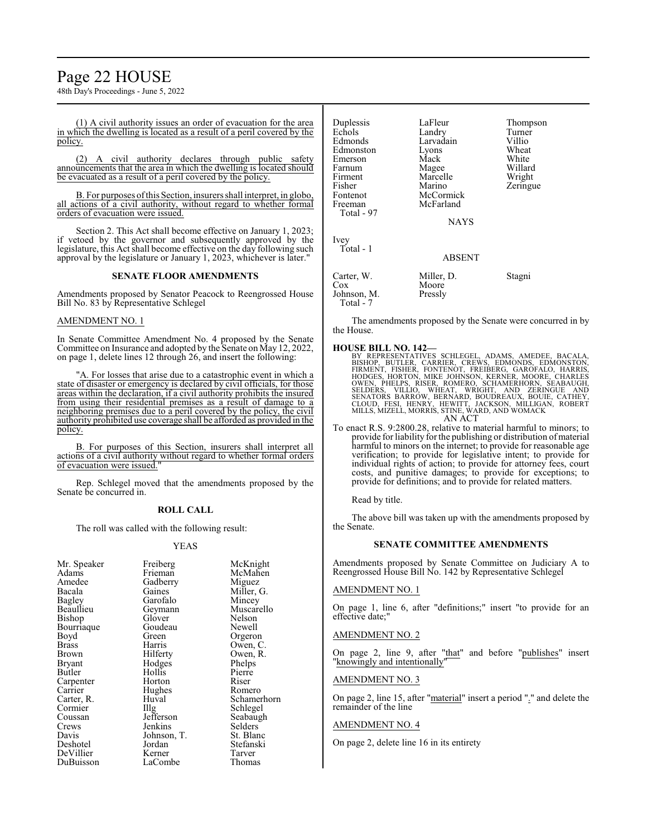# Page 22 HOUSE

48th Day's Proceedings - June 5, 2022

(1) A civil authority issues an order of evacuation for the area in which the dwelling is located as a result of a peril covered by the policy.

(2) A civil authority declares through public safety announcements that the area in which the dwelling is located should be evacuated as a result of a peril covered by the policy.

B. For purposes ofthis Section, insurers shall interpret, in globo, all actions of a civil authority, without regard to whether formal orders of evacuation were issued.

Section 2. This Act shall become effective on January 1, 2023; if vetoed by the governor and subsequently approved by the legislature, this Act shall become effective on the day following such approval by the legislature or January 1, 2023, whichever is later."

#### **SENATE FLOOR AMENDMENTS**

Amendments proposed by Senator Peacock to Reengrossed House Bill No. 83 by Representative Schlegel

#### AMENDMENT NO. 1

In Senate Committee Amendment No. 4 proposed by the Senate Committee on Insurance and adopted by the Senate on May 12, 2022, on page 1, delete lines 12 through 26, and insert the following:

"A. For losses that arise due to a catastrophic event in which a state of disaster or emergency is declared by civil officials, for those areas within the declaration, if a civil authority prohibits the insured from using their residential premises as a result of damage to a neighboring premises due to a peril covered by the policy, the civil authority prohibited use coverage shall be afforded as provided in the policy.

B. For purposes of this Section, insurers shall interpret all actions of a civil authority without regard to whether formal orders of evacuation were issued."

Rep. Schlegel moved that the amendments proposed by the Senate be concurred in.

#### **ROLL CALL**

The roll was called with the following result:

#### YEAS

|             | McKnight                                                                  |
|-------------|---------------------------------------------------------------------------|
|             |                                                                           |
|             | McMahen                                                                   |
|             | Miguez                                                                    |
|             | Miller, G.                                                                |
|             | Mincey                                                                    |
| Geymann     | Muscarello                                                                |
| Glover      | Nelson                                                                    |
| Goudeau     | Newell                                                                    |
| Green       | Orgeron                                                                   |
| Harris      | Owen, C.                                                                  |
|             | Owen, R.                                                                  |
| Hodges      | Phelps                                                                    |
| Hollis      | Pierre                                                                    |
| Horton      | Riser                                                                     |
| Hughes      | Romero                                                                    |
| Huval       | Schamerhorn                                                               |
|             | Schlegel                                                                  |
| Jefferson   | Seabaugh                                                                  |
| Jenkins     | Selders                                                                   |
| Johnson, T. | St. Blanc                                                                 |
| Jordan      | Stefanski                                                                 |
| Kerner      | Tarver                                                                    |
| LaCombe     | Thomas                                                                    |
|             | Freiberg<br>Frieman<br>Gadberry<br>Gaines<br>Garofalo<br>Hilferty<br>Illg |

| Duplessis<br>Echols<br>Edmonds<br>Edmonston<br>Emerson<br>Farnum<br>Firment<br>Fisher<br>Fontenot<br>Freeman<br>Total - 97 | LaFleur<br>Landry<br>Larvadain<br>Lyons<br>Mack<br>Magee<br>Marcelle<br>Marino<br>McCormick<br>McFarland<br><b>NAYS</b> | Thompson<br>Turner<br>Villio<br>Wheat<br>White<br>Willard<br>Wright<br>Zeringue |
|----------------------------------------------------------------------------------------------------------------------------|-------------------------------------------------------------------------------------------------------------------------|---------------------------------------------------------------------------------|
| Ivey<br>Total - 1                                                                                                          | <b>ABSENT</b>                                                                                                           |                                                                                 |
| Carter, W.<br>Cox<br>Johnson, M.                                                                                           | Miller, D.<br>Moore<br>Pressly                                                                                          | Stagni                                                                          |

The amendments proposed by the Senate were concurred in by the House.

Total - 7

HOUSE BILL NO. 142—<br>
BY REPRESENTATIVES SCHLEGEL, ADAMS, AMEDEE, BACALA,<br>
BISHOP, BUTLER, CARRIER, CREWS, EDMONDS, EDMONSTON,<br>
FIRMENT, FISHER, FONTENOT, FREIBERG, GAROFALO, HARRIS,<br>
HODGES, HORTON, MIKE JOHNSON, KERNER, M

To enact R.S. 9:2800.28, relative to material harmful to minors; to provide for liability for the publishing or distribution ofmaterial harmful to minors on the internet; to provide for reasonable age verification; to provide for legislative intent; to provide for individual rights of action; to provide for attorney fees, court costs, and punitive damages; to provide for exceptions; to provide for definitions; and to provide for related matters.

Read by title.

The above bill was taken up with the amendments proposed by the Senate.

#### **SENATE COMMITTEE AMENDMENTS**

Amendments proposed by Senate Committee on Judiciary A to Reengrossed House Bill No. 142 by Representative Schlegel

#### AMENDMENT NO. 1

On page 1, line 6, after "definitions;" insert "to provide for an effective date;"

#### AMENDMENT NO. 2

On page 2, line 9, after "that" and before "publishes" insert "knowingly and intentionally"

#### AMENDMENT NO. 3

On page 2, line 15, after "material" insert a period "." and delete the remainder of the line

# AMENDMENT NO. 4

On page 2, delete line 16 in its entirety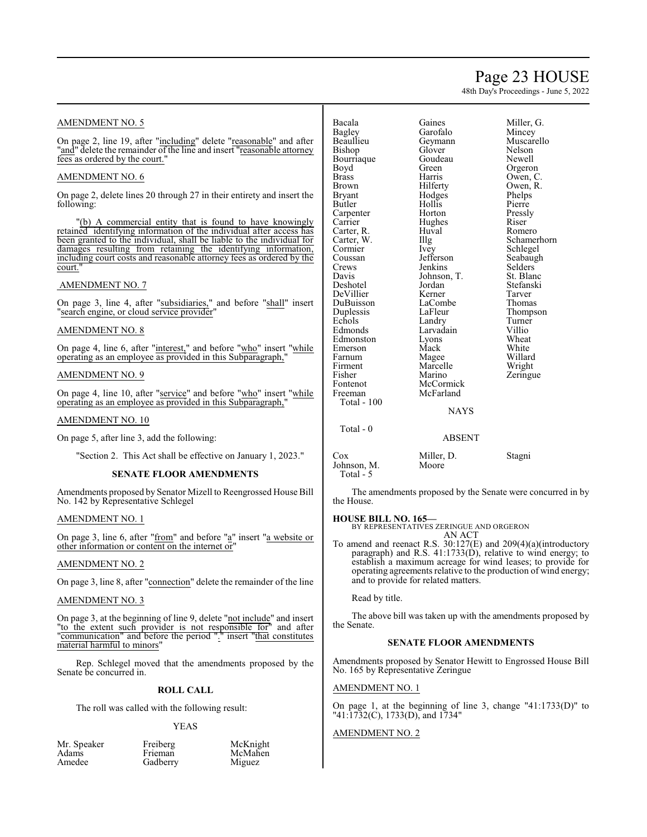# Page 23 HOUSE

48th Day's Proceedings - June 5, 2022

# AMENDMENT NO. 5

On page 2, line 19, after "including" delete "reasonable" and after "and" delete the remainder of the line and insert "reasonable attorney" fees as ordered by the court."

### AMENDMENT NO. 6

On page 2, delete lines 20 through 27 in their entirety and insert the following:

"(b) A commercial entity that is found to have knowingly retained identifying information of the individual after access has been granted to the individual, shall be liable to the individual for damages resulting from retaining the identifying information, including court costs and reasonable attorney fees as ordered by the court.

### AMENDMENT NO. 7

On page 3, line 4, after "subsidiaries," and before "shall" insert "search engine, or cloud service provider"

## AMENDMENT NO. 8

On page 4, line 6, after "interest," and before "who" insert "while operating as an employee as provided in this Subparagraph,

### AMENDMENT NO. 9

On page 4, line 10, after "service" and before "who" insert "while operating as an employee as provided in this Subparagraph,"

#### AMENDMENT NO. 10

On page 5, after line 3, add the following:

"Section 2. This Act shall be effective on January 1, 2023."

#### **SENATE FLOOR AMENDMENTS**

Amendments proposed by Senator Mizell to Reengrossed House Bill No. 142 by Representative Schlegel

# AMENDMENT NO. 1

On page 3, line 6, after "from" and before "a" insert "a website or other information or content on the internet or"

### AMENDMENT NO. 2

On page 3, line 8, after "connection" delete the remainder of the line

#### AMENDMENT NO. 3

On page 3, at the beginning of line 9, delete "not include" and insert "to the extent such provider is not responsible for" and after "communication" and before the period "." insert "that constitutes material harmful to minors"

Rep. Schlegel moved that the amendments proposed by the Senate be concurred in.

# **ROLL CALL**

The roll was called with the following result:

Gadberry

#### YEAS

| Mr. Speaker |  |
|-------------|--|
| Adams       |  |
| Amedee      |  |

Freiberg McKnight<br>Frieman McMahen McMahen<br>Miguez

| Bacala       | Gaines      | Miller, |
|--------------|-------------|---------|
| Bagley       | Garofalo    | Mince   |
| Beaullieu    | Geymann     | Musca   |
| Bishop       | Glover      | Nelsor  |
| Bourriaque   | Goudeau     | Newel   |
| Boyd         | Green       | Orgero  |
| <b>Brass</b> | Harris      | Owen,   |
| <b>Brown</b> | Hilferty    | Owen,   |
| Bryant       | Hodges      | Phelps  |
| Butler       | Hollis      | Pierre  |
| Carpenter    | Horton      | Pressly |
| Carrier      | Hughes      | Riser   |
| Carter, R.   | Huval       | Romer   |
| Carter, W.   | Illg        | Scham   |
| Cormier      | Ivey        | Schleg  |
| Coussan      | Jefferson   | Seabaı  |
| Crews        | Jenkins     | Selder  |
| Davis        | Johnson, T. | St. Bla |
| Deshotel     | Jordan      | Stefan  |
| DeVillier    | Kerner      | Tarver  |
| DuBuisson    | LaCombe     | Thoma   |
| Duplessis    | LaFleur     | Thomp   |
| Echols       | Landry      | Turner  |
| Edmonds      | Larvadain   | Villio  |
| Edmonston    | Lyons       | Wheat   |
| Emerson      | Mack        | White   |
| Farnum       | Magee       | Willar  |
| Firment      | Marcelle    | Wrigh   |
| Fisher       | Marino      | Zering  |
| Fontenot     | McCormick   |         |
| Freeman      | McFarland   |         |
| Total - 100  |             |         |
|              |             |         |

Gaines Miller, G.<br>Garofalo Mincev Garofalo<br>Geymann Glover Nelson<br>Goudeau Newell Goudeau<br>Green Harris Owen, C.<br>Hilferty Owen, R. Hodges Phelps<br>Hollis Pierre Huval Romero<br>Illg Schame Illg Schamerhorn<br>Ivev Schlegel Ivey Schlegel<br>Jefferson Seabaugl Jenkins Selders<br>Johnson, T. St. Blanc Johnson, T.<br>Jordan Jordan Stefanski<br>Kerner Tarver LaCombe Thomas<br>
LaFleur Thomps Landry Turne<br>
Larvadain Villio Larvadain<br>Lyons Magee Willard<br>
Marcelle Wright Marcelle Wright<br>
Marino Zeringu McCormick McFarland

Muscarello<br>Nelson Orgeron Owen, R.<br>Phelps Pressly<br>Riser Seabaugh<br>Selders Thompson<br>Turner Wheat<br>White Zeringue

#### NAYS

ABSENT

Total - 0

Cox Miller, D. Stagni Johnson, M. Total - 5

The amendments proposed by the Senate were concurred in by the House.

# **HOUSE BILL NO. 165—**

BY REPRESENTATIVES ZERINGUE AND ORGERON AN ACT

To amend and reenact R.S. 30:127(E) and 209(4)(a)(introductory paragraph) and R.S. 41:1733(D), relative to wind energy; to establish a maximum acreage for wind leases; to provide for operating agreements relative to the production of wind energy; and to provide for related matters.

Read by title.

The above bill was taken up with the amendments proposed by the Senate.

# **SENATE FLOOR AMENDMENTS**

Amendments proposed by Senator Hewitt to Engrossed House Bill No. 165 by Representative Zeringue

# AMENDMENT NO. 1

On page 1, at the beginning of line 3, change "41:1733(D)" to "41:1732(C), 1733(D), and 1734"

#### AMENDMENT NO. 2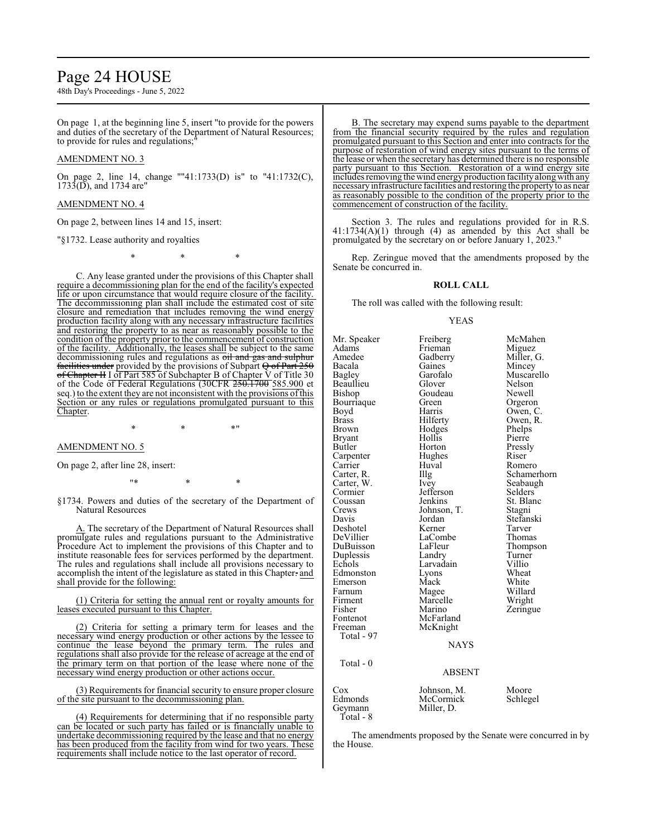# Page 24 HOUSE

48th Day's Proceedings - June 5, 2022

On page 1, at the beginning line 5, insert "to provide for the powers and duties of the secretary of the Department of Natural Resources; to provide for rules and regulations;"

# AMENDMENT NO. 3

On page 2, line 14, change ""41:1733(D) is" to "41:1732(C),  $1733(D)$ , and 1734 are"

# AMENDMENT NO. 4

On page 2, between lines 14 and 15, insert:

#### "§1732. Lease authority and royalties

\* \* \*

C. Any lease granted under the provisions of this Chapter shall require a decommissioning plan for the end of the facility's expected life or upon circumstance that would require closure of the facility. The decommissioning plan shall include the estimated cost of site closure and remediation that includes removing the wind energy production facility along with any necessary infrastructure facilities and restoring the property to as near as reasonably possible to the condition of the property prior to the commencement of construction of the facility. Additionally, the leases shall be subject to the same decommissioning rules and regulations as oil and gas and sulphur facilities under provided by the provisions of Subpart  $\Theta$  of Part 250 of Chapter II I of Part 585 of Subchapter B of Chapter  $\tilde{V}$  of Title 30 of the Code of Federal Regulations (30CFR 250.1700 585.900 et seq.) to the extent they are not inconsistent with the provisions ofthis Section or any rules or regulations promulgated pursuant to this Chapter.

 $*$  \*  $*$  \*

#### AMENDMENT NO. 5

On page 2, after line 28, insert:

\* \* \* \* \*

§1734. Powers and duties of the secretary of the Department of Natural Resources

A. The secretary of the Department of Natural Resources shall promulgate rules and regulations pursuant to the Administrative Procedure Act to implement the provisions of this Chapter and to institute reasonable fees for services performed by the department. The rules and regulations shall include all provisions necessary to accomplish the intent of the legislature as stated in this Chapter. and shall provide for the following:

(1) Criteria for setting the annual rent or royalty amounts for leases executed pursuant to this Chapter.

(2) Criteria for setting a primary term for leases and the necessary wind energy production or other actions by the lessee to continue the lease beyond the primary term. The rules and regulations shall also provide for the release of acreage at the end of the primary term on that portion of the lease where none of the necessary wind energy production or other actions occur.

(3) Requirements for financial security to ensure proper closure of the site pursuant to the decommissioning plan.

(4) Requirements for determining that if no responsible party can be located or such party has failed or is financially unable to undertake decommissioning required by the lease and that no energy has been produced from the facility from wind for two years. These requirements shall include notice to the last operator of record.

B. The secretary may expend sums payable to the department from the financial security required by the rules and regulation promulgated pursuant to this Section and enter into contracts for the purpose of restoration of wind energy sites pursuant to the terms of the lease or when the secretary has determined there is no responsible party pursuant to this Section. Restoration of a wind energy site includes removing the wind energy production facility alongwith any necessaryinfrastructure facilities and restoring the property to as near as reasonably possible to the condition of the property prior to the commencement of construction of the facility.

Section 3. The rules and regulations provided for in R.S.  $41:1734(A)(1)$  through (4) as amended by this Act shall be promulgated by the secretary on or before January 1, 2023."

Rep. Zeringue moved that the amendments proposed by the Senate be concurred in.

#### **ROLL CALL**

The roll was called with the following result:

#### YEAS

Mr. Speaker Freiberg McMahen<br>Adams Frieman Miguez Adams Frieman<br>Amedee Gadberry Amedee Gadberry Miller, G.<br>Bacala Gaines Mincey Bacala Gaines Mincey Beaullieu Glover Nelson Bourriaque Green<br>Boyd Harris Boyd Harris Owen, C. Brass Hilferty Owen, R. Brown Hodges Phelps<br>Bryant Hollis Pierre Bryant Hollis<br>Butler Horton Carpenter Hughes Riser<br>Carrier Huval Rome Carrier Huval Romero<br>Carter, R. Illg Schame Carter, W. Ivey Seabaughter, W. Seabaughter, Seabaughter, Seabaughter, Seabaughter, Seabaughter, Seabaughter, Seabaughter, Seabaughter, Seabaughter, Seabaughter, Seabaughter, Seabaughter, Seabaughter, Seabaughter, Seabaugh Cormier Jefferson<br>Coussan Jenkins Coussan Jenkins St. Blanc<br>Crews Johnson, T. Stagni Crews Johnson, T.<br>Davis Jordan Deshotel Kerner Tarver DeVillier LaCombe<br>DuBuisson LaFleur Duplessis Landry Turner<br>
Echols Larvadain Villio Edmonston Lyons Wheat<br>Emerson Mack White Emerson Mack White<br>
Farnum Magee Willard Farnum Magee Willard<br>Firment Marcelle Wright Firment Marcelle<br>Fisher Marino Fisher Marino Zeringue<br>Fontenot McFarland Zeringue Fontenot McFarland<br>Freeman McKnight McKnight Total - 97 Total - 0

Garofalo Muscarello<br>Glover Nelson Goudeau Newell<br>Green Orgeron Horton Pressly<br>Hughes Riser Illg Schamerhorn<br>Ivey Seabaugh Jordan Stefanski<br>Kerner Tarver LaFleur Thompson<br>Landry Turner Larvadain Villio<br>Lyons Wheat

#### **NAYS**

ABSENT

| Cox       | Johnson, M. | Moore    |
|-----------|-------------|----------|
| Edmonds   | McCormick   | Schlegel |
| Geymann   | Miller. D.  |          |
| Total - 8 |             |          |

The amendments proposed by the Senate were concurred in by the House.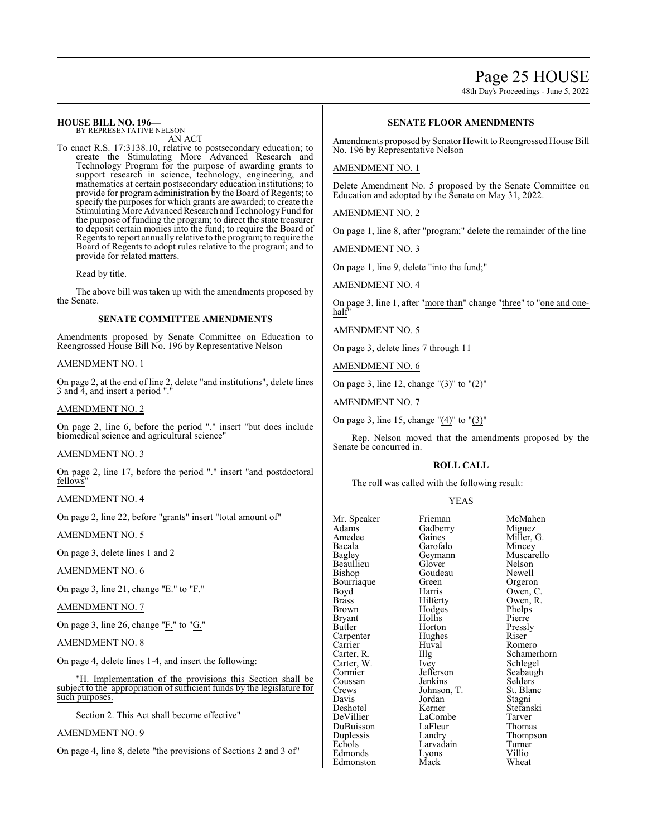# Page 25 HOUSE

48th Day's Proceedings - June 5, 2022

#### **HOUSE BILL NO. 196—** BY REPRESENTATIVE NELSON

AN ACT

To enact R.S. 17:3138.10, relative to postsecondary education; to create the Stimulating More Advanced Research and Technology Program for the purpose of awarding grants to support research in science, technology, engineering, and mathematics at certain postsecondary education institutions; to provide for program administration by the Board of Regents; to specify the purposes for which grants are awarded; to create the Stimulating More Advanced Research and Technology Fund for the purpose of funding the program; to direct the state treasurer to deposit certain monies into the fund; to require the Board of Regents to report annually relative to the program; to require the Board of Regents to adopt rules relative to the program; and to provide for related matters.

Read by title.

The above bill was taken up with the amendments proposed by the Senate.

### **SENATE COMMITTEE AMENDMENTS**

Amendments proposed by Senate Committee on Education to Reengrossed House Bill No. 196 by Representative Nelson

### AMENDMENT NO. 1

On page 2, at the end of line 2, delete " $\frac{1}{\text{and}}$  institutions", delete lines 3 and  $\overline{4}$ , and insert a period ".

#### AMENDMENT NO. 2

On page 2, line 6, before the period "." insert "but does include biomedical science and agricultural science"

# AMENDMENT NO. 3

On page 2, line 17, before the period "." insert "and postdoctoral fellows

# AMENDMENT NO. 4

On page 2, line 22, before "grants" insert "total amount of"

#### AMENDMENT NO. 5

On page 3, delete lines 1 and 2

AMENDMENT NO. 6

On page 3, line 21, change "E." to "F."

#### AMENDMENT NO. 7

On page 3, line 26, change "F." to "G."

### AMENDMENT NO. 8

On page 4, delete lines 1-4, and insert the following:

"H. Implementation of the provisions this Section shall be subject to the appropriation of sufficient funds by the legislature for such purposes.

Section 2. This Act shall become effective"

# AMENDMENT NO. 9

On page 4, line 8, delete "the provisions of Sections 2 and 3 of"

# **SENATE FLOOR AMENDMENTS**

Amendments proposed by Senator Hewitt to Reengrossed House Bill No. 196 by Representative Nelson

#### AMENDMENT NO. 1

Delete Amendment No. 5 proposed by the Senate Committee on Education and adopted by the Senate on May 31, 2022.

AMENDMENT NO. 2

On page 1, line 8, after "program;" delete the remainder of the line

AMENDMENT NO. 3

On page 1, line 9, delete "into the fund;"

AMENDMENT NO. 4

On page 3, line 1, after "more than" change "three" to "one and onehalf"

AMENDMENT NO. 5

On page 3, delete lines 7 through 11

AMENDMENT NO. 6

On page 3, line 12, change "(3)" to "(2)"

AMENDMENT NO. 7

On page 3, line 15, change "(4)" to "(3)"

Rep. Nelson moved that the amendments proposed by the Senate be concurred in.

#### **ROLL CALL**

The roll was called with the following result:

### YEAS

| Mr. Speaker   | Frieman     | McMahen     |
|---------------|-------------|-------------|
| Adams         | Gadberry    | Miguez      |
| Amedee        | Gaines      | Miller, G.  |
| Bacala        | Garofalo    | Mincey      |
| <b>Bagley</b> | Geymann     | Muscarello  |
| Beaullieu     | Glover      | Nelson      |
| Bishop        | Goudeau     | Newell      |
| Bourriaque    | Green       | Orgeron     |
| Boyd          | Harris      | Owen, C.    |
| <b>Brass</b>  | Hilferty    | Owen, R.    |
| Brown         | Hodges      | Phelps      |
| Bryant        | Hollis      | Pierre      |
| Butler        | Horton      | Pressly     |
| Carpenter     | Hughes      | Riser       |
| Carrier       | Huval       | Romero      |
| Carter, R.    | Illg        | Schamerhorn |
| Carter, W.    | Ivey        | Schlegel    |
| Cormier       | Jefferson   | Seabaugh    |
| Coussan       | Jenkins     | Selders     |
| Crews         | Johnson, T. | St. Blanc   |
| Davis         | Jordan      | Stagni      |
| Deshotel      | Kerner      | Stefanski   |
| DeVillier     | LaCombe     | Tarver      |
| DuBuisson     | LaFleur     | Thomas      |
| Duplessis     | Landry      | Thompson    |
| Echols        | Larvadain   | Turner      |
| Edmonds       | Lyons       | Villio      |
| Edmonston     | Mack        | Wheat       |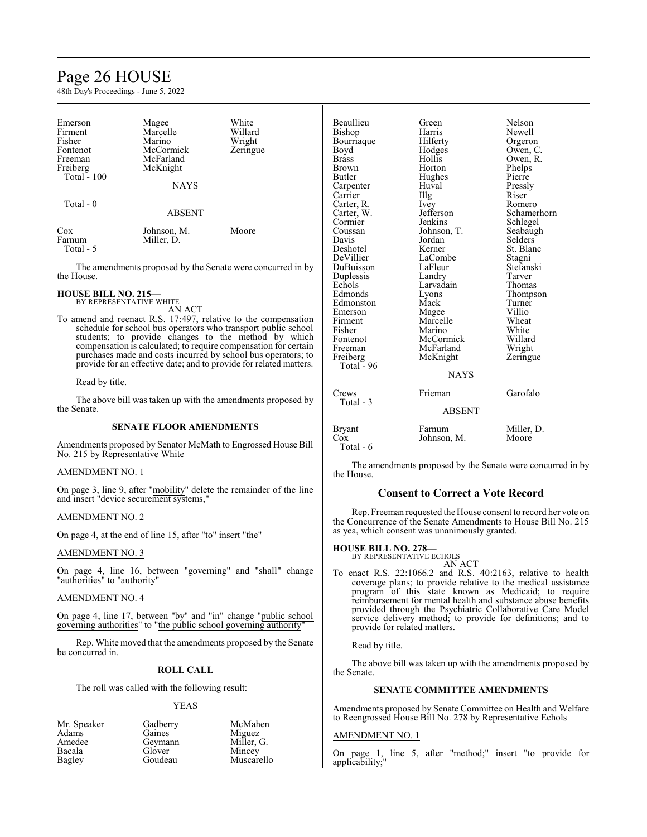# Page 26 HOUSE

48th Day's Proceedings - June 5, 2022

| Emerson<br>Firment<br>Fisher<br>Fontenot<br>Freeman<br>Freiberg<br>Total $-100$ | Magee<br>Marcelle<br>Marino<br>McCormick<br>McFarland<br>McKnight<br><b>NAYS</b> | White<br>Willard<br>Wright<br>Zeringue |
|---------------------------------------------------------------------------------|----------------------------------------------------------------------------------|----------------------------------------|
| Total - 0                                                                       | <b>ABSENT</b>                                                                    |                                        |
| Cox<br>Farnum<br>Total - 5                                                      | Johnson, M.<br>Miller, D.                                                        | Moore                                  |

The amendments proposed by the Senate were concurred in by the House.

**HOUSE BILL NO. 215—** BY REPRESENTATIVE WHITE

AN ACT

To amend and reenact R.S. 17:497, relative to the compensation schedule for school bus operators who transport public school students; to provide changes to the method by which compensation is calculated; to require compensation for certain purchases made and costs incurred by school bus operators; to provide for an effective date; and to provide for related matters.

Read by title.

The above bill was taken up with the amendments proposed by the Senate.

# **SENATE FLOOR AMENDMENTS**

Amendments proposed by Senator McMath to Engrossed House Bill No. 215 by Representative White

# AMENDMENT NO. 1

On page 3, line 9, after "mobility" delete the remainder of the line and insert "device securement systems,"

# AMENDMENT NO. 2

On page 4, at the end of line 15, after "to" insert "the"

# AMENDMENT NO. 3

On page 4, line 16, between "governing" and "shall" change "authorities" to "authority"

## AMENDMENT NO. 4

On page 4, line 17, between "by" and "in" change "public school governing authorities" to "the public school governing authority"

Rep. White moved that the amendments proposed by the Senate be concurred in.

# **ROLL CALL**

The roll was called with the following result:

#### YEAS

McMahen Miguez Miller, G. **Mincey** Muscarello

| Mr. Speaker | Gadberry |
|-------------|----------|
| Adams       | Gaines   |
| Amedee      | Geymann  |
| Bacala      | Glover   |
| Bagley      | Goudeau  |

Beaullieu Green Nelson<br>Bishon Harris Newell Bishop Harris Newell Bourriaque Hilferty Orgeron<br>Boyd Hodges Owen, C Boyd Hodges Owen, C.<br>Brass Hollis Owen, R Brass Hollis Owen, R.<br>Brown Horton Phelns Phelps<br>Pierre Butler Hughes Pierre<br>
Carpenter Huval Pressly Carpenter Huval Pressl<br>Carrier Hugh Riser Carrier Illg Riser<br>Carter, R. Ivey Romero Carter, R. Ivey<br>Carter, W. Jefferson Carter, W. Jefferson Schamerhorn<br>
Cormier Jenkins Schlegel Cormier Jenkins Schlegel<br>Coussan Johnson, T. Seabaugh Coussan Johnson, T.<br>Davis Jordan Davis Jordan Selders<br>Deshotel Kerner St. Blan Deshotel Kerner St. Blanc<br>DeVillier LaCombe Stagni LaCombe Stagni<br>LaFleur Stefanski DuBuisson LaFleur Stefans<br>
Duplessis Landry Tarver Duplessis Landry Tarver<br>
Echols Larvadain Thomas Echols Larvadain<br>Edmonds Lyons Lyons Thompson<br>Mack Turner Edmonston Mack Turner<br>Emerson Magee Villio Emerson Magee Villio<br>Firment Marcelle Wheat Firment Marcelle Wheat<br>
Fisher Marino White Fisher Marino White Fontenot McCormick Willard<br>
Freeman McFarland Wright Freeman McFarland Wright<br>
Freiberg McKnight Zeringue McKnight Total  $-96$ NAYS Crews Frieman Garofalo Total - 3 ABSENT Bryant Farnum Miller, D.<br>Cox Johnson, M. Moore Johnson, M. Total - 6

The amendments proposed by the Senate were concurred in by the House.

# **Consent to Correct a Vote Record**

Rep. Freeman requested the House consent to record her vote on the Concurrence of the Senate Amendments to House Bill No. 215 as yea, which consent was unanimously granted.

**HOUSE BILL NO. 278—**

BY REPRESENTATIVE ECHOLS AN ACT

To enact R.S. 22:1066.2 and R.S. 40:2163, relative to health coverage plans; to provide relative to the medical assistance program of this state known as Medicaid; to require reimbursement for mental health and substance abuse benefits provided through the Psychiatric Collaborative Care Model service delivery method; to provide for definitions; and to provide for related matters.

Read by title.

The above bill was taken up with the amendments proposed by the Senate.

# **SENATE COMMITTEE AMENDMENTS**

Amendments proposed by Senate Committee on Health and Welfare to Reengrossed House Bill No. 278 by Representative Echols

#### AMENDMENT NO. 1

On page 1, line 5, after "method;" insert "to provide for applicability;"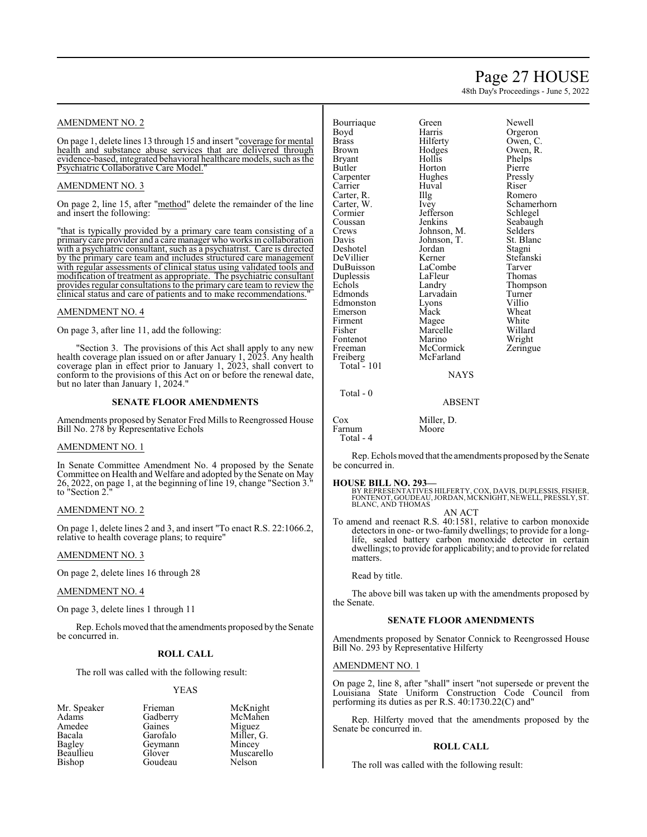# Page 27 HOUSE

48th Day's Proceedings - June 5, 2022

# AMENDMENT NO. 2

On page 1, delete lines 13 through 15 and insert "coverage for mental health and substance abuse services that are delivered through evidence-based, integrated behavioral healthcare models, such as the Psychiatric Collaborative Care Model."

### AMENDMENT NO. 3

On page 2, line 15, after "method" delete the remainder of the line and insert the following:

"that is typically provided by a primary care team consisting of a primary care provider and a care manager who works in collaboration with a psychiatric consultant, such as a psychiatrist. Care is directed by the primary care team and includes structured care management with regular assessments of clinical status using validated tools and modification of treatment as appropriate. The psychiatric consultant provides regular consultations to the primary care team to review the clinical status and care of patients and to make recommendations."

## AMENDMENT NO. 4

On page 3, after line 11, add the following:

"Section 3. The provisions of this Act shall apply to any new health coverage plan issued on or after January 1, 2023. Any health coverage plan in effect prior to January 1, 2023, shall convert to conform to the provisions of this Act on or before the renewal date, but no later than January 1, 2024.

#### **SENATE FLOOR AMENDMENTS**

Amendments proposed by Senator Fred Mills to Reengrossed House Bill No. 278 by Representative Echols

#### AMENDMENT NO. 1

In Senate Committee Amendment No. 4 proposed by the Senate Committee on Health and Welfare and adopted by the Senate on May 26, 2022, on page 1, at the beginning of line 19, change "Section 3." to "Section 2."

#### AMENDMENT NO. 2

On page 1, delete lines 2 and 3, and insert "To enact R.S. 22:1066.2, relative to health coverage plans; to require"

#### AMENDMENT NO. 3

On page 2, delete lines 16 through 28

# AMENDMENT NO. 4

On page 3, delete lines 1 through 11

Rep. Echols moved that the amendments proposed by the Senate be concurred in.

#### **ROLL CALL**

The roll was called with the following result:

Goudeau

#### YEAS

Mr. Speaker Frieman McKnight<br>
Adams Gadberry McMahen Amedee Gaines<br>Bacala Garofalo Bacala Garofalo Miller, G. Bagley Geymann<br>Beaullieu Glover Beaullieu Glover Muscarello<br>Bishop Goudeau Nelson

Gadberry McMah<br>Gaines Miguez

| Bourriaque    | Green       | Newel   |
|---------------|-------------|---------|
| Boyd          | Harris      | Orgero  |
| <b>Brass</b>  | Hilferty    | Owen,   |
| Brown         | Hodges      | Owen,   |
| <b>Bryant</b> | Hollis      | Phelps  |
| Butler        | Horton      | Pierre  |
| Carpenter     | Hughes      | Pressly |
| Carrier       | Huval       | Riser   |
| Carter, R.    | Illg        | Romer   |
| Carter, W.    | Ivey        | Scham   |
| Cormier       | Jefferson   | Schleg  |
| Coussan       | Jenkins     | Seabai  |
| Crews         | Johnson, M. | Selder  |
| Davis         | Johnson, T. | St. Bla |
| Deshotel      | Jordan      | Stagni  |
| DeVillier     | Kerner      | Stefan  |
| DuBuisson     | LaCombe     | Tarver  |
| Duplessis     | LaFleur     | Thoma   |
| Echols        | Landry      | Thomp   |
| Edmonds       | Larvadain   | Turner  |
| Edmonston     | Lyons       | Villio  |
| Emerson       | Mack        | Wheat   |
| Firment       | Magee       | White   |
| Fisher        | Marcelle    | Willar  |
| Fontenot      | Marino      | Wrigh   |
| Freeman       | McCormick   | Zering  |
| Freiberg      | McFarland   |         |
| Total - 101   |             |         |
|               |             |         |

Harris Orgeron<br>Hilferty Owen, C Hollis Phelps<br>Horton Pierre Hughes Pressly<br>Huval Riser Huval<br>Illg Illg Romero<br>Ivev Schame Jefferson Schlegel<br>Jenkins Seabaugl Johnson, T. St. Bla<br>Jordan Stagni LaCombe<br>LaFleur LaFleur Thomas<br>Landry Thomas Larvadain Turner<br>Lyons Villio Lyons<br>Mack Mack Wheat<br>Magee White Marcelle<br>Marino McCormick McFarland

Green Newell<br>Harris Orgerou Hilferty Owen, C.<br>Hodges Owen, R. Hodges Owen, R.<br>Hollis Phelps Pierre Ivey Schamerhorn<br>
Iefferson Schlegel Seabaugh<br>Selders Fohnson, M.<br>Fohnson, T. St. Blanc Kerner Stefanski<br>LaCombe Tarver Thompson<br>Turner White<br>Willard Wright<br>Zeringue

#### NAYS

ABSENT

Cox Miller, D.<br>Farnum Moore Farnum Total - 4

Total - 0

Rep. Echols moved that the amendments proposed by the Senate be concurred in.

#### **HOUSE BILL NO. 293—**

BY REPRESENTATIVES HILFERTY, COX, DAVIS, DUPLESSIS, FISHER, FONTENOT, GOUDEAU,JORDAN, MCKNIGHT, NEWELL, PRESSLY, ST. BLANC, AND THOMAS AN ACT

To amend and reenact R.S. 40:1581, relative to carbon monoxide detectors in one- or two-family dwellings; to provide for a longlife, sealed battery carbon monoxide detector in certain dwellings; to provide for applicability; and to provide for related matters.

Read by title.

The above bill was taken up with the amendments proposed by the Senate.

### **SENATE FLOOR AMENDMENTS**

Amendments proposed by Senator Connick to Reengrossed House Bill No. 293 by Representative Hilferty

#### AMENDMENT NO. 1

On page 2, line 8, after "shall" insert "not supersede or prevent the Louisiana State Uniform Construction Code Council from performing its duties as per R.S. 40:1730.22(C) and"

Rep. Hilferty moved that the amendments proposed by the Senate be concurred in.

#### **ROLL CALL**

The roll was called with the following result: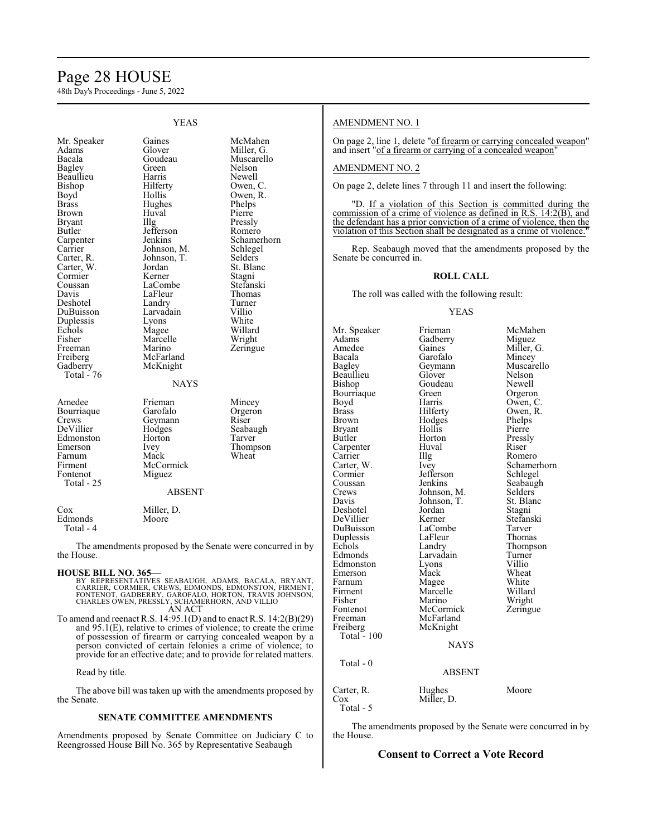# Page 28 HOUSE

48th Day's Proceedings - June 5, 2022

|                                                                                                                                                                                                                                                                                                                    | I LAS                                                                                                                                                                                                                                                                                                  |                                                                                                                                                                                                                                                                            |
|--------------------------------------------------------------------------------------------------------------------------------------------------------------------------------------------------------------------------------------------------------------------------------------------------------------------|--------------------------------------------------------------------------------------------------------------------------------------------------------------------------------------------------------------------------------------------------------------------------------------------------------|----------------------------------------------------------------------------------------------------------------------------------------------------------------------------------------------------------------------------------------------------------------------------|
| Mr. Speaker<br>Adams<br>Bacala<br>Bagley<br>Beaullieu<br>Bishop<br>Boyd<br>Brass<br>Brown<br><b>Bryant</b><br>Butler<br>Carpenter<br>Carrier<br>Carter, R.<br>Carter, W.<br>Cormier<br>Coussan<br>Davis<br>Deshotel<br>DuBuisson<br>Duplessis<br>Echols<br>Fisher<br>Freeman<br>Freiberg<br>Gadberry<br>Total - 76 | Gaines<br>Glover<br>Goudeau<br>Green<br>Harris<br>Hilferty<br>Hollis<br>Hughes<br>Huval<br>Illg<br>Jefferson<br>Jenkins<br>Johnson, M.<br>Johnson, T.<br>Jordan<br>Kerner<br>LaCombe<br>LaFleur<br>Landry<br>Larvadain<br>Lyons<br>Magee<br>Marcelle<br>Marino<br>McFarland<br>McKnight<br><b>NAYS</b> | McMahen<br>Miller, G.<br>Muscarello<br>Nelson<br>Newell<br>Owen, C.<br>Owen, R.<br>Phelps<br>Pierre<br>Pressly<br>Romero<br>Schamerhorn<br>Schlegel<br>Selders<br>St. Blanc<br>Stagni<br>Stefanski<br>Thomas<br>Turner<br>Villio<br>White<br>Willard<br>Wright<br>Zeringue |
| Amedee<br>Bourriaque<br>Crews<br>DeVillier<br>Edmonston<br>Emerson<br>Farnum<br>Firment<br>Fontenot<br>Total - 25                                                                                                                                                                                                  | Frieman<br>Garofalo<br>Geymann<br>Hodges<br>Horton<br>Ivey<br>Mack<br>McCormick<br>Miguez<br><b>ABSENT</b>                                                                                                                                                                                             | Mincey<br>Orgeron<br>Riser<br>Seabaugh<br>Tarver<br>Thompson<br>Wheat                                                                                                                                                                                                      |
| Cox<br>Edmonds<br>Total - 4                                                                                                                                                                                                                                                                                        | Miller, D.<br>Moore                                                                                                                                                                                                                                                                                    |                                                                                                                                                                                                                                                                            |

YEAS

The amendments proposed by the Senate were concurred in by the House.

**HOUSE BILL NO. 365—** BY REPRESENTATIVES SEABAUGH, ADAMS, BACALA, BRYANT, CARRIER, CORMIER, CREWS, EDMONDS, EDMONSTON, FIRMENT, FONTENOT, GADBERRY, GAROFALO, HORTON, TRAVIS JOHNSON, CHARLES OWEN, PRESSLY, SCHAMERHORN, AND VILLIO AN ACT

To amend and reenact R.S. 14:95.1(D) and to enact R.S. 14:2(B)(29) and 95.1(E), relative to crimes of violence; to create the crime of possession of firearm or carrying concealed weapon by a person convicted of certain felonies a crime of violence; to provide for an effective date; and to provide for related matters.

### Read by title.

The above bill was taken up with the amendments proposed by the Senate.

#### **SENATE COMMITTEE AMENDMENTS**

Amendments proposed by Senate Committee on Judiciary C to Reengrossed House Bill No. 365 by Representative Seabaugh

### AMENDMENT NO. 1

On page 2, line 1, delete "of firearm or carrying concealed weapon" and insert "of a firearm or carrying of a concealed weapon"

### AMENDMENT NO. 2

On page 2, delete lines 7 through 11 and insert the following:

"D. If a violation of this Section is committed during the commission of a crime of violence as defined in R.S. 14:2(B), and the defendant has a prior conviction of a crime of violence, then the violation of this Section shall be designated as a crime of violence."

Rep. Seabaugh moved that the amendments proposed by the Senate be concurred in.

#### **ROLL CALL**

The roll was called with the following result:

#### YEAS

Mr. Speaker Frieman McMahen<br>Adams Gadberry Miguez Adams Gadberry<br>Amedee Gaines Amedee Gaines Miller, G.<br>Bacala Garofalo Mincey Bacala Garofalo<br>Bagley Geymann Geymann Muscarello<br>Glover Nelson Beaullieu Glover Nelson<br>Bishop Goudeau Newell Goudeau Newell<br>Green Orgeron Bourriaque Green<br>Boyd Harris Boyd Harris Owen, C.<br>Brass Hilferty Owen, R. Brass Hilferty Owen, R. Brown Hodges Phelps<br>Bryant Hollis Pierre Bryant Hollis<br>Butler Horton Horton Pressly<br>Huval Riser Carpenter Carrier IIIg Romero<br>Carter, W. Ivey Schame Carter, W. Ivey Schamerhorn<br>
Cormier Jefferson Schlegel Cormier Jefferson<br>Coussan Jenkins Coussan Jenkins Seabaugh<br>Crews Johnson, M. Selders Crews Johnson, M. Selders<br>Davis Johnson, T. St. Blanc Johnson, T. St. Blanch<br>Jordan Stagni Deshotel Jordan Stagni<br>
DeVillier Kerner Stefanski DeVillier Kerner Stefans<br>DuBuisson LaCombe Tarver LaCombe Tarver<br>
LaFleur Thomas Duplessis LaFleur<br>Echols Landry Echols Landry Thompson<br>Edmonds Larvadain Turner Larvadain Turner<br>
Lyons Villio Edmonston Lyons Villio<br>
Emerson Mack Wheat Emerson Mack Wheat<br>
Farnum Magee White Farnum Magee White Firment Marcelle Willard<br>Fisher Marino Wright Fisher Marino<br>Fontenot McCormick Fontenot McCormick Zeringue Freeman McFarland<br>Freiberg McKnight McKnight Total  $-100$ NAYS Total - 0 ABSENT Carter, R. Hughes Moore<br>Cox Miller, D. Miller, D.

Total - 5

The amendments proposed by the Senate were concurred in by the House.

# **Consent to Correct a Vote Record**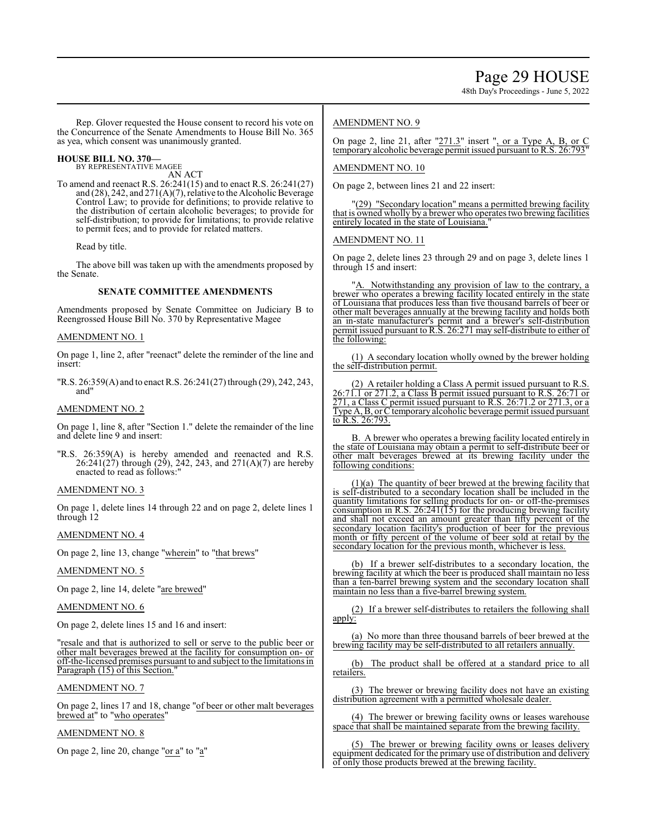48th Day's Proceedings - June 5, 2022

Rep. Glover requested the House consent to record his vote on the Concurrence of the Senate Amendments to House Bill No. 365 as yea, which consent was unanimously granted.

# **HOUSE BILL NO. 370—**

BY REPRESENTATIVE MAGEE AN ACT

To amend and reenact R.S. 26:241(15) and to enact R.S. 26:241(27) and (28), 242, and 271(A)(7), relative to the Alcoholic Beverage Control Law; to provide for definitions; to provide relative to the distribution of certain alcoholic beverages; to provide for self-distribution; to provide for limitations; to provide relative to permit fees; and to provide for related matters.

Read by title.

The above bill was taken up with the amendments proposed by the Senate.

# **SENATE COMMITTEE AMENDMENTS**

Amendments proposed by Senate Committee on Judiciary B to Reengrossed House Bill No. 370 by Representative Magee

#### AMENDMENT NO. 1

On page 1, line 2, after "reenact" delete the reminder of the line and insert:

"R.S. 26:359(A) and to enact R.S. 26:241(27) through (29), 242, 243, and"

#### AMENDMENT NO. 2

On page 1, line 8, after "Section 1." delete the remainder of the line and delete line 9 and insert:

"R.S. 26:359(A) is hereby amended and reenacted and R.S. 26:241(27) through (29), 242, 243, and 271(A)(7) are hereby enacted to read as follows:"

#### AMENDMENT NO. 3

On page 1, delete lines 14 through 22 and on page 2, delete lines 1 through 12

#### AMENDMENT NO. 4

On page 2, line 13, change "wherein" to "that brews"

# AMENDMENT NO. 5

On page 2, line 14, delete "are brewed"

# AMENDMENT NO. 6

On page 2, delete lines 15 and 16 and insert:

"resale and that is authorized to sell or serve to the public beer or other malt beverages brewed at the facility for consumption on- or off-the-licensed premises pursuant to and subject to the limitations in Paragraph (15) of this Section."

#### AMENDMENT NO. 7

On page 2, lines 17 and 18, change "of beer or other malt beverages brewed at" to "who operates"

# AMENDMENT NO. 8

On page 2, line 20, change " $or a$ " to " $a$ "</u></u>

### AMENDMENT NO. 9

On page 2, line 21, after " $271.3$ " insert ", or a Type A, B, or C temporary alcoholic beverage permit issued pursuant to R.S. 26:793

## AMENDMENT NO. 10

On page 2, between lines 21 and 22 insert:

"(29) "Secondary location" means a permitted brewing facility that is owned wholly by a brewer who operates two brewing facilities entirely located in the state of Louisiana.

### AMENDMENT NO. 11

On page 2, delete lines 23 through 29 and on page 3, delete lines 1 through 15 and insert:

"A. Notwithstanding any provision of law to the contrary, a brewer who operates a brewing facility located entirely in the state of Louisiana that produces less than five thousand barrels of beer or other malt beverages annually at the brewing facility and holds both an in-state manufacturer's permit and a brewer's self-distribution permit issued pursuant to R.S. 26:271 may self-distribute to either of the following:

(1) A secondary location wholly owned by the brewer holding the self-distribution permit.

(2) A retailer holding a Class A permit issued pursuant to R.S. 26:71.1 or 271.2, a Class B permit issued pursuant to R.S. 26:71 or 271, a Class C permit issued pursuant to R.S. 26:71.2 or 271.3, or a Type A, B, or Ctemporary alcoholic beverage permit issued pursuant to R.S. 26:793.

B. A brewer who operates a brewing facility located entirely in the state of Louisiana may obtain a permit to self-distribute beer or other malt beverages brewed at its brewing facility under the following conditions:

(1)(a) The quantity of beer brewed at the brewing facility that is self-distributed to a secondary location shall be included in the quantity limitations for selling products for on- or off-the-premises consumption in R.S.  $26:241(15)$  for the producing brewing facility and shall not exceed an amount greater than fifty percent of the secondary location facility's production of beer for the previous month or fifty percent of the volume of beer sold at retail by the secondary location for the previous month, whichever is less.

(b) If a brewer self-distributes to a secondary location, the brewing facility at which the beer is produced shall maintain no less than a ten-barrel brewing system and the secondary location shall maintain no less than a five-barrel brewing system.

(2) If a brewer self-distributes to retailers the following shall apply:

(a) No more than three thousand barrels of beer brewed at the brewing facility may be self-distributed to all retailers annually.

(b) The product shall be offered at a standard price to all retailers.

(3) The brewer or brewing facility does not have an existing distribution agreement with a permitted wholesale dealer.

(4) The brewer or brewing facility owns or leases warehouse space that shall be maintained separate from the brewing facility.

(5) The brewer or brewing facility owns or leases delivery equipment dedicated for the primary use of distribution and delivery of only those products brewed at the brewing facility.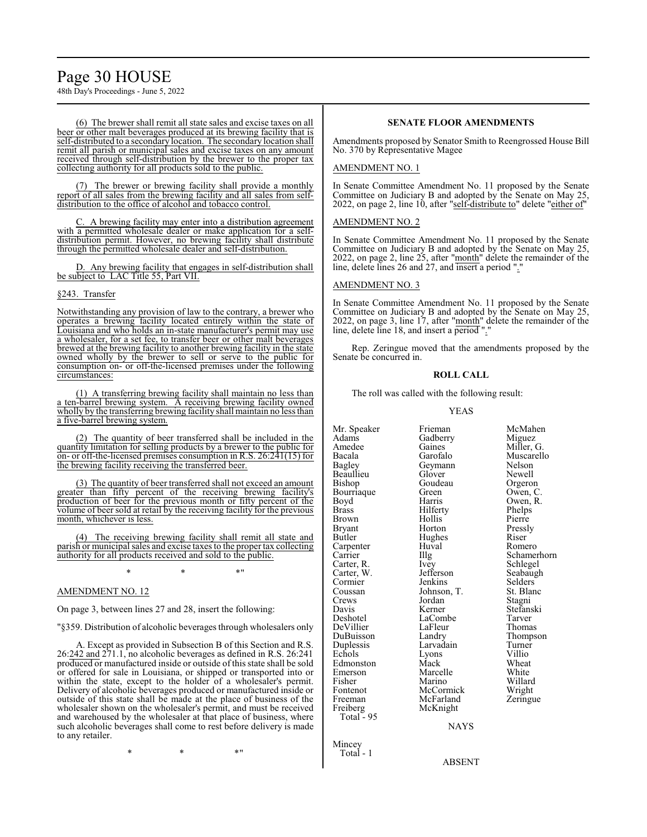48th Day's Proceedings - June 5, 2022

(6) The brewer shall remit all state sales and excise taxes on all beer or other malt beverages produced at its brewing facility that is self-distributed to a secondary location. The secondary location shall remit all parish or municipal sales and excise taxes on any amount received through self-distribution by the brewer to the proper tax collecting authority for all products sold to the public.

(7) The brewer or brewing facility shall provide a monthly report of all sales from the brewing facility and all sales from selfdistribution to the office of alcohol and tobacco control.

A brewing facility may enter into a distribution agreement with a permitted wholesale dealer or make application for a selfdistribution permit. However, no brewing facility shall distribute through the permitted wholesale dealer and self-distribution.

D. Any brewing facility that engages in self-distribution shall be subject to LAC Title 55, Part VII.

# §243. Transfer

Notwithstanding any provision of law to the contrary, a brewer who operates a brewing facility located entirely within the state of Louisiana and who holds an in-state manufacturer's permit may use a wholesaler, for a set fee, to transfer beer or other malt beverages brewed at the brewing facility to another brewing facility in the state owned wholly by the brewer to sell or serve to the public for consumption on- or off-the-licensed premises under the following circumstances:

(1) A transferring brewing facility shall maintain no less than a ten-barrel brewing system. A receiving brewing facility owned wholly by the transferring brewing facility shall maintain no less than a five-barrel brewing system.

(2) The quantity of beer transferred shall be included in the quantity limitation for selling products by a brewer to the public for on- or off-the-licensed premises consumption in R.S. 26:241(15) for the brewing facility receiving the transferred beer.

(3) The quantity of beer transferred shall not exceed an amount greater than fifty percent of the receiving brewing facility's production of beer for the previous month or fifty percent of the volume of beer sold at retail by the receiving facility for the previous month, whichever is less.

(4) The receiving brewing facility shall remit all state and parish or municipal sales and excise taxes to the proper tax collecting authority for all products received and sold to the public.

 $*$  \*  $*$  \*

# AMENDMENT NO. 12

On page 3, between lines 27 and 28, insert the following:

"§359. Distribution of alcoholic beverages through wholesalers only

A. Except as provided in Subsection B of this Section and R.S. 26:242 and 271.1, no alcoholic beverages as defined in R.S. 26:241 produced or manufactured inside or outside of this state shall be sold or offered for sale in Louisiana, or shipped or transported into or within the state, except to the holder of a wholesaler's permit. Delivery of alcoholic beverages produced or manufactured inside or outside of this state shall be made at the place of business of the wholesaler shown on the wholesaler's permit, and must be received and warehoused by the wholesaler at that place of business, where such alcoholic beverages shall come to rest before delivery is made to any retailer.

\* \* \*"

# **SENATE FLOOR AMENDMENTS**

Amendments proposed by Senator Smith to Reengrossed House Bill No. 370 by Representative Magee

#### AMENDMENT NO. 1

In Senate Committee Amendment No. 11 proposed by the Senate Committee on Judiciary B and adopted by the Senate on May 25, 2022, on page 2, line 10, after "self-distribute to" delete "either of"

#### AMENDMENT NO. 2

In Senate Committee Amendment No. 11 proposed by the Senate Committee on Judiciary B and adopted by the Senate on May 25, 2022, on page 2, line 25, after "month" delete the remainder of the line, delete lines 26 and 27, and insert a period "."

## AMENDMENT NO. 3

In Senate Committee Amendment No. 11 proposed by the Senate Committee on Judiciary B and adopted by the Senate on May 25, 2022, on page 3, line 17, after "month" delete the remainder of the line, delete line 18, and insert a period "."

Rep. Zeringue moved that the amendments proposed by the Senate be concurred in.

#### **ROLL CALL**

The roll was called with the following result:

#### YEAS

Mr. Speaker Frieman McMahen<br>Adams Gadberry Miguez Adams Gadberry<br>Amedee Gaines Bacala Garofalo Muscarello Beaullieu Glover Newell Bourriaque Green<br>Boyd Harris Boyd Harris Owen, R.<br>Brass Hilferty Phelps Brown Hollis Pierre<br>Brvant Horton Presslv Bryant Horton Pressl<br>Butler Hughes Riser Carpenter Huv<br>Carrier Hllg Carter, R. Ivey Schlegel<br>Carter, W. Jefferson Seabaugh Carter, W. Jefferson Seabaug<br>Cormier Jenkins Selders Cormier Jenkins Selders<br>
Coussan Johnson, T. St. Blanc Coussan Johnson, T. St. Blanch<br>Crews Jordan Stagni Crews Jordan<br>Davis Kerner Davis Kerner Stefanski DeVillier LaFleur Thomas<br>DuBuisson Landry Thompson DuBuisson Landry Thomp<br>
Duplessis Larvadain Turner Duplessis Larvadain Turner<br>Echols Lyons Villio Edmonston Mack Wheat<br>
Emerson Marcelle White Emerson Marcelle White<br>
Fisher Marino Willard Fisher Marino Willard Fontenot McCormick Wright<br>
Freeman McFarland Zeringue Freeman McFarland<br>Freiberg McKnight Total  $-95$ 

Mincey Total - 1 Goudeau Orgeron<br>Green Owen, C. Hilferty Phelps<br>
Hollis Pierre Hughes Riser<br>Huval Romero LaCombe Tarver<br>
LaFleur Thomas Lyons Villio<br>
Mack Wheat McKnight NAYS

Miller, G. Geymann Nelson<br>Glover Newell Illg Schamerhorn<br>Ivey Schlegel

ABSENT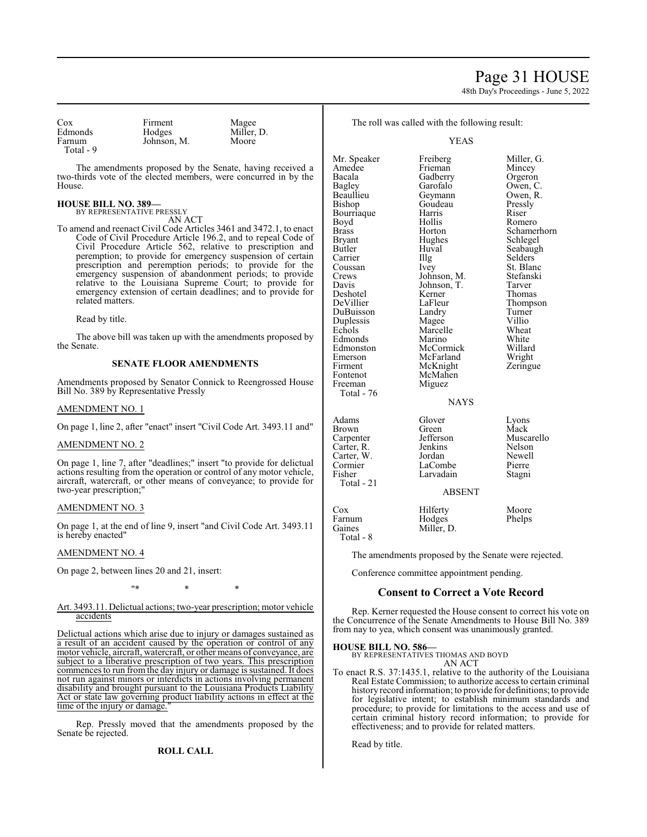# Page 31 HOUSE

48th Day's Proceedings - June 5, 2022

| Cox<br>Edmonds                                                                                        | Firment<br>Hodges                   | Magee<br>Miller, D.                                                                                                                                                                                                                                                                                                                                                                                                                                                                                            |                                                                                                          | The roll was called with the following result:                                               |                                                                                                          |
|-------------------------------------------------------------------------------------------------------|-------------------------------------|----------------------------------------------------------------------------------------------------------------------------------------------------------------------------------------------------------------------------------------------------------------------------------------------------------------------------------------------------------------------------------------------------------------------------------------------------------------------------------------------------------------|----------------------------------------------------------------------------------------------------------|----------------------------------------------------------------------------------------------|----------------------------------------------------------------------------------------------------------|
| Farnum<br>Total - 9                                                                                   | Johnson, M.                         | Moore                                                                                                                                                                                                                                                                                                                                                                                                                                                                                                          |                                                                                                          | <b>YEAS</b>                                                                                  |                                                                                                          |
| House.                                                                                                |                                     | The amendments proposed by the Senate, having received a<br>two-thirds vote of the elected members, were concurred in by the                                                                                                                                                                                                                                                                                                                                                                                   | Mr. Speaker<br>Amedee<br>Bacala<br>Bagley<br>Beaullieu                                                   | Freiberg<br>Frieman<br>Gadberry<br>Garofalo<br>Geymann                                       | Miller, G.<br>Mincey<br>Orgeron<br>Owen, C.<br>Owen, R.                                                  |
| <b>HOUSE BILL NO. 389-</b>                                                                            | BY REPRESENTATIVE PRESSLY<br>AN ACT |                                                                                                                                                                                                                                                                                                                                                                                                                                                                                                                | Bishop<br>Bourriaque<br>Boyd                                                                             | Goudeau<br>Harris<br>Hollis                                                                  | Pressly<br>Riser<br>Romero                                                                               |
| related matters.                                                                                      |                                     | To amend and reenact Civil Code Articles 3461 and 3472.1, to enact<br>Code of Civil Procedure Article 196.2, and to repeal Code of<br>Civil Procedure Article 562, relative to prescription and<br>peremption; to provide for emergency suspension of certain<br>prescription and peremption periods; to provide for the<br>emergency suspension of abandonment periods; to provide<br>relative to the Louisiana Supreme Court; to provide for<br>emergency extension of certain deadlines; and to provide for | <b>Brass</b><br><b>Bryant</b><br>Butler<br>Carrier<br>Coussan<br>Crews<br>Davis<br>Deshotel<br>DeVillier | Horton<br>Hughes<br>Huval<br>Illg<br>Ivey<br>Johnson, M.<br>Johnson, T.<br>Kerner<br>LaFleur | Schamerhorn<br>Schlegel<br>Seabaugh<br>Selders<br>St. Blanc<br>Stefanski<br>Tarver<br>Thomas<br>Thompson |
| Read by title.                                                                                        |                                     |                                                                                                                                                                                                                                                                                                                                                                                                                                                                                                                | DuBuisson<br>Duplessis                                                                                   | Landry<br>Magee                                                                              | Turner<br>Villio                                                                                         |
| the Senate.                                                                                           |                                     | The above bill was taken up with the amendments proposed by                                                                                                                                                                                                                                                                                                                                                                                                                                                    | Echols<br>Edmonds<br>Edmonston                                                                           | Marcelle<br>Marino<br>McCormick                                                              | Wheat<br>White<br>Willard                                                                                |
|                                                                                                       | <b>SENATE FLOOR AMENDMENTS</b>      |                                                                                                                                                                                                                                                                                                                                                                                                                                                                                                                | Emerson<br>Firment<br>Fontenot                                                                           | McFarland<br>McKnight<br>McMahen                                                             | Wright<br>Zeringue                                                                                       |
| Amendments proposed by Senator Connick to Reengrossed House<br>Bill No. 389 by Representative Pressly |                                     | Freeman<br>Total - 76                                                                                                                                                                                                                                                                                                                                                                                                                                                                                          | Miguez                                                                                                   |                                                                                              |                                                                                                          |
| <b>AMENDMENT NO. 1</b>                                                                                |                                     |                                                                                                                                                                                                                                                                                                                                                                                                                                                                                                                | <b>NAYS</b>                                                                                              |                                                                                              |                                                                                                          |
|                                                                                                       |                                     | On page 1, line 2, after "enact" insert "Civil Code Art. 3493.11 and"                                                                                                                                                                                                                                                                                                                                                                                                                                          | Adams<br><b>Brown</b>                                                                                    | Glover<br>Green                                                                              | Lyons<br>Mack                                                                                            |
| <b>AMENDMENT NO. 2</b>                                                                                |                                     | Carpenter<br>Carter, R.                                                                                                                                                                                                                                                                                                                                                                                                                                                                                        | Jefferson<br>Jenkins                                                                                     | Muscarello<br>Nelson                                                                         |                                                                                                          |
| two-year prescription;"                                                                               |                                     | On page 1, line 7, after "deadlines;" insert "to provide for delictual<br>actions resulting from the operation or control of any motor vehicle,<br>aircraft, watercraft, or other means of conveyance; to provide for                                                                                                                                                                                                                                                                                          | Carter, W.<br>Cormier<br>Fisher<br>Total - 21                                                            | Jordan<br>LaCombe<br>Larvadain                                                               | Newell<br>Pierre<br>Stagni                                                                               |
|                                                                                                       |                                     |                                                                                                                                                                                                                                                                                                                                                                                                                                                                                                                |                                                                                                          | <b>ABSENT</b>                                                                                |                                                                                                          |
| <b>AMENDMENT NO. 3</b>                                                                                |                                     |                                                                                                                                                                                                                                                                                                                                                                                                                                                                                                                | Cox<br>Farnum                                                                                            | Hilferty<br>Hodges                                                                           | Moore<br>Phelps                                                                                          |

Farnum<br>Gaines

Total - 8

On page 1, at the end of line 9, insert "and Civil Code Art. 3493.11 is hereby enacted"

# AMENDMENT NO. 4

On page 2, between lines 20 and 21, insert:

"\* \* \*

#### Art. 3493.11. Delictual actions; two-year prescription; motor vehicle accidents

Delictual actions which arise due to injury or damages sustained as a result of an accident caused by the operation or control of any motor vehicle, aircraft, watercraft, or other means of conveyance, are subject to a liberative prescription of two years. This prescription commences to run from the day injury or damage is sustained. It does not run against minors or interdicts in actions involving permanent disability and brought pursuant to the Louisiana Products Liability Act or state law governing product liability actions in effect at the time of the injury or damage.

Rep. Pressly moved that the amendments proposed by the Senate be rejected.

# **ROLL CALL**

AN ACT To enact R.S. 37:1435.1, relative to the authority of the Louisiana

BY REPRESENTATIVES THOMAS AND BOYD

Miller, D.

Conference committee appointment pending.

The amendments proposed by the Senate were rejected.

**Consent to Correct a Vote Record** Rep. Kerner requested the House consent to correct his vote on the Concurrence of the Senate Amendments to House Bill No. 389 from nay to yea, which consent was unanimously granted.

Real Estate Commission; to authorize access to certain criminal history record information; to provide for definitions; to provide for legislative intent; to establish minimum standards and procedure; to provide for limitations to the access and use of certain criminal history record information; to provide for effectiveness; and to provide for related matters.

Read by title.

**HOUSE BILL NO. 586—**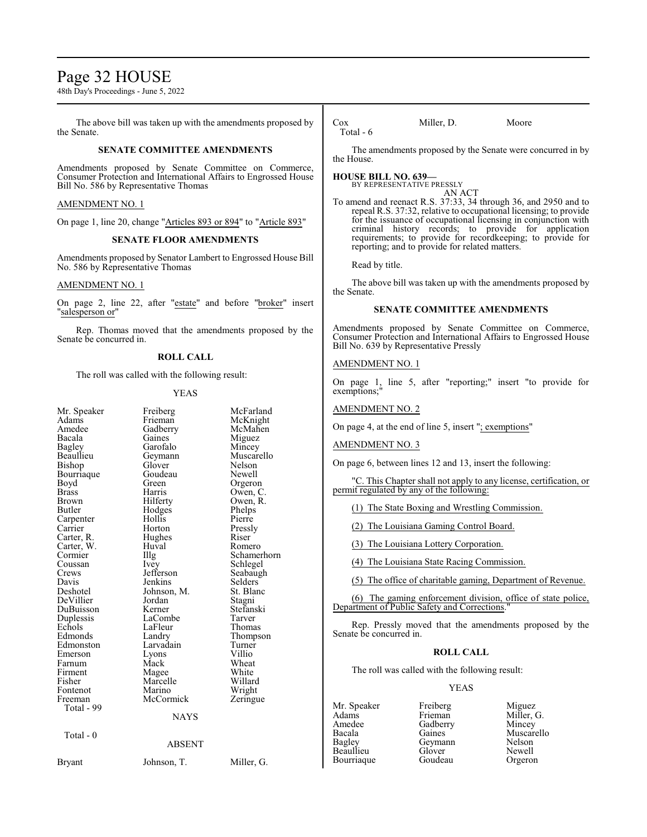# Page 32 HOUSE

48th Day's Proceedings - June 5, 2022

The above bill was taken up with the amendments proposed by the Senate.

#### **SENATE COMMITTEE AMENDMENTS**

Amendments proposed by Senate Committee on Commerce, Consumer Protection and International Affairs to Engrossed House Bill No. 586 by Representative Thomas

### AMENDMENT NO. 1

On page 1, line 20, change "Articles 893 or 894" to "Article 893"

### **SENATE FLOOR AMENDMENTS**

Amendments proposed by Senator Lambert to Engrossed House Bill No. 586 by Representative Thomas

### AMENDMENT NO. 1

On page 2, line 22, after "estate" and before "broker" insert "salesperson or"

Rep. Thomas moved that the amendments proposed by the Senate be concurred in.

### **ROLL CALL**

The roll was called with the following result:

#### YEAS

| Mr. Speaker<br>Adams<br>Amedee<br>Bacala<br><b>Bagley</b><br>Beaullieu<br>Bishop<br>Bourriaque<br>Boyd<br><b>Brass</b><br><b>Brown</b><br>Butler<br>Carpenter<br>Carrier<br>Carter, R.<br>Carter, W.<br>Cormier<br>Coussan<br>Crews<br>Davis<br>Deshotel<br>DeVillier<br>DuBuisson<br>Duplessis<br>Echols<br>Edmonds<br>Edmonston<br>Emerson<br>Farnum<br>Firment<br>Fisher<br>Fontenot<br>Freeman<br>Total - 99 | Freiberg<br>Frieman<br>Gadberry<br>Gaines<br>Garofalo<br>Geymann<br>Glover<br>Goudeau<br>Green<br>Harris<br>Hilferty<br>Hodges<br>Hollis<br>Horton<br>Hughes<br>Huval<br>$\prod$ llg<br><i>lvey</i><br>Jefferson<br>Jenkins<br>Johnson, M.<br>Jordan<br>Kerner<br>LaCombe<br>LaFleur<br>Landry<br>Larvadain<br>Lyons<br>Mack<br>Magee<br>Marcelle<br>Marino<br>McCormick<br><b>NAYS</b> | McFarland<br>McKnight<br>McMahen<br>Miguez<br>Mincey<br>Muscarello<br>Nelson<br>Newell<br>Orgeron<br>Owen, C.<br>Owen, R.<br>Phelps<br>Pierre<br>Pressly<br>Riser<br>Romero<br>Schamerhorn<br>Schlegel<br>Seabaugh<br>Selders<br>St. Blanc<br>Stagni<br>Stefanski<br>Tarver<br>Thomas<br>Thompson<br>Turner<br>Villio<br>Wheat<br>White<br>Willard<br>Wright<br>Zeringue |
|------------------------------------------------------------------------------------------------------------------------------------------------------------------------------------------------------------------------------------------------------------------------------------------------------------------------------------------------------------------------------------------------------------------|-----------------------------------------------------------------------------------------------------------------------------------------------------------------------------------------------------------------------------------------------------------------------------------------------------------------------------------------------------------------------------------------|--------------------------------------------------------------------------------------------------------------------------------------------------------------------------------------------------------------------------------------------------------------------------------------------------------------------------------------------------------------------------|
|                                                                                                                                                                                                                                                                                                                                                                                                                  |                                                                                                                                                                                                                                                                                                                                                                                         |                                                                                                                                                                                                                                                                                                                                                                          |
| Total - 0                                                                                                                                                                                                                                                                                                                                                                                                        | <b>ABSENT</b>                                                                                                                                                                                                                                                                                                                                                                           |                                                                                                                                                                                                                                                                                                                                                                          |
| <b>Bryant</b>                                                                                                                                                                                                                                                                                                                                                                                                    | Johnson, T.                                                                                                                                                                                                                                                                                                                                                                             | Miller, G.                                                                                                                                                                                                                                                                                                                                                               |

Cox Miller, D. Moore Total - 6

The amendments proposed by the Senate were concurred in by the House.

#### **HOUSE BILL NO. 639—**

BY REPRESENTATIVE PRESSLY AN ACT

To amend and reenact R.S. 37:33, 34 through 36, and 2950 and to repeal R.S. 37:32, relative to occupational licensing; to provide for the issuance of occupational licensing in conjunction with criminal history records; to provide for application requirements; to provide for recordkeeping; to provide for reporting; and to provide for related matters.

Read by title.

The above bill was taken up with the amendments proposed by the Senate.

# **SENATE COMMITTEE AMENDMENTS**

Amendments proposed by Senate Committee on Commerce, Consumer Protection and International Affairs to Engrossed House Bill No. 639 by Representative Pressly

# AMENDMENT NO. 1

On page 1, line 5, after "reporting;" insert "to provide for exemptions;"

#### AMENDMENT NO. 2

On page 4, at the end of line 5, insert "; exemptions"

AMENDMENT NO. 3

On page 6, between lines 12 and 13, insert the following:

"C. This Chapter shall not apply to any license, certification, or permit regulated by any of the following:

(1) The State Boxing and Wrestling Commission.

(2) The Louisiana Gaming Control Board.

(3) The Louisiana Lottery Corporation.

(4) The Louisiana State Racing Commission.

(5) The office of charitable gaming, Department of Revenue.

(6) The gaming enforcement division, office of state police, Department of Public Safety and Corrections."

Rep. Pressly moved that the amendments proposed by the Senate be concurred in.

#### **ROLL CALL**

The roll was called with the following result:

### YEAS

Mr. Speaker Freiberg Miguez<br>Adams Frieman Miller. Bourriaque

Adams Frieman Miller, G.<br>Amedee Gadberry Mincey Amedee Gadberry<br>Bacala Gaines Beaullieu Glover Newell<br>Bourriaque Goudeau Orgeron

Bacala Gaines Muscarello<br>
Bagley Geymann Nelson Geymann Nelson<br>Glover Newell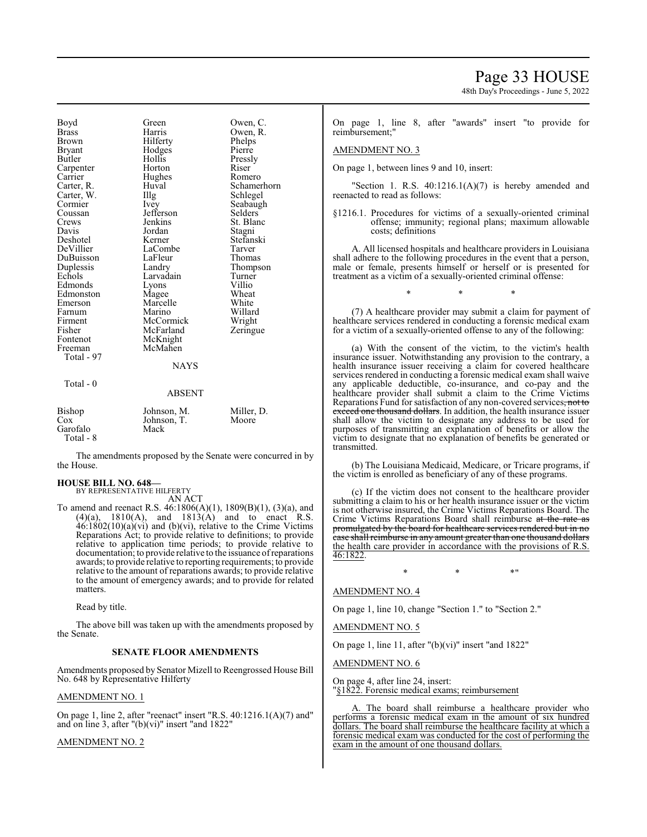| Boyd          | Green       | Owen, C.    |
|---------------|-------------|-------------|
| <b>Brass</b>  | Harris      | Owen, R.    |
| Brown         | Hilferty    | Phelps      |
| <b>Bryant</b> | Hodges      | Pierre      |
| Butler        | Hollis      | Pressly     |
| Carpenter     | Horton      | Riser       |
| Carrier       | Hughes      | Romero      |
| Carter, R.    | Huval       | Schamerhorn |
| Carter, W.    | Illg        | Schlegel    |
| Cormier       | Ivey        | Seabaugh    |
| Coussan       | Jefferson   | Selders     |
| Crews         | Jenkins     | St. Blanc   |
| Davis         | Jordan      | Stagni      |
| Deshotel      | Kerner      | Stefanski   |
| DeVillier     | LaCombe     | Tarver      |
| DuBuisson     | LaFleur     | Thomas      |
| Duplessis     | Landry      | Thompson    |
| Echols        | Larvadain   | Turner      |
| Edmonds       | Lyons       | Villio      |
| Edmonston     | Magee       | Wheat       |
| Emerson       | Marcelle    | White       |
| Farnum        | Marino      | Willard     |
| Firment       | McCormick   | Wright      |
| Fisher        | McFarland   | Zeringue    |
| Fontenot      | McKnight    |             |
| Freeman       | McMahen     |             |
| Total - 97    |             |             |
|               | <b>NAYS</b> |             |
| Total - 0     |             |             |
|               | ABSENT      |             |
|               |             |             |

| Bishop    | Johnson, M. | Miller, D. |
|-----------|-------------|------------|
| Cox       | Johnson, T. | Moore      |
| Garofalo  | Mack        |            |
| Total - 8 |             |            |

The amendments proposed by the Senate were concurred in by the House.

## **HOUSE BILL NO. 648—**

BY REPRESENTATIVE HILFERTY AN ACT

To amend and reenact R.S. 46:1806(A)(1), 1809(B)(1), (3)(a), and  $(4)(a)$ ,  $1810(A)$ , and  $1813(A)$  and to enact R.S.  $46:1802(10)(a)(vi)$  and (b)(vi), relative to the Crime Victims Reparations Act; to provide relative to definitions; to provide relative to application time periods; to provide relative to documentation; to provide relative to the issuance ofreparations awards; to provide relative to reporting requirements; to provide relative to the amount of reparations awards; to provide relative to the amount of emergency awards; and to provide for related matters.

Read by title.

The above bill was taken up with the amendments proposed by the Senate.

#### **SENATE FLOOR AMENDMENTS**

Amendments proposed by Senator Mizell to Reengrossed House Bill No. 648 by Representative Hilferty

### AMENDMENT NO. 1

On page 1, line 2, after "reenact" insert "R.S. 40:1216.1(A)(7) and" and on line 3, after  $"$ (b)(vi)" insert "and 1822

## AMENDMENT NO. 2

Page 33 HOUSE

48th Day's Proceedings - June 5, 2022

On page 1, line 8, after "awards" insert "to provide for reimbursement;"

#### AMENDMENT NO. 3

On page 1, between lines 9 and 10, insert:

"Section 1. R.S.  $40:1216.1(A)(7)$  is hereby amended and reenacted to read as follows:

§1216.1. Procedures for victims of a sexually-oriented criminal offense; immunity; regional plans; maximum allowable costs; definitions

A. All licensed hospitals and healthcare providers in Louisiana shall adhere to the following procedures in the event that a person, male or female, presents himself or herself or is presented for treatment as a victim of a sexually-oriented criminal offense:

(7) A healthcare provider may submit a claim for payment of healthcare services rendered in conducting a forensic medical exam for a victim of a sexually-oriented offense to any of the following:

\* \* \*

(a) With the consent of the victim, to the victim's health insurance issuer. Notwithstanding any provision to the contrary, a health insurance issuer receiving a claim for covered healthcare services rendered in conducting a forensic medical exam shall waive any applicable deductible, co-insurance, and co-pay and the healthcare provider shall submit a claim to the Crime Victims Reparations Fund for satisfaction of any non-covered services, not to exceed one thousand dollars. In addition, the health insurance issuer shall allow the victim to designate any address to be used for purposes of transmitting an explanation of benefits or allow the victim to designate that no explanation of benefits be generated or transmitted.

(b) The Louisiana Medicaid, Medicare, or Tricare programs, if the victim is enrolled as beneficiary of any of these programs.

(c) If the victim does not consent to the healthcare provider submitting a claim to his or her health insurance issuer or the victim is not otherwise insured, the Crime Victims Reparations Board. The Crime Victims Reparations Board shall reimburse at the rate as promulgated by the board for healthcare services rendered but in no case shall reimburse in any amount greater than one thousand dollars the health care provider in accordance with the provisions of R.S. 46:1822.

 $*$  \*  $*$  \*  $*$  \*

# AMENDMENT NO. 4

On page 1, line 10, change "Section 1." to "Section 2."

AMENDMENT NO. 5

On page 1, line 11, after "(b)(vi)" insert "and 1822"

AMENDMENT NO. 6

On page 4, after line 24, insert: "§1822. Forensic medical exams; reimbursement

A. The board shall reimburse a healthcare provider who performs a forensic medical exam in the amount of six hundred dollars. The board shall reimburse the healthcare facility at which a forensic medical exam was conducted for the cost of performing the exam in the amount of one thousand dollars.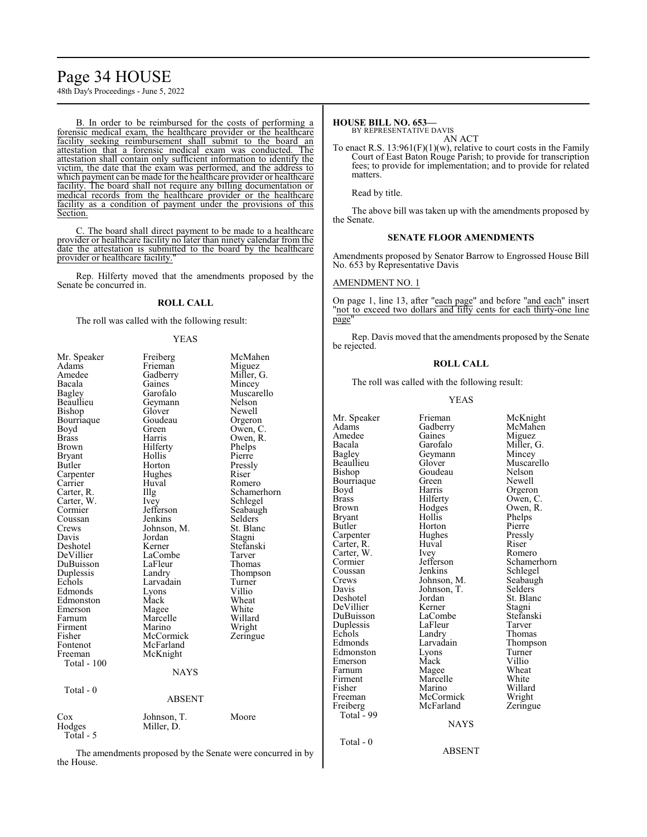# Page 34 HOUSE

48th Day's Proceedings - June 5, 2022

B. In order to be reimbursed for the costs of performing a forensic medical exam, the healthcare provider or the healthcare facility seeking reimbursement shall submit to the board an attestation that a forensic medical exam was conducted. The attestation shall contain only sufficient information to identify the victim, the date that the exam was performed, and the address to which payment can be made for the healthcare provider or healthcare facility. The board shall not require any billing documentation or medical records from the healthcare provider or the healthcare facility as a condition of payment under the provisions of this Section.

C. The board shall direct payment to be made to a healthcare provider or healthcare facility no later than ninety calendar from the date the attestation is submitted to the board by the healthcare provider or healthcare facility."

Rep. Hilferty moved that the amendments proposed by the Senate be concurred in.

# **ROLL CALL**

The roll was called with the following result:

#### YEAS

| Mr. Speaker   | Freiberg      | McMahen     |
|---------------|---------------|-------------|
| Adams         | Frieman       | Miguez      |
| Amedee        | Gadberry      | Miller, G.  |
| Bacala        | Gaines        | Mincey      |
| Bagley        | Garofalo      | Muscarello  |
| Beaullieu     | Geymann       | Nelson      |
| Bishop        | Glover        | Newell      |
| Bourriaque    | Goudeau       | Orgeron     |
| Boyd          | Green         | Owen, C.    |
| <b>Brass</b>  | Harris        | Owen, R.    |
| Brown         | Hilferty      | Phelps      |
| <b>Bryant</b> | Hollis        | Pierre      |
| Butler        | Horton        | Pressly     |
| Carpenter     | Hughes        | Riser       |
| Carrier       | Huval         | Romero      |
| Carter, R.    | Illg          | Schamerhorn |
| Carter, W.    | <i>lvey</i>   | Schlegel    |
| Cormier       | Jefferson     | Seabaugh    |
| Coussan       | Jenkins       | Selders     |
| Crews         | Johnson, M.   | St. Blanc   |
| Davis         | Jordan        | Stagni      |
| Deshotel      | Kerner        | Stefanski   |
| DeVillier     | LaCombe       | Tarver      |
| DuBuisson     | LaFleur       | Thomas      |
| Duplessis     | Landry        | Thompson    |
| Echols        | Larvadain     | Turner      |
| Edmonds       | Lyons         | Villio      |
| Edmonston     | Mack          | Wheat       |
| Emerson       | Magee         | White       |
| Farnum        | Marcelle      | Willard     |
| Firment       | Marino        | Wright      |
| Fisher        | McCormick     | Zeringue    |
| Fontenot      | McFarland     |             |
| Freeman       | McKnight      |             |
| Total - 100   |               |             |
|               | <b>NAYS</b>   |             |
| Total - 0     |               |             |
|               | <b>ABSENT</b> |             |
|               |               |             |
| Cox           | Johnson, T.   | Moore       |
| Hodges        | Miller, D.    |             |
| Total - 5     |               |             |
|               |               |             |

The amendments proposed by the Senate were concurred in by the House.

# **HOUSE BILL NO. 653—**

BY REPRESENTATIVE DAVIS AN ACT

To enact R.S.  $13:961(F)(1)(w)$ , relative to court costs in the Family Court of East Baton Rouge Parish; to provide for transcription fees; to provide for implementation; and to provide for related matters.

Read by title.

The above bill was taken up with the amendments proposed by the Senate.

# **SENATE FLOOR AMENDMENTS**

Amendments proposed by Senator Barrow to Engrossed House Bill No. 653 by Representative Davis

#### AMENDMENT NO. 1

On page 1, line 13, after "each page" and before "and each" insert "not to exceed two dollars and fifty cents for each thirty-one line page<sup>'</sup>

Rep. Davis moved that the amendments proposed by the Senate be rejected.

#### **ROLL CALL**

The roll was called with the following result:

### YEAS

Amedee Gaines<br>Bacala Garofalo Bagley Geymann<br>Beaullieu Glover Bourriaque Green<br>Boyd Harris Carter, W. Ivey<br>Cormier Jefferson Davis Johnson, T.<br>Deshotel Jordan Duplessis LaFleu<br>
Echols Landry Total - 99 Total - 0

Mr. Speaker Frieman McKnight<br>Adams Gadberry McMahen Gadberry McMah<br>Gaines Miguez Bacala Garofalo Miller, G.<br>Bagley Geymann Mincey Beaullieu Glover Muscarello<br>Bishop Goudeau Nelson Goudeau Nelson<br>Green Newell Boyd Harris Orgeron<br>Brass Hilferty Owen, C Brass Hilferty Owen, C.<br>Brown Hodges Owen, R. Brown Hodges Owen, R.<br>Bryant Hollis Phelps Bryant Hollis Phelps<br>Butler Horton Pierre Horton Pierre<br>Hughes Pressly Carpenter Hughes Pressl<br>Carter, R. Huval Riser Carter, R. Huval Riser Jefferson Schamerhorn<br>Jenkins Schlegel Coussan Jenkins Schlegel<br>Crews Johnson, M. Seabaugh Crews Johnson, M. Seabaugh<br>Davis Johnson, T. Selders Jordan St. Blanc<br>Kerner Stagni DeVillier Kerner Stagni<br>DuBuisson LaCombe Stefanski DuBuisson LaCombe Stefans<br>Duplessis LaFleur Tarver Echols Landry Thomas<br>Edmonds Larvadain Thomas Larvadain Thompson<br>Lyons Turner Edmonston Lyons Turner<br>Emerson Mack Villio Emerson Mack Villio<br>
Farnum Magee Wheat Farnum Magee Wheat<br>Firment Marcelle White Firment Marcelle White<br>
Fisher Marino Willard Fisher Marino Willard<br>Freeman McCormick Wright McCormick Wright<br>
McFarland Zeringue Freiberg McFarland Zeringue

NAYS

ABSENT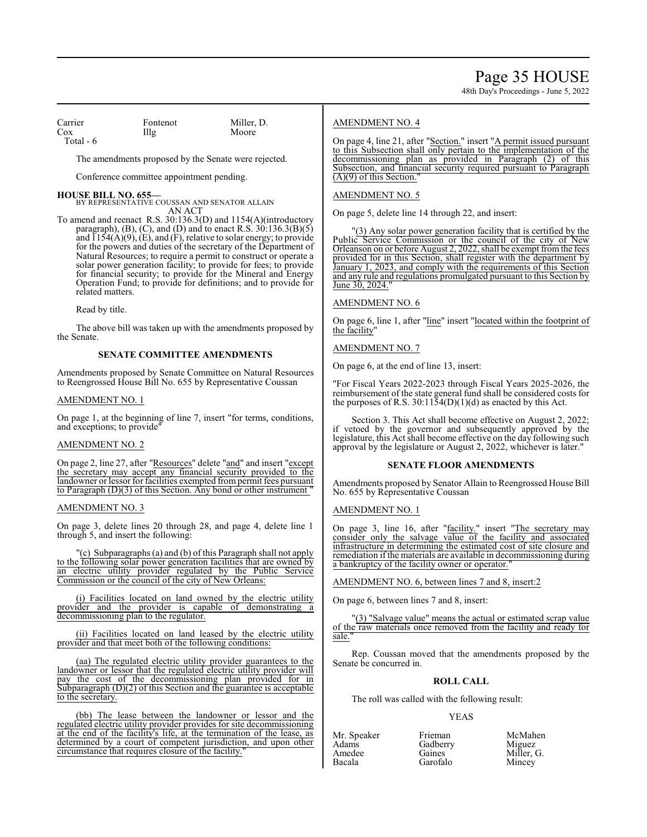Carrier Fontenot Miller, D.<br>
Cox Illg Moore Total - 6

Cox Illg Moore

The amendments proposed by the Senate were rejected.

Conference committee appointment pending.

**HOUSE BILL NO. 655—** BY REPRESENTATIVE COUSSAN AND SENATOR ALLAIN AN ACT

To amend and reenact R.S. 30:136.3(D) and 1154(A)(introductory paragraph), (B), (C), and (D) and to enact R.S.  $30:136.3(B)(5)$ and  $\overline{1154(A)(9)}$ ,  $\overline{(E)}$ , and  $\overline{(F)}$ , relative to solar energy; to provide for the powers and duties of the secretary of the Department of Natural Resources; to require a permit to construct or operate a solar power generation facility; to provide for fees; to provide for financial security; to provide for the Mineral and Energy Operation Fund; to provide for definitions; and to provide for related matters.

Read by title.

The above bill was taken up with the amendments proposed by the Senate.

# **SENATE COMMITTEE AMENDMENTS**

Amendments proposed by Senate Committee on Natural Resources to Reengrossed House Bill No. 655 by Representative Coussan

### AMENDMENT NO. 1

On page 1, at the beginning of line 7, insert "for terms, conditions, and exceptions; to provide"

#### AMENDMENT NO. 2

On page 2, line 27, after "Resources" delete "and" and insert "except the secretary may accept any financial security provided to the landowner or lessor for facilities exempted frompermit fees pursuant to Paragraph (D)(3) of this Section. Any bond or other instrument "

#### AMENDMENT NO. 3

On page 3, delete lines 20 through 28, and page 4, delete line 1 through 5, and insert the following:

"(c) Subparagraphs(a) and (b) of this Paragraph shall not apply to the following solar power generation facilities that are owned by an electric utility provider regulated by the Public Service Commission or the council of the city of New Orleans:

(i) Facilities located on land owned by the electric utility provider and the provider is capable of demonstrating a decommissioning plan to the regulator.

(ii) Facilities located on land leased by the electric utility provider and that meet both of the following conditions:

(aa) The regulated electric utility provider guarantees to the landowner or lessor that the regulated electric utility provider will pay the cost of the decommissioning plan provided for in Subparagraph (D)(2) of this Section and the guarantee is acceptable to the secretary.

(bb) The lease between the landowner or lessor and the regulated electric utility provider provides for site decommissioning at the end of the facility's life, at the termination of the lease, as determined by a court of competent jurisdiction, and upon other circumstance that requires closure of the facility."

# AMENDMENT NO. 4

On page 4, line 21, after "Section." insert "A permit issued pursuant to this Subsection shall only pertain to the implementation of the decommissioning plan as provided in Paragraph (2) of this Subsection, and financial security required pursuant to Paragraph  $(A)(9)$  of this Section.

## AMENDMENT NO. 5

On page 5, delete line 14 through 22, and insert:

"(3) Any solar power generation facility that is certified by the Public Service Commission or the council of the city of New Orleanson on or before August 2, 2022, shall be exempt fromthe fees provided for in this Section, shall register with the department by January 1, 2023, and comply with the requirements of this Section and any rule and regulations promulgated pursuant to this Section by June 30, 2024.

# AMENDMENT NO. 6

On page 6, line 1, after "line" insert "located within the footprint of the facility"

# AMENDMENT NO. 7

On page 6, at the end of line 13, insert:

"For Fiscal Years 2022-2023 through Fiscal Years 2025-2026, the reimbursement of the state general fund shall be considered costs for the purposes of R.S.  $30:11\overline{5}4(D)(1)(d)$  as enacted by this Act.

Section 3. This Act shall become effective on August 2, 2022; if vetoed by the governor and subsequently approved by the legislature, this Act shall become effective on the day following such approval by the legislature or August 2, 2022, whichever is later."

#### **SENATE FLOOR AMENDMENTS**

Amendments proposed by Senator Allain to Reengrossed House Bill No. 655 by Representative Coussan

#### AMENDMENT NO. 1

On page 3, line 16, after "facility." insert "The secretary may consider only the salvage value of the facility and associated infrastructure in determining the estimated cost of site closure and remediation if the materials are available in decommissioning during a bankruptcy of the facility owner or operator.

#### AMENDMENT NO. 6, between lines 7 and 8, insert:2

On page 6, between lines 7 and 8, insert:

"(3) "Salvage value" means the actual or estimated scrap value of the raw materials once removed from the facility and ready for sale."

Rep. Coussan moved that the amendments proposed by the Senate be concurred in.

# **ROLL CALL**

The roll was called with the following result:

Gadberry<br>Gaines

#### YEAS

| Mr. Speake |
|------------|
| Adams      |
| Amedee     |
| Bacala     |
|            |

aker Frieman McMahen<br>Gadberry Miguez Miller, G. Garofalo Mincey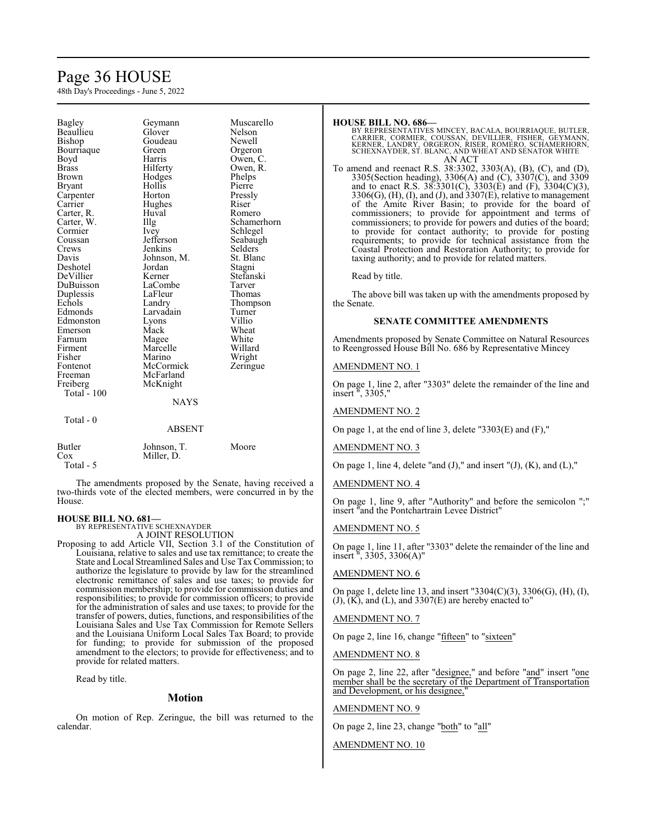# Page 36 HOUSE

48th Day's Proceedings - June 5, 2022

| Bagley             | Geymann       | Muscarello  |
|--------------------|---------------|-------------|
| Beaullieu          | Glover        | Nelson      |
| Bishop             | Goudeau       | Newell      |
| Bourriaque         | Green         | Orgeron     |
| Boyd               | Harris        | Owen, C.    |
| Brass              | Hilferty      | Owen, R.    |
| Brown              | Hodges        | Phelps      |
| Bryant             | Hollis        | Pierre      |
| Carpenter          | Horton        | Pressly     |
| Carrier            | Hughes        | Riser       |
| Carter, R.         | Huval         | Romero      |
| Carter, W.         | Illg          | Schamerhorn |
| Cormier            | Ivey          | Schlegel    |
| Coussan            | Jefferson     | Seabaugh    |
| Crews              | Jenkins       | Selders     |
| Davis              | Johnson, M.   | St. Blanc   |
| Deshotel           | Jordan        | Stagni      |
| DeVillier          | Kerner        | Stefanski   |
| DuBuisson          | LaCombe       | Tarver      |
| Duplessis          | LaFleur       | Thomas      |
| Echols             | Landry        | Thompson    |
| Edmonds            | Larvadain     | Turner      |
| Edmonston          | Lyons         | Villio      |
| Emerson            | Mack          | Wheat       |
| Farnum             | Magee         | White       |
| Firment            | Marcelle      | Willard     |
| Fisher             | Marino        | Wright      |
| Fontenot           | McCormick     | Zeringue    |
| Freeman            | McFarland     |             |
| Freiberg           | McKnight      |             |
| <b>Total - 100</b> |               |             |
|                    | <b>NAYS</b>   |             |
| Total - 0          |               |             |
|                    | <b>ABSENT</b> |             |
| <b>Butler</b>      | Johnson, T.   | Moore       |
| Cox                | Miller, D.    |             |
| Total - 5          |               |             |

The amendments proposed by the Senate, having received a two-thirds vote of the elected members, were concurred in by the House.

# **HOUSE BILL NO. 681—**

BY REPRESENTATIVE SCHEXNAYDER A JOINT RESOLUTION

Proposing to add Article VII, Section 3.1 of the Constitution of Louisiana, relative to sales and use tax remittance; to create the State and Local Streamlined Sales and Use Tax Commission; to authorize the legislature to provide by law for the streamlined electronic remittance of sales and use taxes; to provide for commission membership; to provide for commission duties and responsibilities; to provide for commission officers; to provide for the administration of sales and use taxes; to provide for the transfer of powers, duties, functions, and responsibilities of the Louisiana Sales and Use Tax Commission for Remote Sellers and the Louisiana Uniform Local Sales Tax Board; to provide for funding; to provide for submission of the proposed amendment to the electors; to provide for effectiveness; and to provide for related matters.

Read by title.

# **Motion**

On motion of Rep. Zeringue, the bill was returned to the calendar.

#### **HOUSE BILL NO. 686—**

BY REPRESENTATIVES MINCEY, BACALA, BOURRIAQUE, BUTLER,<br>CARRIER, CORMIER, COUSSAN, DEVILLIER, FISHER, GEYMANN,<br>KERNER, LANDRY, ORGERON, RISER, ROMERO, SCHAMERHORN,<br>SCHEXNAYDER, ST. BLANC, AND WHEAT AND SENATOR WHI AN ACT

To amend and reenact R.S. 38:3302, 3303(A), (B), (C), and (D), 3305(Section heading), 3306(A) and (C), 3307(C), and 3309 and to enact R.S. 38:3301(C), 3303(E) and (F), 3304(C)(3), 3306(G), (H), (I), and (J), and 3307(E), relative to management of the Amite River Basin; to provide for the board of commissioners; to provide for appointment and terms of commissioners; to provide for powers and duties of the board; to provide for contact authority; to provide for posting requirements; to provide for technical assistance from the Coastal Protection and Restoration Authority; to provide for taxing authority; and to provide for related matters.

Read by title.

The above bill was taken up with the amendments proposed by the Senate.

### **SENATE COMMITTEE AMENDMENTS**

Amendments proposed by Senate Committee on Natural Resources to Reengrossed House Bill No. 686 by Representative Mincey

### AMENDMENT NO. 1

On page 1, line 2, after "3303" delete the remainder of the line and insert ", 3305,"

### AMENDMENT NO. 2

On page 1, at the end of line 3, delete "3303(E) and (F),"

### AMENDMENT NO. 3

On page 1, line 4, delete "and  $(J)$ ," and insert " $(J)$ ,  $(K)$ , and  $(L)$ ,"

#### AMENDMENT NO. 4

On page 1, line 9, after "Authority" and before the semicolon ";" insert "and the Pontchartrain Levee District"

#### AMENDMENT NO. 5

On page 1, line 11, after "3303" delete the remainder of the line and insert ", 3305, 3306(A)"

## AMENDMENT NO. 6

On page 1, delete line 13, and insert "3304(C)(3), 3306(G), (H), (I),  $(J)$ ,  $(K)$ , and  $(L)$ , and 3307 $(E)$  are hereby enacted to"

### AMENDMENT NO. 7

On page 2, line 16, change "fifteen" to "sixteen"

#### AMENDMENT NO. 8

On page 2, line 22, after "designee," and before "and" insert "one member shall be the secretary of the Department of Transportation and Development, or his designee,"

#### AMENDMENT NO. 9

On page 2, line 23, change "both" to "all"

#### AMENDMENT NO. 10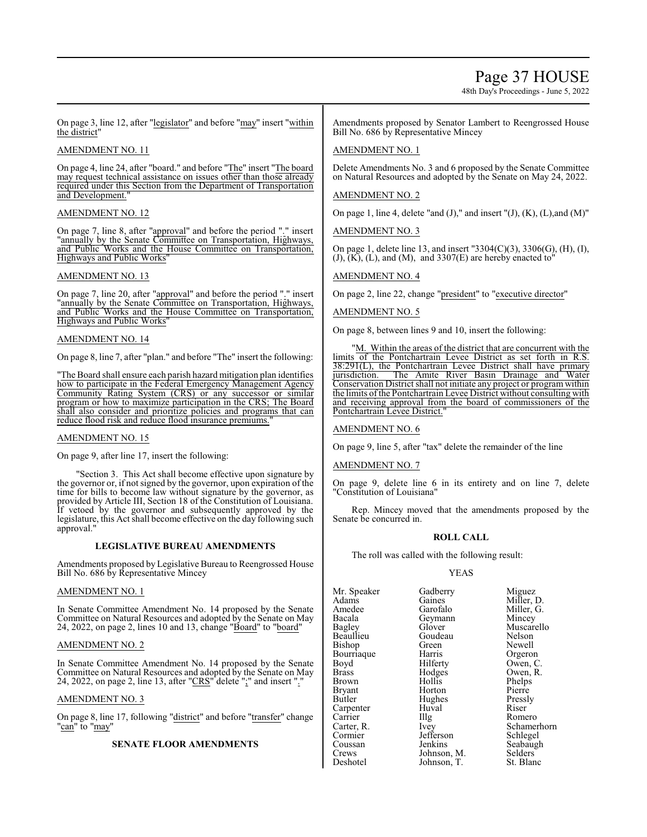# Page 37 HOUSE

48th Day's Proceedings - June 5, 2022

On page 3, line 12, after "legislator" and before "may" insert "within the district"

# AMENDMENT NO. 11

On page 4, line 24, after "board." and before "The" insert "The board may request technical assistance on issues other than those already required under this Section from the Department of Transportation and Development.

# AMENDMENT NO. 12

On page 7, line 8, after "approval" and before the period "." insert "annually by the Senate Committee on Transportation, Highways, and Public Works and the House Committee on Transportation, Highways and Public Works"

# AMENDMENT NO. 13

On page 7, line 20, after "approval" and before the period "." insert "annually by the Senate Committee on Transportation, Highways, and Public Works and the House Committee on Transportation, Highways and Public Works"

# AMENDMENT NO. 14

On page 8, line 7, after "plan." and before "The" insert the following:

"The Board shall ensure each parish hazard mitigation plan identifies how to participate in the Federal Emergency Management Agency Community Rating System (CRS) or any successor or similar program or how to maximize participation in the CRS; The Board shall also consider and prioritize policies and programs that can reduce flood risk and reduce flood insurance premiums."

# AMENDMENT NO. 15

On page 9, after line 17, insert the following:

"Section 3. This Act shall become effective upon signature by the governor or, if not signed by the governor, upon expiration of the time for bills to become law without signature by the governor, as provided by Article III, Section 18 of the Constitution of Louisiana. If vetoed by the governor and subsequently approved by the legislature, this Act shall become effective on the day following such approval."

# **LEGISLATIVE BUREAU AMENDMENTS**

Amendments proposed by Legislative Bureau to Reengrossed House Bill No. 686 by Representative Mincey

# AMENDMENT NO. 1

In Senate Committee Amendment No. 14 proposed by the Senate Committee on Natural Resources and adopted by the Senate on May 24, 2022, on page 2, lines 10 and 13, change "Board" to "board"

# AMENDMENT NO. 2

In Senate Committee Amendment No. 14 proposed by the Senate Committee on Natural Resources and adopted by the Senate on May 24, 2022, on page 2, line 13, after "CRS" delete ";" and insert "."

# AMENDMENT NO. 3

On page 8, line 17, following "district" and before "transfer" change "<u>can</u>" to "<u>may</u>"

# **SENATE FLOOR AMENDMENTS**

Amendments proposed by Senator Lambert to Reengrossed House Bill No. 686 by Representative Mincey

# AMENDMENT NO. 1

Delete Amendments No. 3 and 6 proposed by the Senate Committee on Natural Resources and adopted by the Senate on May 24, 2022.

# AMENDMENT NO. 2

On page 1, line 4, delete "and  $(J)$ ," and insert " $(J)$ ,  $(K)$ ,  $(L)$ , and  $(M)$ "

AMENDMENT NO. 3

On page 1, delete line 13, and insert "3304(C)(3), 3306(G), (H), (I),  $(J)$ ,  $(K)$ ,  $(L)$ , and  $(M)$ , and  $3307(E)$  are hereby enacted to

# AMENDMENT NO. 4

On page 2, line 22, change "president" to "executive director"

# AMENDMENT NO. 5

On page 8, between lines 9 and 10, insert the following:

"M. Within the areas of the district that are concurrent with the limits of the Pontchartrain Levee District as set forth in R.S. 38:291(L), the Pontchartrain Levee District shall have primary<br>jurisdiction. The Amite River Basin Drainage and Water The Amite River Basin Drainage and Water Conservation District shall not initiate any project or program within the limits of the Pontchartrain Levee District without consulting with and receiving approval from the board of commissioners of the Pontchartrain Levee District.

# AMENDMENT NO. 6

On page 9, line 5, after "tax" delete the remainder of the line

# AMENDMENT NO. 7

On page 9, delete line 6 in its entirety and on line 7, delete "Constitution of Louisiana"

Rep. Mincey moved that the amendments proposed by the Senate be concurred in.

# **ROLL CALL**

The roll was called with the following result:

Johnson, T.

# YEAS

Mr. Speaker Gadberry Miguez<br>Adams Gaines Miller, 1 Adams Gaines Miller, D.<br>Amedee Garofalo Miller. G. Amedee Garofalo Miller, G.<br>Bacala Geymann Mincey Bacala Geymann<br>Bagley Glover Beaullieu Goudeau Nelson<br>Bishon Green Newell Bishop Green Newell<br>Bourriaque Harris Orgeron Bourriaque Harris<br>Boyd Hilferty Boyd Hilferty Owen, C.<br>Brass Hodges Owen, R. Brass Hodges Owen, R. Brown Hollis<br>Bryant Horton Bryant Horton Pierre<br>Butler Hughes Pressly Carpenter Huval River<br>
Carrier Hug Carrier IIIg Romero<br>Carter, R. Ivey Schamer Carter, R. Ivey Schamerhorn<br>
Cormier Jefferson Schlegel Cormier Jefferson<br>Coussan Jenkins Coussan Jenkins Seabaugh<br>Crews Johnson, M. Selders Crews Johnson, M. Selders Deshotel Johnson, T. St. Blanc

Glover Muscarello<br>Goudeau Nelson Hughes Pressl<br>Huval Riser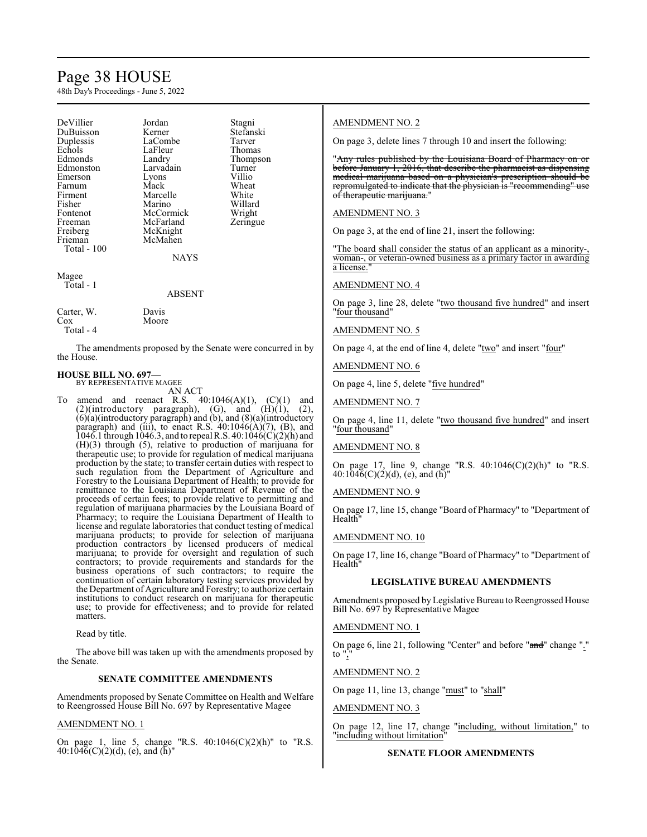# Page 38 HOUSE

48th Day's Proceedings - June 5, 2022

| Jordan      | Stagni    |
|-------------|-----------|
| Kerner      | Stefanski |
| LaCombe     | Tarver    |
| LaFleur     | Thomas    |
| Landry      | Thompson  |
| Larvadain   | Turner    |
| Lyons       | Villio    |
| Mack        | Wheat     |
| Marcelle    | White     |
| Marino      | Willard   |
| McCormick   | Wright    |
| McFarland   | Zeringue  |
|             |           |
| McMahen     |           |
|             |           |
| <b>NAYS</b> |           |
|             |           |
|             | McKnight  |

Total - 1

# ABSENT

| Carter, W. | Davis |
|------------|-------|
| Cox        | Moore |
| Total - 4  |       |

The amendments proposed by the Senate were concurred in by the House.

## **HOUSE BILL NO. 697—** BY REPRESENTATIVE MAGEE

AN ACT

To amend and reenact R.S.  $40:1046(A)(1)$ ,  $(C)(1)$  and  $(2)(introducing paragraph), (G), and (H)(1), (2),$  $(6)(a)$ (introductory paragraph) and  $(b)$ , and  $(8)(a)$ (introductory) paragraph) and (iii), to enact R.S.  $40:1046(A)(7)$ , (B), and 1046.1 through 1046.3, and to repeal R.S. 40:1046(C)(2)(h) and (H)(3) through (5), relative to production of marijuana for therapeutic use; to provide for regulation of medical marijuana production by the state; to transfer certain duties with respect to such regulation from the Department of Agriculture and Forestry to the Louisiana Department of Health; to provide for remittance to the Louisiana Department of Revenue of the proceeds of certain fees; to provide relative to permitting and regulation of marijuana pharmacies by the Louisiana Board of Pharmacy; to require the Louisiana Department of Health to license and regulate laboratories that conduct testing of medical marijuana products; to provide for selection of marijuana production contractors by licensed producers of medical marijuana; to provide for oversight and regulation of such contractors; to provide requirements and standards for the business operations of such contractors; to require the continuation of certain laboratory testing services provided by the Department of Agriculture and Forestry; to authorize certain institutions to conduct research on marijuana for therapeutic use; to provide for effectiveness; and to provide for related matters.

Read by title.

The above bill was taken up with the amendments proposed by the Senate.

# **SENATE COMMITTEE AMENDMENTS**

Amendments proposed by Senate Committee on Health and Welfare to Reengrossed House Bill No. 697 by Representative Magee

# AMENDMENT NO. 1

On page 1, line 5, change "R.S.  $40:1046(C)(2)(h)$ " to "R.S.  $40:104\bar{6}$ (C)(2)(d), (e), and (h)"

# AMENDMENT NO. 2

On page 3, delete lines 7 through 10 and insert the following:

"Any rules published by the Louisiana Board of Pharmacy on or before January 1, 2016, that describe the pharmacist as dispensing medical marijuana based on a physician's prescription should be repromulgated to indicate that the physician is "recommending" use of therapeutic marijuana.

# AMENDMENT NO. 3

On page 3, at the end of line 21, insert the following:

"The board shall consider the status of an applicant as a minority-, woman-, or veteran-owned business as a primary factor in awarding a license.

# AMENDMENT NO. 4

On page 3, line 28, delete "two thousand five hundred" and insert "four thousand"

# AMENDMENT NO. 5

On page 4, at the end of line 4, delete "two" and insert "four"

# AMENDMENT NO. 6

On page 4, line 5, delete "five hundred"

# AMENDMENT NO. 7

On page 4, line 11, delete "two thousand five hundred" and insert "four thousand"

# AMENDMENT NO. 8

On page 17, line 9, change "R.S. 40:1046(C)(2)(h)" to "R.S.  $40:1046(C)(2)(d)$ , (e), and (h)

# AMENDMENT NO. 9

On page 17, line 15, change "Board of Pharmacy" to "Department of Health"

# AMENDMENT NO. 10

On page 17, line 16, change "Board of Pharmacy" to "Department of Health"

# **LEGISLATIVE BUREAU AMENDMENTS**

Amendments proposed by Legislative Bureau to Reengrossed House Bill No. 697 by Representative Magee

# AMENDMENT NO. 1

On page 6, line 21, following "Center" and before "and" change "." to  $"$ ,

# AMENDMENT NO. 2

On page 11, line 13, change "must" to "shall"

# AMENDMENT NO. 3

On page 12, line 17, change "including, without limitation," to "including without limitation"

# **SENATE FLOOR AMENDMENTS**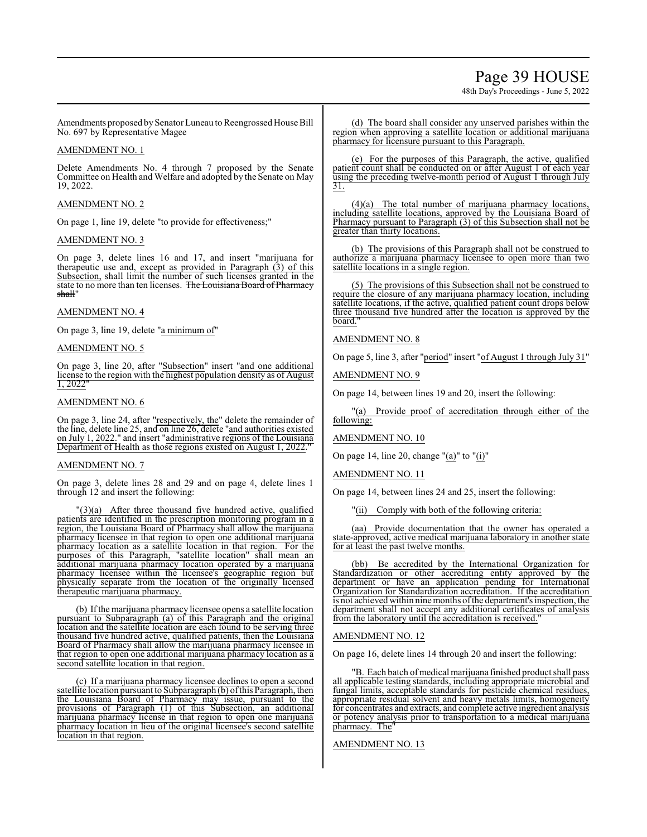# Page 39 HOUSE

48th Day's Proceedings - June 5, 2022

Amendments proposed by Senator Luneau to Reengrossed House Bill No. 697 by Representative Magee

# AMENDMENT NO. 1

Delete Amendments No. 4 through 7 proposed by the Senate Committee on Health and Welfare and adopted by the Senate on May 19, 2022.

# AMENDMENT NO. 2

On page 1, line 19, delete "to provide for effectiveness;"

# AMENDMENT NO. 3

On page 3, delete lines 16 and 17, and insert "marijuana for therapeutic use and, except as provided in Paragraph (3) of this Subsection, shall limit the number of such licenses granted in the state to no more than ten licenses. The Louisiana Board of Pharmacy shall'

# AMENDMENT NO. 4

On page 3, line 19, delete "a minimum of"

# AMENDMENT NO. 5

On page 3, line 20, after "Subsection" insert "and one additional license to the region with the highest population density as of August 1, 2022"

# AMENDMENT NO. 6

On page 3, line 24, after "respectively, the" delete the remainder of the line, delete line 25, and on line 26, delete "and authorities existed on July 1, 2022." and insert "administrative regions of the Louisiana Department of Health as those regions existed on August 1, 2022.

# AMENDMENT NO. 7

On page 3, delete lines 28 and 29 and on page 4, delete lines 1 through 12 and insert the following:

"(3)(a) After three thousand five hundred active, qualified patients are identified in the prescription monitoring program in a region, the Louisiana Board of Pharmacy shall allow the marijuana pharmacy licensee in that region to open one additional marijuana pharmacy location as a satellite location in that region. For the purposes of this Paragraph, "satellite location" shall mean an additional marijuana pharmacy location operated by a marijuana pharmacy licensee within the licensee's geographic region but physically separate from the location of the originally licensed therapeutic marijuana pharmacy.

(b) Ifthe marijuana pharmacy licensee opens a satellite location pursuant to Subparagraph (a) of this Paragraph and the original location and the satellite location are each found to be serving three thousand five hundred active, qualified patients, then the Louisiana Board of Pharmacy shall allow the marijuana pharmacy licensee in that region to open one additional marijuana pharmacy location as a second satellite location in that region.

(c) If a marijuana pharmacy licensee declines to open a second satellite location pursuant to Subparagraph (b) ofthis Paragraph, then the Louisiana Board of Pharmacy may issue, pursuant to the provisions of Paragraph (1) of this Subsection, an additional marijuana pharmacy license in that region to open one marijuana pharmacy location in lieu of the original licensee's second satellite location in that region.

(d) The board shall consider any unserved parishes within the region when approving a satellite location or additional marijuana pharmacy for licensure pursuant to this Paragraph.

(e) For the purposes of this Paragraph, the active, qualified patient count shall be conducted on or after August 1 of each year using the preceding twelve-month period of August 1 through July 31.

(4)(a) The total number of marijuana pharmacy locations, including satellite locations, approved by the Louisiana Board of Pharmacy pursuant to Paragraph (3) of this Subsection shall not be greater than thirty locations.

(b) The provisions of this Paragraph shall not be construed to authorize a marijuana pharmacy licensee to open more than two satellite locations in a single region.

(5) The provisions of this Subsection shall not be construed to require the closure of any marijuana pharmacy location, including satellite locations, if the active, qualified patient count drops below three thousand five hundred after the location is approved by the board.

# AMENDMENT NO. 8

On page 5, line 3, after "period" insert "of August 1 through July 31"

AMENDMENT NO. 9

On page 14, between lines 19 and 20, insert the following:

"(a) Provide proof of accreditation through either of the following:

AMENDMENT NO. 10

On page 14, line 20, change "(a)" to "(i)"

## AMENDMENT NO. 11

On page 14, between lines 24 and 25, insert the following:

"(ii) Comply with both of the following criteria:

(aa) Provide documentation that the owner has operated a state-approved, active medical marijuana laboratory in another state for at least the past twelve months.

(bb) Be accredited by the International Organization for Standardization or other accrediting entity approved by the department or have an application pending for International Organization for Standardization accreditation. If the accreditation is not achieved within nine months of the department's inspection, the department shall not accept any additional certificates of analysis from the laboratory until the accreditation is received.

# AMENDMENT NO. 12

On page 16, delete lines 14 through 20 and insert the following:

"B. Each batch of medical marijuana finished product shall pass all applicable testing standards, including appropriate microbial and fungal limits, acceptable standards for pesticide chemical residues, appropriate residual solvent and heavy metals limits, homogeneity for concentrates and extracts, and complete active ingredient analysis or potency analysis prior to transportation to a medical marijuana pharmacy. The"

AMENDMENT NO. 13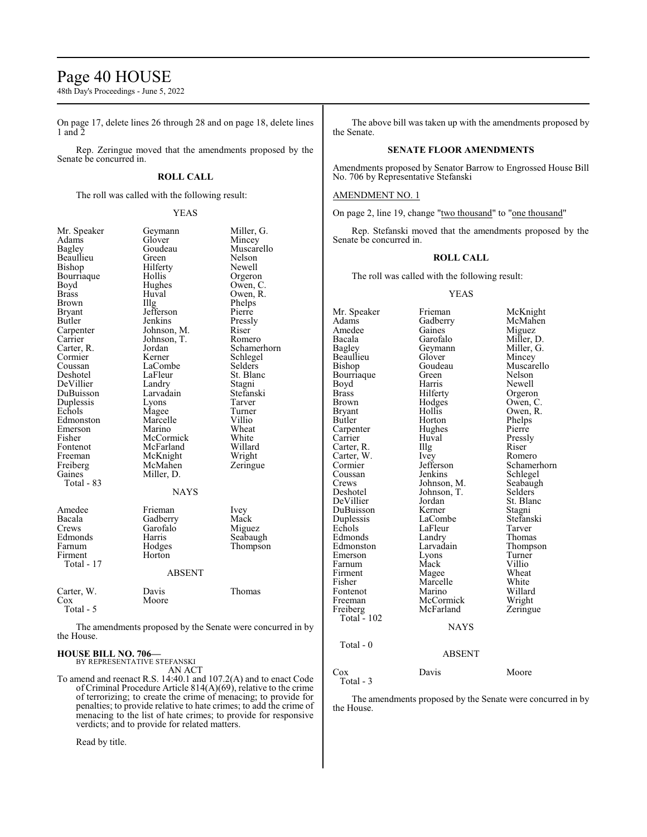# Page 40 HOUSE

48th Day's Proceedings - June 5, 2022

On page 17, delete lines 26 through 28 and on page 18, delete lines 1 and  $\bar{2}$ 

Rep. Zeringue moved that the amendments proposed by the Senate be concurred in.

# **ROLL CALL**

The roll was called with the following result:

# YEAS

| Mr. Speaker   | Geymann       | Miller, G.  |
|---------------|---------------|-------------|
| Adams         | Glover        | Mincey      |
| Bagley        | Goudeau       | Muscarello  |
| Beaullieu     | Green         | Nelson      |
| Bishop        | Hilferty      | Newell      |
| Bourriaque    | Hollis        | Orgeron     |
| Boyd          | Hughes        | Owen, C.    |
| <b>Brass</b>  | Huval         | Owen, R.    |
| Brown         | Illg          | Phelps      |
| <b>Bryant</b> | Jefferson     | Pierre      |
| <b>Butler</b> | Jenkins       | Pressly     |
| Carpenter     | Johnson, M.   | Riser       |
| Carrier       | Johnson, T.   | Romero      |
| Carter, R.    | Jordan        | Schamerhorn |
| Cormier       | Kerner        | Schlegel    |
| Coussan       | LaCombe       | Selders     |
| Deshotel      | LaFleur       | St. Blanc   |
| DeVillier     | Landry        | Stagni      |
| DuBuisson     | Larvadain     | Stefanski   |
| Duplessis     | Lyons         | Tarver      |
| Echols        | Magee         | Turner      |
| Edmonston     | Marcelle      | Villio      |
| Emerson       | Marino        | Wheat       |
| Fisher        | McCormick     | White       |
| Fontenot      | McFarland     | Willard     |
| Freeman       | McKnight      | Wright      |
| Freiberg      | McMahen       | Zeringue    |
| Gaines        | Miller, D.    |             |
| Total - 83    |               |             |
|               | <b>NAYS</b>   |             |
|               |               |             |
| Amedee        | Frieman       | Ivey        |
| Bacala        | Gadberry      | Mack        |
| Crews         | Garofalo      | Miguez      |
| Edmonds       | Harris        | Seabaugh    |
| Farnum        | Hodges        | Thompson    |
| Firment       | Horton        |             |
| Total - 17    |               |             |
|               | <b>ABSENT</b> |             |
|               |               |             |
| Carter, W.    | Davis         | Thomas      |
| Cox           | Moore         |             |
| Total - 5     |               |             |

The amendments proposed by the Senate were concurred in by the House.

# **HOUSE BILL NO. 706—** BY REPRESENTATIVE STEFANSKI

AN ACT

To amend and reenact R.S. 14:40.1 and 107.2(A) and to enact Code of Criminal Procedure Article 814(A)(69), relative to the crime of terrorizing; to create the crime of menacing; to provide for penalties; to provide relative to hate crimes; to add the crime of menacing to the list of hate crimes; to provide for responsive verdicts; and to provide for related matters.

Read by title.

The above bill was taken up with the amendments proposed by the Senate.

# **SENATE FLOOR AMENDMENTS**

Amendments proposed by Senator Barrow to Engrossed House Bill No. 706 by Representative Stefanski

# AMENDMENT NO. 1

On page 2, line 19, change "two thousand" to "one thousand"

Rep. Stefanski moved that the amendments proposed by the Senate be concurred in.

# **ROLL CALL**

The roll was called with the following result:

## YEAS

Mr. Speaker Frieman McKnight<br>
Adams Gadberry McMahen Adams Gadberry McMah<br>Amedee Gaines Miguez Amedee Gaines<br>Bacala Garofalo Bacala Garofalo Miller, D. Geymann Miller, G.<br>Glover Mincey Beaullieu Glover<br>Bishop Goudeau Goudeau Muscarello<br>Green Nelson Bourriaque Green<br>Boyd Harris Boyd Harris Newell<br>Brass Hilferty Orgeron Brass Hilferty Orgeron<br>Brown Hodges Owen, C Brown Hodges Owen, C.<br>Bryant Hollis Owen, R. Bryant Hollis Owen, R.<br>Butler Horton Phelps Horton Phelps<br>Hughes Pierre Carpenter Hughe<br>Carrier Huval Huval Pressly<br>
Illg Riser Carter, R. Carter, W. Ivey Romero<br>Cormier Jefferson Schame Cormier Jefferson Schamerhorn<br>
Coussan Jenkins Schlegel Coussan Jenkins Schlegel<br>Crews Johnson, M. Seabaugh Crews Johnson, M. Seabaugh<br>Deshotel Johnson, T. Selders Johnson, T. Selders<br>Jordan St. Blanc DeVillier Jordan St. Blanc<br>DuBuisson Kerner Stagni DuBuisson Kerner Stagni<br>
Duplessis LaCombe Stefanski Duplessis LaCombe Stefans<br>Echols LaFleur Tarver Example 11 LaFleur Tarver<br>
Example 12 Landry Thomas Edmonds Landry<br>Edmonston Larvadain Larvadain Thompson<br>
Lyons Turner Emerson Lyons Turner<br>
Farnum Mack Villio Farnum Mack Villio<br>Firment Mage Wheat Firment Mage Wheat<br>
Fisher Marcelle White Marcelle White<br>
Marino Willard Fontenot Marino Willard<br>Freeman McCormick Wright Freeman McCormick Wright<br>
Freiberg McFarland Zeringue McFarland Total - 102 NAYS Total - 0 ABSENT Cox Davis Moore Total - 3

The amendments proposed by the Senate were concurred in by the House.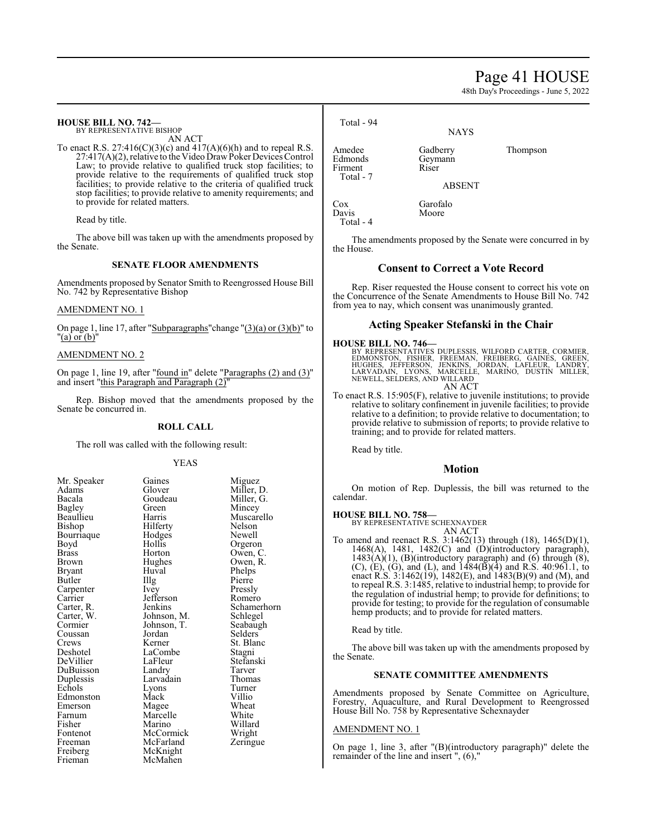# Page 41 HOUSE

48th Day's Proceedings - June 5, 2022

# **HOUSE BILL NO. 742—**

BY REPRESENTATIVE BISHOP AN ACT

To enact R.S.  $27:416(C)(3)(c)$  and  $417(A)(6)(h)$  and to repeal R.S.  $27:417(A)(2)$ , relative to the Video Draw Poker Devices Control Law; to provide relative to qualified truck stop facilities; to provide relative to the requirements of qualified truck stop facilities; to provide relative to the criteria of qualified truck stop facilities; to provide relative to amenity requirements; and to provide for related matters.

Read by title.

The above bill was taken up with the amendments proposed by the Senate.

# **SENATE FLOOR AMENDMENTS**

Amendments proposed by Senator Smith to Reengrossed House Bill No. 742 by Representative Bishop

# AMENDMENT NO. 1

On page 1, line 17, after "Subparagraphs" change " $(3)(a)$  or  $(3)(b)$ " to "(a) or (b)"

# AMENDMENT NO. 2

On page 1, line 19, after "found in" delete "Paragraphs (2) and (3)" and insert "this Paragraph and Paragraph  $(2)$ "

Rep. Bishop moved that the amendments proposed by the Senate be concurred in.

# **ROLL CALL**

The roll was called with the following result:

Hodges<br>Hollis

Hughes<br>Huval

Jefferson<br>Jenkins

# YEAS

| Mr. Speaker              |
|--------------------------|
| Adams                    |
| Bacala                   |
| <b>Bagley</b>            |
| Beaullieu                |
| Bishop                   |
| Bourriaque               |
| Boyd                     |
| <b>Brass</b>             |
| <b>Brown</b>             |
| Bryant                   |
| Butler                   |
|                          |
| Carpenter<br>Carrier     |
|                          |
| Carter, R.<br>Carter, W. |
| Cormier                  |
| Coussan                  |
| Crews                    |
| Deshotel                 |
| DeVillier                |
| DuBuisson                |
| Duplessis                |
| Echols                   |
| Edmonston                |
| Emerson                  |
| Farnum                   |
| Fisher                   |
| Fontenot                 |
| Freeman                  |
| Freiberg                 |
| Frieman                  |

Gaines Miguez<br>Glover Miller. Glover Miller, D.<br>Goudeau Miller, G. Goudeau Miller, G.<br>Green Mincey Green Mincey<br>Harris Muscar Muscarello<br>Nelson Hilferty Nelson<br>Hodges Newell Hollis Orgeron<br>Horton Owen, C Owen, C.<br>Owen, R. Huval Phelps<br>Illg Pierre Illg Pierre<br>Ivev Pressly Pressly<br>Romero Schamerhorn<br>Schlegel Johnson, M. Schlegel<br>Johnson, T. Seabaugh Johnson, T.<br>Jordan Jordan Selders<br>Kerner St. Blan St. Blanc<br>Stagni LaCombe<br>LaFleur Stefanski<br>Tarver Landry Tarver<br>
Larvadain Thomas Larvadain Thomas<br>Lyons Turner Lyons Turne<br>
Mack Villio Edmonston Mack Villio Magee Wheat<br>
Marcelle White Marcelle White<br>Marino Willard Marino Willard<br>
McCormick Wright McCormick Wright<br>
McFarland Zeringue McFarland McKnight McMahen

Total - 94

Amedee Gadberry Thompson<br>Edmonds Gevmann Firment Total - 7

**NAYS** 

Geymann<br>Riser

ABSENT

Cox Garofalo<br>Davis Moore Davis Total - 4

The amendments proposed by the Senate were concurred in by the House.

# **Consent to Correct a Vote Record**

Rep. Riser requested the House consent to correct his vote on the Concurrence of the Senate Amendments to House Bill No. 742 from yea to nay, which consent was unanimously granted.

# **Acting Speaker Stefanski in the Chair**

# **HOUSE BILL NO. 746—**

BY REPRESENTATIVES DUPLESSIS, WILFORD CARTER, CORMIER,<br>EDMONSTON, FISHER, FREEMAN, FREIBERG, GAINES, GREEN,<br>HUGHES, JEFFERSON, JENKINS, JORDAN, LAFLEUR, LANDRY,<br>LARVADAIN, LYONS, MARCELLE, MARINO, DUSTIN MILLER, NEWELL, SELDERS, AND WILLARD AN ACT

To enact R.S. 15:905(F), relative to juvenile institutions; to provide relative to solitary confinement in juvenile facilities; to provide relative to a definition; to provide relative to documentation; to provide relative to submission of reports; to provide relative to training; and to provide for related matters.

Read by title.

# **Motion**

On motion of Rep. Duplessis, the bill was returned to the calendar.

# **HOUSE BILL NO. 758—**

BY REPRESENTATIVE SCHEXNAYDER AN ACT

To amend and reenact R.S. 3:1462(13) through (18), 1465(D)(1),  $1468(A)$ ,  $1481$ ,  $1482(C)$  and  $(D)(introduction$  paragraph),  $1483(A)(1)$ , (B)(introductory paragraph) and (6) through (8), (C), (E), (G), and (L), and 1484(B)(4) and R.S. 40:961.1, to enact R.S. 3:1462(19), 1482(E), and 1483(B)(9) and (M), and to repeal R.S. 3:1485, relative to industrial hemp; to provide for the regulation of industrial hemp; to provide for definitions; to provide for testing; to provide for the regulation of consumable hemp products; and to provide for related matters.

Read by title.

The above bill was taken up with the amendments proposed by the Senate.

# **SENATE COMMITTEE AMENDMENTS**

Amendments proposed by Senate Committee on Agriculture, Forestry, Aquaculture, and Rural Development to Reengrossed House Bill No. 758 by Representative Schexnayder

# AMENDMENT NO. 1

On page 1, line 3, after "(B)(introductory paragraph)" delete the remainder of the line and insert ", (6),"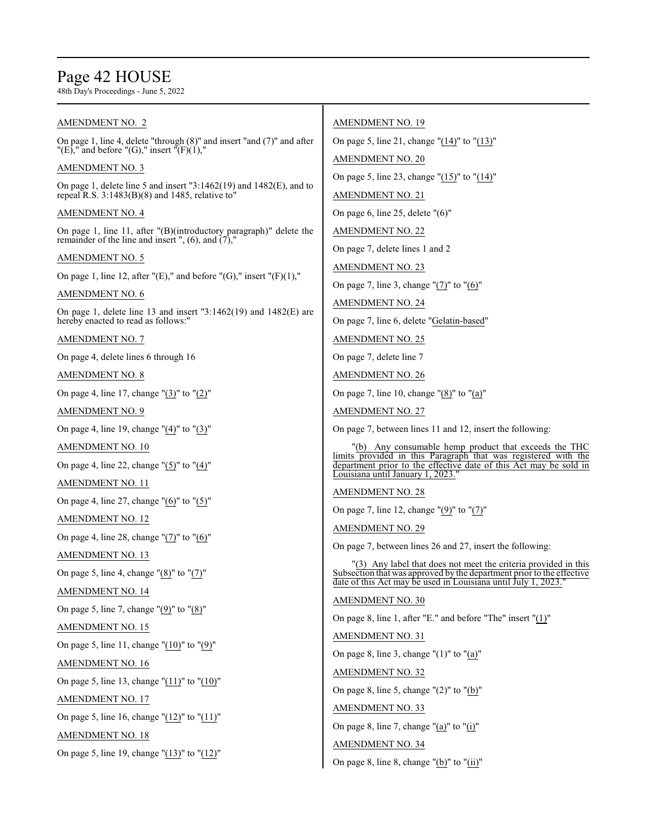# Page 42 HOUSE

48th Day's Proceedings - June 5, 2022

| AMENDMENT NO. 2                                                                                                                | <b>AMENDMENT NO. 19</b>                                                                                                                 |
|--------------------------------------------------------------------------------------------------------------------------------|-----------------------------------------------------------------------------------------------------------------------------------------|
| On page 1, line 4, delete "through $(8)$ " and insert "and $(7)$ " and after<br>"(E)," and before "(G)," insert "(F)(1),"      | On page 5, line 21, change " $(14)$ " to " $(13)$ "                                                                                     |
| <b>AMENDMENT NO. 3</b>                                                                                                         | <b>AMENDMENT NO. 20</b>                                                                                                                 |
| On page 1, delete line 5 and insert $"3:1462(19)$ and $1482(E)$ , and to                                                       | On page 5, line 23, change "(15)" to "(14)"                                                                                             |
| repeal R.S. $3:1483(B)(8)$ and 1485, relative to"                                                                              | <b>AMENDMENT NO. 21</b>                                                                                                                 |
| <b>AMENDMENT NO. 4</b>                                                                                                         | On page 6, line 25, delete $"(6)"$                                                                                                      |
| On page 1, line 11, after "(B)(introductory paragraph)" delete the<br>remainder of the line and insert ", $(6)$ , and $(7)$ ," | <b>AMENDMENT NO. 22</b>                                                                                                                 |
| <b>AMENDMENT NO. 5</b>                                                                                                         | On page 7, delete lines 1 and 2                                                                                                         |
| On page 1, line 12, after "(E)," and before "(G)," insert "(F)(1),"                                                            | <b>AMENDMENT NO. 23</b>                                                                                                                 |
| <b>AMENDMENT NO. 6</b>                                                                                                         | On page 7, line 3, change $''(7)''$ to $''(6)''$                                                                                        |
| On page 1, delete line 13 and insert $"3:1462(19)$ and $1482(E)$ are                                                           | <b>AMENDMENT NO. 24</b>                                                                                                                 |
| hereby enacted to read as follows:"                                                                                            | On page 7, line 6, delete "Gelatin-based"                                                                                               |
| <b>AMENDMENT NO. 7</b>                                                                                                         | <b>AMENDMENT NO. 25</b>                                                                                                                 |
| On page 4, delete lines 6 through 16                                                                                           | On page 7, delete line 7                                                                                                                |
| <b>AMENDMENT NO. 8</b>                                                                                                         | <b>AMENDMENT NO. 26</b>                                                                                                                 |
| On page 4, line 17, change " $(3)$ " to " $(2)$ "                                                                              | On page 7, line 10, change " $(8)$ " to " $(a)$ "                                                                                       |
| <b>AMENDMENT NO. 9</b>                                                                                                         | <b>AMENDMENT NO. 27</b>                                                                                                                 |
| On page 4, line 19, change $''(4)''$ to $''(3)''$                                                                              | On page 7, between lines 11 and 12, insert the following:                                                                               |
| <b>AMENDMENT NO. 10</b>                                                                                                        | "(b) Any consumable hemp product that exceeds the THC<br>limits provided in this Paragraph that was registered with the                 |
| On page 4, line 22, change " $(5)$ " to " $(4)$ "                                                                              | department prior to the effective date of this Act may be sold in<br>Louisiana until January 1, 2023.'                                  |
| AMENDMENT NO. 11                                                                                                               | <b>AMENDMENT NO. 28</b>                                                                                                                 |
| On page 4, line 27, change " $(6)$ " to " $(5)$ "                                                                              | On page 7, line 12, change " $(9)$ " to " $(7)$ "                                                                                       |
| <b>AMENDMENT NO. 12</b>                                                                                                        | <b>AMENDMENT NO. 29</b>                                                                                                                 |
| On page 4, line 28, change " $(7)$ " to " $(6)$ "                                                                              | On page 7, between lines 26 and 27, insert the following:                                                                               |
| <b>AMENDMENT NO. 13</b>                                                                                                        | "(3) Any label that does not meet the criteria provided in this                                                                         |
| On page 5, line 4, change " $(8)$ " to " $(7)$ "                                                                               | Subsection that was approved by the department prior to the effective<br>date of this Act may be used in Louisiana until July 1, 2023." |
| AMENDMENT NO. 14                                                                                                               | <b>AMENDMENT NO. 30</b>                                                                                                                 |
| On page 5, line 7, change " $(9)$ " to " $(8)$ "                                                                               | On page 8, line 1, after "E." and before "The" insert " $(1)$ "                                                                         |
| <b>AMENDMENT NO. 15</b>                                                                                                        | <b>AMENDMENT NO. 31</b>                                                                                                                 |
| On page 5, line 11, change " $(10)$ " to " $(9)$ "                                                                             | On page 8, line 3, change " $(1)$ " to " $(a)$ "                                                                                        |
| <b>AMENDMENT NO. 16</b>                                                                                                        | <b>AMENDMENT NO. 32</b>                                                                                                                 |
| On page 5, line 13, change " $(11)$ " to " $(10)$ "                                                                            | On page 8, line 5, change " $(2)$ " to " $(b)$ "                                                                                        |
| <b>AMENDMENT NO. 17</b>                                                                                                        | <b>AMENDMENT NO. 33</b>                                                                                                                 |
| On page 5, line 16, change " $(12)$ " to " $(11)$ "                                                                            | On page 8, line 7, change " $(a)$ " to " $(i)$ "                                                                                        |
| <b>AMENDMENT NO. 18</b>                                                                                                        | <b>AMENDMENT NO. 34</b>                                                                                                                 |
| On page 5, line 19, change "(13)" to "(12)"                                                                                    | On page 8, line 8, change " $(b)$ " to " $(ii)$ "                                                                                       |
|                                                                                                                                |                                                                                                                                         |
|                                                                                                                                |                                                                                                                                         |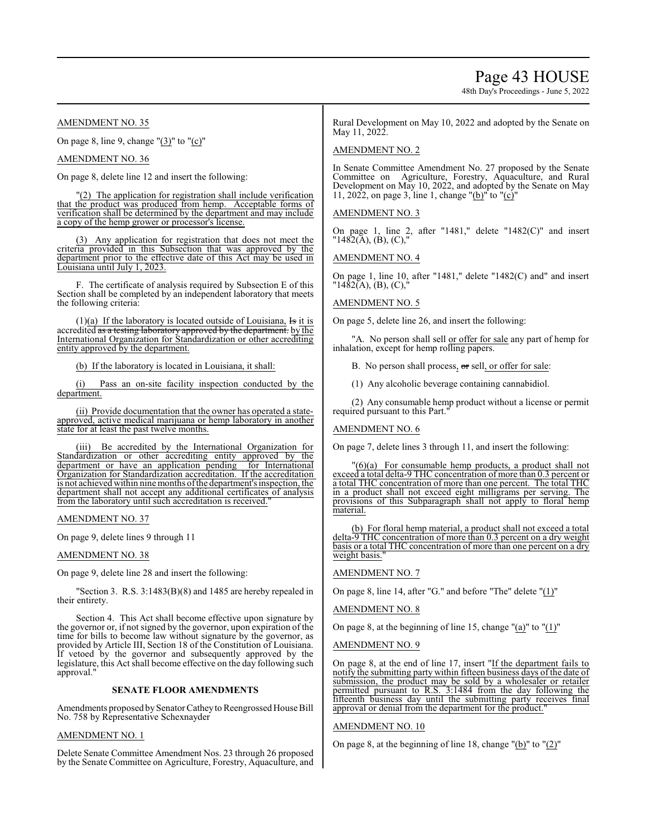# Page 43 HOUSE

48th Day's Proceedings - June 5, 2022

AMENDMENT NO. 35

On page 8, line 9, change  $(3)$ " to  $(0)$ "

AMENDMENT NO. 36

On page 8, delete line 12 and insert the following:

(2) The application for registration shall include verification that the product was produced from hemp. Acceptable forms of verification shall be determined by the department and may include a copy of the hemp grower or processor's license.

(3) Any application for registration that does not meet the criteria provided in this Subsection that was approved by the department prior to the effective date of this Act may be used in Louisiana until July 1, 2023.

F. The certificate of analysis required by Subsection E of this Section shall be completed by an independent laboratory that meets the following criteria:

(1)(a) If the laboratory is located outside of Louisiana,  $\overline{15}$  it is accredited <del>as a testing laboratory approved by the department.</del> by the International Organization for Standardization or other accrediting entity approved by the department.

(b) If the laboratory is located in Louisiana, it shall:

(i) Pass an on-site facility inspection conducted by the department.

(ii) Provide documentation that the owner has operated a stateapproved, active medical marijuana or hemp laboratory in another state for at least the past twelve months.

(iii) Be accredited by the International Organization for Standardization or other accrediting entity approved by the department or have an application pending for International Organization for Standardization accreditation. If the accreditation is not achieved within nine months of the department's inspection, the department shall not accept any additional certificates of analysis from the laboratory until such accreditation is received.

AMENDMENT NO. 37

On page 9, delete lines 9 through 11

AMENDMENT NO. 38

On page 9, delete line 28 and insert the following:

"Section 3. R.S. 3:1483(B)(8) and 1485 are hereby repealed in their entirety.

Section 4. This Act shall become effective upon signature by the governor or, if not signed by the governor, upon expiration of the time for bills to become law without signature by the governor, as provided by Article III, Section 18 of the Constitution of Louisiana. If vetoed by the governor and subsequently approved by the legislature, this Act shall become effective on the day following such approval."

# **SENATE FLOOR AMENDMENTS**

Amendments proposed by Senator Cathey to Reengrossed House Bill No. 758 by Representative Schexnayder

# AMENDMENT NO. 1

Delete Senate Committee Amendment Nos. 23 through 26 proposed by the Senate Committee on Agriculture, Forestry, Aquaculture, and

Rural Development on May 10, 2022 and adopted by the Senate on May 11, 2022.

# AMENDMENT NO. 2

In Senate Committee Amendment No. 27 proposed by the Senate Committee on Agriculture, Forestry, Aquaculture, and Rural Development on May 10, 2022, and adopted by the Senate on May 11, 2022, on page 3, line 1, change " $(b)$ " to " $(c)$ "

# AMENDMENT NO. 3

On page 1, line 2, after "1481," delete "1482(C)" and insert "1482(A), (B), (C),"

AMENDMENT NO. 4

On page 1, line 10, after "1481," delete "1482(C) and" and insert  $"14\&2(A), (B), (C),"$ 

# AMENDMENT NO. 5

On page 5, delete line 26, and insert the following:

"A. No person shall sell or offer for sale any part of hemp for inhalation, except for hemp rolling papers.

B. No person shall process, or sell, or offer for sale:

(1) Any alcoholic beverage containing cannabidiol.

(2) Any consumable hemp product without a license or permit required pursuant to this Part."

# AMENDMENT NO. 6

On page 7, delete lines 3 through 11, and insert the following:

"(6)(a) For consumable hemp products, a product shall not exceed a total delta-9 THC concentration of more than 0.3 percent or a total THC concentration of more than one percent. The total THC in a product shall not exceed eight milligrams per serving. The provisions of this Subparagraph shall not apply to floral hemp material.

(b) For floral hemp material, a product shall not exceed a total delta-9 THC concentration of more than 0.3 percent on a dry weight basis or a total THC concentration of more than one percent on a dry weight basis.

AMENDMENT NO. 7

On page 8, line 14, after "G." and before "The" delete "(1)"

# AMENDMENT NO. 8

On page 8, at the beginning of line 15, change "(a)" to "(1)"

# AMENDMENT NO. 9

On page 8, at the end of line 17, insert "If the department fails to notify the submitting party within fifteen business days of the date of submission, the product may be sold by a wholesaler or retailer permitted pursuant to R.S. 3:1484 from the day following the fifteenth business day until the submitting party receives final approval or denial from the department for the product."

# AMENDMENT NO. 10

On page 8, at the beginning of line 18, change "(b)" to "(2)"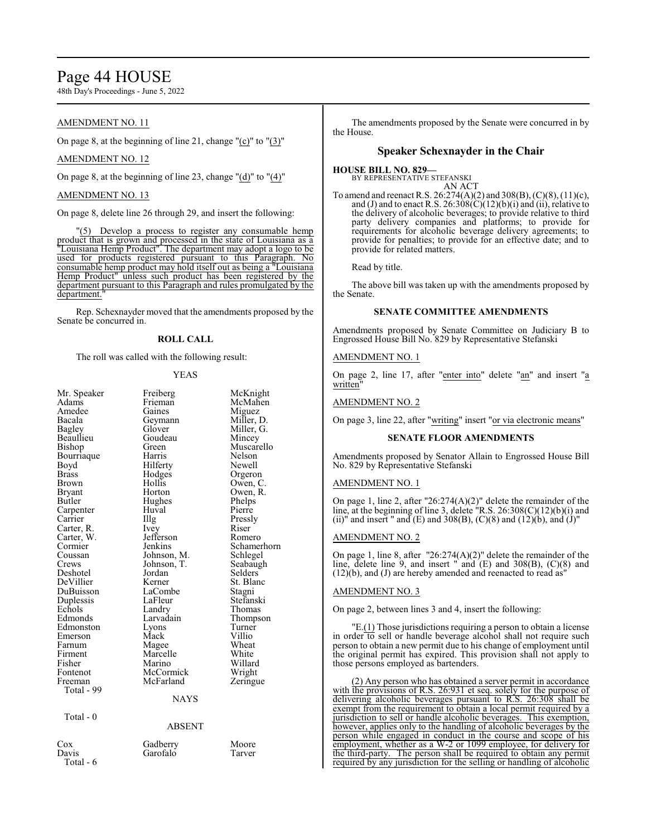# Page 44 HOUSE

48th Day's Proceedings - June 5, 2022

# AMENDMENT NO. 11

On page 8, at the beginning of line 21, change  $"({c})"$  to  $"({3})"$ 

# AMENDMENT NO. 12

On page 8, at the beginning of line 23, change "(d)" to "(4)"

# AMENDMENT NO. 13

On page 8, delete line 26 through 29, and insert the following:

"(5) Develop a process to register any consumable hemp product that is grown and processed in the state of Louisiana as a "Louisiana Hemp Product". The department may adopt a logo to be used for products registered pursuant to this Paragraph. No consumable hemp product may hold itself out as being a "Louisiana Hemp Product" unless such product has been registered by the department pursuant to this Paragraph and rules promulgated by the department.

Rep. Schexnayder moved that the amendments proposed by the Senate be concurred in.

# **ROLL CALL**

The roll was called with the following result:

# YEAS

| Mr. Speaker<br>Adams<br>Amedee<br>Bacala<br>Bagley<br>Beaullieu<br>Bishop<br>Bourriaque<br>Boyd<br><b>Brass</b><br><b>Brown</b><br>Bryant<br>Butler<br>Carpenter<br>Carrier<br>Carter, R.<br>Carter, W.<br>Cormier<br>Coussan<br>Crews<br>Deshotel<br>DeVillier<br>DuBuisson<br>Duplessis<br>Echols<br>Edmonds<br>Edmonston<br>Emerson<br>Farnum | Freiberg<br>Frieman<br>Gaines<br>Geymann<br>Glover<br>Goudeau<br>Green<br>Harris<br>Hilferty<br>Hodges<br>Hollis<br>Horton<br>Hughes<br>Huval<br>Illg<br>Ivey<br>Jefferson<br>Jenkins<br>Johnson, M.<br>Johnson, T.<br>Jordan<br>Kerner<br>LaCombe<br>LaFleur<br>Landry<br>Larvadain<br>Lyons<br>Mack<br>Magee | McKnight<br>McMahen<br>Miguez<br>Miller, D.<br>Miller, G.<br>Mincey<br>Muscarello<br>Nelson<br>Newell<br>Orgeron<br>Owen, C.<br>Owen, R.<br>Phelps<br>Pierre<br>Pressly<br>Riser<br>Romero<br>Schamerhorn<br>Schlegel<br>Seabaugh<br>Selders<br>St. Blanc<br>Stagni<br>Stefanski<br>Thomas<br>Thompson<br>Turner<br>Villio<br>Wheat |
|--------------------------------------------------------------------------------------------------------------------------------------------------------------------------------------------------------------------------------------------------------------------------------------------------------------------------------------------------|----------------------------------------------------------------------------------------------------------------------------------------------------------------------------------------------------------------------------------------------------------------------------------------------------------------|-------------------------------------------------------------------------------------------------------------------------------------------------------------------------------------------------------------------------------------------------------------------------------------------------------------------------------------|
| Firment<br>Fisher<br>Fontenot                                                                                                                                                                                                                                                                                                                    | Marcelle<br>Marino<br>McCormick                                                                                                                                                                                                                                                                                | White<br>Willard<br>Wright                                                                                                                                                                                                                                                                                                          |
| Freeman<br>Total - 99                                                                                                                                                                                                                                                                                                                            | McFarland<br><b>NAYS</b>                                                                                                                                                                                                                                                                                       | Zeringue                                                                                                                                                                                                                                                                                                                            |
| Total - 0                                                                                                                                                                                                                                                                                                                                        | <b>ABSENT</b>                                                                                                                                                                                                                                                                                                  |                                                                                                                                                                                                                                                                                                                                     |
| $\cos$<br>Davis<br>Total - 6                                                                                                                                                                                                                                                                                                                     | Gadberry<br>Garofalo                                                                                                                                                                                                                                                                                           | Moore<br>Tarver                                                                                                                                                                                                                                                                                                                     |

The amendments proposed by the Senate were concurred in by the House.

# **Speaker Schexnayder in the Chair**

## **HOUSE BILL NO. 829—** BY REPRESENTATIVE STEFANSKI AN ACT

To amend and reenact R.S. 26:274(A)(2) and 308(B), (C)(8), (11)(c), and (J) and to enact R.S.  $26:308(C)(12)(b)(i)$  and (ii), relative to the delivery of alcoholic beverages; to provide relative to third party delivery companies and platforms; to provide for requirements for alcoholic beverage delivery agreements; to provide for penalties; to provide for an effective date; and to provide for related matters.

Read by title.

The above bill was taken up with the amendments proposed by the Senate.

# **SENATE COMMITTEE AMENDMENTS**

Amendments proposed by Senate Committee on Judiciary B to Engrossed House Bill No. 829 by Representative Stefanski

# AMENDMENT NO. 1

On page 2, line 17, after "enter into" delete "an" and insert "a written

# AMENDMENT NO. 2

On page 3, line 22, after "writing" insert "or via electronic means"

# **SENATE FLOOR AMENDMENTS**

Amendments proposed by Senator Allain to Engrossed House Bill No. 829 by Representative Stefanski

# AMENDMENT NO. 1

On page 1, line 2, after "26:274(A)(2)" delete the remainder of the line, at the beginning of line 3, delete "R.S. 26:308(C)(12)(b)(i) and (ii)" and insert " and  $(E)$  and  $308(B)$ ,  $(C)(8)$  and  $(12)(b)$ , and  $(J)$ "

# AMENDMENT NO. 2

On page 1, line 8, after "26:274(A)(2)" delete the remainder of the line, delete line 9, and insert " and (E) and 308(B), (C)(8) and (12)(b), and (J) are hereby amended and reenacted to read as"

# AMENDMENT NO. 3

On page 2, between lines 3 and 4, insert the following:

"E.(1) Those jurisdictions requiring a person to obtain a license in order to sell or handle beverage alcohol shall not require such person to obtain a new permit due to his change of employment until the original permit has expired. This provision shall not apply to those persons employed as bartenders.

(2) Any person who has obtained a server permit in accordance with the provisions of R.S. 26:931 et seq. solely for the purpose of delivering alcoholic beverages pursuant to R.S. 26:308 shall be exempt from the requirement to obtain a local permit required by a jurisdiction to sell or handle alcoholic beverages. This exemption, however, applies only to the handling of alcoholic beverages by the person while engaged in conduct in the course and scope of his employment, whether as a W-2 or 1099 employee, for delivery for the third-party. The person shall be required to obtain any permit required by any jurisdiction for the selling or handling of alcoholic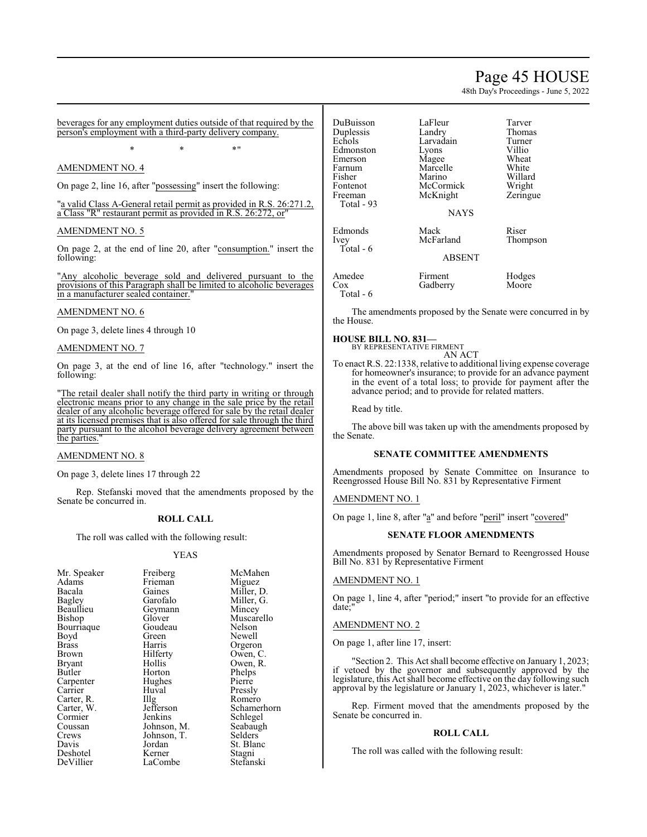# Page 45 HOUSE

48th Day's Proceedings - June 5, 2022

beverages for any employment duties outside of that required by the person's employment with a third-party delivery company.

 $*$  \*  $*$  \*  $*$  "

# AMENDMENT NO. 4

On page 2, line 16, after "possessing" insert the following:

"a valid Class A-General retail permit as provided in R.S. 26:271.2, a Class "R" restaurant permit as provided in R.S. 26:272, or"

# AMENDMENT NO. 5

On page 2, at the end of line 20, after "consumption." insert the following:

"Any alcoholic beverage sold and delivered pursuant to the provisions of this Paragraph shall be limited to alcoholic beverages in a manufacturer sealed container.

# AMENDMENT NO. 6

On page 3, delete lines 4 through 10

# AMENDMENT NO. 7

On page 3, at the end of line 16, after "technology." insert the following:

"The retail dealer shall notify the third party in writing or through electronic means prior to any change in the sale price by the retail dealer of any alcoholic beverage offered for sale by the retail dealer at its licensed premises that is also offered for sale through the third party pursuant to the alcohol beverage delivery agreement between the parties."

## AMENDMENT NO. 8

On page 3, delete lines 17 through 22

Rep. Stefanski moved that the amendments proposed by the Senate be concurred in.

# **ROLL CALL**

The roll was called with the following result:

## YEAS

McMahen Miguez Miller, D. Miller, G. Mincey Muscarello Nelson Newell Orgeron Owen, C. Owen, R. Phelps Pierre Pressly Romero Schamerhorn Schlegel Seabaugh Selders St. Blanc Stagni Stefanski

| Mr. Speaker | Freiberg    |
|-------------|-------------|
| Adams       | Frieman     |
| Bacala      | Gaines      |
| Bagley      | Garofalo    |
| Beaullieu   | Geymann     |
| Bishop      | Glover      |
| Bourriaque  | Goudeau     |
| Boyd        | Green       |
| Brass       | Harris      |
| Brown       | Hilferty    |
| Bryant      | Hollis      |
| Butler      | Horton      |
| Carpenter   | Hughes      |
| Carrier     | Huval       |
| Carter, R.  | Illg        |
| Carter, W.  | Jefferson   |
| Cormier     | Jenkins     |
| Coussan     | Johnson, M. |
| Crews       | Johnson, T. |
| Davis       | Jordan      |
| Deshotel    | Kerner      |
| DeVillier   | LaCombe     |
|             |             |

DuBuisson LaFleur Tarver Duplessis Landry Thoma<br>
Echols Larvadain Turner Larvadain Turner<br>Lyons Villio Edmonston Lyons Villio<br>
Emerson Magee Wheat Emerson Magee Wheat<br>
Farnum Marcelle White Marcelle Fisher Marino Willard<br>Fontenot McCormick Wright Fontenot McCormick Wright<br>
Freeman McKnight Zeringue McKnight Total - 93 NAYS Edmonds Mack Riser<br>
Ivey McFarland Thompson McFarland Total - 6 ABSENT Amedee Firment Hodges<br>
Cox Gadberry Moore Cox Gadberry

Total - 6

The amendments proposed by the Senate were concurred in by the House.

### **HOUSE BILL NO. 831—** BY REPRESENTATIVE FIRMENT

AN ACT

To enact R.S. 22:1338, relative to additional living expense coverage for homeowner's insurance; to provide for an advance payment in the event of a total loss; to provide for payment after the advance period; and to provide for related matters.

Read by title.

The above bill was taken up with the amendments proposed by the Senate.

# **SENATE COMMITTEE AMENDMENTS**

Amendments proposed by Senate Committee on Insurance to Reengrossed House Bill No. 831 by Representative Firment

# AMENDMENT NO. 1

On page 1, line 8, after "a" and before "peril" insert "covered"

# **SENATE FLOOR AMENDMENTS**

Amendments proposed by Senator Bernard to Reengrossed House Bill No. 831 by Representative Firment

# AMENDMENT NO. 1

On page 1, line 4, after "period;" insert "to provide for an effective date;"

# AMENDMENT NO. 2

On page 1, after line 17, insert:

"Section 2. This Act shall become effective on January 1, 2023; if vetoed by the governor and subsequently approved by the legislature, this Act shall become effective on the day following such approval by the legislature or January 1, 2023, whichever is later."

Rep. Firment moved that the amendments proposed by the Senate be concurred in.

# **ROLL CALL**

The roll was called with the following result: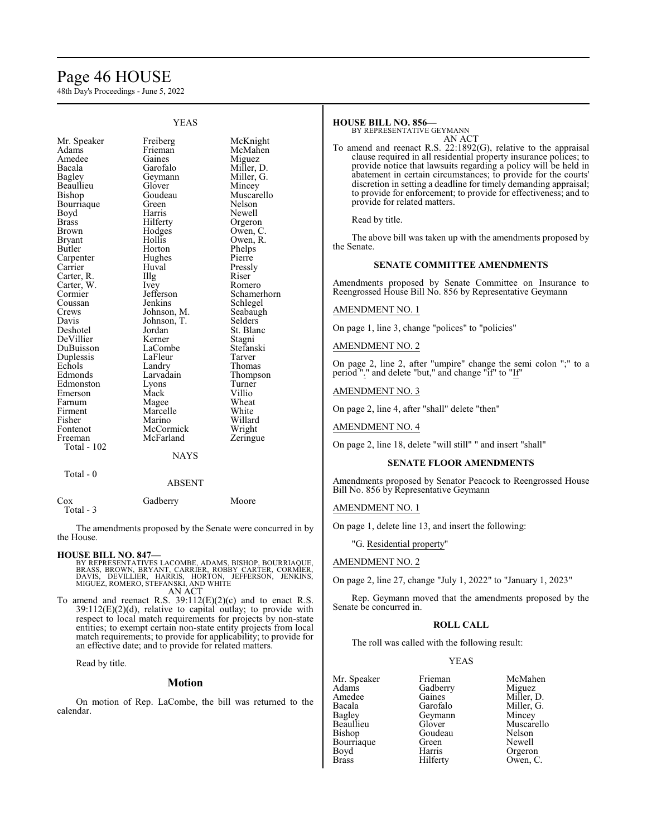# Page 46 HOUSE

48th Day's Proceedings - June 5, 2022

|                                                                                                                                                                                                                                                                                                                                                                  | <b>YEAS</b>                                                                                                                                                                                                                                                                                                                                      |                                                                                                                                                                                                                                                                                                                                                                   |
|------------------------------------------------------------------------------------------------------------------------------------------------------------------------------------------------------------------------------------------------------------------------------------------------------------------------------------------------------------------|--------------------------------------------------------------------------------------------------------------------------------------------------------------------------------------------------------------------------------------------------------------------------------------------------------------------------------------------------|-------------------------------------------------------------------------------------------------------------------------------------------------------------------------------------------------------------------------------------------------------------------------------------------------------------------------------------------------------------------|
| Mr. Speaker<br>Adams<br>Amedee<br>Bacala<br>Bagley<br>Beaullieu<br>Bishop<br>Bourriaque<br>Boyd<br>Brass<br>Brown<br>Bryant<br>Butler<br>Carpenter<br>Carrier<br>Carter, R.<br>Carter, W.<br>Cormier<br>Coussan<br>Crews<br>Davis<br>Deshotel<br>DeVillier<br>DuBuisson<br>Duplessis<br>Echols<br>Edmonds<br>Edmonston<br>Emerson<br>Farnum<br>Firment<br>Fisher | Freiberg<br>Frieman<br>Gaines<br>Garofalo<br>Geymann<br>Glover<br>Goudeau<br>Green<br>Harris<br>Hilferty<br>Hodges<br>Hollis<br>Horton<br>Hughes<br>Huval<br>Illg<br>Ivey<br>Jefferson<br>Jenkins<br>Johnson, M.<br>Johnson, T.<br>Jordan<br>Kerner<br>LaCombe<br>LaFleur<br>Landry<br>Larvadain<br>Lyons<br>Mack<br>Magee<br>Marcelle<br>Marino | McKnight<br>McMahen<br>Miguez<br>Miller, D.<br>Miller, G.<br>Mincey<br>Muscarello<br>Nelson<br>Newell<br>Orgeron<br>Owen, C.<br>Owen, R.<br>Phelps<br>Pierre<br>Pressly<br>Riser<br>Romero<br>Schamerhorn<br>Schlegel<br>Seabaugh<br>Selders<br>St. Blanc<br>Stagni<br>Stefanski<br>Tarver<br>Thomas<br>Thompson<br>Turner<br>Villio<br>Wheat<br>White<br>Willard |
|                                                                                                                                                                                                                                                                                                                                                                  |                                                                                                                                                                                                                                                                                                                                                  |                                                                                                                                                                                                                                                                                                                                                                   |
|                                                                                                                                                                                                                                                                                                                                                                  |                                                                                                                                                                                                                                                                                                                                                  |                                                                                                                                                                                                                                                                                                                                                                   |
| Fontenot<br>Freeman                                                                                                                                                                                                                                                                                                                                              | McCormick<br>McFarland                                                                                                                                                                                                                                                                                                                           | Wright<br>Zeringue                                                                                                                                                                                                                                                                                                                                                |
| Total - 102                                                                                                                                                                                                                                                                                                                                                      | <b>NAYS</b>                                                                                                                                                                                                                                                                                                                                      |                                                                                                                                                                                                                                                                                                                                                                   |
| Total - 0                                                                                                                                                                                                                                                                                                                                                        |                                                                                                                                                                                                                                                                                                                                                  |                                                                                                                                                                                                                                                                                                                                                                   |

| Cox       | Gadberry | Moore |
|-----------|----------|-------|
| Total - 3 |          |       |

The amendments proposed by the Senate were concurred in by the House.

ABSENT

# **HOUSE BILL NO. 847—**

- BY REPRESENTATIVES LACOMBE, ADAMS, BISHOP, BOURRIAQUE,<br>BRASS, BROWN, BRYANT, CARRIER, ROBBY CARTER, CORMIER,<br>DAVIS, DEVILLIER, HARRIS, HORTON, JEFFERSON, JENKINS,<br>MIGUEZ, ROMERO, STEFANSKI, AND WHITE AN ACT
- To amend and reenact R.S. 39:112(E)(2)(c) and to enact R.S.  $39:112(E)(2)(d)$ , relative to capital outlay; to provide with respect to local match requirements for projects by non-state entities; to exempt certain non-state entity projects from local match requirements; to provide for applicability; to provide for an effective date; and to provide for related matters.

Read by title.

# **Motion**

On motion of Rep. LaCombe, the bill was returned to the calendar.

# **HOUSE BILL NO. 856—**

BY REPRESENTATIVE GEYMANN AN ACT

To amend and reenact R.S. 22:1892(G), relative to the appraisal clause required in all residential property insurance polices; to provide notice that lawsuits regarding a policy will be held in abatement in certain circumstances; to provide for the courts' discretion in setting a deadline for timely demanding appraisal; to provide for enforcement; to provide for effectiveness; and to provide for related matters.

Read by title.

The above bill was taken up with the amendments proposed by the Senate.

# **SENATE COMMITTEE AMENDMENTS**

Amendments proposed by Senate Committee on Insurance to Reengrossed House Bill No. 856 by Representative Geymann

# AMENDMENT NO. 1

On page 1, line 3, change "polices" to "policies"

AMENDMENT NO. 2

On page 2, line 2, after "umpire" change the semi colon ";" to a period "." and delete "but," and change "if" to "If"

# AMENDMENT NO. 3

On page 2, line 4, after "shall" delete "then"

AMENDMENT NO. 4

On page 2, line 18, delete "will still" " and insert "shall"

# **SENATE FLOOR AMENDMENTS**

Amendments proposed by Senator Peacock to Reengrossed House Bill No. 856 by Representative Geymann

## AMENDMENT NO. 1

On page 1, delete line 13, and insert the following:

"G. Residential property"

# AMENDMENT NO. 2

On page 2, line 27, change "July 1, 2022" to "January 1, 2023"

Rep. Geymann moved that the amendments proposed by the Senate be concurred in.

# **ROLL CALL**

The roll was called with the following result:

# YEAS

Mr. Speaker Frieman McMahen<br>Adams Gadberry Miguez Adams Gadberry<br>Amedee Gaines Amedee Gaines Miller, D.<br>Bacala Garofalo Miller, G. Bacala Garofalo Miller, G.<br>Bagley Geymann Mincey Bagley Geymann<br>Beaullieu Glover Beaullieu Glover Muscarello<br>Bishop Goudeau Nelson Bourriaque Green<br>Boyd Harris Boyd Harris Orgeron<br>Brass Hilferty Owen, C

Goudeau Nelson<br>Green Newell Owen, C.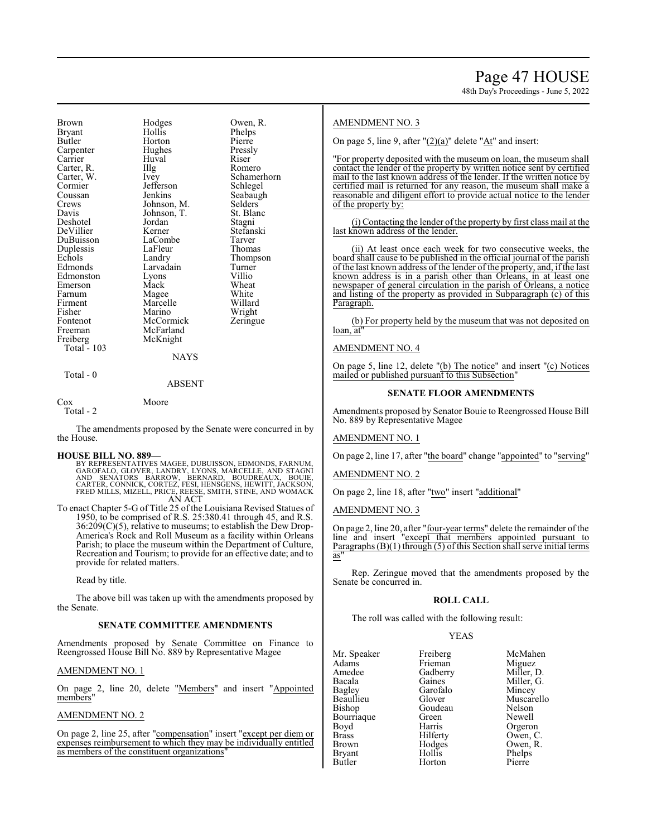Brown Hodges Owen, R.<br>Brvant Hollis Phelps Bryant Hollis Phelps<br>
Butler Horton Pierre Horton Pierre<br>Hughes Pressly Carpenter Hughes Press<br>
Carrier Huval Riser Huval Riser<br>Illg Romero Carter, R. Illg Romero Carter, W. Ivey Schamer<br>Cormier Jefferson Schlegel Cormier Jefferson<br>Coussan Jenkins Coussan Jenkins Seabaugh<br>Crews Johnson, M. Selders Crews Johnson, M. Selders Davis Johnson, T. St. Blanc Johnson, T. St. Blanch<br>Jordan Stagni Deshotel Jordan Stagni DeVillier Kerner Stefans<br>DuBuisson LaCombe Tarver LaCombe Tarver<br>
LaFleur Thomas Duplessis LaFleu<br>
Echols Landry Echols Landry Thompson<br>Edmonds Larvadain Turner Larvadain Turner<br>Lyons Villio Edmonston Lyons Villio Emerson Mack Wheat Farnum Magee White<br>
Firment Marcelle Willard Firment Marcelle Willard<br>Fisher Marino Wright Fisher Marino Wright<br>
Fontenot McCormick Zeringue Fontenot McCormick<br>Freeman McFarland Freeman McFarland<br>Freiberg McKnight McKnight Total - 103 **NAYS** 

# Total - 0

## ABSENT

Cox Moore Total - 2

The amendments proposed by the Senate were concurred in by the House.

## **HOUSE BILL NO. 889—**

BY REPRESENTATIVES MAGEE, DUBUISSON, EDMONDS, FARNUM, GAROFALO, GLOVER, LANDRY, LYONS, MARCELLE, AND STAGNI<br>AND SENATORS BARROW, BERNARD, BOUDREAUX, BOUIE,<br>CARTER, CONNICK, CORTEZ, FESI, HENSGENS, HEWITT, JACKSON,<br>FRED MILLS, MIZELL, PRICE, REESE, SMITH, STINE, AND AN ACT

To enact Chapter 5-G of Title 25 of the Louisiana Revised Statues of 1950, to be comprised of R.S. 25:380.41 through 45, and R.S. 36:209(C)(5), relative to museums; to establish the Dew Drop-America's Rock and Roll Museum as a facility within Orleans Parish; to place the museum within the Department of Culture, Recreation and Tourism; to provide for an effective date; and to provide for related matters.

Read by title.

The above bill was taken up with the amendments proposed by the Senate.

# **SENATE COMMITTEE AMENDMENTS**

Amendments proposed by Senate Committee on Finance to Reengrossed House Bill No. 889 by Representative Magee

## AMENDMENT NO. 1

On page 2, line 20, delete "Members" and insert "Appointed members"

# AMENDMENT NO. 2

On page 2, line 25, after "compensation" insert "except per diem or expenses reimbursement to which they may be individually entitled as members of the constituent organizations"

# AMENDMENT NO. 3

On page 5, line 9, after "(2)(a)" delete "At" and insert:

"For property deposited with the museum on loan, the museum shall contact the lender of the property by written notice sent by certified mail to the last known address of the lender. If the written notice by certified mail is returned for any reason, the museum shall make a reasonable and diligent effort to provide actual notice to the lender of the property by:

(i) Contacting the lender of the property by first class mail at the last known address of the lender.

(ii) At least once each week for two consecutive weeks, the board shall cause to be published in the official journal of the parish of the last known address of the lender of the property, and, if the last known address is in a parish other than Orleans, in at least one newspaper of general circulation in the parish of Orleans, a notice and listing of the property as provided in Subparagraph (c) of this Paragraph.

(b) For property held by the museum that was not deposited on loan, at"

# AMENDMENT NO. 4

On page 5, line 12, delete "(b) The notice" and insert "(c) Notices mailed or published pursuant to this Subsection"

# **SENATE FLOOR AMENDMENTS**

Amendments proposed by Senator Bouie to Reengrossed House Bill No. 889 by Representative Magee

# AMENDMENT NO. 1

On page 2, line 17, after "the board" change "appointed" to "serving"

## AMENDMENT NO. 2

On page 2, line 18, after "two" insert "additional"

# AMENDMENT NO. 3

On page 2, line 20, after "four-year terms" delete the remainder ofthe line and insert "except that members appointed pursuant to Paragraphs  $(B)(1)$  through  $(5)$  of this Section shall serve initial terms as<sup>'</sup>

Rep. Zeringue moved that the amendments proposed by the Senate be concurred in.

# **ROLL CALL**

The roll was called with the following result:

## YEAS

| Mr. Speaker   | Freiberg | McMa              |
|---------------|----------|-------------------|
| Adams         | Frieman  | Migue             |
| Amedee        | Gadberry | Miller            |
| Bacala        | Gaines   | Miller            |
| <b>Bagley</b> | Garofalo | Mince             |
| Beaullieu     | Glover   | Musca             |
| <b>Bishop</b> | Goudeau  | Nelso:            |
| Bourriaque    | Green    | Newe <sup>1</sup> |
| Boyd          | Harris   | Orger             |
| <b>Brass</b>  | Hilferty | Owen              |
| <b>Brown</b>  | Hodges   | Owen              |
| <b>Bryant</b> | Hollis   | Phelp:            |
| Butler        | Horton   | Pierre            |
|               |          |                   |

Freiberg McMahen<br>Frieman Miguez Frieman Miguez<br>Gadberry Miller, D. Gaines Miller, G.<br>
Garofalo Mincev Garofalo Mincey<br>Glover Muscar Muscarello<br>Nelson Green Newell<br>
Harris Orgeror Harris Orgeron<br>Hilferty Owen, C Hilferty Owen, C.<br>Hodges Owen, R. Hodges Owen, R.<br>Hollis Phelns Hollis Phelps<br>
Horton Pierre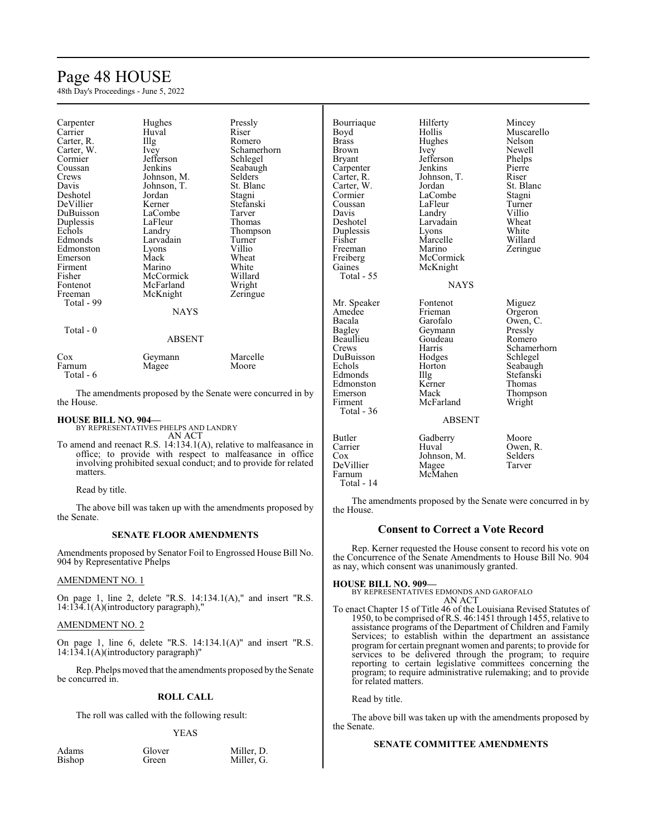# Page 48 HOUSE

48th Day's Proceedings - June 5, 2022

| Carpenter  | Hughes        | Pressly                                                    | Bourriaque    | Hilferty    | Mincey      |
|------------|---------------|------------------------------------------------------------|---------------|-------------|-------------|
| Carrier    | Huval         | Riser                                                      | Boyd          | Hollis      | Muscarello  |
| Carter, R. | Illg          | Romero                                                     | <b>Brass</b>  | Hughes      | Nelson      |
| Carter, W. | Ivey          | Schamerhorn                                                | <b>Brown</b>  | Ivey        | Newell      |
| Cormier    | Jefferson     | Schlegel                                                   | <b>Bryant</b> | Jefferson   | Phelps      |
| Coussan    | Jenkins       | Seabaugh                                                   | Carpenter     | Jenkins     | Pierre      |
| Crews      | Johnson, M.   | <b>Selders</b>                                             | Carter, R.    | Johnson, T. | Riser       |
| Davis      | Johnson, T.   | St. Blanc                                                  | Carter, W.    | Jordan      | St. Blanc   |
| Deshotel   | Jordan        | Stagni                                                     | Cormier       | LaCombe     | Stagni      |
| DeVillier  | Kerner        | Stefanski                                                  | Coussan       | LaFleur     | Turner      |
| DuBuisson  | LaCombe       | Tarver                                                     | Davis         | Landry      | Villio      |
| Duplessis  | LaFleur       | Thomas                                                     | Deshotel      | Larvadain   | Wheat       |
| Echols     | Landry        | Thompson                                                   | Duplessis     | Lyons       | White       |
| Edmonds    | Larvadain     | Turner                                                     | Fisher        | Marcelle    | Willard     |
| Edmonston  | Lyons         | Villio                                                     | Freeman       | Marino      | Zeringue    |
| Emerson    | Mack          | Wheat                                                      | Freiberg      | McCormick   |             |
| Firment    | Marino        | White                                                      | Gaines        | McKnight    |             |
| Fisher     | McCormick     | Willard                                                    | Total - 55    |             |             |
| Fontenot   | McFarland     | Wright                                                     |               | <b>NAYS</b> |             |
| Freeman    | McKnight      | Zeringue                                                   |               |             |             |
| Total - 99 |               |                                                            | Mr. Speaker   | Fontenot    | Miguez      |
|            | <b>NAYS</b>   |                                                            | Amedee        | Frieman     | Orgeron     |
|            |               |                                                            | Bacala        | Garofalo    | Owen, C.    |
| Total - 0  |               |                                                            | Bagley        | Geymann     | Pressly     |
|            | <b>ABSENT</b> |                                                            | Beaullieu     | Goudeau     | Romero      |
|            |               |                                                            | Crews         | Harris      | Schamerhorn |
| Cox        | Geymann       | Marcelle                                                   | DuBuisson     | Hodges      | Schlegel    |
| Farnum     | Magee         | Moore                                                      | Echols        | Horton      | Seabaugh    |
| Total - 6  |               |                                                            | Edmonds       | Illg        | Stefanski   |
|            |               |                                                            | Edmonston     | Kerner      | Thomas      |
|            |               | The amendments proposed by the Senate were concurred in by | Emerson       | Mack        | Thompson    |

The amendments proposed by the Senate were concurred in by the House.

# **HOUSE BILL NO. 904—**

BY REPRESENTATIVES PHELPS AND LANDRY AN ACT

To amend and reenact R.S. 14:134.1(A), relative to malfeasance in office; to provide with respect to malfeasance in office involving prohibited sexual conduct; and to provide for related matters.

Read by title.

The above bill was taken up with the amendments proposed by the Senate.

# **SENATE FLOOR AMENDMENTS**

Amendments proposed by Senator Foil to Engrossed House Bill No. 904 by Representative Phelps

# AMENDMENT NO. 1

On page 1, line 2, delete "R.S. 14:134.1(A)," and insert "R.S. 14:134.1(A)(introductory paragraph),"

# AMENDMENT NO. 2

On page 1, line 6, delete "R.S. 14:134.1(A)" and insert "R.S. 14:134.1(A)(introductory paragraph)"

Rep. Phelps moved that the amendments proposed by the Senate be concurred in.

# **ROLL CALL**

The roll was called with the following result:

YEAS

| Adams  | Glover | Miller, D. |
|--------|--------|------------|
| Bishop | Green  | Miller, G. |

# Firment McFarland Wright

ABSENT

# Butler Gadberry Moore<br>Carrier Huval Owen, Owen, R.<br>Selders Cox Johnson, M. Selders<br>DeVillier Magee Tarver

The amendments proposed by the Senate were concurred in by the House.

# **Consent to Correct a Vote Record**

Rep. Kerner requested the House consent to record his vote on the Concurrence of the Senate Amendments to House Bill No. 904 as nay, which consent was unanimously granted.

Total - 36

DeVillier<br>Farnum

Total - 14

**HOUSE BILL NO. 909—** BY REPRESENTATIVES EDMONDS AND GAROFALO AN ACT

McMahen

To enact Chapter 15 of Title 46 of the Louisiana Revised Statutes of 1950, to be comprised ofR.S. 46:1451 through 1455, relative to assistance programs of the Department of Children and Family Services; to establish within the department an assistance program for certain pregnant women and parents; to provide for services to be delivered through the program; to require reporting to certain legislative committees concerning the program; to require administrative rulemaking; and to provide for related matters.

Read by title.

The above bill was taken up with the amendments proposed by the Senate.

# **SENATE COMMITTEE AMENDMENTS**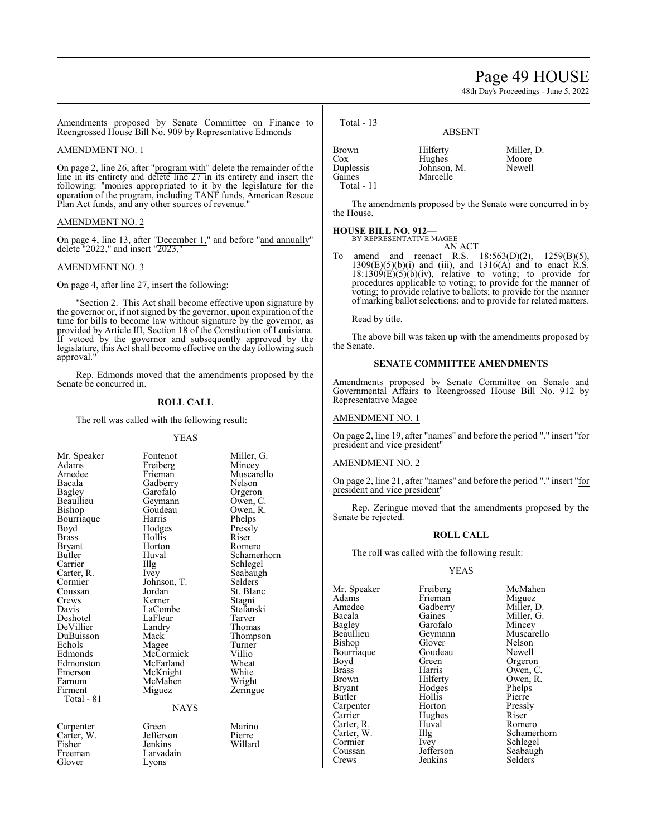# Page 49 HOUSE

48th Day's Proceedings - June 5, 2022

Amendments proposed by Senate Committee on Finance to Reengrossed House Bill No. 909 by Representative Edmonds

# AMENDMENT NO. 1

On page 2, line 26, after "program with" delete the remainder of the line in its entirety and delete line 27 in its entirety and insert the following: "monies appropriated to it by the legislature for the operation of the program, including TANF funds, American Rescue Plan Act funds, and any other sources of revenue.

# AMENDMENT NO. 2

On page 4, line 13, after "December 1," and before "and annually" delete "2022," and insert "2023,"

# AMENDMENT NO. 3

On page 4, after line 27, insert the following:

"Section 2. This Act shall become effective upon signature by the governor or, if not signed by the governor, upon expiration of the time for bills to become law without signature by the governor, as provided by Article III, Section 18 of the Constitution of Louisiana. If vetoed by the governor and subsequently approved by the legislature, this Act shall become effective on the day following such approval.

Rep. Edmonds moved that the amendments proposed by the Senate be concurred in.

# **ROLL CALL**

The roll was called with the following result:

## YEAS

| Mr. Speaker | Fontenot    | Miller, G.  |
|-------------|-------------|-------------|
| Adams       | Freiberg    | Mincey      |
| Amedee      | Frieman     | Muscarello  |
| Bacala      | Gadberry    | Nelson      |
| Bagley      | Garofalo    | Orgeron     |
| Beaullieu   | Geymann     | Owen, C.    |
| Bishop      | Goudeau     | Owen, R.    |
| Bourriaque  | Harris      | Phelps      |
| Boyd        | Hodges      | Pressly     |
| Brass       | Hollis      | Riser       |
| Bryant      | Horton      | Romero      |
| Butler      | Huval       | Schamerhorn |
| Carrier     | Illg        | Schlegel    |
| Carter, R.  | <i>lvey</i> | Seabaugh    |
| Cormier     | Johnson, T. | Selders     |
| Coussan     | Jordan      | St. Blanc   |
| Crews       | Kerner      | Stagni      |
| Davis       | LaCombe     | Stefanski   |
| Deshotel    | LaFleur     | Tarver      |
| DeVillier   | Landry      | Thomas      |
| DuBuisson   | Mack        | Thompson    |
| Echols      | Magee       | Turner      |
| Edmonds     | McCormick   | Villio      |
| Edmonston   | McFarland   | Wheat       |
| Emerson     | McKnight    | White       |
| Farnum      | McMahen     | Wright      |
| Firment     | Miguez      | Zeringue    |
| Total - 81  |             |             |
|             | <b>NAYS</b> |             |
| Carpenter   | Green       | Marino      |
| Carter, W.  | Jefferson   | Pierre      |
| Fisher      | Jenkins     | Willard     |
| Freeman     | Larvadain   |             |

Glover Lyons

Total - 13

ABSENT

| Brown               | Hilferty    | Miller, D. |
|---------------------|-------------|------------|
| Cox                 | Hughes      | Moore      |
|                     | Johnson, M. | Newell     |
| Duplessis<br>Gaines | Marcelle    |            |
| Total - 11          |             |            |

The amendments proposed by the Senate were concurred in by the House.

# **HOUSE BILL NO. 912—**

BY REPRESENTATIVE MAGEE

AN ACT<br>R.S. 18:563(D)(2), amend and reenact R.S.  $18:563(D)(2)$ ,  $1259(B)(5)$ ,  $1309(E)(5)(b)(i)$  and (iii), and  $1316(A)$  and to enact  $\hat{R}.\hat{S}$ .  $18:1309(E)(5)(b)(iv)$ , relative to voting; to provide for procedures applicable to voting; to provide for the manner of voting; to provide relative to ballots; to provide for the manner of marking ballot selections; and to provide for related matters.

Read by title.

The above bill was taken up with the amendments proposed by the Senate.

# **SENATE COMMITTEE AMENDMENTS**

Amendments proposed by Senate Committee on Senate and Governmental Affairs to Reengrossed House Bill No. 912 by Representative Magee

# AMENDMENT NO. 1

On page 2, line 19, after "names" and before the period "." insert "for president and vice president"

# AMENDMENT NO. 2

On page 2, line 21, after "names" and before the period "." insert "for president and vice president"

Rep. Zeringue moved that the amendments proposed by the Senate be rejected.

# **ROLL CALL**

The roll was called with the following result:

## YEAS

Mr. Speaker Freiberg McMahen<br>Adams Frieman Miguez Adams Frieman<br>Amedee Gadberry Amedee Gadberry Miller, D.<br>Bacala Gaines Miller, G. Bacala Gaines Miller, G.<br>Bagley Garofalo Mincey Bagley Garofalo<br>Beaullieu Gevmann Bishop Glover Nelson<br>Bourriaque Goudeau Newell Bourriaque Goude<br>Boyd Green Boyd Green Orgeron<br>Brass Harris Owen C Brass Harris Owen, C.<br>Brown Hilferty Owen, R. Brown Hilferty Owen, R.<br>Bryant Hodges Phelps Bryant Hodges Phelps<br>Butler Hollis Pierre Carpenter Horton Press<br>
Carrier Hughes Riser Carrier Hughes Riser<br>Carter R. Huval Romero Carter, R. Huv<br>Carter, W. Illg Carter, W. Illg Schamerhorn<br>
Cormier Ivey Schlegel Cormier Ivey Schlegel<br>Coussan Jefferson Seabaugl

Hollis Pierre<br>
Horton Pressly

Geymann Muscarello<br>Glover Nelson Coussan Jefferson Seabaugh<br>Crews Jenkins Selders Selders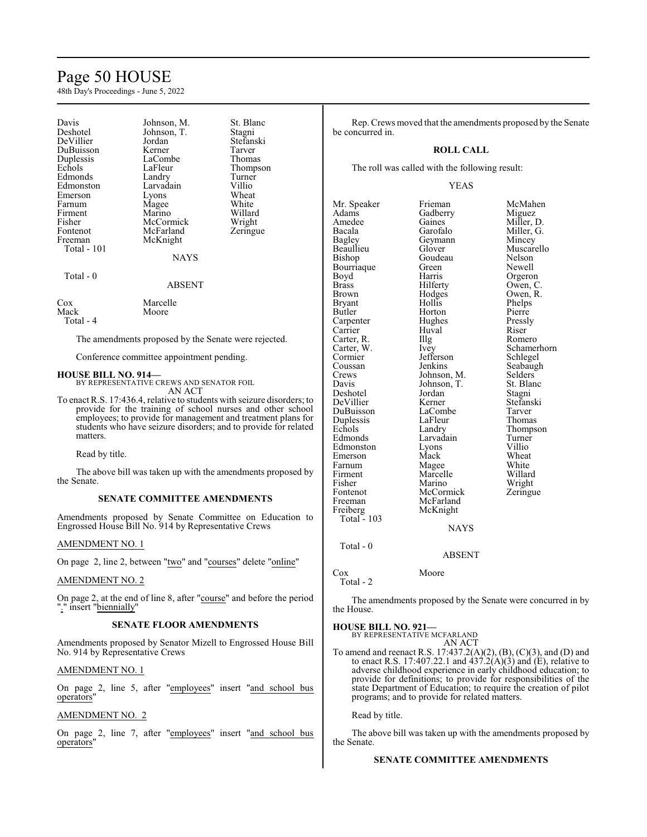# Page 50 HOUSE

48th Day's Proceedings - June 5, 2022

| Davis<br>Deshotel<br>DeVillier<br>DuBuisson<br>Duplessis<br>Echols<br>Edmonds<br>Edmonston<br>Emerson<br>Farnum<br>Firment<br>Fisher<br>Fontenot<br>Freeman<br>Total - 101 | Johnson, M.<br>Johnson, T.<br>Jordan<br>Kerner<br>LaCombe<br>LaFleur<br>Landry<br>Larvadain<br>Lyons<br>Magee<br>Marino<br>McCormick<br>McFarland<br>McKnight | St. Blanc<br>Stagni<br>Stefanski<br>Tarver<br>Thomas<br>Thompson<br>Turner<br>Villio<br>Wheat<br>White<br>Willard<br>Wright<br>Zeringue |
|----------------------------------------------------------------------------------------------------------------------------------------------------------------------------|---------------------------------------------------------------------------------------------------------------------------------------------------------------|-----------------------------------------------------------------------------------------------------------------------------------------|
|                                                                                                                                                                            | <b>NAYS</b>                                                                                                                                                   |                                                                                                                                         |
| Total - 0                                                                                                                                                                  | <b>ABSENT</b>                                                                                                                                                 |                                                                                                                                         |
| Cox<br>Mack<br>Total - 4                                                                                                                                                   | Marcelle<br>Moore                                                                                                                                             |                                                                                                                                         |

The amendments proposed by the Senate were rejected.

Conference committee appointment pending.

**HOUSE BILL NO. 914—** BY REPRESENTATIVE CREWS AND SENATOR FOIL AN ACT

To enact R.S. 17:436.4, relative to students with seizure disorders; to provide for the training of school nurses and other school employees; to provide for management and treatment plans for students who have seizure disorders; and to provide for related matters.

Read by title.

The above bill was taken up with the amendments proposed by the Senate.

# **SENATE COMMITTEE AMENDMENTS**

Amendments proposed by Senate Committee on Education to Engrossed House Bill No. 914 by Representative Crews

# AMENDMENT NO. 1

On page 2, line 2, between "two" and "courses" delete "online"

# AMENDMENT NO. 2

On page 2, at the end of line 8, after "course" and before the period "." insert "biennially.

# **SENATE FLOOR AMENDMENTS**

Amendments proposed by Senator Mizell to Engrossed House Bill No. 914 by Representative Crews

# AMENDMENT NO. 1

On page 2, line 5, after "employees" insert "and school bus operators"

# AMENDMENT NO. 2

On page 2, line 7, after "employees" insert "and school bus operators"

Rep. Crews moved that the amendments proposed by the Senate be concurred in.

# **ROLL CALL**

The roll was called with the following result:

# YEAS

Mr. Speaker Frieman McMahen<br>Adams Gadberry Miguez Adams Gadberry<br>Amedee Gaines Amedee Gaines Miller, D.<br>Bacala Garofalo Miller, G. Bacala Garofalo Miller, G.<br>Bagley Geymann Mincey Bagley Geymann<br>Beaullieu Glover Bishop Goudeau Nelson<br>Bourriaque Green Newell Bourriaque Green<br>Boyd Harris Boyd Harris Orgeron<br>Brass Hilferty Owen, C Brass Hilferty Owen, C.<br>Brown Hodges Owen, R. Brown Hodges<br>Bryant Hollis Bryant Hollis Phelps<br>Butler Horton Pierre Carpenter Hughes Press<br>
Carrier Huyal Riser Carrier Huval Riser<br>Carter, R. Illg Romero Carter, R. Illg<br>Carter, W. Ivey Carter, W. Ivey Schamerhorn<br>
Cormier Jefferson Schlegel Cormier Jefferson<br>Coussan Jenkins Coussan Jenkins Seabaugh<br>Crews Johnson M. Selders Crews Johnson, M. Selders Davis Johnson, T. St. Blanc Deshotel Jordan Stagni DeVillier Kerner Stefans<br>DuBuisson LaCombe Tarver DuBuisson LaCombe Tarver<br>
Duplessis LaFleur Thomas Duplessis LaFleu<br>
Echols Landry Echols Landry Thompson<br>
Edmonds Larvadain Turner Edmonston Lyons Villio<br>
Emerson Mack Wheat Emerson Mack Wheat<br>
Farnum Magee White Farnum Magee White<br>
Firment Marcelle Willard Firment Marcelle Willard<br>Fisher Marino Wright Fisher Marino<br>Fontenot McCormick Fontenot McCormick Zeringue<br>
Freeman McFarland Zeringue McFarland<br>McKnight Freiberg McKnight Total - 103 Total - 0

Muscarello<br>Nelson Horton Pierre<br>
Hughes Pressly Johnson, T. St. Blanch<br>Jordan Stagni Larvadain Turner<br>Lyons Villio

# ABSENT

**NAYS** 

Cox Moore Total - 2

The amendments proposed by the Senate were concurred in by the House.

# **HOUSE BILL NO. 921—**

BY REPRESENTATIVE MCFARLAND AN ACT

To amend and reenact R.S. 17:437.2(A)(2), (B), (C)(3), and (D) and to enact R.S. 17:407.22.1 and  $437.2(A)(3)$  and (E), relative to adverse childhood experience in early childhood education; to provide for definitions; to provide for responsibilities of the state Department of Education; to require the creation of pilot programs; and to provide for related matters.

Read by title.

The above bill was taken up with the amendments proposed by the Senate.

# **SENATE COMMITTEE AMENDMENTS**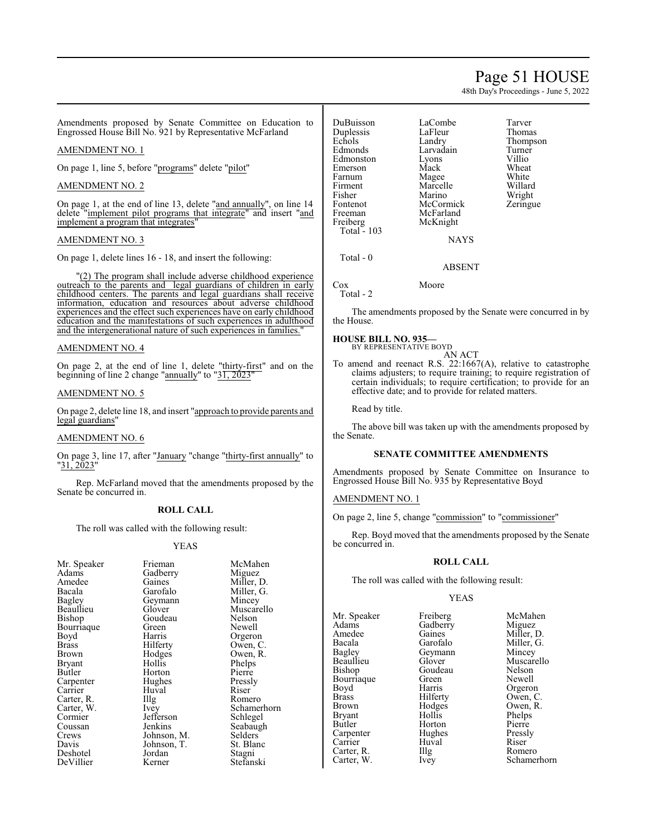# Page 51 HOUSE

48th Day's Proceedings - June 5, 2022

Amendments proposed by Senate Committee on Education to Engrossed House Bill No. 921 by Representative McFarland

# AMENDMENT NO. 1

On page 1, line 5, before "programs" delete "pilot"

# AMENDMENT NO. 2

On page 1, at the end of line 13, delete "and annually", on line 14 delete "implement pilot programs that integrate" and insert "and implement a program that integrates"

# AMENDMENT NO. 3

On page 1, delete lines 16 - 18, and insert the following:

"(2) The program shall include adverse childhood experience outreach to the parents and legal guardians of children in early childhood centers. The parents and legal guardians shall receive information, education and resources about adverse childhood experiences and the effect such experiences have on early childhood education and the manifestations of such experiences in adulthood and the intergenerational nature of such experiences in families."

# AMENDMENT NO. 4

On page 2, at the end of line 1, delete "thirty-first" and on the beginning of line 2 change "annually" to "31, 2023"

# AMENDMENT NO. 5

On page 2, delete line 18, and insert "approach to provide parents and legal guardians"

# AMENDMENT NO. 6

On page 3, line 17, after "January "change "thirty-first annually" to "31, 2023"

Rep. McFarland moved that the amendments proposed by the Senate be concurred in.

# **ROLL CALL**

The roll was called with the following result:

# YEAS

| Mr. Speaker   | Frieman     | McMahen     |
|---------------|-------------|-------------|
| Adams         | Gadberry    | Miguez      |
| Amedee        | Gaines      | Miller, D.  |
| Bacala        | Garofalo    | Miller, G.  |
| <b>Bagley</b> | Geymann     | Mincey      |
| Beaullieu     | Glover      | Muscarello  |
| Bishop        | Goudeau     | Nelson      |
| Bourriaque    | Green       | Newell      |
| Boyd          | Harris      | Orgeron     |
| <b>Brass</b>  | Hilferty    | Owen, C.    |
| Brown         | Hodges      | Owen, R.    |
| Bryant        | Hollis      | Phelps      |
| Butler        | Horton      | Pierre      |
| Carpenter     | Hughes      | Pressly     |
| Carrier       | Huval       | Riser       |
| Carter, R.    | Illg        | Romero      |
| Carter, W.    | Ivey        | Schamerhorn |
| Cormier       | Jefferson   | Schlegel    |
| Coussan       | Jenkins     | Seabaugh    |
| Crews         | Johnson, M. | Selders     |
| Davis         | Johnson, T. | St. Blanc   |
| Deshotel      | Jordan      | Stagni      |
| DeVillier     | Kerner      | Stefanski   |

DuBuisson LaCombe Tarver Duplessis LaFleu<br>
Echols Landry Echols Landry Thompson<br>
Edmonds Larvadain Turner Edmonston Lyons Villio<br>Emerson Mack Wheat Emerson Mack Wheat<br>
Farnum Magee White Farnum Magee White<br>
Firment Marcelle Willard Firment Marcelle Willard<br>Fisher Marino Wright Fisher Marino Wright<br>Fontenot McCormick Zeringue Fontenot McCormick<br>Freeman McFarland Freeman McFarland<br>Freiberg McKnight Total  $-103$ Total - 0

Larvadain Turner<br>Lyons Villio McKnight

NAYS

# ABSENT

Cox Moore Total - 2

The amendments proposed by the Senate were concurred in by the House.

# **HOUSE BILL NO. 935—**

BY REPRESENTATIVE BOYD AN ACT

To amend and reenact R.S. 22:1667(A), relative to catastrophe claims adjusters; to require training; to require registration of certain individuals; to require certification; to provide for an effective date; and to provide for related matters.

Read by title.

The above bill was taken up with the amendments proposed by the Senate.

# **SENATE COMMITTEE AMENDMENTS**

Amendments proposed by Senate Committee on Insurance to Engrossed House Bill No. 935 by Representative Boyd

# AMENDMENT NO. 1

On page 2, line 5, change "commission" to "commissioner"

Rep. Boyd moved that the amendments proposed by the Senate be concurred in.

# **ROLL CALL**

The roll was called with the following result:

# YEAS

Mr. Speaker Freiberg McMahen<br>Adams Gadberry Miguez Adams Gadberry<br>Amedee Gaines Amedee Gaines Miller, D.<br>Bacala Garofalo Miller, G. Bacala Garofalo Miller, G. Bagley Geymann<br>Beaullieu Glover Bourriaque Green<br>Boyd Harris Boyd Harris Orgeron<br>Brass Hilferty Owen, C Brass Hilferty Owen, C.<br>Brown Hodges Owen, R. Brown Hodges Owen, R.<br>Bryant Hollis Phelps Bryant Hollis Phelps<br>Butler Horton Pierre Butler Horton Pierre Carpenter Hughes Pressly<br>Carrier Huval Riser Carrier Huval Riser<br>Carter, R. Illg Romero Carter, R. Illg<br>Carter, W. Ivey

Beaullieu Glover Muscarello<br>Bishop Goudeau Nelson Goudeau Nelson<br>Green Newell Schamerhorn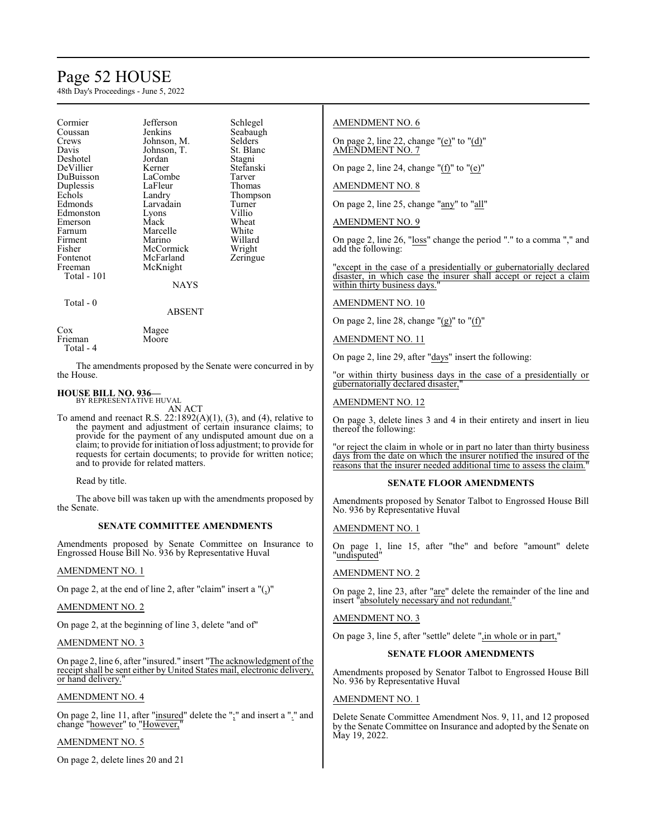# Page 52 HOUSE

48th Day's Proceedings - June 5, 2022

| Cormier<br>Coussan<br>Crews<br>Davis<br>Deshotel<br>DeVillier<br>DuBuisson<br>Duplessis<br>Echols<br>Edmonds<br>Edmonston<br>Emerson<br>Farnum<br>Firment<br>Fisher<br>Fontenot<br>Freeman | Jefferson<br>Jenkins<br>Johnson, M.<br>Johnson, T.<br>Jordan<br>Kerner<br>LaCombe<br>LaFleur<br>Landry<br>Larvadain<br>Lyons<br>Mack<br>Marcelle<br>Marino<br>McCormick<br>McFarland<br>McKnight | Schlegel<br>Seabaugh<br>Selders<br>St. Blanc<br>Stagni<br>Stefanski<br>Tarver<br>Thomas<br>Thompson<br>Turner<br>Villio<br>Wheat<br>White<br>Willard<br>Wright<br>Zeringue |
|--------------------------------------------------------------------------------------------------------------------------------------------------------------------------------------------|--------------------------------------------------------------------------------------------------------------------------------------------------------------------------------------------------|----------------------------------------------------------------------------------------------------------------------------------------------------------------------------|
| Total - 101                                                                                                                                                                                | NAYS                                                                                                                                                                                             |                                                                                                                                                                            |
| Total - 0                                                                                                                                                                                  | ABSENT                                                                                                                                                                                           |                                                                                                                                                                            |
| Cox                                                                                                                                                                                        | Magee                                                                                                                                                                                            |                                                                                                                                                                            |

| Magee |
|-------|
| Moore |
|       |
|       |

The amendments proposed by the Senate were concurred in by the House.

## **HOUSE BILL NO. 936—** BY REPRESENTATIVE HUVAL

AN ACT

To amend and reenact R.S.  $22:1892(A)(1)$ , (3), and (4), relative to the payment and adjustment of certain insurance claims; to provide for the payment of any undisputed amount due on a claim; to provide for initiation ofloss adjustment; to provide for requests for certain documents; to provide for written notice; and to provide for related matters.

Read by title.

The above bill was taken up with the amendments proposed by the Senate.

# **SENATE COMMITTEE AMENDMENTS**

Amendments proposed by Senate Committee on Insurance to Engrossed House Bill No. 936 by Representative Huval

# AMENDMENT NO. 1

On page 2, at the end of line 2, after "claim" insert a "(,)"

# AMENDMENT NO. 2

On page 2, at the beginning of line 3, delete "and of"

# AMENDMENT NO. 3

On page 2, line 6, after "insured." insert "The acknowledgment of the receipt shall be sent either by United States mail, electronic delivery, or hand delivery.

# AMENDMENT NO. 4

On page 2, line 11, after "insured" delete the ";" and insert a "." and change "however" to "However,"

# AMENDMENT NO. 5

On page 2, delete lines 20 and 21

# AMENDMENT NO. 6

On page 2, line 22, change "(e)" to "(d)" AMENDMENT NO. 7

On page 2, line 24, change " $(f)$ " to " $(e)$ "

# AMENDMENT NO. 8

On page 2, line 25, change "any" to "all"

AMENDMENT NO. 9

On page 2, line 26, "loss" change the period "." to a comma "," and add the following:

'except in the case of a presidentially or gubernatorially declared disaster, in which case the insurer shall accept or reject a claim within thirty business days.

# AMENDMENT NO. 10

On page 2, line 28, change " $(g)$ " to " $(f)$ "

# AMENDMENT NO. 11

On page 2, line 29, after "days" insert the following:

"or within thirty business days in the case of a presidentially or gubernatorially declared disaster,"

# AMENDMENT NO. 12

On page 3, delete lines 3 and 4 in their entirety and insert in lieu thereof the following:

'or reject the claim in whole or in part no later than thirty business days from the date on which the insurer notified the insured of the reasons that the insurer needed additional time to assess the claim."

# **SENATE FLOOR AMENDMENTS**

Amendments proposed by Senator Talbot to Engrossed House Bill No. 936 by Representative Huval

# AMENDMENT NO. 1

On page 1, line 15, after "the" and before "amount" delete "undisputed"

# AMENDMENT NO. 2

On page 2, line 23, after "are" delete the remainder of the line and insert "absolutely necessary and not redundant."

# AMENDMENT NO. 3

On page 3, line 5, after "settle" delete ",in whole or in part,"

# **SENATE FLOOR AMENDMENTS**

Amendments proposed by Senator Talbot to Engrossed House Bill No. 936 by Representative Huval

# AMENDMENT NO. 1

Delete Senate Committee Amendment Nos. 9, 11, and 12 proposed by the Senate Committee on Insurance and adopted by the Senate on May 19, 2022.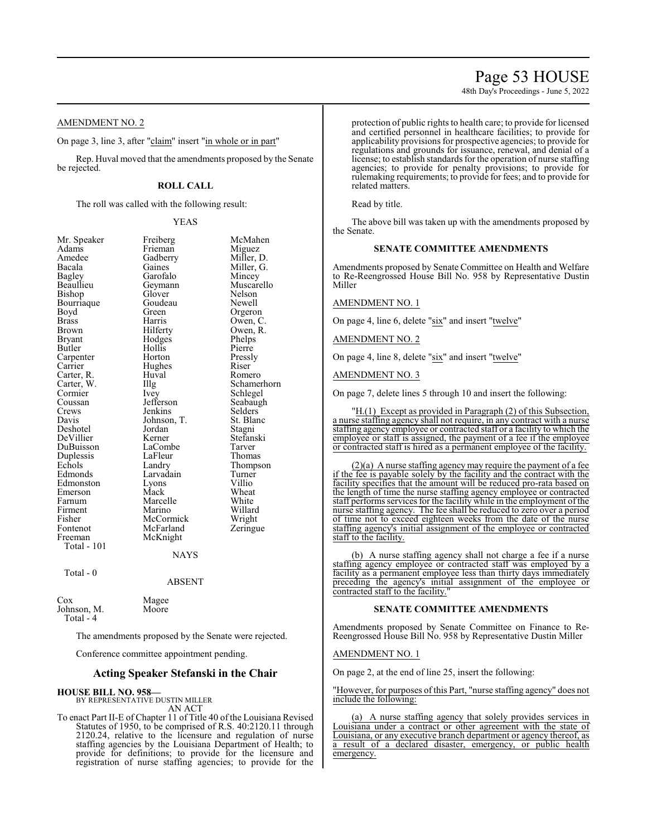# Page 53 HOUSE

48th Day's Proceedings - June 5, 2022

AMENDMENT NO. 2

On page 3, line 3, after "claim" insert "in whole or in part"

Rep. Huval moved that the amendments proposed by the Senate be rejected.

# **ROLL CALL**

The roll was called with the following result:

# YEAS

| Mr. Speaker  | Freiberg      | McMahen     |
|--------------|---------------|-------------|
| Adams        | Frieman       | Miguez      |
| Amedee       | Gadberry      | Miller, D.  |
| Bacala       | Gaines        | Miller, G.  |
| Bagley       | Garofalo      | Mincey      |
| Beaullieu    | Geymann       | Muscarello  |
| Bishop       | Glover        | Nelson      |
| Bourriaque   | Goudeau       | Newell      |
| Boyd         | Green         | Orgeron     |
| <b>Brass</b> | Harris        | Owen, C.    |
| Brown        | Hilferty      | Owen, R.    |
| Bryant       | Hodges        | Phelps      |
| Butler       | Hollis        | Pierre      |
| Carpenter    | Horton        | Pressly     |
| Carrier      | Hughes        | Riser       |
| Carter, R.   | Huval         | Romero      |
| Carter, W.   | Illg          | Schamerhorn |
| Cormier      | Ivey          | Schlegel    |
| Coussan      | Jefferson     | Seabaugh    |
| Crews        | Jenkins       | Selders     |
| Davis        | Johnson, T.   | St. Blanc   |
| Deshotel     | Jordan        | Stagni      |
| DeVillier    | Kerner        | Stefanski   |
| DuBuisson    | LaCombe       | Tarver      |
| Duplessis    | LaFleur       | Thomas      |
| Echols       | Landry        | Thompson    |
| Edmonds      | Larvadain     | Turner      |
| Edmonston    | Lyons         | Villio      |
| Emerson      | Mack          | Wheat       |
| Farnum       | Marcelle      | White       |
| Firment      | Marino        | Willard     |
| Fisher       | McCormick     | Wright      |
| Fontenot     | McFarland     | Zeringue    |
| Freeman      | McKnight      |             |
| Total - 101  |               |             |
|              | <b>NAYS</b>   |             |
| Total - 0    |               |             |
|              | <b>ABSENT</b> |             |
| $\cos$       | Magee         |             |
| Johnson, M.  | Moore         |             |

Total - 4

The amendments proposed by the Senate were rejected.

Conference committee appointment pending.

# **Acting Speaker Stefanski in the Chair**

# **HOUSE BILL NO. 958—**

BY REPRESENTATIVE DUSTIN MILLER AN ACT

To enact Part II-E of Chapter 11 of Title 40 of the Louisiana Revised Statutes of 1950, to be comprised of R.S. 40:2120.11 through 2120.24, relative to the licensure and regulation of nurse staffing agencies by the Louisiana Department of Health; to provide for definitions; to provide for the licensure and registration of nurse staffing agencies; to provide for the protection of public rights to health care; to provide for licensed and certified personnel in healthcare facilities; to provide for applicability provisions for prospective agencies; to provide for regulations and grounds for issuance, renewal, and denial of a license; to establish standards for the operation of nurse staffing agencies; to provide for penalty provisions; to provide for rulemaking requirements; to provide for fees; and to provide for related matters.

Read by title.

The above bill was taken up with the amendments proposed by the Senate.

# **SENATE COMMITTEE AMENDMENTS**

Amendments proposed by Senate Committee on Health and Welfare to Re-Reengrossed House Bill No. 958 by Representative Dustin Miller

# AMENDMENT NO. 1

On page 4, line 6, delete "six" and insert "twelve"

# AMENDMENT NO. 2

On page 4, line 8, delete "six" and insert "twelve"

AMENDMENT NO. 3

On page 7, delete lines 5 through 10 and insert the following:

"H.(1) Except as provided in Paragraph (2) of this Subsection, a nurse staffing agency shall not require, in any contract with a nurse staffing agency employee or contracted staff or a facility to which the employee or staff is assigned, the payment of a fee if the employee or contracted staff is hired as a permanent employee of the facility.

 $(2)(a)$  A nurse staffing agency may require the payment of a fee if the fee is payable solely by the facility and the contract with the facility specifies that the amount will be reduced pro-rata based on the length of time the nurse staffing agency employee or contracted staff performs services for the facility while in the employment of the nurse staffing agency. The fee shall be reduced to zero over a period of time not to exceed eighteen weeks from the date of the nurse staffing agency's initial assignment of the employee or contracted staff to the facility.

(b) A nurse staffing agency shall not charge a fee if a nurse staffing agency employee or contracted staff was employed by a facility as a permanent employee less than thirty days immediately preceding the agency's initial assignment of the employee or contracted staff to the facility.

# **SENATE COMMITTEE AMENDMENTS**

Amendments proposed by Senate Committee on Finance to Re-Reengrossed House Bill No. 958 by Representative Dustin Miller

## AMENDMENT NO. 1

On page 2, at the end of line 25, insert the following:

"However, for purposes of this Part, "nurse staffing agency" does not include the following:

(a) A nurse staffing agency that solely provides services in Louisiana under a contract or other agreement with the state of Louisiana, or any executive branch department or agency thereof, as a result of a declared disaster, emergency, or public health emergency.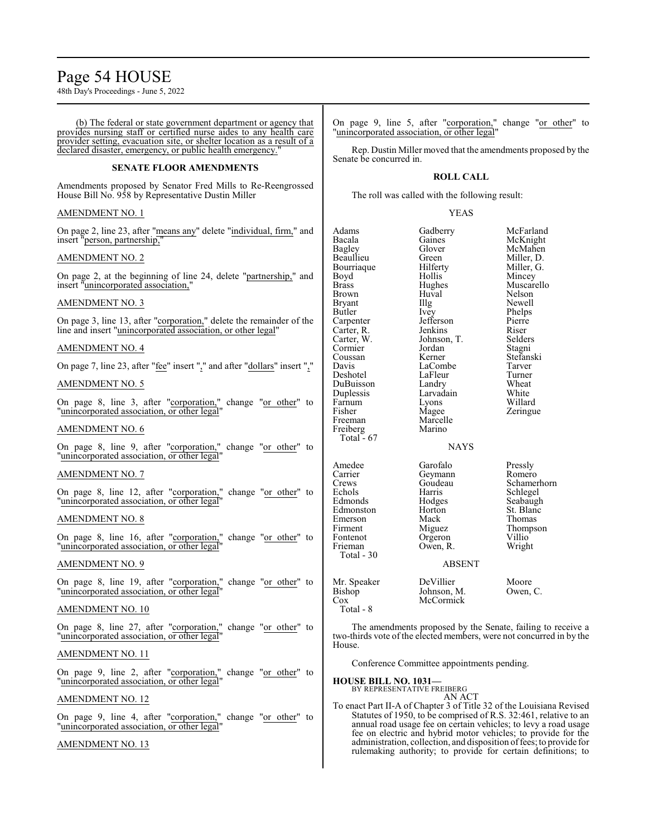# Page 54 HOUSE

48th Day's Proceedings - June 5, 2022

(b) The federal or state government department or agency that provides nursing staff or certified nurse aides to any health care provider setting, evacuation site, or shelter location as a result of a declared disaster, emergency, or public health emergency."

# **SENATE FLOOR AMENDMENTS**

Amendments proposed by Senator Fred Mills to Re-Reengrossed House Bill No. 958 by Representative Dustin Miller

# AMENDMENT NO. 1

On page 2, line 23, after "means any" delete "individual, firm," and insert "person, partnership,"

# AMENDMENT NO. 2

On page 2, at the beginning of line 24, delete "partnership," and insert "unincorporated association,"

# AMENDMENT NO. 3

On page 3, line 13, after "corporation," delete the remainder of the line and insert "unincorporated association, or other legal"

# AMENDMENT NO. 4

On page 7, line 23, after "fee" insert "," and after "dollars" insert ","

# AMENDMENT NO. 5

On page 8, line 3, after "corporation," change "or other" to "unincorporated association, or other legal

# AMENDMENT NO. 6

On page 8, line 9, after "corporation," change "or other" to "unincorporated association, or other legal"

# AMENDMENT NO. 7

On page 8, line 12, after "corporation," change "or other" to "unincorporated association, or other legal"

# AMENDMENT NO. 8

On page 8, line 16, after "corporation," change "or other" to "unincorporated association, or other legal"

# AMENDMENT NO. 9

On page 8, line 19, after "corporation," change "or other" to "unincorporated association, or other legal"

# AMENDMENT NO. 10

On page 8, line 27, after "corporation," change "or other" to "unincorporated association, or other legal"

# AMENDMENT NO. 11

On page 9, line 2, after "corporation," change "or other" to "unincorporated association, or other legal"

# AMENDMENT NO. 12

On page 9, line 4, after "corporation," change "or other" to "unincorporated association, or other legal"

# AMENDMENT NO. 13

On page 9, line 5, after "corporation," change "or other" to "unincorporated association, or other legal"

Rep. Dustin Miller moved that the amendments proposed by the Senate be concurred in.

# **ROLL CALL**

The roll was called with the following result:

# YEAS

| Adams        | Gadberry      | McFarland   |
|--------------|---------------|-------------|
| Bacala       | Gaines        | McKnight    |
| Bagley       | Glover        | McMahen     |
| Beaullieu    | Green         | Miller, D.  |
| Bourriaque   | Hilferty      | Miller, G.  |
| Boyd         | Hollis        | Mincey      |
| Brass        | Hughes        | Muscarello  |
| <b>Brown</b> | Huval         | Nelson      |
| Bryant       | Illg          | Newell      |
| Butler       | Ivey          | Phelps      |
| Carpenter    | Jefferson     | Pierre      |
| Carter, R.   | Jenkins       | Riser       |
| Carter, W.   | Johnson, T.   | Selders     |
| Cormier      | Jordan        | Stagni      |
| Coussan      | Kerner        | Stefanski   |
| Davis        | LaCombe       | Tarver      |
| Deshotel     | LaFleur       | Turner      |
| DuBuisson    | Landry        | Wheat       |
| Duplessis    | Larvadain     | White       |
| Farnum       | Lyons         | Willard     |
| Fisher       | Magee         | Zeringue    |
| Freeman      | Marcelle      |             |
| Freiberg     | Marino        |             |
| Total - 67   |               |             |
|              | <b>NAYS</b>   |             |
|              |               |             |
| Amedee       | Garofalo      | Pressly     |
| Carrier      | Geymann       | Romero      |
| Crews        | Goudeau       | Schamerhorn |
| Echols       | Harris        | Schlegel    |
| Edmonds      | Hodges        | Seabaugh    |
| Edmonston    | Horton        | St. Blanc   |
| Emerson      | Mack          | Thomas      |
| Firment      | Miguez        | Thompson    |
| Fontenot     | Orgeron       | Villio      |
| Frieman      | Owen, R.      | Wright      |
| Total - 30   |               |             |
|              | <b>ABSENT</b> |             |
|              |               |             |
| Mr. Speaker  | DeVillier     | Moore       |
| Bishop       | Johnson, M.   | Owen, C.    |
| $\cos$       | McCormick     |             |
| $Total - 8$  |               |             |

The amendments proposed by the Senate, failing to receive a two-thirds vote of the elected members, were not concurred in by the House.

Conference Committee appointments pending.

**HOUSE BILL NO. 1031—**

BY REPRESENTATIVE FREIBERG AN ACT

To enact Part II-A of Chapter 3 of Title 32 of the Louisiana Revised Statutes of 1950, to be comprised of R.S. 32:461, relative to an annual road usage fee on certain vehicles; to levy a road usage fee on electric and hybrid motor vehicles; to provide for the administration, collection, and disposition offees; to provide for rulemaking authority; to provide for certain definitions; to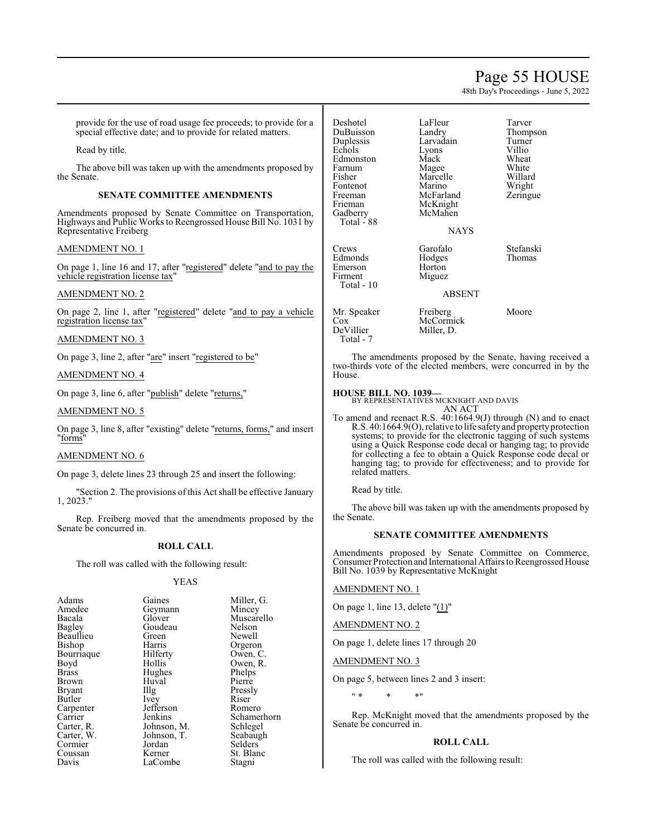# Page 55 HOUSE

48th Day's Proceedings - June 5, 2022

provide for the use of road usage fee proceeds; to provide for a special effective date; and to provide for related matters.

Read by title.

The above bill was taken up with the amendments proposed by the Senate.

# **SENATE COMMITTEE AMENDMENTS**

Amendments proposed by Senate Committee on Transportation, Highways and Public Works to Reengrossed House Bill No. 1031 by Representative Freiberg

# AMENDMENT NO. 1

On page 1, line 16 and 17, after "registered" delete "and to pay the vehicle registration license tax"

# AMENDMENT NO. 2

On page 2, line 1, after "registered" delete "and to pay a vehicle registration license tax"

## AMENDMENT NO. 3

On page 3, line 2, after "are" insert "registered to be"

# AMENDMENT NO. 4

On page 3, line 6, after "publish" delete "returns,"

# AMENDMENT NO. 5

On page 3, line 8, after "existing" delete "returns, forms," and insert "forms"

## AMENDMENT NO. 6

On page 3, delete lines 23 through 25 and insert the following:

"Section 2. The provisions of this Act shall be effective January 1, 2023."

Rep. Freiberg moved that the amendments proposed by the Senate be concurred in.

# **ROLL CALL**

The roll was called with the following result:

# YEAS

| Adams         | Gaines      | Miller, G.  |
|---------------|-------------|-------------|
| Amedee        | Geymann     | Mincey      |
| Bacala        | Glover      | Muscarello  |
| Bagley        | Goudeau     | Nelson      |
| Beaullieu     | Green       | Newell      |
| Bishop        | Harris      | Orgeron     |
| Bourriaque    | Hilferty    | Owen, C.    |
| Boyd          | Hollis      | Owen, R.    |
| <b>Brass</b>  | Hughes      | Phelps      |
| Brown         | Huval       | Pierre      |
| <b>Bryant</b> | Illg        | Pressly     |
| Butler        | Ivey        | Riser       |
| Carpenter     | Jefferson   | Romero      |
| Carrier       | Jenkins     | Schamerhorn |
| Carter, R.    | Johnson, M. | Schlegel    |
| Carter, W.    | Johnson, T. | Seabaugh    |
| Cormier       | Jordan      | Selders     |
| Coussan       | Kerner      | St. Blanc   |
| Davis         | LaCombe     | Stagni      |
|               |             |             |

Deshotel LaFleur Tarver<br>DuBuisson Landry Thompson DuBuisson Landry Thomp<br>
Duplessis Larvadain Turner Echols Lyons Villio<br>Edmonston Mack Wheat Edmonston Mack Wheat<br>
Farnum Magee White Farnum Magee White<br>
Fisher Marcelle Willard Fontenot Marino Wright<br>
Freeman McFarland Zeringue Freeman McFarland<br>Frieman McKnight Frieman McKnight<br>Gadberry McMahen Total - 88 Crews Garofalo Stefanski Emerson<br>Firment Total - 10 Mr. Speaker Freiberg Moore<br>
Cox McCormick

Larvadain Turner<br>Lyons Villio Marcelle Willard<br>
Marino Wright McMahen

Hodges<br>Horton

Miguez

Miller, D.

# **NAYS**

# ABSENT

Cox McCormick<br>DeVillier Miller, D. Total - 7

The amendments proposed by the Senate, having received a two-thirds vote of the elected members, were concurred in by the House.

## **HOUSE BILL NO. 1039—**

BY REPRESENTATIVES MCKNIGHT AND DAVIS AN ACT

To amend and reenact R.S. 40:1664.9(J) through (N) and to enact R.S. 40:1664.9(O), relative to life safety and propertyprotection systems; to provide for the electronic tagging of such systems using a Quick Response code decal or hanging tag; to provide for collecting a fee to obtain a Quick Response code decal or hanging tag; to provide for effectiveness; and to provide for related matters.

Read by title.

The above bill was taken up with the amendments proposed by the Senate.

# **SENATE COMMITTEE AMENDMENTS**

Amendments proposed by Senate Committee on Commerce, Consumer Protection and International Affairs to Reengrossed House Bill No. 1039 by Representative McKnight

# AMENDMENT NO. 1

On page 1, line 13, delete "(1)"

# AMENDMENT NO. 2

On page 1, delete lines 17 through 20

AMENDMENT NO. 3

On page 5, between lines 2 and 3 insert:

" \* \* \*"

Rep. McKnight moved that the amendments proposed by the Senate be concurred in.

# **ROLL CALL**

The roll was called with the following result: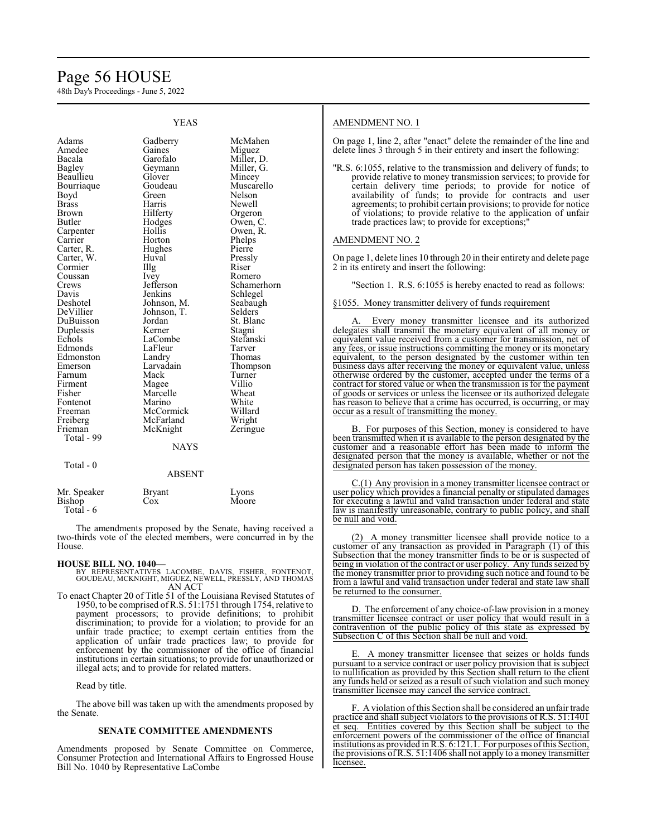# Page 56 HOUSE

48th Day's Proceedings - June 5, 2022

| <b>YEAS</b>                                                                                                                                                                                                                                                                                                                                                                        |                                                                                                                                                                                                                                                                                                                                                                    |                                                                                                                                                                                                                                                                                                                                                                 |
|------------------------------------------------------------------------------------------------------------------------------------------------------------------------------------------------------------------------------------------------------------------------------------------------------------------------------------------------------------------------------------|--------------------------------------------------------------------------------------------------------------------------------------------------------------------------------------------------------------------------------------------------------------------------------------------------------------------------------------------------------------------|-----------------------------------------------------------------------------------------------------------------------------------------------------------------------------------------------------------------------------------------------------------------------------------------------------------------------------------------------------------------|
| Adams<br>Amedee<br>Bacala<br>Bagley<br>Beaullieu<br>Bourriaque<br>Boyd<br>Brass<br><b>Brown</b><br>Butler<br>Carpenter<br>Carrier<br>Carter, R.<br>Carter, W.<br>Cormier<br>Coussan<br>Crews<br>Davis<br>Deshotel<br>DeVillier<br>DuBuisson<br>Duplessis<br>Echols<br>Edmonds<br>Edmonston<br>Emerson<br>Farnum<br>Firment<br>Fisher<br>Fontenot<br>Freeman<br>Freiberg<br>Frieman | Gadberry<br>Gaines<br>Garofalo<br>Geymann<br>Glover<br>Goudeau<br>Green<br>Harris<br>Hilferty<br>Hodges<br>Hollis<br>Horton<br>Hughes<br>Huval<br>Illg<br>Ivey<br>Jefferson<br>Jenkins<br>Johnson, M.<br>Johnson, T.<br>Jordan<br>Kerner<br>LaCombe<br>LaFleur<br>Landry<br>Larvadain<br>Mack<br>Magee<br>Marcelle<br>Marino<br>McCormick<br>McFarland<br>McKnight | McMahen<br>Miguez<br>Miller, D.<br>Miller, G.<br>Mincey<br>Muscarello<br>Nelson<br>Newell<br>Orgeron<br>Owen, C.<br>Owen, R.<br>Phelps<br>Pierre<br>Pressly<br>Riser<br>Romero<br>Schamerhorn<br>Schlegel<br>Seabaugh<br>Selders<br>St. Blanc<br>Stagni<br>Stefanski<br>Tarver<br>Thomas<br>Thompson<br>Turner<br>Villio<br>Wheat<br>White<br>Willard<br>Wright |
|                                                                                                                                                                                                                                                                                                                                                                                    |                                                                                                                                                                                                                                                                                                                                                                    | Zeringue                                                                                                                                                                                                                                                                                                                                                        |
| Total - 99                                                                                                                                                                                                                                                                                                                                                                         | <b>NAYS</b>                                                                                                                                                                                                                                                                                                                                                        |                                                                                                                                                                                                                                                                                                                                                                 |
|                                                                                                                                                                                                                                                                                                                                                                                    |                                                                                                                                                                                                                                                                                                                                                                    |                                                                                                                                                                                                                                                                                                                                                                 |
| Total - 0                                                                                                                                                                                                                                                                                                                                                                          | <b>ABSENT</b>                                                                                                                                                                                                                                                                                                                                                      |                                                                                                                                                                                                                                                                                                                                                                 |
| Mr. Speaker<br>Bishop<br>Total - 6                                                                                                                                                                                                                                                                                                                                                 | <b>Bryant</b><br>Cox                                                                                                                                                                                                                                                                                                                                               | Lyons<br>Moore                                                                                                                                                                                                                                                                                                                                                  |

The amendments proposed by the Senate, having received a two-thirds vote of the elected members, were concurred in by the House.

**HOUSE BILL NO. 1040—** BY REPRESENTATIVES LACOMBE, DAVIS, FISHER, FONTENOT, GOUDEAU, MCKNIGHT, MIGUEZ, NEWELL, PRESSLY, AND THOMAS AN ACT

To enact Chapter 20 of Title 51 of the Louisiana Revised Statutes of 1950, to be comprised ofR.S. 51:1751 through 1754, relative to payment processors; to provide definitions; to prohibit discrimination; to provide for a violation; to provide for an unfair trade practice; to exempt certain entities from the application of unfair trade practices law; to provide for enforcement by the commissioner of the office of financial institutions in certain situations; to provide for unauthorized or illegal acts; and to provide for related matters.

Read by title.

The above bill was taken up with the amendments proposed by the Senate.

# **SENATE COMMITTEE AMENDMENTS**

Amendments proposed by Senate Committee on Commerce, Consumer Protection and International Affairs to Engrossed House Bill No. 1040 by Representative LaCombe

# AMENDMENT NO. 1

On page 1, line 2, after "enact" delete the remainder of the line and delete lines 3 through 5 in their entirety and insert the following:

"R.S. 6:1055, relative to the transmission and delivery of funds; to provide relative to money transmission services; to provide for certain delivery time periods; to provide for notice of availability of funds; to provide for contracts and user agreements; to prohibit certain provisions; to provide for notice of violations; to provide relative to the application of unfair trade practices law; to provide for exceptions;"

# AMENDMENT NO. 2

On page 1, delete lines 10 through 20 in their entirety and delete page 2 in its entirety and insert the following:

"Section 1. R.S. 6:1055 is hereby enacted to read as follows:

§1055. Money transmitter delivery of funds requirement

Every money transmitter licensee and its authorized delegates shall transmit the monetary equivalent of all money or equivalent value received from a customer for transmission, net of any fees, or issue instructions committing the money or its monetary equivalent, to the person designated by the customer within ten business days after receiving the money or equivalent value, unless otherwise ordered by the customer, accepted under the terms of a contract for stored value or when the transmission is for the payment of goods or services or unless the licensee or its authorized delegate has reason to believe that a crime has occurred, is occurring, or may occur as a result of transmitting the money.

B. For purposes of this Section, money is considered to have been transmitted when it is available to the person designated by the customer and a reasonable effort has been made to inform the designated person that the money is available, whether or not the designated person has taken possession of the money.

C.(1) Any provision in a money transmitter licensee contract or user policy which provides a financial penalty or stipulated damages for executing a lawful and valid transaction under federal and state law is manifestly unreasonable, contrary to public policy, and shall be null and void.

(2) A money transmitter licensee shall provide notice to a customer of any transaction as provided in Paragraph (1) of this Subsection that the money transmitter finds to be or is suspected of being in violation of the contract or user policy. Any funds seized by the money transmitter prior to providing such notice and found to be from a lawful and valid transaction under federal and state law shall be returned to the consumer.

D. The enforcement of any choice-of-law provision in a money transmitter licensee contract or user policy that would result in a contravention of the public policy of this state as expressed by Subsection C of this Section shall be null and void.

E. A money transmitter licensee that seizes or holds funds pursuant to a service contract or user policy provision that is subject to nullification as provided by this Section shall return to the client any funds held or seized as a result of such violation and such money transmitter licensee may cancel the service contract.

F. A violation ofthis Section shall be considered an unfair trade practice and shall subject violators to the provisions of R.S. 51:1401 et seq. Entities covered by this Section shall be subject to the enforcement powers of the commissioner of the office of financial institutions as provided in R.S. 6:121.1. For purposes ofthis Section, the provisions of R.S. 51:1406 shall not apply to a money transmitter licensee.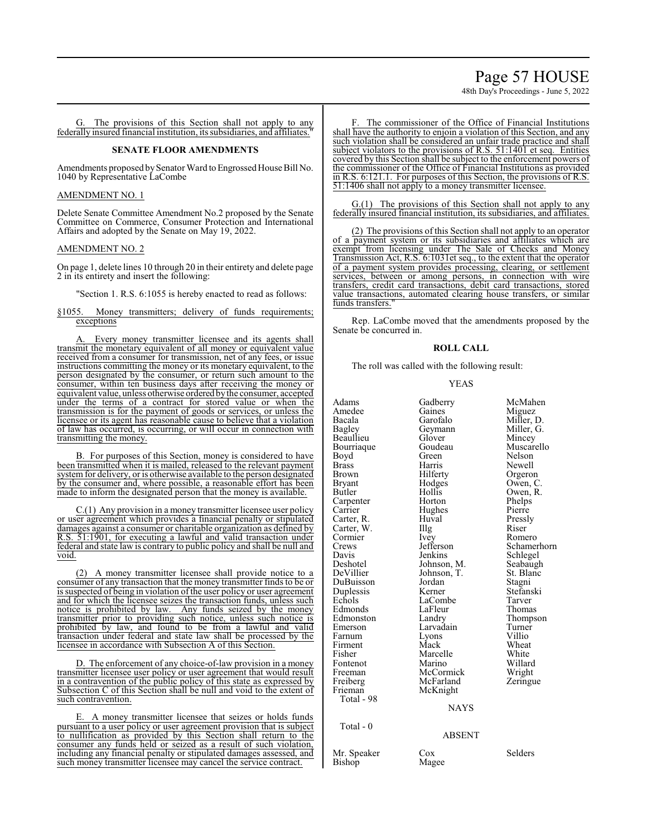Page 57 HOUSE 48th Day's Proceedings - June 5, 2022

G. The provisions of this Section shall not apply to any federally insured financial institution, its subsidiaries, and affiliates."

# **SENATE FLOOR AMENDMENTS**

Amendments proposed by Senator Ward to Engrossed House Bill No. 1040 by Representative LaCombe

## AMENDMENT NO. 1

Delete Senate Committee Amendment No.2 proposed by the Senate Committee on Commerce, Consumer Protection and International Affairs and adopted by the Senate on May 19, 2022.

# AMENDMENT NO. 2

On page 1, delete lines 10 through 20 in their entirety and delete page 2 in its entirety and insert the following:

"Section 1. R.S. 6:1055 is hereby enacted to read as follows:

# §1055. Money transmitters; delivery of funds requirements; exceptions

Every money transmitter licensee and its agents shall transmit the monetary equivalent of all money or equivalent value received from a consumer for transmission, net of any fees, or issue instructions committing the money or its monetary equivalent, to the person designated by the consumer, or return such amount to the consumer, within ten business days after receiving the money or equivalent value, unless otherwise ordered by the consumer, accepted under the terms of a contract for stored value or when the transmission is for the payment of goods or services, or unless the licensee or its agent has reasonable cause to believe that a violation of law has occurred, is occurring, or will occur in connection with transmitting the money.

B. For purposes of this Section, money is considered to have been transmitted when it is mailed, released to the relevant payment system for delivery, or is otherwise available to the person designated by the consumer and, where possible, a reasonable effort has been made to inform the designated person that the money is available.

 $C(1)$  Any provision in a money transmitter licensee user policy or user agreement which provides a financial penalty or stipulated damages against a consumer or charitable organization as defined by R.S. 51:1901, for executing a lawful and valid transaction under federal and state law is contrary to public policy and shall be null and void.

A money transmitter licensee shall provide notice to a consumer of any transaction that the money transmitter finds to be or is suspected of being in violation of the user policy or user agreement and for which the licensee seizes the transaction funds, unless such notice is prohibited by law. Any funds seized by the money transmitter prior to providing such notice, unless such notice is prohibited by law, and found to be from a lawful and valid transaction under federal and state law shall be processed by the licensee in accordance with Subsection A of this Section.

D. The enforcement of any choice-of-law provision in a money transmitter licensee user policy or user agreement that would result in a contravention of the public policy of this state as expressed by Subsection C of this Section shall be null and void to the extent of such contravention.

E. A money transmitter licensee that seizes or holds funds pursuant to a user policy or user agreement provision that is subject to nullification as provided by this Section shall return to the consumer any funds held or seized as a result of such violation, including any financial penalty or stipulated damages assessed, and such money transmitter licensee may cancel the service contract.

The commissioner of the Office of Financial Institutions shall have the authority to enjoin a violation of this Section, and any such violation shall be considered an unfair trade practice and shall subject violators to the provisions of R.S. 51:1401 et seq. Entities covered by this Section shall be subject to the enforcement powers of the commissioner of the Office of Financial Institutions as provided in R.S. 6:121.1. For purposes of this Section, the provisions of R.S. 51:1406 shall not apply to a money transmitter licensee.

G.(1) The provisions of this Section shall not apply to any federally insured financial institution, its subsidiaries, and affiliates.

(2) The provisions of this Section shall not apply to an operator of a payment system or its subsidiaries and affiliates which are exempt from licensing under The Sale of Checks and Money Transmission Act, R.S. 6:1031et seq., to the extent that the operator of a payment system provides processing, clearing, or settlement services, between or among persons, in connection with wire transfers, credit card transactions, debit card transactions, stored value transactions, automated clearing house transfers, or similar funds transfers.

Rep. LaCombe moved that the amendments proposed by the Senate be concurred in.

# **ROLL CALL**

The roll was called with the following result:

# YEAS

| Adams<br>Amedee<br>Bacala<br>Bagley<br>Beaullieu<br>Bourriaque<br>Boyd<br><b>Brass</b><br>Brown<br><b>Bryant</b><br><b>Butler</b><br>Carpenter<br>Carrier<br>Carter, R.<br>Carter, W.<br>Cormier<br>Crews<br>Davis<br>Deshotel<br>DeVillier<br>DuBuisson<br>Duplessis<br>Echols | Gadberry<br>Gaines<br>Garofalo<br>Geymann<br>Glover<br>Goudeau<br>Green<br>Harris<br>Hilferty<br>Hodges<br>Hollis<br>Horton<br>Hughes<br>Huval<br>Illg<br>Ivey<br>Jefferson<br>Jenkins<br>Johnson, M.<br>Johnson, T.<br>Jordan<br>Kerner<br>LaCombe | McMahen<br>Miguez<br>Miller, D.<br>Miller, G.<br>Mincey<br>Muscarello<br>Nelson<br>Newell<br>Orgeron<br>Owen, C.<br>Owen, R.<br>Phelps<br>Pierre<br>Pressly<br>Riser<br>Romero<br>Schamerhorn<br>Schlegel<br>Seabaugh<br>St. Blanc<br>Stagni<br>Stefanski<br>Tarver |
|---------------------------------------------------------------------------------------------------------------------------------------------------------------------------------------------------------------------------------------------------------------------------------|-----------------------------------------------------------------------------------------------------------------------------------------------------------------------------------------------------------------------------------------------------|---------------------------------------------------------------------------------------------------------------------------------------------------------------------------------------------------------------------------------------------------------------------|
| Edmonds<br>Edmonston                                                                                                                                                                                                                                                            | LaFleur<br>Landry                                                                                                                                                                                                                                   | Thomas<br>Thompson                                                                                                                                                                                                                                                  |
| Emerson                                                                                                                                                                                                                                                                         | Larvadain                                                                                                                                                                                                                                           | Turner                                                                                                                                                                                                                                                              |
| Farnum<br>Firment                                                                                                                                                                                                                                                               | Lyons<br>Mack                                                                                                                                                                                                                                       | Villio<br>Wheat                                                                                                                                                                                                                                                     |
| Fisher                                                                                                                                                                                                                                                                          | Marcelle                                                                                                                                                                                                                                            | White                                                                                                                                                                                                                                                               |
| Fontenot                                                                                                                                                                                                                                                                        | Marino                                                                                                                                                                                                                                              | Willard                                                                                                                                                                                                                                                             |
| Freeman<br>Freiberg                                                                                                                                                                                                                                                             | McCormick<br>McFarland                                                                                                                                                                                                                              | Wright<br>Zeringue                                                                                                                                                                                                                                                  |
| Frieman                                                                                                                                                                                                                                                                         | McKnight                                                                                                                                                                                                                                            |                                                                                                                                                                                                                                                                     |
| Total - 98                                                                                                                                                                                                                                                                      |                                                                                                                                                                                                                                                     |                                                                                                                                                                                                                                                                     |
|                                                                                                                                                                                                                                                                                 | <b>NAYS</b>                                                                                                                                                                                                                                         |                                                                                                                                                                                                                                                                     |
| Total - 0                                                                                                                                                                                                                                                                       | ABSENT                                                                                                                                                                                                                                              |                                                                                                                                                                                                                                                                     |
| Mr. Speaker                                                                                                                                                                                                                                                                     | Cox                                                                                                                                                                                                                                                 | Selders                                                                                                                                                                                                                                                             |

Bishop Magee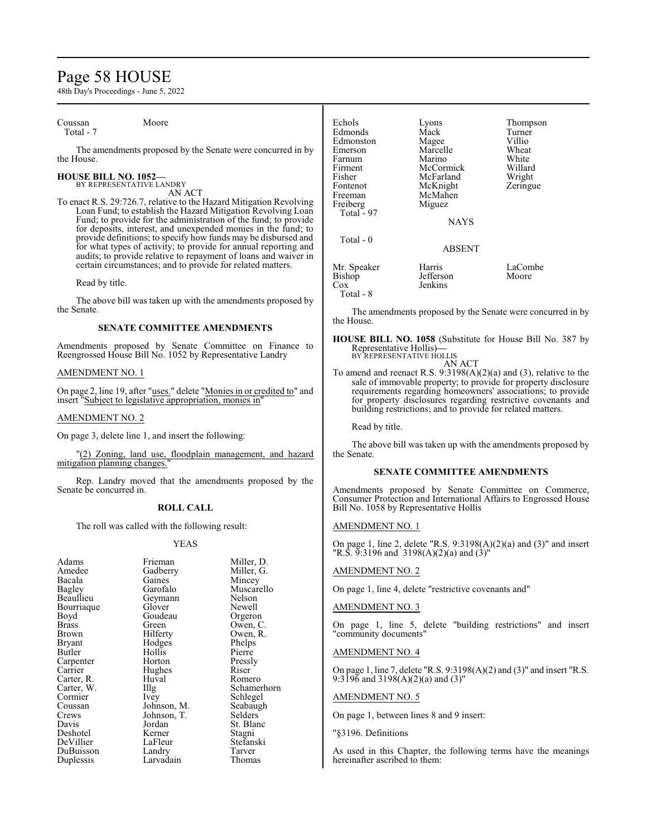# Page 58 HOUSE

48th Day's Proceedings - June 5, 2022

Coussan Moore Total - 7

The amendments proposed by the Senate were concurred in by the House.

## **HOUSE BILL NO. 1052—** BY REPRESENTATIVE LANDRY

AN ACT

To enact R.S. 29:726.7, relative to the Hazard Mitigation Revolving Loan Fund; to establish the Hazard Mitigation Revolving Loan Fund; to provide for the administration of the fund; to provide for deposits, interest, and unexpended monies in the fund; to provide definitions; to specify how funds may be disbursed and for what types of activity; to provide for annual reporting and audits; to provide relative to repayment of loans and waiver in certain circumstances; and to provide for related matters.

Read by title.

The above bill was taken up with the amendments proposed by the Senate.

# **SENATE COMMITTEE AMENDMENTS**

Amendments proposed by Senate Committee on Finance to Reengrossed House Bill No. 1052 by Representative Landry

# AMENDMENT NO. 1

On page 2, line 19, after "uses." delete "Monies in or credited to" and insert "Subject to legislative appropriation, monies in"

# AMENDMENT NO. 2

On page 3, delete line 1, and insert the following:

"(2) Zoning, land use, floodplain management, and hazard mitigation planning changes."

Rep. Landry moved that the amendments proposed by the Senate be concurred in.

# **ROLL CALL**

The roll was called with the following result:

# YEAS

| Frieman           | Miller, D.                                          |
|-------------------|-----------------------------------------------------|
|                   | Miller, G.                                          |
| Gaines            | Mincey                                              |
| Garofalo          | Muscarello                                          |
|                   | Nelson                                              |
|                   | Newell                                              |
| Goudeau           | Orgeron                                             |
| Green             | Owen, C.                                            |
|                   | Owen, R.                                            |
|                   | Phelps                                              |
| Hollis            | Pierre                                              |
| Horton            | Pressly                                             |
| Hughes            | Riser                                               |
| Huval             | Romero                                              |
| $\prod_{i=1}^{n}$ | Schamerhorn                                         |
| Ivey              | Schlegel                                            |
| Johnson, M.       | Seabaugh                                            |
| Johnson, T.       | Selders                                             |
| Jordan            | St. Blanc                                           |
| Kerner            | Stagni                                              |
| LaFleur           | Stefanski                                           |
| Landry            | Tarver                                              |
| Larvadain         | Thomas                                              |
|                   | Gadberry<br>Geymann<br>Glover<br>Hilferty<br>Hodges |

| Echols<br>Edmonds<br>Edmonston<br>Emerson<br>Farnum<br>Firment<br>Fisher<br>Fontenot<br>Freeman<br>Freiberg<br>Total $-97$<br>Total $-0$ | Lyons<br>Mack<br>Magee<br>Marcelle<br>Marino<br>McCormick<br>McFarland<br>McKnight<br>McMahen<br>Miguez<br><b>NAYS</b><br><b>ABSENT</b> | Thompson<br>Turner<br>Villio<br>Wheat<br>White<br>Willard<br>Wright<br>Zeringue |
|------------------------------------------------------------------------------------------------------------------------------------------|-----------------------------------------------------------------------------------------------------------------------------------------|---------------------------------------------------------------------------------|
|                                                                                                                                          |                                                                                                                                         |                                                                                 |
| Mr. Speaker<br><b>Bishop</b><br>Cox                                                                                                      | Harris<br>Jefferson<br>Jenkins                                                                                                          | LaCombe<br>Moore                                                                |

Total - 8

The amendments proposed by the Senate were concurred in by the House.

**HOUSE BILL NO. 1058** (Substitute for House Bill No. 387 by Representative Hollis)**—** BY REPRESENTATIVE HOLLIS

AN ACT

To amend and reenact R.S. 9:3198(A)(2)(a) and (3), relative to the sale of immovable property; to provide for property disclosure requirements regarding homeowners' associations; to provide for property disclosures regarding restrictive covenants and building restrictions; and to provide for related matters.

Read by title.

The above bill was taken up with the amendments proposed by the Senate.

# **SENATE COMMITTEE AMENDMENTS**

Amendments proposed by Senate Committee on Commerce, Consumer Protection and International Affairs to Engrossed House Bill No. 1058 by Representative Hollis

# AMENDMENT NO. 1

On page 1, line 2, delete "R.S. 9:3198(A)(2)(a) and (3)" and insert "R.S. 9:3196 and 3198(A)(2)(a) and (3)"

# AMENDMENT NO. 2

On page 1, line 4, delete "restrictive covenants and"

# AMENDMENT NO. 3

On page 1, line 5, delete "building restrictions" and insert "community documents"

# AMENDMENT NO. 4

On page 1, line 7, delete "R.S. 9:3198(A)(2) and (3)" and insert "R.S. 9:3196 and 3198(A)(2)(a) and (3)"

# AMENDMENT NO. 5

On page 1, between lines 8 and 9 insert:

"§3196. Definitions

As used in this Chapter, the following terms have the meanings hereinafter ascribed to them: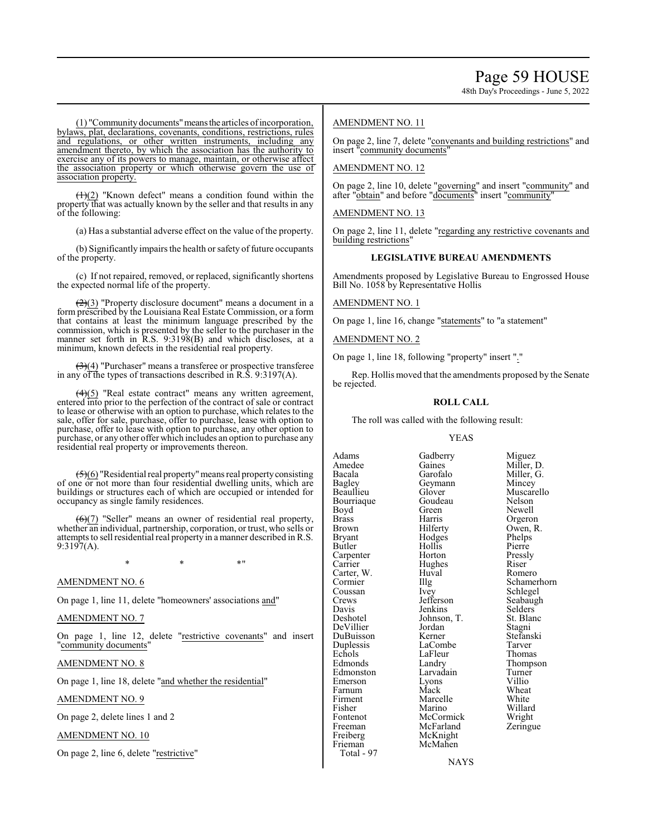48th Day's Proceedings - June 5, 2022

(1) "Communitydocuments"meansthe articles ofincorporation, bylaws, plat, declarations, covenants, conditions, restrictions, rules and regulations, or other written instruments, including any amendment thereto, by which the association has the authority to exercise any of its powers to manage, maintain, or otherwise affect the association property or which otherwise govern the use of association property.

 $(1)(2)$  "Known defect" means a condition found within the property that was actually known by the seller and that results in any of the following:

(a) Has a substantial adverse effect on the value of the property.

(b) Significantly impairs the health or safety of future occupants of the property.

(c) If not repaired, removed, or replaced, significantly shortens the expected normal life of the property.

 $(2)(3)$  "Property disclosure document" means a document in a form prescribed by the Louisiana Real Estate Commission, or a form that contains at least the minimum language prescribed by the commission, which is presented by the seller to the purchaser in the manner set forth in R.S. 9:3198(B) and which discloses, at a minimum, known defects in the residential real property.

(3)(4) "Purchaser" means a transferee or prospective transferee in any of the types of transactions described in R.S. 9:3197(A).

 $\left(\frac{4}{5}\right)$  "Real estate contract" means any written agreement, entered into prior to the perfection of the contract of sale or contract to lease or otherwise with an option to purchase, which relates to the sale, offer for sale, purchase, offer to purchase, lease with option to purchase, offer to lease with option to purchase, any other option to purchase, or any other offer which includes an option to purchase any residential real property or improvements thereon.

 $\left(\frac{1}{2}\right)(6)$  "Residential real property" means real property consisting of one or not more than four residential dwelling units, which are buildings or structures each of which are occupied or intended for occupancy as single family residences.

 $\left(\frac{6}{2}\right)$  "Seller" means an owner of residential real property, whether an individual, partnership, corporation, or trust, who sells or attempts to sell residential real property in amanner described in R.S.  $9:3197(A)$ .

 $*$  \*  $*$  \*

# AMENDMENT NO. 6

On page 1, line 11, delete "homeowners' associations and"

# AMENDMENT NO. 7

On page 1, line 12, delete "restrictive covenants" and insert "community documents"

AMENDMENT NO. 8

On page 1, line 18, delete "and whether the residential"

AMENDMENT NO. 9

On page 2, delete lines 1 and 2

AMENDMENT NO. 10

On page 2, line 6, delete "restrictive"

# AMENDMENT NO. 11

On page 2, line 7, delete "convenants and building restrictions" and insert "community documents"

# AMENDMENT NO. 12

On page 2, line 10, delete "governing" and insert "community" and after "obtain" and before "documents" insert "community"

AMENDMENT NO. 13

On page 2, line 11, delete "regarding any restrictive covenants and building restrictions"

# **LEGISLATIVE BUREAU AMENDMENTS**

Amendments proposed by Legislative Bureau to Engrossed House Bill No. 1058 by Representative Hollis

# AMENDMENT NO. 1

On page 1, line 16, change "statements" to "a statement"

# AMENDMENT NO. 2

On page 1, line 18, following "property" insert "."

Rep. Hollis moved that the amendments proposed by the Senate be rejected.

# **ROLL CALL**

The roll was called with the following result:

# YEAS

Bourriaque Goude<br>Boyd Green Carter, W. Huv<br>Cormier Hllg Echols LaFleur<br>Edmonds Landry Emerson Lyons<br>Farnum Mack Freeman McFarland<br>Freiberg McKnight Freiberg McKnight<br>
Frieman McMahen Total - 97

Adams Gadberry Miguez<br>Amedee Gaines Miller, 1 Amedee Gaines Miller, D.<br>Bacala Garofalo Miller, G. Bacala Garofalo Miller, G. Geymann Mincey<br>Glover Muscarello Beaullieu Glover Muscarello<br>Bourriaque Goudeau Nelson Boyd Green Newell<br>Brass Harris Orgerol Brass Harris Orgeron Brown Hilferty Owen, R.<br>Bryant Hodges Phelps Bryant Hodges Phelps Hollis Pierre<br>
Horton Pressly Carpenter Horton Press<br>
Carrier Hughes Riser Hughes Riser<br>Huval Romero Cormier Illg Schamerhorn<br>
Coussan Ivey Schlegel Coussan Ivey Schlegel<br>Crews Jefferson Seabaugl Crews Jefferson Seabaugh<br>
Davis Ienkins Selders Davis Jenkins Selders<br>Deshotel Johnson, T. St. Blanc Johnson, T. St. Blanch<br>Jordan Stagni DeVillier Jordan Stagni<br>DuBuisson Kerner Stefanski DuBuisson Kerner Stefans<br>Duplessis LaCombe Tarver Duplessis LaCombe Tarver Landry Thompson<br>Larvadain Turner Edmonston Larvadain Turner<br>Emerson Lyons Villio Farnum Mack Wheat<br>Firment Marcelle White Firment Marcelle White<br>
Fisher Marino Willard Fisher Marino Willard Fontenot McCormick Wright<br>
Freeman McFarland Zeringue

NAYS

McMahen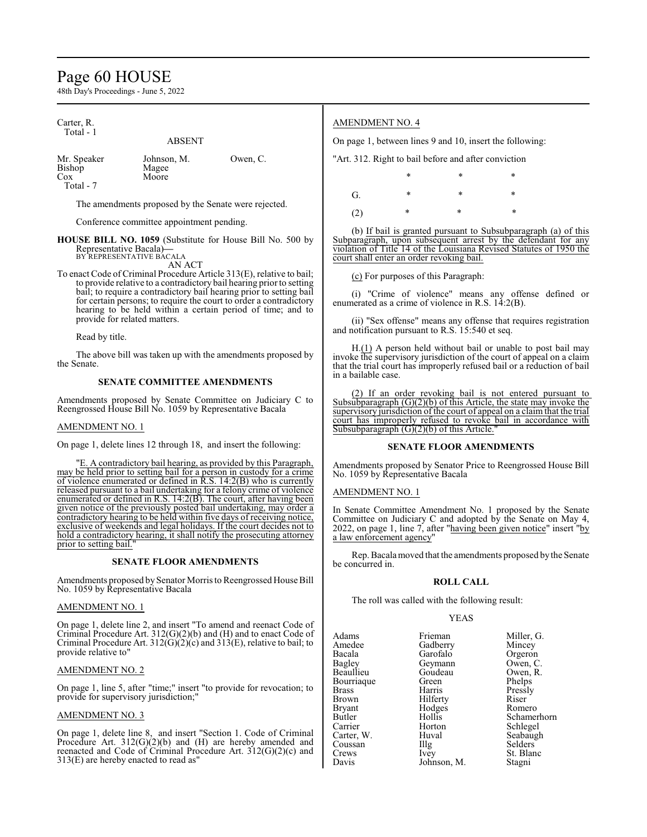# Page 60 HOUSE

48th Day's Proceedings - June 5, 2022

Carter, R. Total - 1

ABSENT

Bishop Cox Moore

Mr. Speaker Johnson, M. Owen, C.<br>Bishop Magee

Total - 7

The amendments proposed by the Senate were rejected.

Conference committee appointment pending.

**HOUSE BILL NO. 1059** (Substitute for House Bill No. 500 by Representative Bacala)**—** BY REPRESENTATIVE BACALA

AN ACT

To enact Code of Criminal Procedure Article 313(E), relative to bail; to provide relative to a contradictory bail hearing prior to setting bail; to require a contradictory bail hearing prior to setting bail for certain persons; to require the court to order a contradictory hearing to be held within a certain period of time; and to provide for related matters.

Read by title.

The above bill was taken up with the amendments proposed by the Senate.

# **SENATE COMMITTEE AMENDMENTS**

Amendments proposed by Senate Committee on Judiciary C to Reengrossed House Bill No. 1059 by Representative Bacala

# AMENDMENT NO. 1

On page 1, delete lines 12 through 18, and insert the following:

"E. A contradictory bail hearing, as provided by this Paragraph, may be held prior to setting bail for a person in custody for a crime of violence enumerated or defined in R.S. 14:2(B) who is currently released pursuant to a bail undertaking for a felony crime of violence enumerated or defined in R.S. 14:2(B). The court, after having been given notice of the previously posted bail undertaking, may order a contradictory hearing to be held within five days of receiving notice, exclusive of weekends and legal holidays. If the court decides not to hold a contradictory hearing, it shall notify the prosecuting attorney prior to setting bail.

# **SENATE FLOOR AMENDMENTS**

Amendments proposed by Senator Morris to Reengrossed House Bill No. 1059 by Representative Bacala

# AMENDMENT NO. 1

On page 1, delete line 2, and insert "To amend and reenact Code of Criminal Procedure Art.  $312(G)(2)(b)$  and (H) and to enact Code of Criminal Procedure Art. 312( $\overline{G}$ )( $\overline{C}$ ) and 313(E), relative to bail; to provide relative to"

# AMENDMENT NO. 2

On page 1, line 5, after "time;" insert "to provide for revocation; to provide for supervisory jurisdiction;

# AMENDMENT NO. 3

On page 1, delete line 8, and insert "Section 1. Code of Criminal Procedure Art.  $312(G)(2)(b)$  and (H) are hereby amended and reenacted and Code of Criminal Procedure Art. 312(G)(2)(c) and 313(E) are hereby enacted to read as"

# AMENDMENT NO. 4

On page 1, between lines 9 and 10, insert the following:

"Art. 312. Right to bail before and after conviction

\* \* \* G. \* \* \* \* (2) \* \* \*

(b) If bail is granted pursuant to Subsubparagraph (a) of this Subparagraph, upon subsequent arrest by the defendant for any violation of Title 14 of the Louisiana Revised Statutes of 1950 the court shall enter an order revoking bail.

(c) For purposes of this Paragraph:

(i) "Crime of violence" means any offense defined or enumerated as a crime of violence in R.S. 14:2(B).

(ii) "Sex offense" means any offense that requires registration and notification pursuant to R.S. 15:540 et seq.

H.(1) A person held without bail or unable to post bail may invoke the supervisory jurisdiction of the court of appeal on a claim that the trial court has improperly refused bail or a reduction of bail in a bailable case.

(2) If an order revoking bail is not entered pursuant to Subsubparagraph  $(G)(2)(b)$  of this Article, the state may invoke the supervisory jurisdiction of the court of appeal on a claim that the trial court has improperly refused to revoke bail in accordance with Subsubparagraph  $(G)(2)(b)$  of this Article.

# **SENATE FLOOR AMENDMENTS**

Amendments proposed by Senator Price to Reengrossed House Bill No. 1059 by Representative Bacala

AMENDMENT NO. 1

In Senate Committee Amendment No. 1 proposed by the Senate Committee on Judiciary C and adopted by the Senate on May 4, 2022, on page 1, line 7, after "having been given notice" insert "by a law enforcement agency"

Rep. Bacala moved that the amendments proposed bythe Senate be concurred in.

# **ROLL CALL**

The roll was called with the following result:

# YEAS

Adams Frieman Miller, G.<br>Amedee Gadberry Mincey Amedee Gadberry<br>Bacala Garofalo Bacala Garofalo Orgeron Beaullieu Goudeau Owen, R. Bourriaque Green<br>Brass Harris Brass Harris Pressly Brown Hilferty Riser<br>Bryant Hodges Romero Bryant Hodges<br>Butler Hollis Butler Hollis Schamerhorn Carter, W. Huv<br>Coussan Illg Coussan Illg Selders<br>Crews Ivey St. Blan Davis Johnson, M.

Geymann Owen, C.<br>Goudeau Owen, R. Horton Schlegel<br>Huval Seabaugh St. Blanc<br>Stagni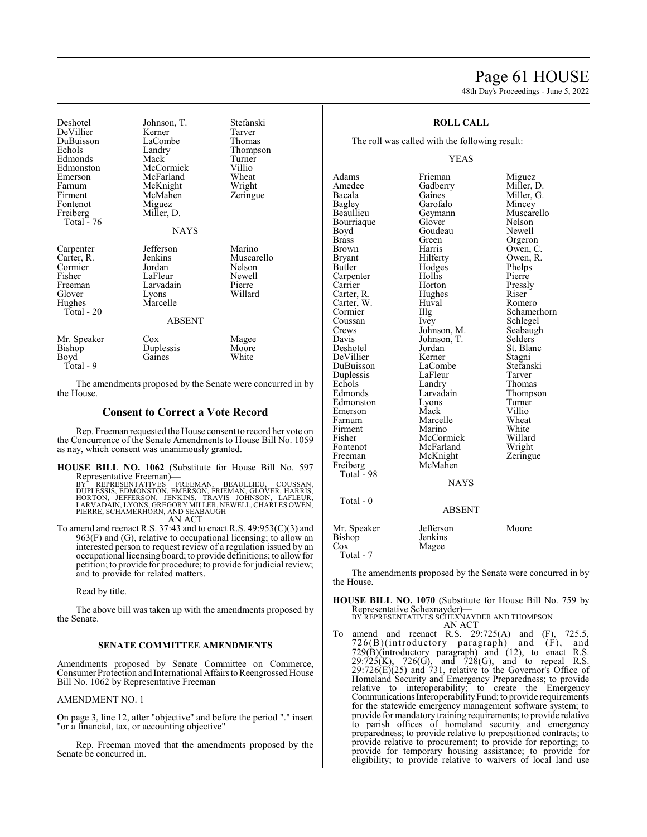# Page 61 HOUSE

48th Day's Proceedings - June 5, 2022

| Deshotel<br>DeVillier<br>DuBuisson<br>Echols<br>Edmonds<br>Edmonston<br>Emerson<br>Farnum<br>Firment<br>Fontenot<br>Freiberg<br>Total - 76 | Johnson, T.<br>Kerner<br>LaCombe<br>Landry<br>Mack<br>McCormick<br>McFarland<br>McKnight<br>McMahen<br>Miguez<br>Miller, D.<br><b>NAYS</b> | Stefanski<br>Tarver<br>Thomas<br>Thompson<br>Turner<br>Villio<br>Wheat<br>Wright<br>Zeringue |
|--------------------------------------------------------------------------------------------------------------------------------------------|--------------------------------------------------------------------------------------------------------------------------------------------|----------------------------------------------------------------------------------------------|
| Carpenter<br>Carter, R.<br>Cormier<br>Fisher<br>Freeman<br>Glover<br>Hughes<br>Total - 20                                                  | Jefferson<br>Jenkins<br>Jordan<br>LaFleur<br>Larvadain<br>Lyons<br>Marcelle<br><b>ABSENT</b>                                               | Marino<br>Muscarello<br>Nelson<br>Newell<br>Pierre<br>Willard                                |
| Mr. Speaker<br>Bishop<br>Boyd<br>$Total - 9$                                                                                               | $\cos$<br>Duplessis<br>Gaines                                                                                                              | Magee<br>Moore<br>White                                                                      |

The amendments proposed by the Senate were concurred in by the House.

# **Consent to Correct a Vote Record**

Rep. Freeman requested the House consent to record her vote on the Concurrence of the Senate Amendments to House Bill No. 1059 as nay, which consent was unanimously granted.

# **HOUSE BILL NO. 1062** (Substitute for House Bill No. 597

Representative Freeman)—<br>BY REPRESENTATIVES FREEMAN, BEAULLIEU, COUSSAN,<br>DUPLESSIS, EDMONSTON, EMERSON, FRIEMAN, GLOVER, HARRIS,<br>HORTON, JEFFERSON, JENKINS, TRAVIS JOHNSON, LAFLEUR,<br>LARVADAIN, LYONS, GREGORY MILLER, NEWELL PIERRE, SCHAMERHORN, AND SEABAUGH AN ACT

To amend and reenact R.S. 37:43 and to enact R.S. 49:953(C)(3) and 963(F) and (G), relative to occupational licensing; to allow an interested person to request review of a regulation issued by an occupational licensing board; to provide definitions; to allowfor petition; to provide for procedure; to provide for judicial review;

and to provide for related matters.

Read by title.

The above bill was taken up with the amendments proposed by the Senate.

# **SENATE COMMITTEE AMENDMENTS**

Amendments proposed by Senate Committee on Commerce, Consumer Protection and International Affairsto Reengrossed House Bill No. 1062 by Representative Freeman

# AMENDMENT NO. 1

On page 3, line 12, after "objective" and before the period "." insert "or a financial, tax, or accounting objective"

Rep. Freeman moved that the amendments proposed by the Senate be concurred in.

# **ROLL CALL**

The roll was called with the following result:

# YEAS

Adams Frieman Miguez<br>Amedee Gadberry Miller, 1 Amedee Gadberry Miller, D.<br>Bacala Gaines Miller, G. Bacala Gaines Miller, G. Bagley Garofalo<br>Beaullieu Geymann Bourriaque Glover Nelson<br>Boyd Goudeau Newell Boyd Goudeau<br>Brass Green Brass Green Orgeron<br>Brown Harris Owen Brown Harris Owen, C.<br>Bryant Hilferty Owen, R. Bryant Hilferty Owen, R.<br>Butler Hodges Phelps Hodges Phelps<br>Hollis Pierre Carpenter Hollis<br>Carrier Horton Carrier Horton Pressly<br>Carter, R. Hughes Riser Hughes Riser<br>
Huval Romero Carter, W. Huv<br>Cormier Hllg Coussan Ivey Schlegel<br>Crews Johnson, M. Seabaugh Crews Johnson, M. Seabaughter Seabaughter Seabaughter Seabaughter Seabaughter Seabaughter Seabaughter Seabaughter Seabaughter Seabaughter Seabaughter Seabaughter Seabaughter Seabaughter Seabaughter Seabaughter Seabaughter Davis Johnson, T.<br>Deshotel Jordan DeVillier Kerner Stagni LaCombe Stefans<br>LaFleur Tarver Duplessis LaFleur<br>
Echols Landry Echols Landry Thomas<br>Edmonds Larvadain Thomps Edmonston Lyons Turner<br>
Emerson Mack Villio Emerson Mack Villio<br>
Farnum Marcelle Wheat Marcelle Wheat<br>
Marino White Firment Marino White<br>
Fisher McCormick Willard Fisher McCormick Willard McFarland Freeman McKnight Zeringue<br>
Freiberg McMahen Freiberg McMahen Total - 98

Geymann Muscarello<br>Glover Nelson Illg Schamerhorn<br>Ivev Schlegel Jordan St. Blanc<br>Kerner Stagni Larvadain Thompson<br>
Lyons Turner

NAYS

# Total - 0 ABSENT Mr. Speaker Jefferson Moore<br>Bishop Jenkins Bishop<br>Cox Magee Total - 7

The amendments proposed by the Senate were concurred in by the House.

**HOUSE BILL NO. 1070** (Substitute for House Bill No. 759 by Representative Schexnayder)**—** BY REPRESENTATIVES SCHEXNAYDER AND THOMPSON

- AN ACT
- To amend and reenact R.S. 29:725(A) and (F), 725.5, 726(B)(introductory paragraph) and (F), and 729(B)(introductory paragraph) and (12), to enact R.S.  $29:725(K)$ ,  $726(G)$ , and  $728(G)$ , and to repeal R.S.  $29:726(E)(25)$  and 731, relative to the Governor's Office of Homeland Security and Emergency Preparedness; to provide relative to interoperability; to create the Emergency Communications Interoperability Fund; to provide requirements for the statewide emergency management software system; to provide for mandatory training requirements; to provide relative to parish offices of homeland security and emergency preparedness; to provide relative to prepositioned contracts; to provide relative to procurement; to provide for reporting; to provide for temporary housing assistance; to provide for eligibility; to provide relative to waivers of local land use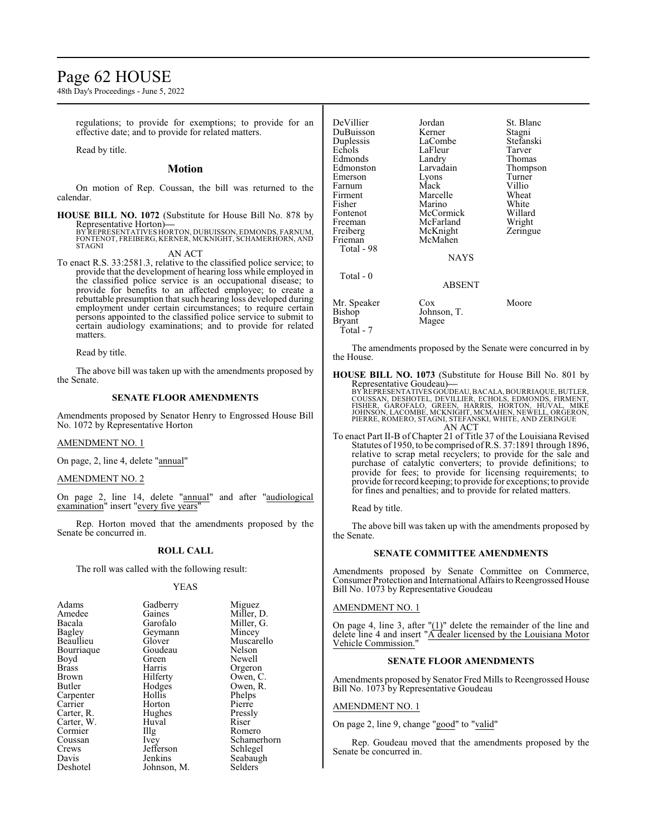# Page 62 HOUSE

48th Day's Proceedings - June 5, 2022

regulations; to provide for exemptions; to provide for an effective date; and to provide for related matters.

Read by title.

# **Motion**

On motion of Rep. Coussan, the bill was returned to the calendar.

**HOUSE BILL NO. 1072** (Substitute for House Bill No. 878 by Representative Horton)**—** BY REPRESENTATIVES HORTON, DUBUISSON, EDMONDS, FARNUM, FONTENOT, FREIBERG, KERNER, MCKNIGHT, SCHAMERHORN, AND STAGNI

AN ACT

To enact R.S. 33:2581.3, relative to the classified police service; to provide that the development of hearing loss while employed in the classified police service is an occupational disease; to provide for benefits to an affected employee; to create a rebuttable presumption that such hearing loss developed during employment under certain circumstances; to require certain persons appointed to the classified police service to submit to certain audiology examinations; and to provide for related matters.

Read by title.

The above bill was taken up with the amendments proposed by the Senate.

# **SENATE FLOOR AMENDMENTS**

Amendments proposed by Senator Henry to Engrossed House Bill No. 1072 by Representative Horton

# AMENDMENT NO. 1

On page, 2, line 4, delete "annual"

# AMENDMENT NO. 2

On page 2, line 14, delete "annual" and after "audiological examination" insert "every five years"

Rep. Horton moved that the amendments proposed by the Senate be concurred in.

# **ROLL CALL**

The roll was called with the following result:

## YEAS

| Adams         | Gadberry    | Miguez      |
|---------------|-------------|-------------|
| Amedee        | Gaines      | Miller, D.  |
| Bacala        | Garofalo    | Miller, G.  |
| <b>Bagley</b> | Geymann     | Mincey      |
| Beaullieu     | Glover      | Muscarello  |
| Bourriaque    | Goudeau     | Nelson      |
| Boyd          | Green       | Newell      |
| Brass         | Harris      | Orgeron     |
| Brown         | Hilferty    | Owen, C.    |
| Butler        | Hodges      | Owen, R.    |
| Carpenter     | Hollis      | Phelps      |
| Carrier       | Horton      | Pierre      |
| Carter, R.    | Hughes      | Pressly     |
| Carter, W.    | Huval       | Riser       |
| Cormier       | $\prod$ llg | Romero      |
| Coussan       | <i>lvey</i> | Schamerhorn |
| Crews         | Jefferson   | Schlegel    |
| Davis         | Jenkins     | Seabaugh    |
| Deshotel      | Johnson, M. | Selders     |

| DeVillier     | Jordan      | St. Blanc |
|---------------|-------------|-----------|
| DuBuisson     | Kerner      | Stagni    |
| Duplessis     | LaCombe     | Stefanski |
| Echols        | LaFleur     | Tarver    |
| Edmonds       | Landry      | Thomas    |
| Edmonston     | Larvadain   | Thompson  |
| Emerson       | Lyons       | Turner    |
| Farnum        | Mack        | Villio    |
| Firment       | Marcelle    | Wheat     |
| Fisher        | Marino      | White     |
| Fontenot      | McCormick   | Willard   |
| Freeman       | McFarland   | Wright    |
| Freiberg      | McKnight    | Zeringue  |
| Frieman       | McMahen     |           |
| Total - 98    |             |           |
|               | <b>NAYS</b> |           |
| Total - 0     |             |           |
|               | ABSENT      |           |
| Mr. Speaker   | Cox         | Moore     |
| Bishop        | Johnson, T. |           |
| <b>Bryant</b> | Magee       |           |

The amendments proposed by the Senate were concurred in by the House.

**HOUSE BILL NO. 1073** (Substitute for House Bill No. 801 by Representative Goudeau)**—** BY REPRESENTATIVES GOUDEAU, BACALA, BOURRIAQUE, BUTLER,<br>COUSSAN, DESHOTEL, DEVILLIER, ECHOLS, EDMONDS, FIRMENT,<br>FISHER, GAROFALO, GREEN, HARRIS, HORTON, HUVAL, MIKE<br>JOHNSON, LACOMBE, MCKNIGHT, MCMAHEN, NEWELL, ORGERON,<br>PIE AN ACT

To enact Part II-B of Chapter 21 of Title 37 of the Louisiana Revised Statutes of 1950, to be comprised ofR.S. 37:1891 through 1896, relative to scrap metal recyclers; to provide for the sale and purchase of catalytic converters; to provide definitions; to provide for fees; to provide for licensing requirements; to provide for record keeping; to provide for exceptions; to provide for fines and penalties; and to provide for related matters.

Read by title.

Total - 7

The above bill was taken up with the amendments proposed by the Senate.

# **SENATE COMMITTEE AMENDMENTS**

Amendments proposed by Senate Committee on Commerce, Consumer Protection and International Affairs to Reengrossed House Bill No. 1073 by Representative Goudeau

# AMENDMENT NO. 1

On page 4, line 3, after  $!(1)'$  delete the remainder of the line and delete line 4 and insert "A dealer licensed by the Louisiana Motor Vehicle Commission."

# **SENATE FLOOR AMENDMENTS**

Amendments proposed by Senator Fred Mills to Reengrossed House Bill No. 1073 by Representative Goudeau

## AMENDMENT NO. 1

On page 2, line 9, change "good" to "valid"

Rep. Goudeau moved that the amendments proposed by the Senate be concurred in.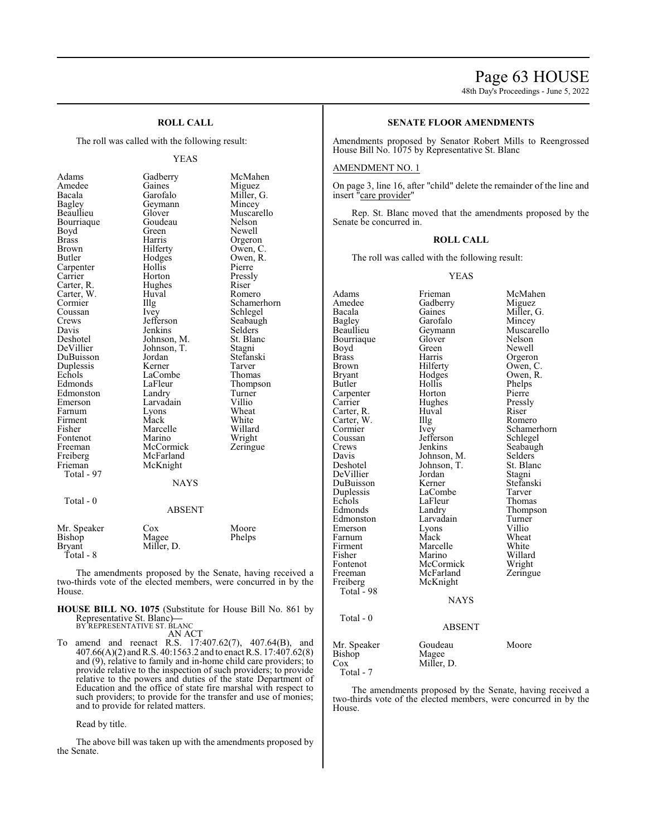# Page 63 HOUSE

48th Day's Proceedings - June 5, 2022

# **ROLL CALL**

The roll was called with the following result:

## YEAS

| Adams         | Gadberry    | McMahen     |
|---------------|-------------|-------------|
| Amedee        | Gaines      | Miguez      |
| Bacala        | Garofalo    | Miller, G.  |
| Bagley        | Geymann     | Mincey      |
| Beaullieu     | Glover      | Muscarello  |
| Bourriaque    | Goudeau     | Nelson      |
| Boyd          | Green       | Newell      |
| <b>Brass</b>  | Harris      | Orgeron     |
| Brown         | Hilferty    | Owen, C.    |
| Butler        | Hodges      | Owen, R.    |
| Carpenter     | Hollis      | Pierre      |
| Carrier       | Horton      | Pressly     |
| Carter, R.    | Hughes      | Riser       |
| Carter, W.    | Huval       | Romero      |
| Cormier       | Illg        | Schamerhorn |
| Coussan       | Ivey        | Schlegel    |
| Crews         | Jefferson   | Seabaugh    |
| Davis         | Jenkins     | Selders     |
| Deshotel      | Johnson, M. | St. Blanc   |
| DeVillier     | Johnson, T. | Stagni      |
| DuBuisson     | Jordan      | Stefanski   |
| Duplessis     | Kerner      | Tarver      |
| Echols        | LaCombe     | Thomas      |
| Edmonds       | LaFleur     | Thompson    |
| Edmonston     | Landry      | Turner      |
| Emerson       | Larvadain   | Villio      |
| Farnum        | Lyons       | Wheat       |
| Firment       | Mack        | White       |
| Fisher        | Marcelle    | Willard     |
| Fontenot      | Marino      | Wright      |
| Freeman       | McCormick   | Zeringue    |
| Freiberg      | McFarland   |             |
| Frieman       | McKnight    |             |
| Total - 97    |             |             |
|               | NAYS        |             |
|               |             |             |
| Total - 0     |             |             |
|               | ABSENT      |             |
| Mr. Speaker   | Cox         | Moore       |
| Bishop        | Magee       | Phelps      |
| <b>Bryant</b> | Miller, D.  |             |
| Total - 8     |             |             |

The amendments proposed by the Senate, having received a two-thirds vote of the elected members, were concurred in by the House.

**HOUSE BILL NO. 1075** (Substitute for House Bill No. 861 by Representative St. Blanc)**—** BY REPRESENTATIVE ST. BLANC

AN ACT

To amend and reenact R.S. 17:407.62(7), 407.64(B), and 407.66(A)(2) andR.S. 40:1563.2 and to enact R.S. 17:407.62(8) and (9), relative to family and in-home child care providers; to provide relative to the inspection of such providers; to provide relative to the powers and duties of the state Department of Education and the office of state fire marshal with respect to such providers; to provide for the transfer and use of monies; and to provide for related matters.

Read by title.

The above bill was taken up with the amendments proposed by the Senate.

# **SENATE FLOOR AMENDMENTS**

Amendments proposed by Senator Robert Mills to Reengrossed House Bill No. 1075 by Representative St. Blanc

# AMENDMENT NO. 1

On page 3, line 16, after "child" delete the remainder of the line and insert "care provider"

Rep. St. Blanc moved that the amendments proposed by the Senate be concurred in.

# **ROLL CALL**

The roll was called with the following result:

YEAS

Adams Frieman McMahen<br>Amedee Gadberry Miguez Amedee Gadberry<br>Bacala Gaines Bacala Gaines Miller, G.<br>Bagley Garofalo Mincey Bagley Garofalo<br>Beaullieu Geymann Geymann Muscarello<br>Glover Nelson Bourriaque Glover<br>Boyd Green Boyd Green Newell<br>Brass Harris Orgerol Brass Harris Orgeron<br>Brown Hilferty Owen, C Brown Hilferty Owen, C.<br>Bryant Hodges Owen, R. Bryant Hodges Owen, R.<br>Butler Hollis Phelps Hollis Phelps<br>Horton Pierre Carpenter Horton Pierre<br>
Carrier Hughes Pressly Hughes Pressl<br>Huval Riser Carter, R. Huval Riser<br>Carter, W. Illg Romero Carter, W. Illg<br>Cormier Ivey Cormier Ivey Schamerhorn<br>
Coussan Iefferson Schlegel Coussan Jefferson<br>Crews Jenkins Crews Jenkins Seabaugh<br>
Davis Johnson M. Selders Davis Johnson, M. Selders<br>Deshotel Johnson, T. St. Blanc Johnson, T. St. Blanch<br>Jordan Stagni DeVillier Jordan Stagni DuBuisson Kerner Stefans<br>Duplessis LaCombe Tarver Duplessis LaCombe Tarver<br>
Echols LaFleur Thomas Echols LaFleur<br>Edmonds Landry Landry Thompson<br>Larvadain Turner Edmonston Larvadain Turner<br>Emerson Lyons Villio Emerson Lyons Villio<br>Farnum Mack Wheat Farnum Mack Wheat<br>
Firment Marcelle White Firment Marcelle White<br>
Fisher Marino Willard Fisher Marino Willard<br>Fontenot McCormick Wright Fontenot McCormick<br>Freeman McFarland Freeman McFarland Zeringue<br>
Freiberg McKnight McKnight Total  $-98$ NAYS Total - 0 ABSENT Mr. Speaker Goudeau Moore<br>Bishop Magee Bishop<br>Cox Miller, D.

The amendments proposed by the Senate, having received a two-thirds vote of the elected members, were concurred in by the House.

Total - 7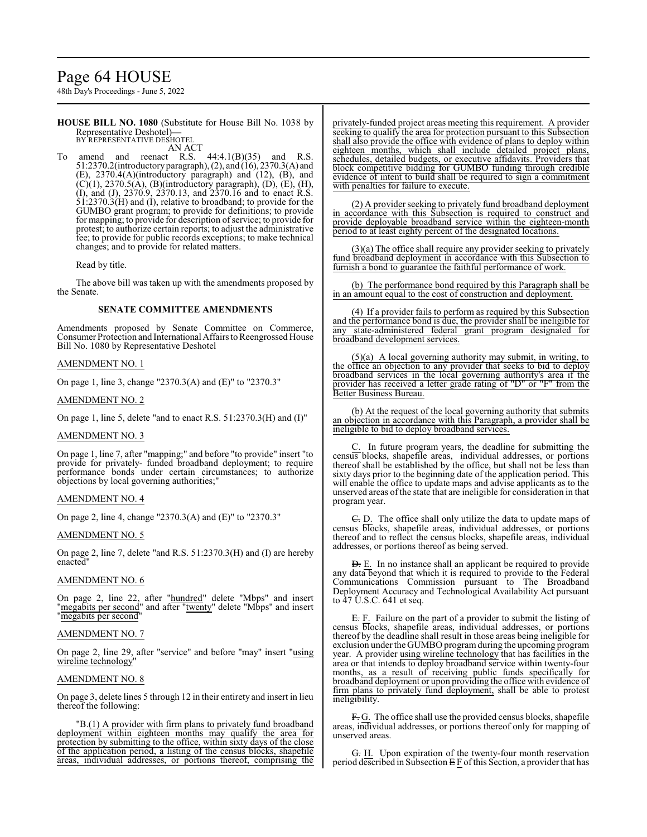# Page 64 HOUSE

48th Day's Proceedings - June 5, 2022

**HOUSE BILL NO. 1080** (Substitute for House Bill No. 1038 by Representative Deshotel)**—** BY REPRESENTATIVE DESHOTEI

AN ACT

To amend and reenact R.S.  $44:4.1(B)(35)$  and R.S. 51:2370.2(introductory paragraph), (2), and (16), 2370.3(A) and (E), 2370.4(A)(introductory paragraph) and (12), (B), and  $(C)(1)$ , 2370.5(A), (B)(introductory paragraph), (D), (E), (H), (I), and (J), 2370.9, 2370.13, and 2370.16 and to enact R.S.  $\overline{51:}2370.\overline{3(H)}$  and (I), relative to broadband; to provide for the GUMBO grant program; to provide for definitions; to provide for mapping; to provide for description of service; to provide for protest; to authorize certain reports; to adjust the administrative fee; to provide for public records exceptions; to make technical changes; and to provide for related matters.

Read by title.

The above bill was taken up with the amendments proposed by the Senate.

# **SENATE COMMITTEE AMENDMENTS**

Amendments proposed by Senate Committee on Commerce, Consumer Protection and International Affairs to Reengrossed House Bill No. 1080 by Representative Deshotel

# AMENDMENT NO. 1

On page 1, line 3, change "2370.3(A) and (E)" to "2370.3"

# AMENDMENT NO. 2

On page 1, line 5, delete "and to enact R.S. 51:2370.3(H) and (I)"

# AMENDMENT NO. 3

On page 1, line 7, after "mapping;" and before "to provide" insert "to provide for privately- funded broadband deployment; to require performance bonds under certain circumstances; to authorize objections by local governing authorities;"

# AMENDMENT NO. 4

On page 2, line 4, change "2370.3(A) and (E)" to "2370.3"

# AMENDMENT NO. 5

On page 2, line 7, delete "and R.S. 51:2370.3(H) and (I) are hereby enacted"

# AMENDMENT NO. 6

On page 2, line 22, after "hundred" delete "Mbps" and insert "megabits per second" and after "twenty" delete "Mbps" and insert "megabits per second"

# AMENDMENT NO. 7

On page 2, line 29, after "service" and before "may" insert "using wireline technology<sup>'</sup>

# AMENDMENT NO. 8

On page 3, delete lines 5 through 12 in their entirety and insert in lieu thereof the following:

"B.(1) A provider with firm plans to privately fund broadband deployment within eighteen months may qualify the area for protection by submitting to the office, within sixty days of the close of the application period, a listing of the census blocks, shapefile areas, individual addresses, or portions thereof, comprising the privately-funded project areas meeting this requirement. A provider seeking to qualify the area for protection pursuant to this Subsection shall also provide the office with evidence of plans to deploy within eighteen months, which shall include detailed project plans, schedules, detailed budgets, or executive affidavits. Providers that block competitive bidding for GUMBO funding through credible evidence of intent to build shall be required to sign a commitment with penalties for failure to execute.

(2) A provider seeking to privately fund broadband deployment in accordance with this Subsection is required to construct and provide deployable broadband service within the eighteen-month period to at least eighty percent of the designated locations.

(3)(a) The office shall require any provider seeking to privately fund broadband deployment in accordance with this Subsection to furnish a bond to guarantee the faithful performance of work.

(b) The performance bond required by this Paragraph shall be in an amount equal to the cost of construction and deployment.

(4) If a provider fails to perform as required by this Subsection and the performance bond is due, the provider shall be ineligible for any state-administered federal grant program designated for broadband development services.

(5)(a) A local governing authority may submit, in writing, to the office an objection to any provider that seeks to bid to deploy broadband services in the local governing authority's area if the provider has received a letter grade rating of "D" or "F" from the Better Business Bureau.

(b) At the request of the local governing authority that submits an objection in accordance with this Paragraph, a provider shall be ineligible to bid to deploy broadband services.

C. In future program years, the deadline for submitting the census blocks, shapefile areas, individual addresses, or portions thereof shall be established by the office, but shall not be less than sixty days prior to the beginning date of the application period. This will enable the office to update maps and advise applicants as to the unserved areas of the state that are ineligible for consideration in that program year.

E. D. The office shall only utilize the data to update maps of census blocks, shapefile areas, individual addresses, or portions thereof and to reflect the census blocks, shapefile areas, individual addresses, or portions thereof as being served.

**D.** E. In no instance shall an applicant be required to provide any data beyond that which it is required to provide to the Federal Communications Commission pursuant to The Broadband Deployment Accuracy and Technological Availability Act pursuant to 47 U.S.C. 641 et seq.

E. F. Failure on the part of a provider to submit the listing of census blocks, shapefile areas, individual addresses, or portions thereof by the deadline shall result in those areas being ineligible for exclusion under the GUMBO program during the upcoming program year. A provider using wireline technology that has facilities in the area or that intends to deploy broadband service within twenty-four months, as a result of receiving public funds specifically for broadband deployment or upon providing the office with evidence of firm plans to privately fund deployment, shall be able to protest ineligibility.

F. G. The office shall use the provided census blocks, shapefile areas, individual addresses, or portions thereof only for mapping of unserved areas.

G. H. Upon expiration of the twenty-four month reservation period described in Subsection  $E F$  of this Section, a provider that has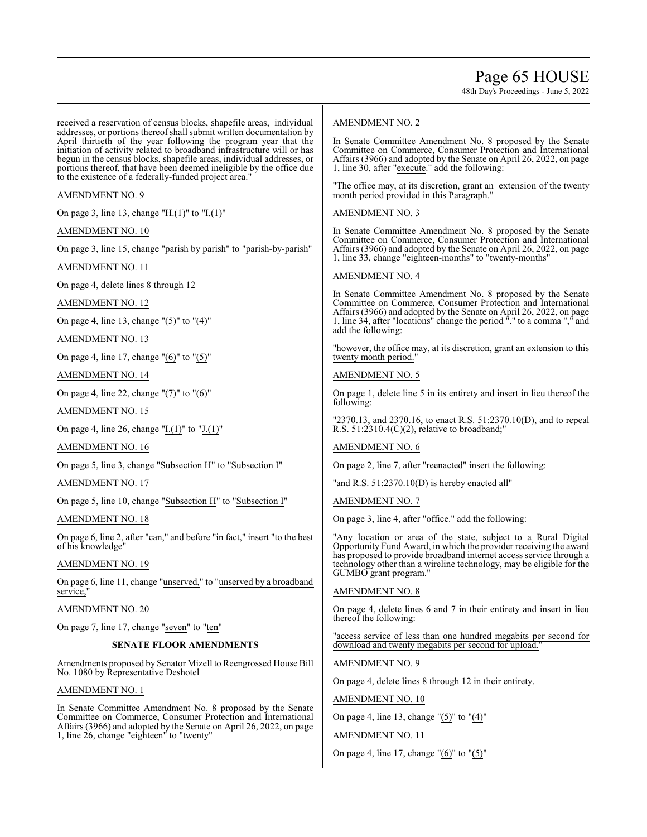48th Day's Proceedings - June 5, 2022

received a reservation of census blocks, shapefile areas, individual addresses, or portions thereof shall submit written documentation by April thirtieth of the year following the program year that the initiation of activity related to broadband infrastructure will or has begun in the census blocks, shapefile areas, individual addresses, or portions thereof, that have been deemed ineligible by the office due to the existence of a federally-funded project area."

# AMENDMENT NO. 9

On page 3, line 13, change " $H.(1)$ " to " $I.(1)$ "

AMENDMENT NO. 10

On page 3, line 15, change "parish by parish" to "parish-by-parish"

AMENDMENT NO. 11

On page 4, delete lines 8 through 12

AMENDMENT NO. 12

On page 4, line 13, change "(5)" to "(4)"

AMENDMENT NO. 13

On page 4, line 17, change "(6)" to "(5)"

AMENDMENT NO. 14

On page 4, line 22, change "(7)" to "(6)"

AMENDMENT NO. 15

On page 4, line 26, change "I.(1)" to "J.(1)"

AMENDMENT NO. 16

On page 5, line 3, change "Subsection H" to "Subsection I"

AMENDMENT NO. 17

On page 5, line 10, change "Subsection H" to "Subsection I"

AMENDMENT NO. 18

On page 6, line 2, after "can," and before "in fact," insert "to the best of his knowledge"

AMENDMENT NO. 19

On page 6, line 11, change "unserved," to "unserved by a broadband service,"

AMENDMENT NO. 20

On page 7, line 17, change "seven" to "ten"

# **SENATE FLOOR AMENDMENTS**

Amendments proposed by Senator Mizell to Reengrossed House Bill No. 1080 by Representative Deshotel

# AMENDMENT NO. 1

In Senate Committee Amendment No. 8 proposed by the Senate Committee on Commerce, Consumer Protection and International Affairs (3966) and adopted by the Senate on April 26, 2022, on page 1, line 26, change "eighteen" to "twenty"

# AMENDMENT NO. 2

In Senate Committee Amendment No. 8 proposed by the Senate Committee on Commerce, Consumer Protection and International Affairs (3966) and adopted by the Senate on April 26, 2022, on page 1, line 30, after "execute." add the following:

"The office may, at its discretion, grant an extension of the twenty month period provided in this Paragraph.

# AMENDMENT NO. 3

In Senate Committee Amendment No. 8 proposed by the Senate Committee on Commerce, Consumer Protection and International Affairs (3966) and adopted by the Senate on April 26, 2022, on page 1, line 33, change "eighteen-months" to "twenty-months"

# AMENDMENT NO. 4

In Senate Committee Amendment No. 8 proposed by the Senate Committee on Commerce, Consumer Protection and International Affairs (3966) and adopted by the Senate on April 26, 2022, on page 1, line 34, after "locations" change the period "." to a comma "," and add the following:

"however, the office may, at its discretion, grant an extension to this twenty month period.

# AMENDMENT NO. 5

On page 1, delete line 5 in its entirety and insert in lieu thereof the following:

"2370.13, and 2370.16, to enact R.S. 51:2370.10(D), and to repeal R.S.  $51:2310.4(C)(2)$ , relative to broadband;

# AMENDMENT NO. 6

On page 2, line 7, after "reenacted" insert the following:

"and R.S. 51:2370.10(D) is hereby enacted all"

AMENDMENT NO. 7

On page 3, line 4, after "office." add the following:

"Any location or area of the state, subject to a Rural Digital Opportunity Fund Award, in which the provider receiving the award has proposed to provide broadband internet access service through a technology other than a wireline technology, may be eligible for the GUMBO grant program."

# AMENDMENT NO. 8

On page 4, delete lines 6 and 7 in their entirety and insert in lieu thereof the following:

"access service of less than one hundred megabits per second for download and twenty megabits per second for upload."

# AMENDMENT NO. 9

On page 4, delete lines 8 through 12 in their entirety.

# AMENDMENT NO. 10

On page 4, line 13, change "(5)" to "(4)"

# AMENDMENT NO. 11

On page 4, line 17, change "(6)" to "(5)"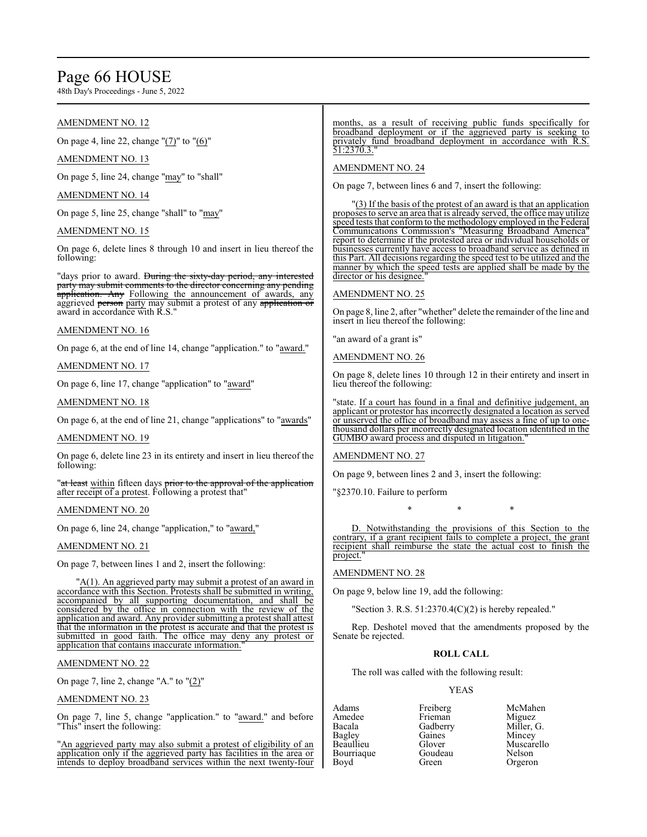# Page 66 HOUSE

48th Day's Proceedings - June 5, 2022

# AMENDMENT NO. 12

On page 4, line 22, change "(7)" to "(6)"

AMENDMENT NO. 13

On page 5, line 24, change "may" to "shall"

AMENDMENT NO. 14

On page 5, line 25, change "shall" to "may"

# AMENDMENT NO. 15

On page 6, delete lines 8 through 10 and insert in lieu thereof the following:

"days prior to award. During the sixty-day period, any interested party may submit comments to the director concerning any pending application. Any Following the announcement of awards, any aggrieved person party may submit a protest of any application or award in accordance with R.S."

# AMENDMENT NO. 16

On page 6, at the end of line 14, change "application." to "award."

AMENDMENT NO. 17

On page 6, line 17, change "application" to "award"

# AMENDMENT NO. 18

On page 6, at the end of line 21, change "applications" to "awards"

# AMENDMENT NO. 19

On page 6, delete line 23 in its entirety and insert in lieu thereof the following:

"at least within fifteen days prior to the approval of the application after receipt of a protest. Following a protest that"

# AMENDMENT NO. 20

On page 6, line 24, change "application," to "award,"

# AMENDMENT NO. 21

On page 7, between lines 1 and 2, insert the following:

"A(1). An aggrieved party may submit a protest of an award in accordance with this Section. Protests shall be submitted in writing, accompanied by all supporting documentation, and shall be considered by the office in connection with the review of the application and award. Any provider submitting a protest shall attest that the information in the protest is accurate and that the protest is submitted in good faith. The office may deny any protest or application that contains inaccurate information.

# AMENDMENT NO. 22

On page 7, line 2, change "A." to "(2)"

# AMENDMENT NO. 23

On page 7, line 5, change "application." to "award." and before "This" insert the following:

"An aggrieved party may also submit a protest of eligibility of an application only if the aggrieved party has facilities in the area or intends to deploy broadband services within the next twenty-four months, as a result of receiving public funds specifically for broadband deployment or if the aggrieved party is seeking to privately fund broadband deployment in accordance with R.S. 51:2370.3."

# AMENDMENT NO. 24

On page 7, between lines 6 and 7, insert the following:

"(3) If the basis of the protest of an award is that an application proposes to serve an area that is already served, the office may utilize speed tests that conform to the methodology employed in the Federal Communications Commission's "Measuring Broadband America" report to determine if the protested area or individual households or businesses currently have access to broadband service as defined in this Part. All decisions regarding the speed test to be utilized and the manner by which the speed tests are applied shall be made by the director or his designee.

# AMENDMENT NO. 25

On page 8, line 2, after "whether" delete the remainder of the line and insert in lieu thereof the following:

"an award of a grant is"

AMENDMENT NO. 26

On page 8, delete lines 10 through 12 in their entirety and insert in lieu thereof the following:

"state. If a court has found in a final and definitive judgement, an applicant or protestor has incorrectly designated a location as served or unserved the office of broadband may assess a fine of up to onethousand dollars per incorrectly designated location identified in the GUMBO award process and disputed in litigation."

AMENDMENT NO. 27

On page 9, between lines 2 and 3, insert the following:

"§2370.10. Failure to perform

\* \* \*

D. Notwithstanding the provisions of this Section to the contrary, if a grant recipient fails to complete a project, the grant recipient shall reimburse the state the actual cost to finish project."

# AMENDMENT NO. 28

On page 9, below line 19, add the following:

"Section 3. R.S. 51:2370.4(C)(2) is hereby repealed."

Rep. Deshotel moved that the amendments proposed by the Senate be rejected.

# **ROLL CALL**

The roll was called with the following result:

# YEAS

Amedee Frieman<br>Bacala Gadberry Bourriaque

Adams Freiberg McMahen<br>Amedee Frieman Miguez Bacala Gadberry Miller, G. Bagley Gaines Mincey Glover Muscarello<br>Goudeau Nelson Boyd Green Orgeron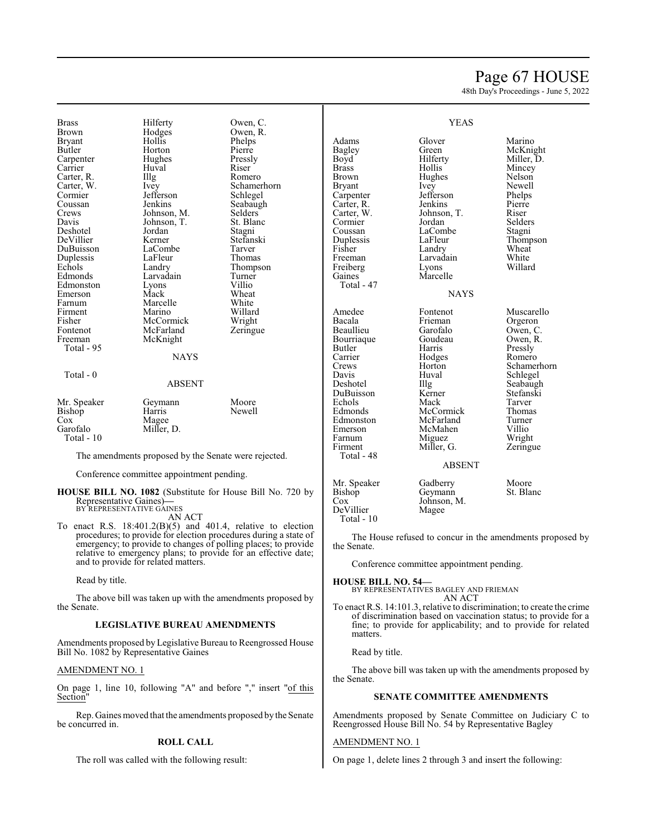# Page 67 HOUSE

48th Day's Proceedings - June 5, 2022

YEAS

Brass Hilferty Owen, C.<br>Brown Hodges Owen, R. Brown Hodges Owen, R.<br>Bryant Hollis Phelps Bryant Hollis Phelps Carpenter Hughes Pressl<br>Carrier Huyal Riser Carrier Huval Riser Carter, R. Illg Romero<br>Carter, W. Ivey Schame Cormier Jefferson<br>Coussan Jenkins Coussan Jenkins Seabaugh<br>Crews Johnson, M. Selders Crews Johnson, M. Selders<br>Davis Johnson, T. St. Blanc Deshotel Jordan Stagni<br>
DeVillier Kerner Stefanski DeVillier Kerner Stefans<br>DuBuisson LaCombe Tarver Duplessis LaFleur Thomas<br>
Echols Landry Thomps Echols Landry Thompson<br>Edmonds Larvadain Turner Edmonston Lyons Villio Emerson Mack Wheat<br>
Farnum Marcelle White Firment Marino Willard<br>Fisher McCormick Wright Fisher McCormick<br>Fontenot McFarland Fontenot McFarland Zeringue<br>Freeman McKnight Total - 95

Total - 0

Horton Pierre<br>
Hughes Pressly Johnson, T.<br>
Jordan Stagni LaCombe Larvadain Turner<br>Lyons Villio Marcelle White<br>
Marino Willard McKnight

Carter, W. Ivey Schamerhorn<br>
Cormier Jefferson Schlegel

# **NAYS**

# ABSENT

Mr. Speaker Geymann Moore<br>Bishop Harris Newell Bishop<br>Cox Cox Magee<br>Garofalo Miller, Miller, D. Total - 10

The amendments proposed by the Senate were rejected.

Conference committee appointment pending.

**HOUSE BILL NO. 1082** (Substitute for House Bill No. 720 by Representative Gaines)**—** BY REPRESENTATIVE GAINES

AN ACT

To enact R.S.  $18:401.2(B)(5)$  and  $401.4$ , relative to election procedures; to provide for election procedures during a state of emergency; to provide to changes of polling places; to provide relative to emergency plans; to provide for an effective date; and to provide for related matters.

Read by title.

The above bill was taken up with the amendments proposed by the Senate.

# **LEGISLATIVE BUREAU AMENDMENTS**

Amendments proposed by Legislative Bureau to Reengrossed House Bill No. 1082 by Representative Gaines

# AMENDMENT NO. 1

On page 1, line 10, following "A" and before "," insert "of this Section"

Rep. Gaines moved that the amendments proposed by the Senate be concurred in.

# **ROLL CALL**

The roll was called with the following result:

|                                                                                                                                                                                                                      | טר <i>ו</i> ע נ                                                                                                                                                                           |                                                                                                                                                                                      |
|----------------------------------------------------------------------------------------------------------------------------------------------------------------------------------------------------------------------|-------------------------------------------------------------------------------------------------------------------------------------------------------------------------------------------|--------------------------------------------------------------------------------------------------------------------------------------------------------------------------------------|
| Adams<br><b>Bagley</b><br>Boyd<br><b>Brass</b><br><b>Brown</b><br><b>Bryant</b><br>Carpenter<br>Carter, R.<br>Carter, W.<br>Cormier<br>Coussan<br>Duplessis<br>Fisher<br>Freeman<br>Freiberg<br>Gaines<br>Total - 47 | Glover<br>Green<br>Hilferty<br>Hollis<br>Hughes<br>Ivey<br>Jefferson<br>Jenkins<br>Johnson, T.<br>Jordan<br>LaCombe<br>LaFleur<br>Landry<br>Larvadain<br>Lyons<br>Marcelle<br><b>NAYS</b> | Marino<br>McKnight<br>Miller, D.<br>Mincey<br>Nelson<br>Newell<br>Phelps<br>Pierre<br>Riser<br>Selders<br>Stagni<br>Thompson<br>Wheat<br>White<br>Willard                            |
| Amedee<br>Bacala<br>Beaullieu<br>Bourriaque<br>Butler<br>Carrier<br>Crews<br>Davis<br>Deshotel<br>DuBuisson<br>Echols<br>Edmonds<br>Edmonston<br>Emerson<br>Farnum<br>Firment<br>Total - 48                          | Fontenot<br>Frieman<br>Garofalo<br>Goudeau<br>Harris<br>Hodges<br>Horton<br>Huval<br>Illg<br>Kerner<br>Mack<br>McCormick<br>McFarland<br>McMahen<br>Miguez<br>Miller, G.<br><b>ABSENT</b> | Muscarello<br>Orgeron<br>Owen, C.<br>Owen, R.<br>Pressly<br>Romero<br>Schamerhorn<br>Schlegel<br>Seabaugh<br>Stefanski<br>Tarver<br>Thomas<br>Turner<br>Villio<br>Wright<br>Zeringue |
| Mr Sneaker                                                                                                                                                                                                           | Gadherry                                                                                                                                                                                  | Moore                                                                                                                                                                                |

Mr. Speaker Gadberry Moore<br>Bishop Geymann St. Blanc Bishop Geymann<br>Cox Johnson, I Johnson, M.<br>Magee DeVillier Total - 10

The House refused to concur in the amendments proposed by the Senate.

Conference committee appointment pending.

**HOUSE BILL NO. 54—** BY REPRESENTATIVES BAGLEY AND FRIEMAN AN ACT

To enact R.S. 14:101.3, relative to discrimination; to create the crime of discrimination based on vaccination status; to provide for a fine; to provide for applicability; and to provide for related matters.

# Read by title.

The above bill was taken up with the amendments proposed by the Senate.

## **SENATE COMMITTEE AMENDMENTS**

Amendments proposed by Senate Committee on Judiciary C to Reengrossed House Bill No. 54 by Representative Bagley

# AMENDMENT NO. 1

On page 1, delete lines 2 through 3 and insert the following: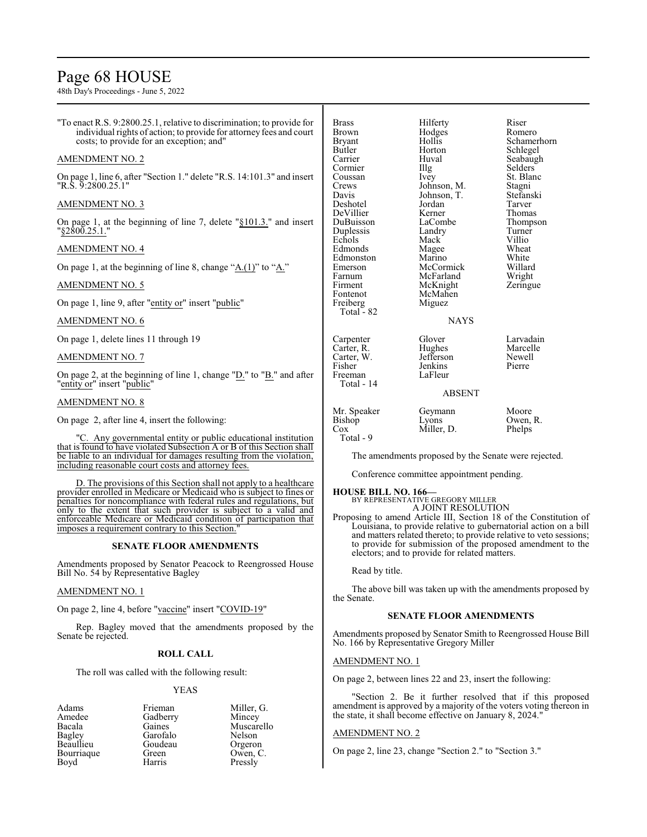# Page 68 HOUSE

48th Day's Proceedings - June 5, 2022

"To enact R.S. 9:2800.25.1, relative to discrimination; to provide for individual rights of action; to provide for attorney fees and court costs; to provide for an exception; and"

# AMENDMENT NO. 2

On page 1, line 6, after "Section 1." delete "R.S. 14:101.3" and insert "R.S. 9:2800.25.1"

# AMENDMENT NO. 3

On page 1, at the beginning of line 7, delete "§101.3." and insert "§2800.25.1."

# AMENDMENT NO. 4

On page 1, at the beginning of line 8, change "A.(1)" to "A."

# AMENDMENT NO. 5

On page 1, line 9, after "entity or" insert "public"

# AMENDMENT NO. 6

On page 1, delete lines 11 through 19

# AMENDMENT NO. 7

On page 2, at the beginning of line 1, change " $D$ ." to " $B$ ." and after "entity or" insert "public"

# AMENDMENT NO. 8

On page 2, after line 4, insert the following:

"C. Any governmental entity or public educational institution that is found to have violated Subsection A or B of this Section shall be liable to an individual for damages resulting from the violation, including reasonable court costs and attorney fees.

D. The provisions of this Section shall not apply to a healthcare provider enrolled in Medicare or Medicaid who is subject to fines or penalties for noncompliance with federal rules and regulations, but only to the extent that such provider is subject to a valid and enforceable Medicare or Medicaid condition of participation that imposes a requirement contrary to this Section.

# **SENATE FLOOR AMENDMENTS**

Amendments proposed by Senator Peacock to Reengrossed House Bill No. 54 by Representative Bagley

# AMENDMENT NO. 1

On page 2, line 4, before "vaccine" insert "COVID-19"

Rep. Bagley moved that the amendments proposed by the Senate be rejected.

# **ROLL CALL**

The roll was called with the following result:

# YEAS

Amedee Gadberry<br>Bacala Gaines Bourriaque Boyd Harris Pressly

Adams Frieman Miller, G. Bacala Gaines Muscarello<br>
Bagley Garofalo Nelson Garofalo Nelson<br>Goudeau Orgeron Beaullieu Goudeau Orgeron

| <b>Brass</b><br>Brown<br>Bryant<br>Butler<br>Carrier<br>Cormier<br>Coussan<br>Crews<br>Davis<br>Deshotel<br>DeVillier<br>DuBuisson<br>Duplessis<br>Echols<br>Edmonds<br>Edmonston<br>Emerson<br>Farnum<br>Firment<br>Fontenot<br>Freiberg<br>Total - 82 | Hilferty<br>Hodges<br>Hollis<br>Horton<br>Huval<br>Illg<br>Ivey<br>Johnson, M.<br>Johnson, T.<br>Jordan<br>Kerner<br>LaCombe<br>Landry<br>Mack<br>Magee<br>Marino<br>McCormick<br>McFarland<br>McKnight<br>McMahen<br>Miguez<br><b>NAYS</b> | Riser<br>Romero<br>Schamerhorn<br>Schlegel<br>Seabaugh<br>Selders<br>St. Blanc<br>Stagni<br>Stefanski<br>Tarver<br>Thomas<br>Thompson<br>Turner<br>Villio<br>Wheat<br>White<br>Willard<br>Wright<br>Zeringue |
|---------------------------------------------------------------------------------------------------------------------------------------------------------------------------------------------------------------------------------------------------------|---------------------------------------------------------------------------------------------------------------------------------------------------------------------------------------------------------------------------------------------|--------------------------------------------------------------------------------------------------------------------------------------------------------------------------------------------------------------|
| Carpenter<br>Carter, R.<br>Carter, W.<br>Fisher<br>Freeman<br>Total - 14                                                                                                                                                                                | Glover<br>Hughes<br>Jefferson<br>Jenkins<br>LaFleur<br><b>ABSENT</b>                                                                                                                                                                        | Larvadain<br>Marcelle<br>Newell<br>Pierre                                                                                                                                                                    |
| Mr. Speaker<br>Bishop<br>Cox                                                                                                                                                                                                                            | Geymann<br>Lyons<br>Miller. D.                                                                                                                                                                                                              | Moore<br>Owen, R.<br>Phelps                                                                                                                                                                                  |

# Total - 9

The amendments proposed by the Senate were rejected.

Conference committee appointment pending.

**HOUSE BILL NO. 166—** BY REPRESENTATIVE GREGORY MILLER

A JOINT RESOLUTION Proposing to amend Article III, Section 18 of the Constitution of Louisiana, to provide relative to gubernatorial action on a bill and matters related thereto; to provide relative to veto sessions; to provide for submission of the proposed amendment to the electors; and to provide for related matters.

Read by title.

The above bill was taken up with the amendments proposed by the Senate.

# **SENATE FLOOR AMENDMENTS**

Amendments proposed by Senator Smith to Reengrossed House Bill No. 166 by Representative Gregory Miller

# AMENDMENT NO. 1

On page 2, between lines 22 and 23, insert the following:

Section 2. Be it further resolved that if this proposed amendment is approved by a majority of the voters voting thereon in the state, it shall become effective on January 8, 2024."

# AMENDMENT NO. 2

On page 2, line 23, change "Section 2." to "Section 3."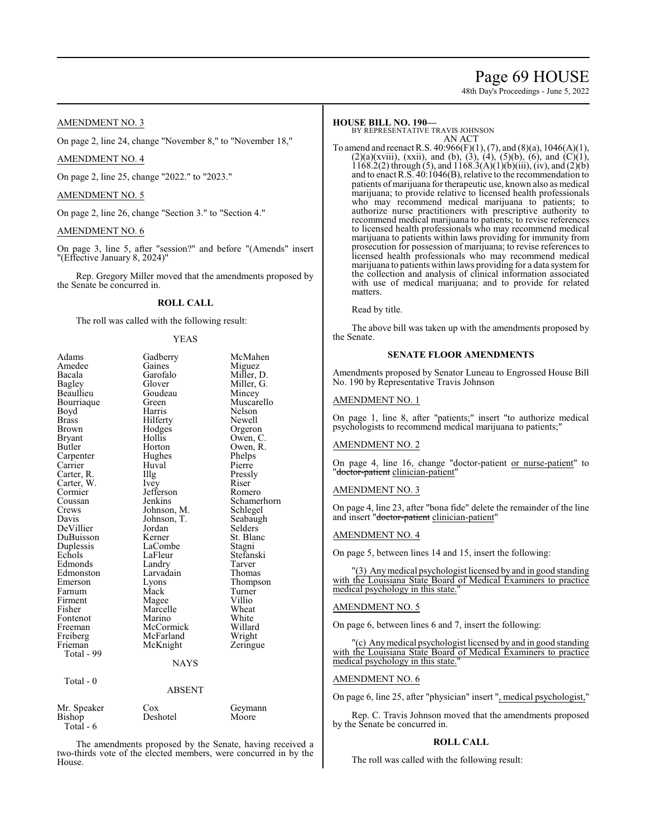# Page 69 HOUSE

48th Day's Proceedings - June 5, 2022

# AMENDMENT NO. 3

On page 2, line 24, change "November 8," to "November 18,"

# AMENDMENT NO. 4

On page 2, line 25, change "2022." to "2023."

# AMENDMENT NO. 5

On page 2, line 26, change "Section 3." to "Section 4."

# AMENDMENT NO. 6

On page 3, line 5, after "session?" and before "(Amends" insert "(Effective January 8, 2024)"

Rep. Gregory Miller moved that the amendments proposed by the Senate be concurred in.

# **ROLL CALL**

The roll was called with the following result:

# YEAS

| Adams         | Gadberry      | McMahen     |
|---------------|---------------|-------------|
| Amedee        | Gaines        | Miguez      |
| Bacala        | Garofalo      | Miller, D.  |
| <b>Bagley</b> | Glover        | Miller, G.  |
| Beaullieu     | Goudeau       | Mincey      |
| Bourriaque    | Green         | Muscarello  |
| Boyd          | Harris        | Nelson      |
| <b>Brass</b>  | Hilferty      | Newell      |
| Brown         | Hodges        | Orgeron     |
| Bryant        | Hollis        | Owen, C.    |
| Butler        | Horton        | Owen, R.    |
| Carpenter     | Hughes        | Phelps      |
| Carrier       | Huval         | Pierre      |
| Carter, R.    | Illg          | Pressly     |
| Carter, W.    | Ivey          | Riser       |
| Cormier       | Jefferson     | Romero      |
| Coussan       | Jenkins       | Schamerhorn |
| Crews         | Johnson, M.   | Schlegel    |
| Davis         | Johnson, T.   | Seabaugh    |
| DeVillier     | Jordan        | Selders     |
| DuBuisson     | Kerner        | St. Blanc   |
| Duplessis     | LaCombe       | Stagni      |
| Echols        | LaFleur       | Stefanski   |
| Edmonds       | Landry        | Tarver      |
| Edmonston     | Larvadain     | Thomas      |
| Emerson       | Lyons         | Thompson    |
| Farnum        | Mack          | Turner      |
| Firment       | Magee         | Villio      |
| Fisher        | Marcelle      | Wheat       |
| Fontenot      | Marino        | White       |
| Freeman       | McCormick     | Willard     |
| Freiberg      | McFarland     | Wright      |
| Frieman       | McKnight      | Zeringue    |
| Total - 99    |               |             |
|               | NAYS          |             |
| Total - 0     |               |             |
|               | <b>ABSENT</b> |             |
| Mr. Speaker   | Cox           | Geymann     |

The amendments proposed by the Senate, having received a two-thirds vote of the elected members, were concurred in by the House.

Bishop Deshotel Moore

Total - 6

# **HOUSE BILL NO. 190—**

BY REPRESENTATIVE TRAVIS JOHNSON AN ACT

To amend and reenact R.S. 40:966(F)(1), (7), and (8)(a), 1046(A)(1),  $(2)(a)(xviii)$ ,  $(xxii)$ , and  $(b)$ ,  $(3)$ ,  $(4)$ ,  $(5)(b)$ ,  $(6)$ , and  $(C)(1)$ ,  $1168.2(2)$  through (5), and  $1168.3(A)(1)(b)(iii)$ , (iv), and  $(2)(b)$ and to enact R.S. 40:1046(B), relative to the recommendation to patients of marijuana for therapeutic use, known also as medical marijuana; to provide relative to licensed health professionals who may recommend medical marijuana to patients; to authorize nurse practitioners with prescriptive authority to recommend medical marijuana to patients; to revise references to licensed health professionals who may recommend medical marijuana to patients within laws providing for immunity from prosecution for possession of marijuana; to revise references to licensed health professionals who may recommend medical marijuana to patients within laws providing for a data systemfor the collection and analysis of clinical information associated with use of medical marijuana; and to provide for related matters.

# Read by title.

The above bill was taken up with the amendments proposed by the Senate.

# **SENATE FLOOR AMENDMENTS**

Amendments proposed by Senator Luneau to Engrossed House Bill No. 190 by Representative Travis Johnson

# AMENDMENT NO. 1

On page 1, line 8, after "patients;" insert "to authorize medical psychologists to recommend medical marijuana to patients;"

# AMENDMENT NO. 2

On page 4, line 16, change "doctor-patient or nurse-patient" to 'doctor-patient clinician-patient'

## AMENDMENT NO. 3

On page 4, line 23, after "bona fide" delete the remainder of the line and insert "<del>doctor-patient</del> clinician-patient"

# AMENDMENT NO. 4

On page 5, between lines 14 and 15, insert the following:

"(3) Anymedical psychologist licensed by and in good standing with the Louisiana State Board of Medical Examiners to practice medical psychology in this state."

## AMENDMENT NO. 5

On page 6, between lines 6 and 7, insert the following:

"(c) Anymedical psychologist licensed by and in good standing with the Louisiana State Board of Medical Examiners to practice medical psychology in this state."

# AMENDMENT NO. 6

On page 6, line 25, after "physician" insert ", medical psychologist,"

Rep. C. Travis Johnson moved that the amendments proposed by the Senate be concurred in.

# **ROLL CALL**

The roll was called with the following result: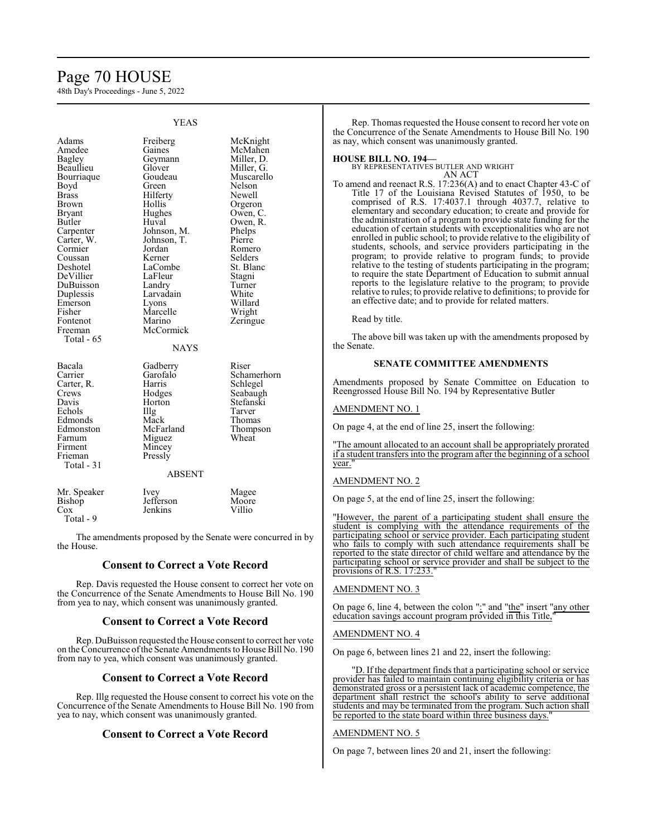# Page 70 HOUSE

48th Day's Proceedings - June 5, 2022

|                                                                                                                                                                                                                                                                                | טר <i>ו</i> ם ו                                                                                                                                                                                                                                                |                                                                                                                                                                                                                                          |
|--------------------------------------------------------------------------------------------------------------------------------------------------------------------------------------------------------------------------------------------------------------------------------|----------------------------------------------------------------------------------------------------------------------------------------------------------------------------------------------------------------------------------------------------------------|------------------------------------------------------------------------------------------------------------------------------------------------------------------------------------------------------------------------------------------|
| Adams<br>Amedee<br>Bagley<br>Beaullieu<br>Bourriaque<br>Boyd<br><b>Brass</b><br><b>Brown</b><br>Bryant<br>Butler<br>Carpenter<br>Carter, W.<br>Cormier<br>Coussan<br>Deshotel<br>DeVillier<br>DuBuisson<br>Duplessis<br>Emerson<br>Fisher<br>Fontenot<br>Freeman<br>Total - 65 | Freiberg<br>Gaines<br>Geymann<br>Glover<br>Goudeau<br>Green<br>Hilferty<br>Hollis<br>Hughes<br>Huval<br>Johnson, M.<br>Johnson, T.<br>Jordan<br>Kerner<br>LaCombe<br>LaFleur<br>Landry<br>Larvadain<br>Lyons<br>Marcelle<br>Marino<br>McCormick<br><b>NAYS</b> | McKnight<br>McMahen<br>Miller, D.<br>Miller, G.<br>Muscarello<br>Nelson<br>Newell<br>Orgeron<br>Owen, C.<br>Owen, R.<br>Phelps<br>Pierre<br>Romero<br>Selders<br>St. Blanc<br>Stagni<br>Turner<br>White<br>Willard<br>Wright<br>Zeringue |
| Bacala<br>Carrier<br>Carter, R.<br>Crews<br>Davis<br>Echols<br>Edmonds<br>Edmonston<br>Farnum<br>Firment<br>Frieman<br>Total $-31$                                                                                                                                             | Gadberry<br>Garofalo<br>Harris<br>Hodges<br>Horton<br>Illg<br>Mack<br>McFarland<br>Miguez<br>Mincey<br>Pressly<br><b>ABSENT</b>                                                                                                                                | Riser<br>Schamerhorn<br>Schlegel<br>Seabaugh<br>Stefanski<br>Tarver<br>Thomas<br>Thompson<br>Wheat                                                                                                                                       |
| Mr. Speaker<br>Bishop<br>Cox<br>Total - 9                                                                                                                                                                                                                                      | Ivey<br>Jefferson<br>Jenkins                                                                                                                                                                                                                                   | Magee<br>Moore<br>Villio                                                                                                                                                                                                                 |

The amendments proposed by the Senate were concurred in by the House.

# **Consent to Correct a Vote Record**

Rep. Davis requested the House consent to correct her vote on the Concurrence of the Senate Amendments to House Bill No. 190 from yea to nay, which consent was unanimously granted.

# **Consent to Correct a Vote Record**

Rep. DuBuisson requested the House consent to correct her vote on the Concurrence ofthe Senate Amendments to House Bill No. 190 from nay to yea, which consent was unanimously granted.

# **Consent to Correct a Vote Record**

Rep. Illg requested the House consent to correct his vote on the Concurrence of the Senate Amendments to House Bill No. 190 from yea to nay, which consent was unanimously granted.

# **Consent to Correct a Vote Record**

Rep. Thomas requested the House consent to record her vote on the Concurrence of the Senate Amendments to House Bill No. 190 as nay, which consent was unanimously granted.

## **HOUSE BILL NO. 194—**

BY REPRESENTATIVES BUTLER AND WRIGHT AN ACT

To amend and reenact R.S. 17:236(A) and to enact Chapter 43-C of Title 17 of the Louisiana Revised Statutes of 1950, to be comprised of R.S. 17:4037.1 through 4037.7, relative to elementary and secondary education; to create and provide for the administration of a program to provide state funding for the education of certain students with exceptionalities who are not enrolled in public school; to provide relative to the eligibility of students, schools, and service providers participating in the program; to provide relative to program funds; to provide relative to the testing of students participating in the program; to require the state Department of Education to submit annual reports to the legislature relative to the program; to provide relative to rules; to provide relative to definitions; to provide for an effective date; and to provide for related matters.

Read by title.

The above bill was taken up with the amendments proposed by the Senate.

# **SENATE COMMITTEE AMENDMENTS**

Amendments proposed by Senate Committee on Education to Reengrossed House Bill No. 194 by Representative Butler

# AMENDMENT NO. 1

On page 4, at the end of line 25, insert the following:

"The amount allocated to an account shall be appropriately prorated if a student transfers into the program after the beginning of a school vear.

# AMENDMENT NO. 2

On page 5, at the end of line 25, insert the following:

"However, the parent of a participating student shall ensure the student is complying with the attendance requirements of the participating school or service provider. Each participating student who fails to comply with such attendance requirements shall be reported to the state director of child welfare and attendance by the participating school or service provider and shall be subject to the provisions of R.S.  $17:233$ .

AMENDMENT NO. 3

On page 6, line 4, between the colon ":" and "the" insert "any other education savings account program provided in this Title,"

# AMENDMENT NO. 4

On page 6, between lines 21 and 22, insert the following:

"D. If the department finds that a participating school or service provider has failed to maintain continuing eligibility criteria or has demonstrated gross or a persistent lack of academic competence, the department shall restrict the school's ability to serve additional students and may be terminated from the program. Such action shall be reported to the state board within three business days.

# AMENDMENT NO. 5

On page 7, between lines 20 and 21, insert the following:

# YEAS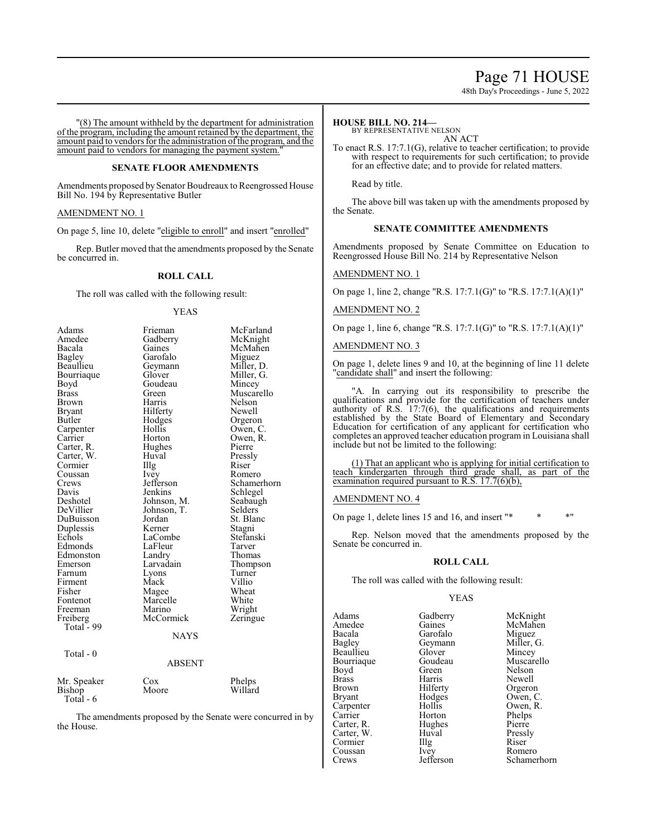# Page 71 HOUSE

48th Day's Proceedings - June 5, 2022

"(8) The amount withheld by the department for administration of the program, including the amount retained by the department, the amount paid to vendors for the administration ofthe program, and the amount paid to vendors for managing the payment system.

# **SENATE FLOOR AMENDMENTS**

Amendments proposed by Senator Boudreaux to Reengrossed House Bill No. 194 by Representative Butler

# AMENDMENT NO. 1

On page 5, line 10, delete "eligible to enroll" and insert "enrolled"

Rep. Butler moved that the amendments proposed by the Senate be concurred in.

# **ROLL CALL**

The roll was called with the following result:

## YEAS

| Adams         | Frieman     | McFarland   |
|---------------|-------------|-------------|
| Amedee        | Gadberry    | McKnight    |
| Bacala        | Gaines      | McMahen     |
| <b>Bagley</b> | Garofalo    | Miguez      |
| Beaullieu     | Geymann     | Miller, D.  |
| Bourriaque    | Glover      | Miller, G.  |
| Boyd          | Goudeau     | Mincey      |
| <b>Brass</b>  | Green       | Muscarello  |
| Brown         | Harris      | Nelson      |
| Bryant        | Hilferty    | Newell      |
| Butler        | Hodges      | Orgeron     |
| Carpenter     | Hollis      | Owen, C.    |
| Carrier       | Horton      | Owen, R.    |
| Carter, R.    | Hughes      | Pierre      |
| Carter, W.    | Huval       | Pressly     |
| Cormier       | Illg        | Riser       |
| Coussan       | <i>lvey</i> | Romero      |
| Crews         | Jefferson   | Schamerhorn |
| Davis         | Jenkins     | Schlegel    |
| Deshotel      | Johnson, M. | Seabaugh    |
| DeVillier     | Johnson, T. | Selders     |
| DuBuisson     | Jordan      | St. Blanc   |
| Duplessis     | Kerner      | Stagni      |
| Echols        | LaCombe     | Stefanski   |
| Edmonds       | LaFleur     | Tarver      |
| Edmonston     | Landry      | Thomas      |
| Emerson       | Larvadain   | Thompson    |
| Farnum        | Lyons       | Turner      |
| Firment       | Mack        | Villio      |
| Fisher        | Magee       | Wheat       |
| Fontenot      | Marcelle    | White       |
| Freeman       | Marino      | Wright      |
| Freiberg      | McCormick   | Zeringue    |
| Total - 99    |             |             |
|               | <b>NAYS</b> |             |
| Total - 0     |             |             |
|               | ABSENT      |             |
| Mr. Speaker   | Cox         | Phelps      |
| Bishop        | Moore       | Willard     |
| Total - 6     |             |             |

The amendments proposed by the Senate were concurred in by the House.

# **HOUSE BILL NO. 214—**

BY REPRESENTATIVE NELSON AN ACT

To enact R.S. 17:7.1(G), relative to teacher certification; to provide with respect to requirements for such certification; to provide for an effective date; and to provide for related matters.

Read by title.

The above bill was taken up with the amendments proposed by the Senate.

# **SENATE COMMITTEE AMENDMENTS**

Amendments proposed by Senate Committee on Education to Reengrossed House Bill No. 214 by Representative Nelson

# AMENDMENT NO. 1

On page 1, line 2, change "R.S. 17:7.1(G)" to "R.S. 17:7.1(A)(1)"

# AMENDMENT NO. 2

On page 1, line 6, change "R.S. 17:7.1(G)" to "R.S. 17:7.1(A)(1)"

# AMENDMENT NO. 3

On page 1, delete lines 9 and 10, at the beginning of line 11 delete "candidate shall" and insert the following:

"A. In carrying out its responsibility to prescribe the qualifications and provide for the certification of teachers under authority of R.S. 17:7(6), the qualifications and requirements established by the State Board of Elementary and Secondary Education for certification of any applicant for certification who completes an approved teacher education program in Louisiana shall include but not be limited to the following:

(1) That an applicant who is applying for initial certification to teach kindergarten through third grade shall, as part of the examination required pursuant to R.S.  $17.7(6)(b)$ ,

# AMENDMENT NO. 4

On page 1, delete lines 15 and 16, and insert "\* \* \* \* "

Rep. Nelson moved that the amendments proposed by the Senate be concurred in.

## **ROLL CALL**

The roll was called with the following result:

# YEAS

Adams Gadberry McKnight<br>
Amedee Gaines McMahen Amedee Gaines McMahen<br>Bacala Garofalo Miguez Bacala Garofalo Miguez<br>Bagley Geymann Miller, G. Beaullieu Glover Mincey<br>Bourriaque Goudeau Muscarello Bourriaque Goude<br>Boyd Green Boyd Green Nelson<br>Brass Harris Newell Brass Harris Newell<br>Brown Hilferty Orgero Brown Hilferty Orgeron<br>Bryant Hodges Owen, C Carpenter Hollis<br>Carrier Horton Carrier Horton Phelps<br>Carter, R. Hughes Pierre Carter, R. Hughes Pierre<br>Carter, W. Huval Pressly Carter, W. Huval Pressl<br>Cormier Illg Riser Cormier Illg Riser<br>
Coussan Ivev Romero Coussan Ivey<br>Crews Jefferson

Geymann Miller,<br>Glover Mincey Hodges Owen, C.<br>Hollis Owen, R.

Schamerhorn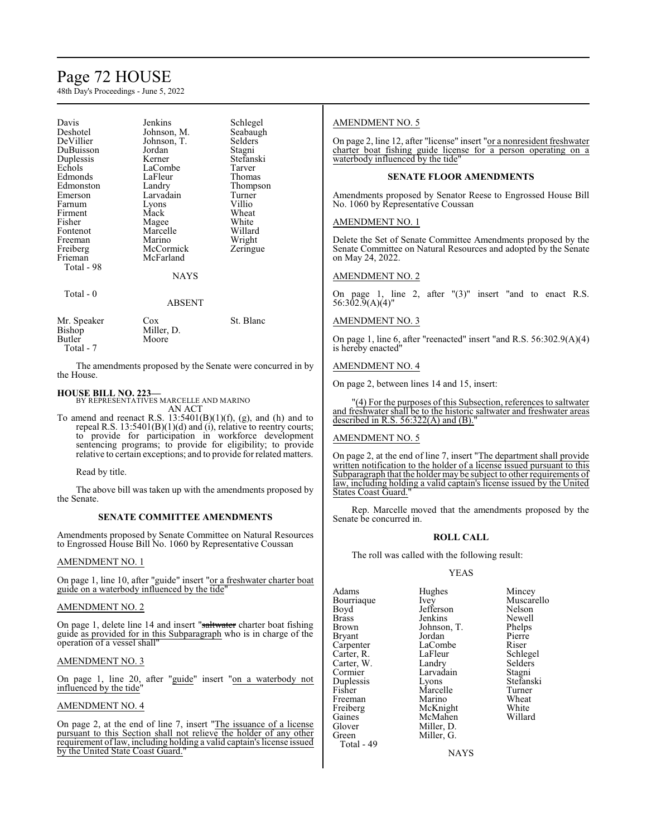# Page 72 HOUSE

48th Day's Proceedings - June 5, 2022

| Davis       | Jenkins     | Schlegel  |
|-------------|-------------|-----------|
| Deshotel    | Johnson, M. | Seabaugh  |
| DeVillier   | Johnson, T. | Selders   |
| DuBuisson   | Jordan      | Stagni    |
| Duplessis   | Kerner      | Stefanski |
| Echols      | LaCombe     | Tarver    |
| Edmonds     | LaFleur     | Thomas    |
| Edmonston   | Landry      | Thompson  |
| Emerson     | Larvadain   | Turner    |
| Farnum      | Lyons       | Villio    |
| Firment     | Mack        | Wheat     |
| Fisher      | Magee       | White     |
| Fontenot    | Marcelle    | Willard   |
| Freeman     | Marino      | Wright    |
| Freiberg    | McCormick   | Zeringue  |
| Frieman     | McFarland   |           |
| Total - 98  |             |           |
|             | NAYS        |           |
| Total - 0   |             |           |
|             | ABSENT      |           |
| Mr. Speaker | Cox         | St. Blanc |
| Bishop      | Miller, D.  |           |
| Butler      | Moore       |           |

Total - 7

The amendments proposed by the Senate were concurred in by the House.

# **HOUSE BILL NO. 223—**

BY REPRESENTATIVES MARCELLE AND MARINO AN ACT

To amend and reenact R.S.  $13:5401(B)(1)(f)$ , (g), and (h) and to repeal R.S. 13:5401(B)(1)(d) and (i), relative to reentry courts; to provide for participation in workforce development sentencing programs; to provide for eligibility; to provide relative to certain exceptions; and to provide for related matters.

Read by title.

The above bill was taken up with the amendments proposed by the Senate.

# **SENATE COMMITTEE AMENDMENTS**

Amendments proposed by Senate Committee on Natural Resources to Engrossed House Bill No. 1060 by Representative Coussan

# AMENDMENT NO. 1

On page 1, line 10, after "guide" insert "or a freshwater charter boat guide on a waterbody influenced by the tide"

# AMENDMENT NO. 2

On page 1, delete line 14 and insert "saltwater charter boat fishing" guide as provided for in this Subparagraph who is in charge of the operation of a vessel shall"

# AMENDMENT NO. 3

On page 1, line 20, after "guide" insert "on a waterbody not influenced by the tide"

# AMENDMENT NO. 4

On page 2, at the end of line 7, insert "The issuance of a license pursuant to this Section shall not relieve the holder of any other requirement oflaw, including holding a valid captain's license issued by the United State Coast Guard."

# AMENDMENT NO. 5

On page 2, line 12, after "license" insert "or a nonresident freshwater charter boat fishing guide license for a person operating on a waterbody influenced by the tide'

# **SENATE FLOOR AMENDMENTS**

Amendments proposed by Senator Reese to Engrossed House Bill No. 1060 by Representative Coussan

# AMENDMENT NO. 1

Delete the Set of Senate Committee Amendments proposed by the Senate Committee on Natural Resources and adopted by the Senate on May 24, 2022.

# AMENDMENT NO. 2

On page 1, line 2, after "(3)" insert "and to enact R.S. 56:302.9(A)(4)"

# AMENDMENT NO. 3

On page 1, line 6, after "reenacted" insert "and R.S. 56:302.9(A)(4) is hereby enacted"

# AMENDMENT NO. 4

On page 2, between lines 14 and 15, insert:

(4) For the purposes of this Subsection, references to saltwater and freshwater shall be to the historic saltwater and freshwater areas described in R.S.  $56:322(A)$  and  $(B)$ .

# AMENDMENT NO. 5

On page 2, at the end of line 7, insert "The department shall provide written notification to the holder of a license issued pursuant to this Subparagraph that the holder may be subject to other requirements of law, including holding a valid captain's license issued by the United States Coast Guard."

Rep. Marcelle moved that the amendments proposed by the Senate be concurred in.

# **ROLL CALL**

The roll was called with the following result:

# YEAS

| Adams<br>Bourriaque<br>Boyd | Hughes<br>Ivey<br>Jefferson | Mincey<br>Muscarello<br>Nelson |
|-----------------------------|-----------------------------|--------------------------------|
| <b>Brass</b>                | Jenkins                     | Newell                         |
| Brown                       | Johnson, T.                 | Phelps                         |
| Bryant                      | Jordan                      | Pierre                         |
| Carpenter                   | LaCombe                     | Riser                          |
| Carter, R.                  | LaFleur                     | Schlegel                       |
| Carter, W.                  | Landry                      | Selders                        |
| Cormier                     | Larvadain                   | Stagni                         |
| Duplessis                   | Lyons                       | Stefanski                      |
| Fisher                      | Marcelle                    | Turner                         |
| Freeman                     | Marino                      | Wheat                          |
| Freiberg                    | McKnight                    | White                          |
| Gaines                      | McMahen                     | Willard                        |
| Glover                      | Miller, D.                  |                                |
| Green                       | Miller, G.                  |                                |
| Total - 49                  |                             |                                |

**NAYS**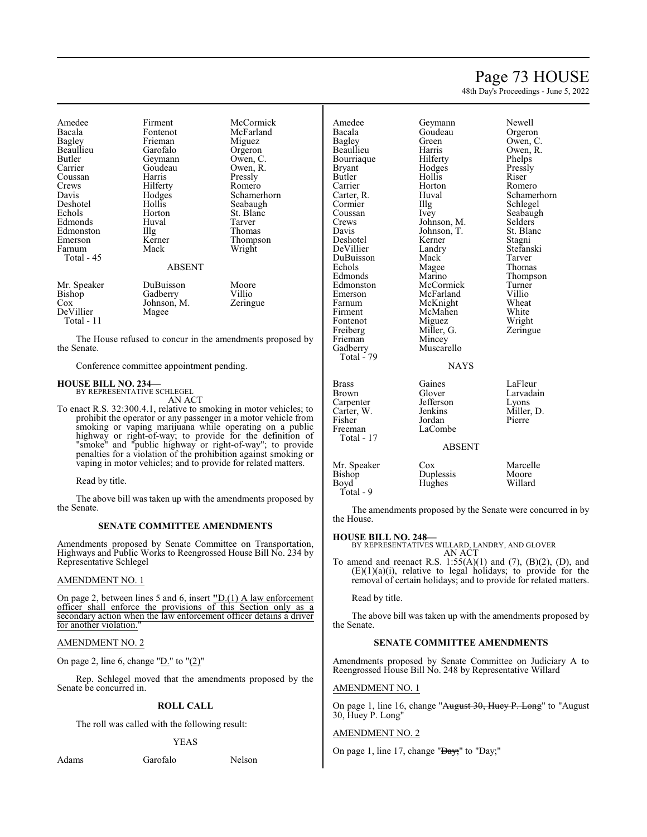# Page 73 HOUSE

Schamerhorn

48th Day's Proceedings - June 5, 2022

| Amedee<br>Bacala<br>Bagley<br>Beaullieu<br>Butler<br>Carrier<br>Coussan<br>Crews<br>Davis<br>Deshotel<br>Echols<br>Edmonds<br>Edmonston<br>Emerson | Firment<br>Fontenot<br>Frieman<br>Garofalo<br>Geymann<br>Goudeau<br>Harris<br>Hilferty<br>Hodges<br>Hollis<br>Horton<br>Huval<br>Illg<br>Kerner | McCormick<br>McFarland<br>Miguez<br>Orgeron<br>Owen, C.<br>Owen, R.<br>Pressly<br>Romero<br>Schamerhorn<br>Seabaugh<br>St. Blanc<br>Tarver<br>Thomas<br>Thompson |
|----------------------------------------------------------------------------------------------------------------------------------------------------|-------------------------------------------------------------------------------------------------------------------------------------------------|------------------------------------------------------------------------------------------------------------------------------------------------------------------|
| Farnum<br>Total - 45                                                                                                                               | Mack<br><b>ABSENT</b>                                                                                                                           | Wright                                                                                                                                                           |
| Mr. Speaker<br>Bishop<br>Cox<br>DeVillier<br>Total - 11                                                                                            | DuBuisson<br>Gadberry<br>Johnson, M.<br>Magee                                                                                                   | Moore<br>Villio<br>Zeringue                                                                                                                                      |

The House refused to concur in the amendments proposed by the Senate.

Conference committee appointment pending.

#### **HOUSE BILL NO. 234—**

BY REPRESENTATIVE SCHLEGEL AN ACT

To enact R.S. 32:300.4.1, relative to smoking in motor vehicles; to prohibit the operator or any passenger in a motor vehicle from smoking or vaping marijuana while operating on a public highway or right-of-way; to provide for the definition of "smoke" and "public highway or right-of-way"; to provide penalties for a violation of the prohibition against smoking or vaping in motor vehicles; and to provide for related matters.

Read by title.

The above bill was taken up with the amendments proposed by the Senate.

#### **SENATE COMMITTEE AMENDMENTS**

Amendments proposed by Senate Committee on Transportation, Highways and Public Works to Reengrossed House Bill No. 234 by Representative Schlegel

#### AMENDMENT NO. 1

On page 2, between lines 5 and 6, insert **"**D.(1) A law enforcement officer shall enforce the provisions of this Section only as a secondary action when the law enforcement officer detains a driver for another violation.

#### AMENDMENT NO. 2

On page 2, line 6, change " $D$ ." to " $(2)$ "

Rep. Schlegel moved that the amendments proposed by the Senate be concurred in.

#### **ROLL CALL**

The roll was called with the following result:

#### YEAS

Adams Garofalo Nelson

| Amedee                                                         | Geymann                                                       | Newell                                                |
|----------------------------------------------------------------|---------------------------------------------------------------|-------------------------------------------------------|
| Bacala                                                         | Goudeau                                                       | Orgeron                                               |
| Bagley                                                         | Green                                                         | Owen, C.                                              |
| Beaullieu                                                      | Harris                                                        | Owen, R.                                              |
| Bourriaque                                                     | Hilferty                                                      | Phelps                                                |
| Bryant                                                         | Hodges                                                        | Pressly                                               |
| Butler                                                         | Hollis                                                        | Riser                                                 |
| Carrier                                                        | Horton                                                        | Romero                                                |
| Carter, R.                                                     | Huval                                                         | Schamerho                                             |
| Cormier                                                        | Illg                                                          | Schlegel                                              |
| Coussan                                                        | Ivey                                                          | Seabaugh                                              |
| Crews                                                          | Johnson, M.                                                   | Selders                                               |
| Davis                                                          | Johnson, T.                                                   | St. Blanc                                             |
| Deshotel                                                       | Kerner                                                        | Stagni                                                |
| DeVillier                                                      | Landry                                                        | Stefanski                                             |
| DuBuisson                                                      | Mack                                                          | Tarver                                                |
| Echols                                                         | Magee                                                         | Thomas                                                |
| Edmonds                                                        | Marino                                                        | Thompson                                              |
| Edmonston                                                      | McCormick                                                     | Turner                                                |
| Emerson                                                        | McFarland                                                     | Villio                                                |
| Farnum                                                         | McKnight                                                      | Wheat                                                 |
| Firment                                                        | McMahen                                                       | White                                                 |
| Fontenot                                                       | Miguez                                                        | Wright                                                |
| Freiberg<br>Frieman<br>Gadberry<br>Total - 79                  | Miller, G.<br>Mincey<br>Muscarello<br><b>NAYS</b>             | Zeringue                                              |
| Brass<br>Brown<br>Carpenter<br>Carter, W.<br>Fisher<br>Freeman | Gaines<br>Glover<br>Jefferson<br>Jenkins<br>Jordan<br>LaCombe | LaFleur<br>Larvadain<br>Lyons<br>Miller, D.<br>Pierre |

| <b>Brass</b>  | Gaines        | LaFleur    |
|---------------|---------------|------------|
| <b>Brown</b>  | Glover        | Larvadain  |
| Carpenter     | Jefferson     | Lyons      |
| Carter, W.    | Jenkins       | Miller, D. |
| Fisher        | Jordan        | Pierre     |
| Freeman       | LaCombe       |            |
| Total - 17    |               |            |
|               | <b>ABSENT</b> |            |
| Mr. Speaker   | Cox           | Marcelle   |
| <b>Bishop</b> | Duplessis     | Moore      |
| Boyd          | Hughes        | Willard    |

The amendments proposed by the Senate were concurred in by the House.

#### **HOUSE BILL NO. 248—**

Total - 9

BY REPRESENTATIVES WILLARD, LANDRY, AND GLOVER AN ACT

To amend and reenact R.S.  $1:55(A)(1)$  and  $(7)$ ,  $(B)(2)$ ,  $(D)$ , and  $(E)(1)(a)(i)$ , relative to legal holidays; to provide for the removal of certain holidays; and to provide for related matters.

Read by title.

The above bill was taken up with the amendments proposed by the Senate.

#### **SENATE COMMITTEE AMENDMENTS**

Amendments proposed by Senate Committee on Judiciary A to Reengrossed House Bill No. 248 by Representative Willard

#### AMENDMENT NO. 1

On page 1, line 16, change "August 30, Huey P. Long" to "August 30, Huey P. Long"

#### AMENDMENT NO. 2

On page 1, line 17, change "<del>Day;</del>" to "Day;"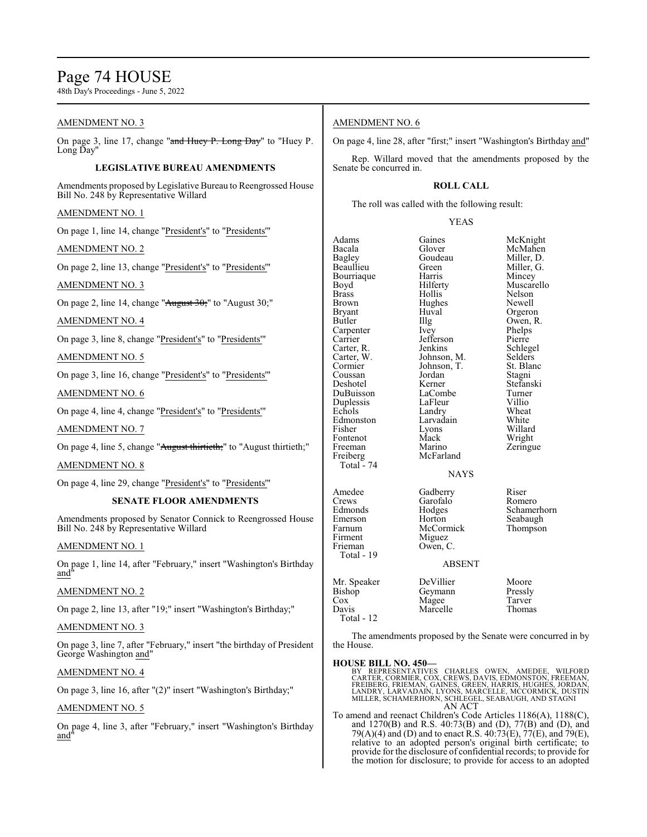# Page 74 HOUSE

48th Day's Proceedings - June 5, 2022

#### AMENDMENT NO. 3

On page 3, line 17, change "and Huey P. Long Day" to "Huey P. Long Day'

#### **LEGISLATIVE BUREAU AMENDMENTS**

Amendments proposed by Legislative Bureau to Reengrossed House Bill No. 248 by Representative Willard

#### AMENDMENT NO. 1

On page 1, line 14, change "President's" to "Presidents'"

#### AMENDMENT NO. 2

On page 2, line 13, change "President's" to "Presidents'"

AMENDMENT NO. 3

On page 2, line 14, change "August 30;" to "August 30;"

#### AMENDMENT NO. 4

On page 3, line 8, change "President's" to "Presidents'"

AMENDMENT NO. 5

On page 3, line 16, change "President's" to "Presidents'"

#### AMENDMENT NO. 6

On page 4, line 4, change "President's" to "Presidents'"

AMENDMENT NO. 7

On page 4, line 5, change "August thirtieth;" to "August thirtieth;"

#### AMENDMENT NO. 8

On page 4, line 29, change "President's" to "Presidents'"

#### **SENATE FLOOR AMENDMENTS**

Amendments proposed by Senator Connick to Reengrossed House Bill No. 248 by Representative Willard

#### AMENDMENT NO. 1

On page 1, line 14, after "February," insert "Washington's Birthday and

#### AMENDMENT NO. 2

On page 2, line 13, after "19;" insert "Washington's Birthday;"

#### AMENDMENT NO. 3

On page 3, line 7, after "February," insert "the birthday of President George Washington and"

#### AMENDMENT NO. 4

On page 3, line 16, after "(2)" insert "Washington's Birthday;"

#### AMENDMENT NO. 5

On page 4, line 3, after "February," insert "Washington's Birthday and"

#### AMENDMENT NO. 6

On page 4, line 28, after "first;" insert "Washington's Birthday and"

Rep. Willard moved that the amendments proposed by the Senate be concurred in.

#### **ROLL CALL**

The roll was called with the following result:

#### YEAS

| Adams         | Gaines        | McKnight   |
|---------------|---------------|------------|
| Bacala        | Glover        | McMahen    |
| <b>Bagley</b> | Goudeau       | Miller, D. |
| Beaullieu     | Green         | Miller, G. |
| Bourriaque    | Harris        | Mincey     |
| Boyd          | Hilferty      | Muscarello |
| <b>Brass</b>  | Hollis        | Nelson     |
| Brown         | Hughes        | Newell     |
| Bryant        | Huval         | Orgeron    |
| Butler        | Illg          | Owen, R.   |
| Carpenter     | Ivey          | Phelps     |
| Carrier       | Jefferson     | Pierre     |
| Carter, R.    | Jenkins       | Schlegel   |
| Carter, W.    | Johnson, M.   | Selders    |
| Cormier       | Johnson, T.   | St. Blanc  |
| Coussan       | Jordan        | Stagni     |
| Deshotel      | Kerner        | Stefanski  |
| DuBuisson     | LaCombe       | Turner     |
| Duplessis     | LaFleur       | Villio     |
| Echols        | Landry        | Wheat      |
| Edmonston     | Larvadain     | White      |
| Fisher        | Lyons         | Willard    |
| Fontenot      | Mack          | Wright     |
| Freeman       | Marino        | Zeringue   |
| Freiberg      | McFarland     |            |
| Total - 74    |               |            |
|               | <b>NAYS</b>   |            |
| Amedee        | Gadberry      | Riser      |
| Crews         | Garofalo      | Romero     |
| Edmonds       | Hodges        | Schamerho  |
| Emerson       | Horton        | Seabaugh   |
| Farnum        | McCormick     | Thompson   |
| Firment       | Miguez        |            |
| Frieman       | Owen, C.      |            |
| Total - 19    |               |            |
|               | <b>ABSENT</b> |            |
| Mr. Speaker   | DeVillier     | Moore      |
| Bishop        | Geymann       | Pressly    |
| Cox           | Magee         | Tarver     |
| Davis         | Marcelle      | Thomas     |
| Total - 12    |               |            |

Romero Schamerhorn

| Pressly |  |        |
|---------|--|--------|
| Tarver  |  |        |
|         |  | Thomas |

The amendments proposed by the Senate were concurred in by the House.

#### **HOUSE BILL NO. 450—**

BY REPRESENTATIVES CHARLES OWEN, AMEDEE, WILFORD<br>CARTER,CORMIER,COX,CREWS,DAVIS,EDMONSTON,FREEMAN,<br>FREIBERG,FRIEMAN,GAINES,GREEN,HARRIS,HUGHES,JORDAN,<br>LANDRY,LARVADAIN,LYONS,MARCELLE,MCCORMICK,DUSTIN<br>MILLER,SCHAMERHORN,SCH AN ACT

To amend and reenact Children's Code Articles 1186(A), 1188(C), and 1270(B) and R.S. 40:73(B) and (D), 77(B) and (D), and 79(A)(4) and (D) and to enact R.S.  $40:73(E)$ ,  $77(E)$ , and  $79(E)$ , relative to an adopted person's original birth certificate; to provide for the disclosure of confidential records; to provide for the motion for disclosure; to provide for access to an adopted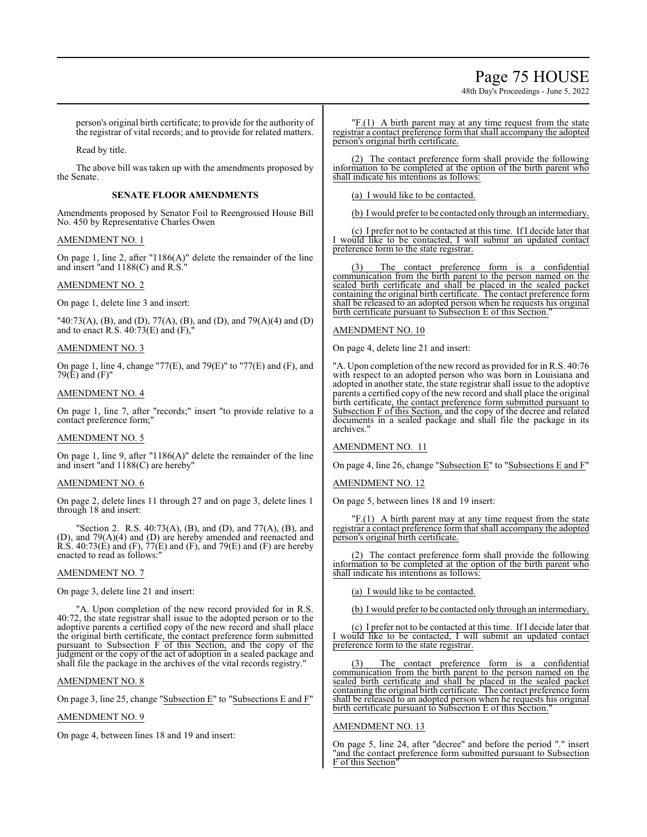# Page 75 HOUSE

48th Day's Proceedings - June 5, 2022

person's original birth certificate; to provide for the authority of the registrar of vital records; and to provide for related matters.

Read by title.

The above bill was taken up with the amendments proposed by the Senate.

#### **SENATE FLOOR AMENDMENTS**

Amendments proposed by Senator Foil to Reengrossed House Bill No. 450 by Representative Charles Owen

#### AMENDMENT NO. 1

On page 1, line 2, after "1186(A)" delete the remainder of the line and insert "and 1188(C) and R.S."

#### AMENDMENT NO. 2

On page 1, delete line 3 and insert:

"40:73(A), (B), and (D), 77(A), (B), and (D), and 79(A)(4) and (D) and to enact R.S.  $40:73(E)$  and  $(F)$ ,

#### AMENDMENT NO. 3

On page 1, line 4, change "77(E), and 79(E)" to "77(E) and (F), and 79 $(E)$  and  $(F)$ "

#### AMENDMENT NO. 4

On page 1, line 7, after "records;" insert "to provide relative to a contact preference form;"

#### AMENDMENT NO. 5

On page 1, line 9, after "1186(A)" delete the remainder of the line and insert "and 1188(C) are hereby"

#### AMENDMENT NO. 6

On page 2, delete lines 11 through 27 and on page 3, delete lines 1 through 18 and insert:

"Section 2. R.S. 40:73(A), (B), and (D), and 77(A), (B), and (D), and 79(A)(4) and (D) are hereby amended and reenacted and R.S. 40:73(E) and (F),  $77(E)$  and (F), and 79(E) and (F) are hereby enacted to read as follows:

#### AMENDMENT NO. 7

On page 3, delete line 21 and insert:

"A. Upon completion of the new record provided for in R.S. 40:72, the state registrar shall issue to the adopted person or to the adoptive parents a certified copy of the new record and shall place the original birth certificate, the contact preference form submitted pursuant to Subsection F of this Section, and the copy of the judgment or the copy of the act of adoption in a sealed package and shall file the package in the archives of the vital records registry."

### AMENDMENT NO. 8

On page 3, line 25, change "Subsection E" to "Subsections E and F"

#### AMENDMENT NO. 9

On page 4, between lines 18 and 19 and insert:

"F.(1) A birth parent may at any time request from the state registrar a contact preference form that shall accompany the adopted person's original birth certificate.

(2) The contact preference form shall provide the following information to be completed at the option of the birth parent who shall indicate his intentions as follows:

(a) I would like to be contacted.

(b) I would prefer to be contacted only through an intermediary.

(c) I prefer not to be contacted at this time. If I decide later that I would like to be contacted, I will submit an updated contact preference form to the state registrar.

(3) The contact preference form is a confidential communication from the birth parent to the person named on the sealed birth certificate and shall be placed in the sealed packet containing the original birth certificate. The contact preference form shall be released to an adopted person when he requests his original birth certificate pursuant to Subsection E of this Section."

#### AMENDMENT NO. 10

On page 4, delete line 21 and insert:

"A. Upon completion of the new record as provided for in R.S. 40:76 with respect to an adopted person who was born in Louisiana and adopted in another state, the state registrar shall issue to the adoptive parents a certified copy of the new record and shall place the original birth certificate, the contact preference form submitted pursuant to Subsection F of this Section, and the copy of the decree and related documents in a sealed package and shall file the package in its archives.

#### AMENDMENT NO. 11

On page 4, line 26, change "Subsection E" to "Subsections E and F"

#### AMENDMENT NO. 12

On page 5, between lines 18 and 19 insert:

"F.(1) A birth parent may at any time request from the state registrar a contact preference form that shall accompany the adopted person's original birth certificate.

(2) The contact preference form shall provide the following information to be completed at the option of the birth parent who shall indicate his intentions as follows:

(a) I would like to be contacted.

(b) I would prefer to be contacted only through an intermediary.

(c) I prefer not to be contacted at this time. If I decide later that I would like to be contacted, I will submit an updated contact preference form to the state registrar.

(3) The contact preference form is a confidential communication from the birth parent to the person named on the sealed birth certificate and shall be placed in the sealed packet containing the original birth certificate. The contact preference form shall be released to an adopted person when he requests his original birth certificate pursuant to Subsection E of this Section.

#### AMENDMENT NO. 13

On page 5, line 24, after "decree" and before the period "." insert "and the contact preference form submitted pursuant to Subsection F of this Section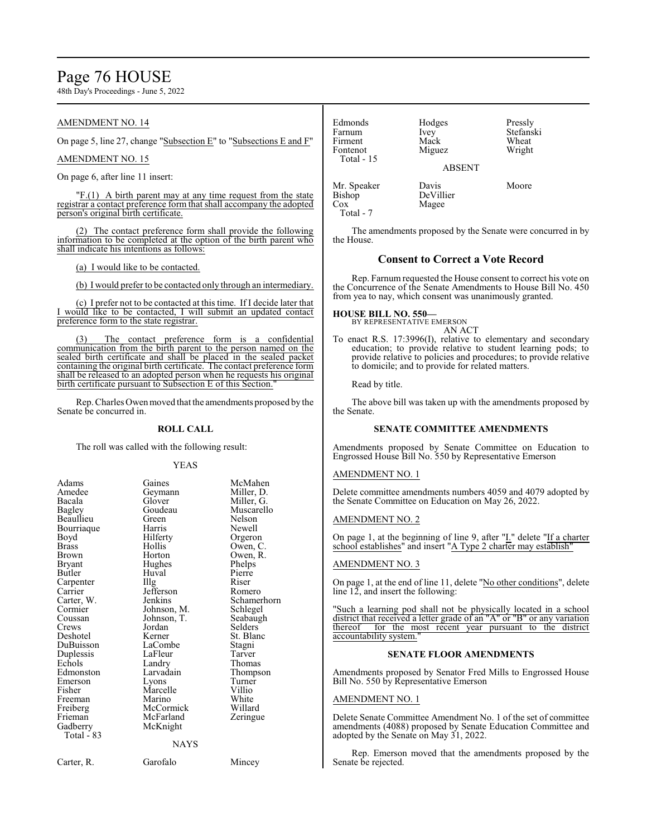# Page 76 HOUSE

48th Day's Proceedings - June 5, 2022

#### AMENDMENT NO. 14

On page 5, line 27, change "Subsection E" to "Subsections E and F"

#### AMENDMENT NO. 15

On page 6, after line 11 insert:

"F.(1) A birth parent may at any time request from the state registrar a contact preference form that shall accompany the adopted person's original birth certificate.

(2) The contact preference form shall provide the following information to be completed at the option of the birth parent who shall indicate his intentions as follows:

(a) I would like to be contacted.

(b) I would prefer to be contacted only through an intermediary.

(c) I prefer not to be contacted at this time. If I decide later that I would like to be contacted, I will submit an updated contact preference form to the state registrar.

(3) The contact preference form is a confidential communication from the birth parent to the person named on the sealed birth certificate and shall be placed in the sealed packet containing the original birth certificate. The contact preference form shall be released to an adopted person when he requests his original birth certificate pursuant to Subsection E of this Section.

Rep. Charles Owenmoved that the amendments proposed by the Senate be concurred in.

#### **ROLL CALL**

The roll was called with the following result:

#### YEAS

| Adams        | Gaines            | McMahen     |
|--------------|-------------------|-------------|
| Amedee       |                   |             |
| Bacala       | Geymann<br>Glover | Miller, D.  |
|              |                   | Miller, G.  |
| Bagley       | Goudeau           | Muscarello  |
| Beaullieu    | Green)            | Nelson      |
| Bourriaque   | Harris            | Newell      |
| Boyd         | Hilferty          | Orgeron     |
| <b>Brass</b> | Hollis            | Owen, C.    |
| <b>Brown</b> | Horton            | Owen, R.    |
| Bryant       | Hughes            | Phelps      |
| Butler       | Huval             | Pierre      |
| Carpenter    | Illg              | Riser       |
| Carrier      | Jefferson         | Romero      |
| Carter, W.   | Jenkins           | Schamerhorn |
| Cormier      | Johnson, M.       | Schlegel    |
| Coussan      | Johnson, T.       | Seabaugh    |
| Crews        | Jordan            | Selders     |
| Deshotel     | Kerner            | St. Blanc   |
| DuBuisson    | LaCombe           | Stagni      |
| Duplessis    | LaFleur           | Tarver      |
| Echols       | Landry            | Thomas      |
| Edmonston    | Larvadain         | Thompson    |
| Emerson      | Lyons             | Turner      |
| Fisher       | Marcelle          | Villio      |
| Freeman      | Marino            | White       |
| Freiberg     | McCormick         | Willard     |
| Frieman      | McFarland         | Zeringue    |
| Gadberry     | McKnight          |             |
| Total - 83   |                   |             |
|              | NAYS              |             |
| Carter, R.   | Garofalo          | Mincey      |

| Edmonds<br>Farnum<br>Firment<br>Fontenot<br>Total - 15 | Hodges<br>Ivey<br>Mack<br>Miguez<br><b>ABSENT</b> | Pressly<br>Stefanski<br>Wheat<br>Wright |
|--------------------------------------------------------|---------------------------------------------------|-----------------------------------------|
| Mr. Speaker<br><b>Bishop</b><br>Cox<br>Total - 7       | Davis<br>DeVillier<br>Magee                       | Moore                                   |

The amendments proposed by the Senate were concurred in by the House.

#### **Consent to Correct a Vote Record**

Rep. Farnum requested the House consent to correct his vote on the Concurrence of the Senate Amendments to House Bill No. 450 from yea to nay, which consent was unanimously granted.

#### **HOUSE BILL NO. 550—**

BY REPRESENTATIVE EMERSON AN ACT

To enact R.S. 17:3996(I), relative to elementary and secondary education; to provide relative to student learning pods; to provide relative to policies and procedures; to provide relative to domicile; and to provide for related matters.

Read by title.

The above bill was taken up with the amendments proposed by the Senate.

#### **SENATE COMMITTEE AMENDMENTS**

Amendments proposed by Senate Committee on Education to Engrossed House Bill No. 550 by Representative Emerson

#### AMENDMENT NO. 1

Delete committee amendments numbers 4059 and 4079 adopted by the Senate Committee on Education on May 26, 2022.

#### AMENDMENT NO. 2

On page 1, at the beginning of line 9, after "I." delete "If a charter school establishes" and insert "A Type 2 charter may establish"

#### AMENDMENT NO. 3

On page 1, at the end of line 11, delete "No other conditions", delete line 12, and insert the following:

"Such a learning pod shall not be physically located in a school district that received a letter grade of an "A" or "B" or any variation thereof for the most recent year pursuant to the district accountability system."

#### **SENATE FLOOR AMENDMENTS**

Amendments proposed by Senator Fred Mills to Engrossed House Bill No. 550 by Representative Emerson

#### AMENDMENT NO. 1

Delete Senate Committee Amendment No. 1 of the set of committee amendments (4088) proposed by Senate Education Committee and adopted by the Senate on May 31, 2022.

Rep. Emerson moved that the amendments proposed by the Senate be rejected.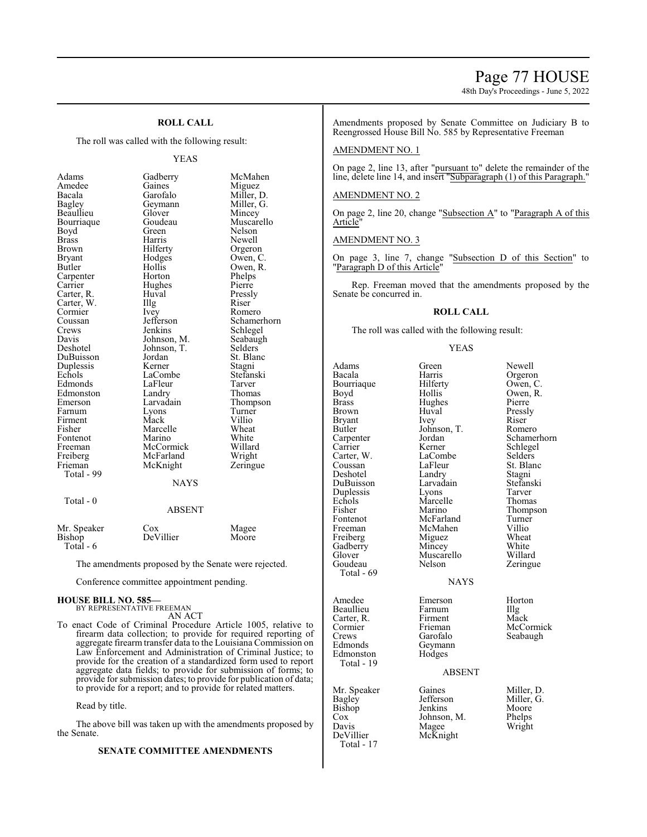### Page 77 HOUSE

48th Day's Proceedings - June 5, 2022

#### **ROLL CALL**

The roll was called with the following result:

#### YEAS

| Adams       | Gadberry      | McMahen     |
|-------------|---------------|-------------|
| Amedee      | Gaines        | Miguez      |
| Bacala      | Garofalo      | Miller, D.  |
| Bagley      | Geymann       | Miller, G.  |
| Beaullieu   | Glover        | Mincey      |
| Bourriaque  | Goudeau       | Muscarello  |
| Boyd        | Green         | Nelson      |
| Brass       | Harris        | Newell      |
| Brown       | Hilferty      | Orgeron     |
| Bryant      | Hodges        | Owen, C.    |
| Butler      | Hollis        | Owen, R.    |
| Carpenter   | Horton        | Phelps      |
| Carrier     | Hughes        | Pierre      |
| Carter, R.  | Huval         | Pressly     |
| Carter, W.  | Illg          | Riser       |
| Cormier     | Ivey          | Romero      |
| Coussan     | Jefferson     | Schamerhorn |
| Crews       | Jenkins       | Schlegel    |
| Davis       | Johnson, M.   | Seabaugh    |
| Deshotel    | Johnson, T.   | Selders     |
| DuBuisson   | Jordan        | St. Blanc   |
| Duplessis   | Kerner        | Stagni      |
| Echols      | LaCombe       | Stefanski   |
| Edmonds     | LaFleur       | Tarver      |
| Edmonston   | Landry        | Thomas      |
| Emerson     | Larvadain     | Thompson    |
| Farnum      | Lyons         | Turner      |
| Firment     | Mack          | Villio      |
| Fisher      | Marcelle      | Wheat       |
| Fontenot    | Marino        | White       |
| Freeman     | McCormick     | Willard     |
| Freiberg    | McFarland     | Wright      |
| Frieman     | McKnight      | Zeringue    |
| Total - 99  |               |             |
|             | <b>NAYS</b>   |             |
|             |               |             |
| Total - 0   |               |             |
|             | <b>ABSENT</b> |             |
| Mr. Speaker | Cox           | Magee       |
| Bishop      | DeVillier     | Moore       |
|             |               |             |

Total - 6

The amendments proposed by the Senate were rejected.

Conference committee appointment pending.

#### **HOUSE BILL NO. 585—**

BY REPRESENTATIVE FREEMAN AN ACT

To enact Code of Criminal Procedure Article 1005, relative to firearm data collection; to provide for required reporting of aggregate firearm transfer data to the Louisiana Commission on Law Enforcement and Administration of Criminal Justice; to provide for the creation of a standardized form used to report aggregate data fields; to provide for submission of forms; to provide for submission dates; to provide for publication of data; to provide for a report; and to provide for related matters.

#### Read by title.

The above bill was taken up with the amendments proposed by the Senate.

#### **SENATE COMMITTEE AMENDMENTS**

Amendments proposed by Senate Committee on Judiciary B to Reengrossed House Bill No. 585 by Representative Freeman

#### AMENDMENT NO. 1

On page 2, line 13, after "pursuant to" delete the remainder of the line, delete line 14, and insert "Subparagraph (1) of this Paragraph."

#### AMENDMENT NO. 2

On page 2, line 20, change "Subsection A" to "Paragraph A of this Article"

AMENDMENT NO. 3

On page 3, line 7, change "Subsection D of this Section" to "Paragraph D of this Article"

Rep. Freeman moved that the amendments proposed by the Senate be concurred in.

#### **ROLL CALL**

The roll was called with the following result:

YEAS

Bacala **Harris** Orgeron<br>Bourriaque Hilferty Owen, C Bourriaque Hilfert<br>Boyd Hollis Boyd Hollis Owen, R.<br>Brass Hughes Pierre Brass Hughes<br>Brown Huval Bryant Ivey Riser<br>Butler Johnson, T. Romero Butler Johnson, T.<br>Carpenter Jordan Carpenter Jordan Schamerhorn Carter, W. LaCombe<br>Coussan LaFleur St. Blan Deshotel Landry Stagni<br>DuBuisson Larvadain Stefanski DuBuisson Larvadain Stefans<br>
Duplessis Lyons Tarver Duplessis Lyons Tarver Echols Marcelle<br>Fisher Marino Fisher Marino Thompson<br>Fontenot McFarland Turner Fontenot McFarland Turner<br>Freeman McMahen Villio Freiberg Miguez Wheat<br>Gadberry Mincey White Gadberry Mincey White<br>Glover Muscarello Willard Glover Muscarello<br>Goudeau Nelson Total - 69 Amedee Emerson Horton<br>Beaullieu Farnum Illg Beaullieu Farnum Illg<br>Carter, R. Firment Mack Carter, R. Firment<br>Cormier Frieman Cormier Frieman McCormick<br>Crews Garofalo Seabaugh Edmonds Geyman<br>Edmonston Hodges Edmonston Total - 19 Mr. Speaker Gaines Miller, D.<br>Bagley Jefferson Miller, G. Bagley Jefferson Miller, G.<br>Bishop Jenkins Moore Bishop Jenkins Moore<br>Cox Johnson, M. Phelps

Total - 17

Huval Pressly<br>Ivey Riser Kerner Schlegel<br>LaCombe Selders LaFleur St. Blanc<br>Landry Stagni McMahen Villio<br>
Miguez Wheat NAYS

Adams Green Newell Zeringue

#### ABSENT

Cox Johnson, M.<br>Davis Magee Davis Magee Wright<br>DeVillier McKnight McKnight

Garofalo Seabaugh<br>Gevmann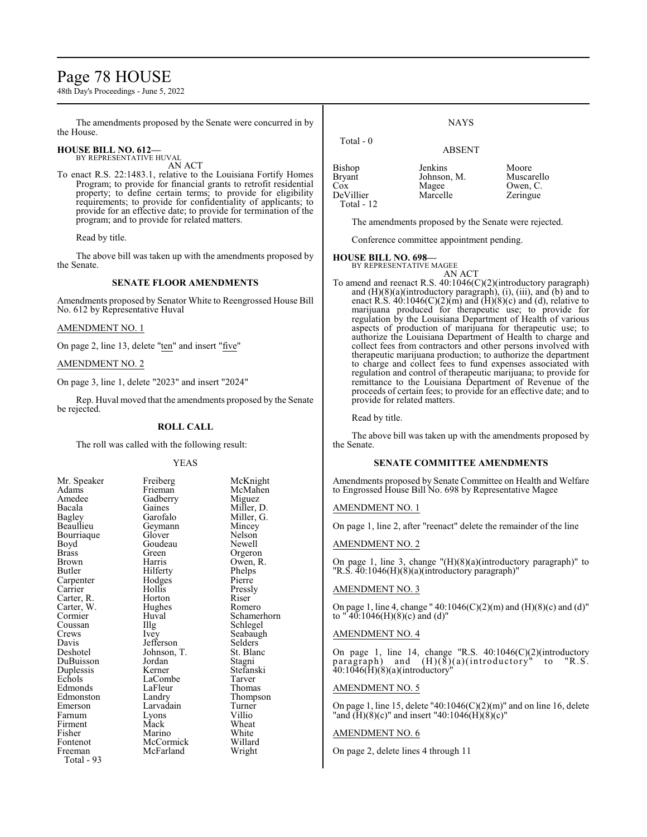# Page 78 HOUSE

48th Day's Proceedings - June 5, 2022

The amendments proposed by the Senate were concurred in by the House.

# **HOUSE BILL NO. 612—** BY REPRESENTATIVE HUVAL

AN ACT

To enact R.S. 22:1483.1, relative to the Louisiana Fortify Homes Program; to provide for financial grants to retrofit residential property; to define certain terms; to provide for eligibility requirements; to provide for confidentiality of applicants; to provide for an effective date; to provide for termination of the program; and to provide for related matters.

Read by title.

The above bill was taken up with the amendments proposed by the Senate.

#### **SENATE FLOOR AMENDMENTS**

Amendments proposed by Senator White to Reengrossed House Bill No. 612 by Representative Huval

#### AMENDMENT NO. 1

On page 2, line 13, delete "ten" and insert "five"

#### AMENDMENT NO. 2

On page 3, line 1, delete "2023" and insert "2024"

Rep. Huval moved that the amendments proposed by the Senate be rejected.

#### **ROLL CALL**

The roll was called with the following result:

Gadberry<br>Gaines

Goudeau<br>Green

Hodges<br>Hollis

Jordan<br>Kerner

LaFleur<br>Landrv

Lyons<br>Mack

McFarland

#### YEAS

| Mr. Speaker           |
|-----------------------|
| Adams                 |
| Amedee                |
| Bacala                |
| Bagley                |
| Beaullieu             |
| Bourriaque            |
| Boyd                  |
| <b>Brass</b>          |
| Brown                 |
| Butler                |
| Carpenter<br>Carrier  |
|                       |
| Carter, R.            |
| Carter, W.<br>Cormier |
|                       |
| Coussan               |
|                       |
|                       |
| Crews                 |
| Davis                 |
| Deshotel              |
| DuBuisson             |
| Duplessis             |
| Echols                |
| Edmonds               |
| Edmonston             |
| Emerson               |
| Farnum                |
| Firment               |
| Fisher                |
| Fontenot              |
| Freeman<br>Total - 93 |

Freiberg McKnight<br>Frieman McMahen McMahen<br>Miguez Gaines Miller, D.<br>Garofalo Miller, G. Miller, G.<br>Mincey Geymann Mincey<br>Glover Nelson Glover Nelson<br>Goudeau Newell Green Orgeron<br>Harris Owen R Owen, R.<br>Phelps Hilferty<br>Hodges Pierre Hollis Pressly<br>
Horton Riser Carter, R. **Horton** Riser Hughes Romero<br>Huval Schamer Huval Schamerhorn<br>Illg Schlegel Illg Schlegel<br>Ivev Seabaugh Seabaugh<br>Selders Jefferson Selders<br>Johnson, T. St. Blanc Johnson, T. St. Blanch<br>Jordan Stagni Stefanski<br>Tarver LaCombe Tarver<br>
LaFleur Thomas Thompson<br>Turner Larvadain Turner<br>Lyons Villio Wheat<br>White Marino White<br>
McCormick Willard McCormick Willard<br>
McFarland Wright

| Total - 0     | <b>ABSENT</b> |            |
|---------------|---------------|------------|
| <b>Bishop</b> | Jenkins       | Moore      |
| <b>Bryant</b> | Johnson, M.   | Muscarello |
| Cox           | Magee         | Owen, C.   |
| DeVillier     | Marcelle      | Zeringue   |

The amendments proposed by the Senate were rejected.

Conference committee appointment pending.

#### **HOUSE BILL NO. 698—**

DeVillier Total - 12

> BY REPRESENTATIVE MAGEE AN ACT

To amend and reenact R.S. 40:1046(C)(2)(introductory paragraph) and  $(H)(8)(a)$ (introductory paragraph), (i), (iii), and (b) and to enact R.S.  $40:1046(C)(2)(m)$  and  $(H)(8)(c)$  and  $(d)$ , relative to marijuana produced for therapeutic use; to provide for regulation by the Louisiana Department of Health of various aspects of production of marijuana for therapeutic use; to authorize the Louisiana Department of Health to charge and collect fees from contractors and other persons involved with therapeutic marijuana production; to authorize the department to charge and collect fees to fund expenses associated with regulation and control of therapeutic marijuana; to provide for remittance to the Louisiana Department of Revenue of the proceeds of certain fees; to provide for an effective date; and to provide for related matters.

Read by title.

The above bill was taken up with the amendments proposed by the Senate.

#### **SENATE COMMITTEE AMENDMENTS**

Amendments proposed by Senate Committee on Health and Welfare to Engrossed House Bill No. 698 by Representative Magee

#### AMENDMENT NO. 1

On page 1, line 2, after "reenact" delete the remainder of the line

#### AMENDMENT NO. 2

On page 1, line 3, change "(H)(8)(a)(introductory paragraph)" to "R.S. 40:1046(H)(8)(a)(introductory paragraph)"

#### AMENDMENT NO. 3

On page 1, line 4, change " 40:1046(C)(2)(m) and (H)(8)(c) and (d)" to " $40:1046(H)(8)(c)$  and (d)"

#### AMENDMENT NO. 4

On page 1, line 14, change "R.S. 40:1046(C)(2)(introductory paragraph) and (H)(8)(a)(introductory" to "R.S. 40:1046(H)(8)(a)(introductory"

#### AMENDMENT NO. 5

On page 1, line 15, delete "40:1046(C)(2)(m)" and on line 16, delete "and  $(H)(8)(c)$ " and insert "40:104 $\hat{\mathbf{6}}(\hat{\mathbf{H}})(\hat{8})(c)$ "

#### AMENDMENT NO. 6

On page 2, delete lines 4 through 11

**NAYS**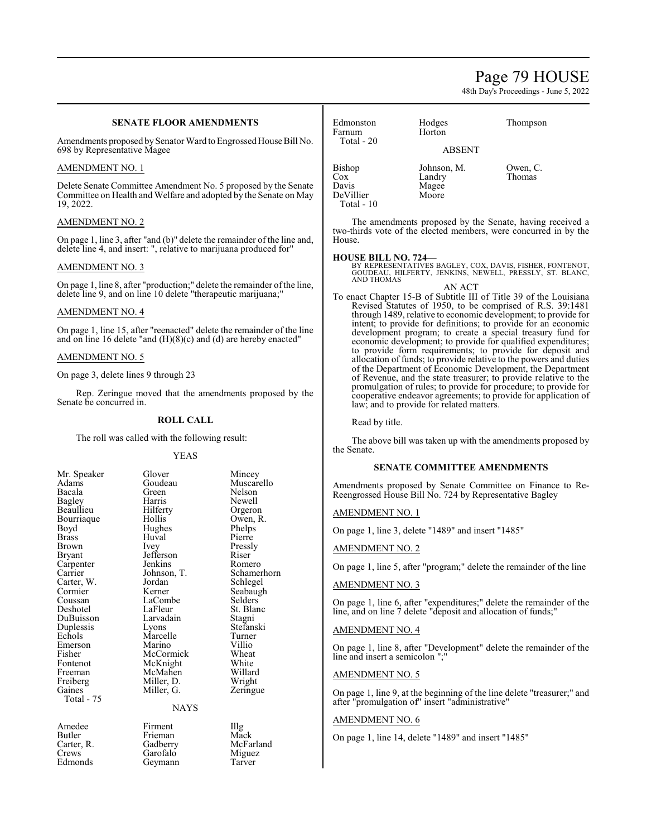# Page 79 HOUSE

48th Day's Proceedings - June 5, 2022

|                                                                                                                                                | <b>SENATE FLOOR AMENDMENTS</b>                                |                                                                                                                                                                                                                                                                                                               | Edmonston                                                                                                                                                                                    | Hodges                                                                                                                                                                                                                | Thompson                                                                                                                    |
|------------------------------------------------------------------------------------------------------------------------------------------------|---------------------------------------------------------------|---------------------------------------------------------------------------------------------------------------------------------------------------------------------------------------------------------------------------------------------------------------------------------------------------------------|----------------------------------------------------------------------------------------------------------------------------------------------------------------------------------------------|-----------------------------------------------------------------------------------------------------------------------------------------------------------------------------------------------------------------------|-----------------------------------------------------------------------------------------------------------------------------|
| 698 by Representative Magee                                                                                                                    |                                                               | Amendments proposed by Senator Ward to Engrossed House Bill No.                                                                                                                                                                                                                                               | Farnum<br>Total - 20                                                                                                                                                                         | Horton<br><b>ABSENT</b>                                                                                                                                                                                               |                                                                                                                             |
| AMENDMENT NO. 1                                                                                                                                |                                                               |                                                                                                                                                                                                                                                                                                               | Bishop                                                                                                                                                                                       | Johnson, M.                                                                                                                                                                                                           | Owen, C.                                                                                                                    |
| 19, 2022.                                                                                                                                      |                                                               | Delete Senate Committee Amendment No. 5 proposed by the Senate<br>Committee on Health and Welfare and adopted by the Senate on May                                                                                                                                                                            | $\cos$<br>Davis<br>DeVillier<br>Total - $10$                                                                                                                                                 | Landry<br>Magee<br>Moore                                                                                                                                                                                              | Thomas                                                                                                                      |
| <b>AMENDMENT NO. 2</b>                                                                                                                         |                                                               |                                                                                                                                                                                                                                                                                                               |                                                                                                                                                                                              |                                                                                                                                                                                                                       | The amendments proposed by the Senate, having received a                                                                    |
| On page 1, line 3, after "and (b)" delete the remainder of the line and,<br>delete line 4, and insert: ", relative to marijuana produced for"  |                                                               |                                                                                                                                                                                                                                                                                                               | two-thirds vote of the elected members, were concurred in by the<br>House.                                                                                                                   |                                                                                                                                                                                                                       |                                                                                                                             |
| <b>AMENDMENT NO. 3</b>                                                                                                                         |                                                               |                                                                                                                                                                                                                                                                                                               | <b>HOUSE BILL NO. 724-</b>                                                                                                                                                                   |                                                                                                                                                                                                                       |                                                                                                                             |
|                                                                                                                                                | delete line 9, and on line 10 delete "therapeutic marijuana;" | On page 1, line 8, after "production;" delete the remainder of the line,                                                                                                                                                                                                                                      |                                                                                                                                                                                              | BY REPRESENTATIVES BAGLEY, COX, DAVIS, FISHER, FONTENOT, GOUDEAU, HILFERTY, JENKINS, NEWELL, PRESSLY, ST. BLANC,<br><b>AND THOMAS</b><br>AN ACT<br>To enact Chapter 15-B of Subtitle III of Title 39 of the Louisiana |                                                                                                                             |
| <b>AMENDMENT NO. 4</b>                                                                                                                         |                                                               |                                                                                                                                                                                                                                                                                                               |                                                                                                                                                                                              |                                                                                                                                                                                                                       | Revised Statutes of 1950, to be comprised of R.S. 39:1481<br>through 1489, relative to economic development; to provide for |
| On page 1, line 15, after "reenacted" delete the remainder of the line<br>and on line 16 delete "and $(H)(8)(c)$ and $(d)$ are hereby enacted" |                                                               |                                                                                                                                                                                                                                                                                                               | intent; to provide for definitions; to provide for an economic<br>development program; to create a special treasury fund for<br>economic development; to provide for qualified expenditures; |                                                                                                                                                                                                                       |                                                                                                                             |
| <b>AMENDMENT NO. 5</b>                                                                                                                         |                                                               |                                                                                                                                                                                                                                                                                                               | to provide form requirements; to provide for deposit and<br>allocation of funds; to provide relative to the powers and duties                                                                |                                                                                                                                                                                                                       |                                                                                                                             |
| On page 3, delete lines 9 through 23                                                                                                           |                                                               | of the Department of Economic Development, the Department<br>of Revenue, and the state treasurer; to provide relative to the<br>promulgation of rules; to provide for procedure; to provide for<br>cooperative endeavor agreements; to provide for application of<br>law; and to provide for related matters. |                                                                                                                                                                                              |                                                                                                                                                                                                                       |                                                                                                                             |
| Rep. Zeringue moved that the amendments proposed by the<br>Senate be concurred in.                                                             |                                                               |                                                                                                                                                                                                                                                                                                               |                                                                                                                                                                                              |                                                                                                                                                                                                                       |                                                                                                                             |
|                                                                                                                                                | <b>ROLL CALL</b>                                              |                                                                                                                                                                                                                                                                                                               | Read by title.                                                                                                                                                                               |                                                                                                                                                                                                                       |                                                                                                                             |
|                                                                                                                                                | The roll was called with the following result:                |                                                                                                                                                                                                                                                                                                               | The above bill was taken up with the amendments proposed by<br>the Senate.                                                                                                                   |                                                                                                                                                                                                                       |                                                                                                                             |
|                                                                                                                                                | <b>YEAS</b>                                                   |                                                                                                                                                                                                                                                                                                               |                                                                                                                                                                                              |                                                                                                                                                                                                                       |                                                                                                                             |
| Mr. Speaker                                                                                                                                    | Glover                                                        | Mincey                                                                                                                                                                                                                                                                                                        |                                                                                                                                                                                              | <b>SENATE COMMITTEE AMENDMENTS</b>                                                                                                                                                                                    |                                                                                                                             |
| Adams<br>Bacala<br><b>Bagley</b>                                                                                                               | Goudeau<br>Green<br>Harris                                    | Muscarello<br>Nelson<br>Newell                                                                                                                                                                                                                                                                                |                                                                                                                                                                                              | Reengrossed House Bill No. 724 by Representative Bagley                                                                                                                                                               | Amendments proposed by Senate Committee on Finance to Re-                                                                   |
| Beaullieu                                                                                                                                      | Hilferty<br>Hollis                                            | Orgeron<br>Owen, R.                                                                                                                                                                                                                                                                                           | <b>AMENDMENT NO. 1</b>                                                                                                                                                                       |                                                                                                                                                                                                                       |                                                                                                                             |
| Bourriaque<br>Boyd<br><b>Brass</b>                                                                                                             | Hughes<br>Huval                                               | Phelps<br>Pierre                                                                                                                                                                                                                                                                                              |                                                                                                                                                                                              | On page 1, line 3, delete "1489" and insert "1485"                                                                                                                                                                    |                                                                                                                             |
| <b>Brown</b>                                                                                                                                   | Ivey<br>Jefferson                                             | Pressly                                                                                                                                                                                                                                                                                                       | <b>AMENDMENT NO. 2</b>                                                                                                                                                                       |                                                                                                                                                                                                                       |                                                                                                                             |
| Bryant<br>Carpenter                                                                                                                            | Jenkins                                                       | Riser<br>Romero                                                                                                                                                                                                                                                                                               |                                                                                                                                                                                              |                                                                                                                                                                                                                       | On page 1, line 5, after "program;" delete the remainder of the line                                                        |
| Carrier<br>Carter, W.                                                                                                                          | Johnson, T.<br>Jordan                                         | Schamerhorn<br>Schlegel                                                                                                                                                                                                                                                                                       | <b>AMENDMENT NO. 3</b>                                                                                                                                                                       |                                                                                                                                                                                                                       |                                                                                                                             |
| Cormier<br>Coussan                                                                                                                             | Kerner<br>LaCombe                                             | Seabaugh<br>Selders                                                                                                                                                                                                                                                                                           |                                                                                                                                                                                              |                                                                                                                                                                                                                       |                                                                                                                             |
| Deshotel                                                                                                                                       | LaFleur                                                       | St. Blanc                                                                                                                                                                                                                                                                                                     |                                                                                                                                                                                              | line, and on line 7 delete "deposit and allocation of funds;"                                                                                                                                                         | On page 1, line 6, after "expenditures;" delete the remainder of the                                                        |
| DuBuisson                                                                                                                                      | Larvadain                                                     | Stagni                                                                                                                                                                                                                                                                                                        |                                                                                                                                                                                              |                                                                                                                                                                                                                       |                                                                                                                             |
| Duplessis<br>Echols                                                                                                                            | Lyons<br>Marcelle                                             | Stefanski<br>Turner                                                                                                                                                                                                                                                                                           | <b>AMENDMENT NO. 4</b>                                                                                                                                                                       |                                                                                                                                                                                                                       |                                                                                                                             |
| Emerson                                                                                                                                        | Marino                                                        | Villio                                                                                                                                                                                                                                                                                                        |                                                                                                                                                                                              |                                                                                                                                                                                                                       | On page 1, line 8, after "Development" delete the remainder of the                                                          |
| Fisher                                                                                                                                         | McCormick                                                     | Wheat                                                                                                                                                                                                                                                                                                         | line and insert a semicolon ":"                                                                                                                                                              |                                                                                                                                                                                                                       |                                                                                                                             |

On page 1, line 8, after "Development" delete the remainder of the line and insert a semicolon ";"

### AMENDMENT NO. 5

On page 1, line 9, at the beginning of the line delete "treasurer;" and after "promulgation of" insert "administrative"

#### AMENDMENT NO. 6

On page 1, line 14, delete "1489" and insert "1485"

Butler Frieman<br>Carter, R. Gadberry Carter, R. Gadberry McFarland<br>Crews Garofalo Miguez Crews Garofalo Miguez<br>Edmonds Geymann Tarver Geymann

NAYS

Fisher McCormick Wheat<br>Fontenot McKnight White Fontenot McKnight White<br>Freeman McMahen Willard Freeman McMahen Willard<br>Freiberg Miller, D. Wright Freiberg Miller, D. Wright

Gaines<br>Total - 75

Gaines Miller, G. Zeringue Amedee Firment Illg<br>Butler Frieman Mack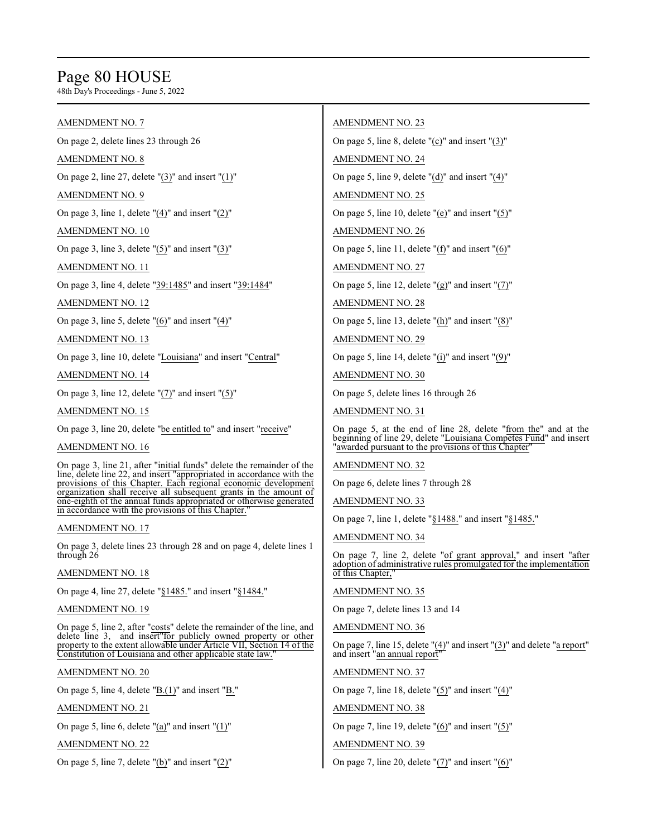# Page 80 HOUSE

48th Day's Proceedings - June 5, 2022

#### AMENDMENT NO. 7

On page 2, delete lines 23 through 26

#### AMENDMENT NO. 8

On page 2, line 27, delete " $(3)$ " and insert " $(1)$ "

#### AMENDMENT NO. 9

On page 3, line 1, delete " $(4)$ " and insert " $(2)$ "

AMENDMENT NO. 10

On page 3, line 3, delete " $(5)$ " and insert " $(3)$ "

AMENDMENT NO. 11

On page 3, line 4, delete "39:1485" and insert "39:1484"

AMENDMENT NO. 12

On page 3, line 5, delete "(6)" and insert "(4)"

AMENDMENT NO. 13

On page 3, line 10, delete "Louisiana" and insert "Central"

AMENDMENT NO. 14

On page 3, line 12, delete  $"(7)"$  and insert  $"(5)"$ 

AMENDMENT NO. 15

On page 3, line 20, delete "be entitled to" and insert "receive"

#### AMENDMENT NO. 16

On page 3, line 21, after "initial funds" delete the remainder of the line, delete line 22, and insert "appropriated in accordance with the provisions of this Chapter. Each regional economic development organization shall receive all subsequent grants in the amount of one-eighth of the annual funds appropriated or otherwise generated in accordance with the provisions of this Chapter."

#### AMENDMENT NO. 17

On page 3, delete lines 23 through 28 and on page 4, delete lines 1 through 26

#### AMENDMENT NO. 18

On page 4, line 27, delete "§1485." and insert "§1484."

### AMENDMENT NO. 19

On page 5, line 2, after "costs" delete the remainder of the line, and delete line 3, and insert"for publicly owned property or other property to the extent allowable under Article VII, Section 14 of the Constitution of Louisiana and other applicable state law.

#### AMENDMENT NO. 20

On page 5, line 4, delete " $\underline{B.(1)}$ " and insert " $\underline{B."}$ "

AMENDMENT NO. 21

On page 5, line 6, delete " $(a)$ " and insert " $(1)$ "

AMENDMENT NO. 22

On page 5, line 7, delete " $(b)$ " and insert " $(2)$ "

#### AMENDMENT NO. 23

On page 5, line 8, delete "(c)" and insert "(3)"

AMENDMENT NO. 24

On page 5, line 9, delete "(d)" and insert "(4)"

#### AMENDMENT NO. 25

On page 5, line 10, delete " $(e)$ " and insert " $(5)$ "

AMENDMENT NO. 26

On page 5, line 11, delete " $(f)$ " and insert " $(6)$ "

AMENDMENT NO. 27

On page 5, line 12, delete " $(g)$ " and insert " $(7)$ "

AMENDMENT NO. 28

On page 5, line 13, delete "(h)" and insert "(8)"

AMENDMENT NO. 29

On page 5, line 14, delete "(i)" and insert "(9)"

AMENDMENT NO. 30

On page 5, delete lines 16 through 26

AMENDMENT NO. 31

On page 5, at the end of line 28, delete "from the" and at the beginning of line 29, delete "Louisiana Competes Fund" and insert 'awarded pursuant to the provisions of this Chapter'

AMENDMENT NO. 32

On page 6, delete lines 7 through 28

AMENDMENT NO. 33

On page 7, line 1, delete "§1488." and insert "§1485."

AMENDMENT NO. 34

On page 7, line 2, delete "of grant approval," and insert "after adoption of administrative rules promulgated for the implementation of this Chapter,

#### AMENDMENT NO. 35

On page 7, delete lines 13 and 14

AMENDMENT NO. 36

On page 7, line 15, delete " $(4)$ " and insert " $(3)$ " and delete "a report" and insert "an annual report"

AMENDMENT NO. 37

On page 7, line 18, delete " $(5)$ " and insert " $(4)$ "

AMENDMENT NO. 38

On page 7, line 19, delete " $(6)$ " and insert " $(5)$ "

#### AMENDMENT NO. 39

On page 7, line 20, delete " $(7)$ " and insert " $(6)$ "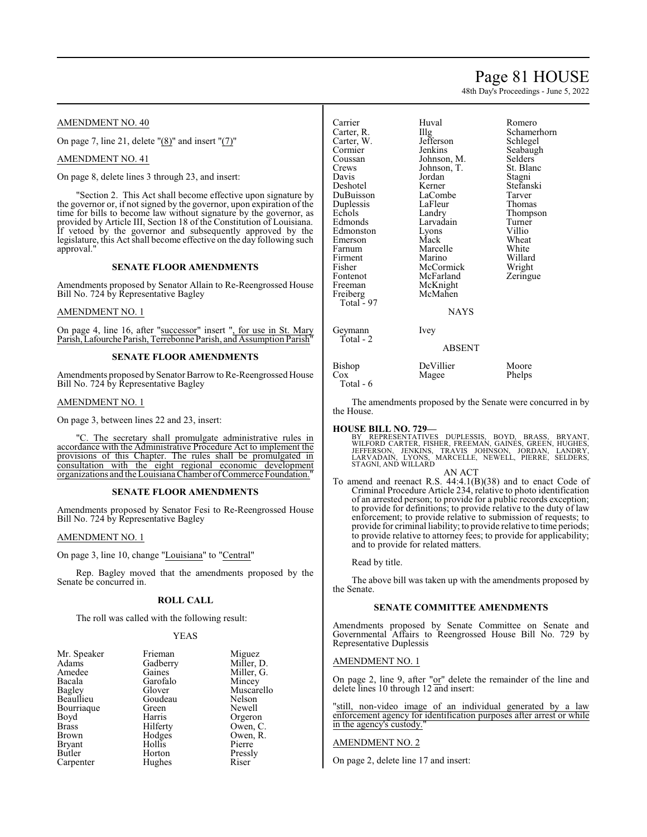# Page 81 HOUSE

48th Day's Proceedings - June 5, 2022

Romero Schamerhorn Schlegel Seabaugh Selders<sup>1</sup> St. Blanc

Stefanski Tarver Thomas Thompson Turner<br>Villio

Wheat<br>White

Willard Wright Zeringue

#### AMENDMENT NO. 40

On page 7, line 21, delete "(8)" and insert "(7)"

AMENDMENT NO. 41

On page 8, delete lines 3 through 23, and insert:

"Section 2. This Act shall become effective upon signature by the governor or, if not signed by the governor, upon expiration of the time for bills to become law without signature by the governor, as provided by Article III, Section 18 of the Constitution of Louisiana. If vetoed by the governor and subsequently approved by the legislature, this Act shall become effective on the day following such approval."

#### **SENATE FLOOR AMENDMENTS**

Amendments proposed by Senator Allain to Re-Reengrossed House Bill No. 724 by Representative Bagley

#### AMENDMENT NO. 1

On page 4, line 16, after "successor" insert ", for use in St. Mary Parish, Lafourche Parish, Terrebonne Parish, and Assumption Parish'

#### **SENATE FLOOR AMENDMENTS**

Amendments proposed by Senator Barrow to Re-Reengrossed House Bill No. 724 by Representative Bagley

#### AMENDMENT NO. 1

On page 3, between lines 22 and 23, insert:

"C. The secretary shall promulgate administrative rules in accordance with the Administrative Procedure Act to implement the provisions of this Chapter. The rules shall be promulgated in consultation with the eight regional economic development organizations and the Louisiana Chamber ofCommerce Foundation."

#### **SENATE FLOOR AMENDMENTS**

Amendments proposed by Senator Fesi to Re-Reengrossed House Bill No. 724 by Representative Bagley

#### AMENDMENT NO. 1

On page 3, line 10, change "Louisiana" to "Central"

Rep. Bagley moved that the amendments proposed by the Senate be concurred in.

#### **ROLL CALL**

The roll was called with the following result:

#### YEAS

| Mr. Speaker   | Frieman  | Miguez     |
|---------------|----------|------------|
| Adams         | Gadberry | Miller, D. |
| Amedee        | Gaines   | Miller, G. |
| Bacala        | Garofalo | Mincey     |
| Bagley        | Glover   | Muscarello |
| Beaullieu     | Goudeau  | Nelson     |
| Bourriaque    | Green    | Newell     |
| Boyd          | Harris   | Orgeron    |
| <b>Brass</b>  | Hilferty | Owen, C.   |
| <b>Brown</b>  | Hodges   | Owen, R.   |
| <b>Bryant</b> | Hollis   | Pierre     |
| Butler        | Horton   | Pressly    |
| Carpenter     | Hughes   | Riser      |

| Carrier<br>Carter, R.<br>Carter, W.<br>Cormier<br>Coussan<br>Crews<br>Davis<br>Deshotel<br>DuBuisson<br>Duplessis<br>Echols<br>Edmonds<br>Edmonston<br>Emerson<br>Farnum<br>Firment<br>Fisher<br>Fontenot<br>Freeman<br>Freiberg<br>Total $-97$ | Huval<br>$\prod_{i=1}^{n}$<br>Jefferson<br>Jenkins<br>Johnson, M.<br>Johnson, T.<br>Jordan<br>Kerner<br>LaCombe<br>LaFleur<br>Landry<br>Larvadain<br>Lyons<br>Mack<br>Marcelle<br>Marino<br>McCormick<br>McFarland<br>McKnight<br>McMahen<br><b>NAYS</b> | Romer<br>Scham<br>Schleg<br>Seabai<br>Selder<br>St. Bla<br>Stagni<br>Stefan<br>Tarver<br>Thoma<br>Thomp<br>Turner<br>Villio<br>Wheat<br>White<br>Willar<br>Wrigh<br>Zering |
|-------------------------------------------------------------------------------------------------------------------------------------------------------------------------------------------------------------------------------------------------|----------------------------------------------------------------------------------------------------------------------------------------------------------------------------------------------------------------------------------------------------------|----------------------------------------------------------------------------------------------------------------------------------------------------------------------------|
| Geymann<br>Total - 2                                                                                                                                                                                                                            | Ivey<br>ABSENT                                                                                                                                                                                                                                           |                                                                                                                                                                            |
|                                                                                                                                                                                                                                                 |                                                                                                                                                                                                                                                          |                                                                                                                                                                            |

Bishop DeVillier Moore<br>Cox Magee Phelps Magee Total - 6

The amendments proposed by the Senate were concurred in by the House.

#### **HOUSE BILL NO. 729—**

BY REPRESENTATIVES DUPLESSIS, BOYD, BRASS, BRYANT,<br>WILFORD CARTER, FISHER, FREEMAN, GAINES, GREEN, HUGHES,<br>VEFFERSON, JENKINS, TRAVIS JOHNSON, JORDAN, LANDRY,<br>LARVADAIN, LYONS, MARCELLE, NEWELL, PIERRE, SELDERS, STAGNI, AND WILLARD

#### AN ACT

To amend and reenact R.S. 44:4.1(B)(38) and to enact Code of Criminal Procedure Article 234, relative to photo identification of an arrested person; to provide for a public records exception; to provide for definitions; to provide relative to the duty of law enforcement; to provide relative to submission of requests; to provide for criminal liability; to provide relative to time periods; to provide relative to attorney fees; to provide for applicability; and to provide for related matters.

Read by title.

The above bill was taken up with the amendments proposed by the Senate.

#### **SENATE COMMITTEE AMENDMENTS**

Amendments proposed by Senate Committee on Senate and Governmental Affairs to Reengrossed House Bill No. 729 by Representative Duplessis

#### AMENDMENT NO. 1

On page 2, line 9, after "or" delete the remainder of the line and delete lines 10 through 12 and insert:

"still, non-video image of an individual generated by a law enforcement agency for identification purposes after arrest or while in the agency's custody."

#### AMENDMENT NO. 2

On page 2, delete line 17 and insert: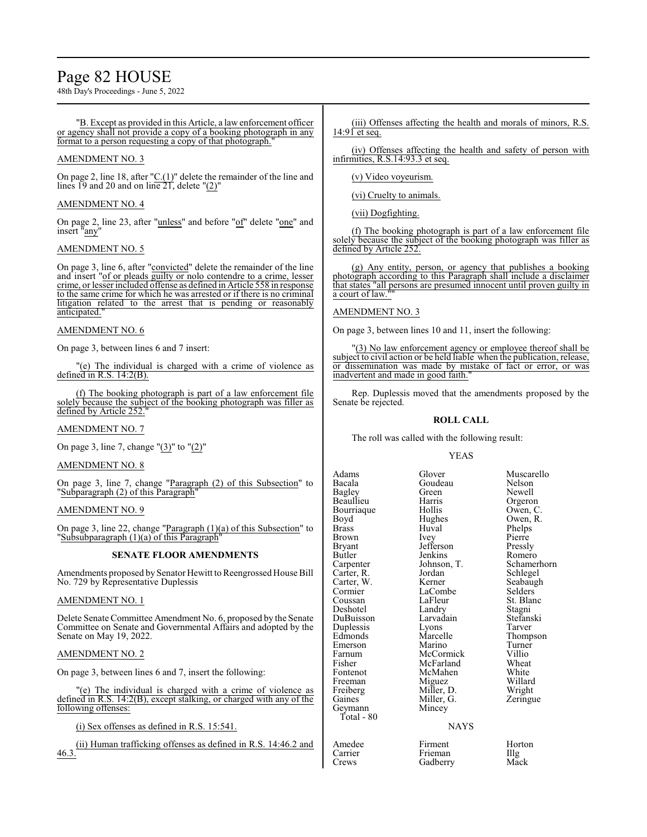# Page 82 HOUSE

48th Day's Proceedings - June 5, 2022

"B. Except as provided in this Article, a law enforcement officer or agency shall not provide a copy of a booking photograph in any format to a person requesting a copy of that photograph.

#### AMENDMENT NO. 3

On page 2, line 18, after "C.(1)" delete the remainder of the line and lines 19 and 20 and on line  $21$ , delete " $(2)$ "

#### AMENDMENT NO. 4

On page 2, line 23, after "unless" and before "of" delete "one" and insert "any"

#### AMENDMENT NO. 5

On page 3, line 6, after "convicted" delete the remainder of the line and insert "of or pleads guilty or nolo contendre to a crime, lesser crime, or lesser included offense as defined in Article 558 in response to the same crime for which he was arrested or if there is no criminal litigation related to the arrest that is pending or reasonably anticipated."

#### AMENDMENT NO. 6

On page 3, between lines 6 and 7 insert:

"(e) The individual is charged with a crime of violence as defined in R.S. 14:2(B).

(f) The booking photograph is part of a law enforcement file solely because the subject of the booking photograph was filler as<br>defined by  $\Delta$  rich  $\geq$  55. defined by Article 252.

#### AMENDMENT NO. 7

On page 3, line 7, change " $(3)$ " to " $(2)$ "

#### AMENDMENT NO. 8

On page 3, line 7, change "Paragraph (2) of this Subsection" to "Subparagraph (2) of this Paragraph"

#### AMENDMENT NO. 9

On page 3, line 22, change "Paragraph (1)(a) of this Subsection" to "Subsubparagraph (1)(a) of this Paragraph"

#### **SENATE FLOOR AMENDMENTS**

Amendments proposed by Senator Hewitt to Reengrossed House Bill No. 729 by Representative Duplessis

#### AMENDMENT NO. 1

Delete Senate Committee Amendment No. 6, proposed by the Senate Committee on Senate and Governmental Affairs and adopted by the Senate on May 19, 2022.

#### AMENDMENT NO. 2

On page 3, between lines 6 and 7, insert the following:

"(e) The individual is charged with a crime of violence as defined in R.S. 14:2(B), except stalking, or charged with any of the following offenses:

(i) Sex offenses as defined in R.S. 15:541.

(ii) Human trafficking offenses as defined in R.S. 14:46.2 and 46.3.

(iii) Offenses affecting the health and morals of minors, R.S.  $14:91$  et seq.

(iv) Offenses affecting the health and safety of person with infirmities, R.S.14:93.3 et seq.

(v) Video voyeurism.

(vi) Cruelty to animals.

(vii) Dogfighting.

(f) The booking photograph is part of a law enforcement file solely because the subject of the booking photograph was filler as defined by Article 252.

(g) Any entity, person, or agency that publishes a booking photograph according to this Paragraph shall include a disclaimer that states "all persons are presumed innocent until proven guilty in a court of law.

#### AMENDMENT NO. 3

On page 3, between lines 10 and 11, insert the following:

"(3) No law enforcement agency or employee thereof shall be subject to civil action or be held liable when the publication, release, or dissemination was made by mistake of fact or error, or was inadvertent and made in good faith."

Rep. Duplessis moved that the amendments proposed by the Senate be rejected.

#### **ROLL CALL**

The roll was called with the following result:

#### YEAS

Adams Glover Muscarello Bagley Green Newell<br>
Beaullieu Harris Orgeron Beaullieu Harris Orgeron Bourriaque Hollis<br>Boyd Hughes Boyd Hughes Owen, R.<br>Brass Huyal Phelps Brass Huval Phelps<br>Brown Ivey Pierre Brown Ivey Pierre<br>Bryant Jefferson Pressly Bryant Jefferson Pressly Carter, R. Jordan Schlegel<br>Carter, W. Kerner Seabaugh Carter, W. Kerner Seabaug<br>Cormier LaCombe Selders Cormier LaCombe<br>Coussan LaFleur Deshotel Landry Stagni DuBuisson Larvadain Stefans<br>
Duplessis Lyons Tarver Duplessis Lyons<br>
Edmonds Marcelle Emerson Marino Turner<br>
Farnum McCormick Villio Farnum McCormick Villio<br>Fisher McFarland Wheat Fisher McFarland Wheat<br>Fontenot McMahen White Freeman Miguez Willard<br>
Freiberg Miller, D. Wright Gaines Miller, G.<br>Gevmann Mincev

Geymann Total - 80

Goudeau Nelson<br>Green Newell Butler Jenkins Romero<br>Carpenter Johnson, T. Schamerhorn Johnson, T. Schamerl<br>Jordan Schlegel LaFleur St. Blanc<br>Landry Stagni Marcelle Thompson<br>Marino Turner McMahen White<br>
Miguez Willard Miller, D. Wright<br>Miller, G. Zeringue

#### **NAYS**

| Amedee  | Firment  | Horton |  |
|---------|----------|--------|--|
| Carrier | Frieman  | Illg   |  |
| Crews   | Gadberry | Mack   |  |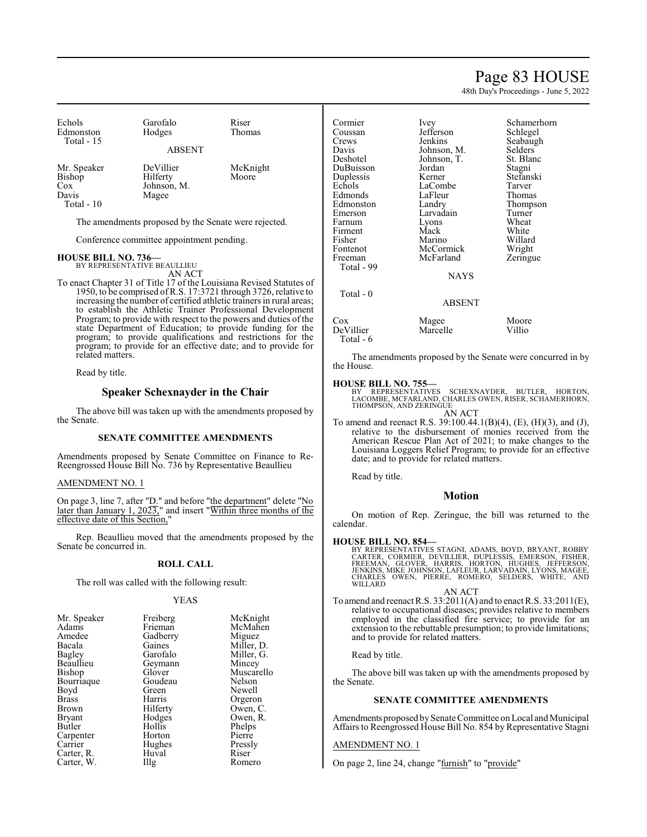### Page 83 HOUSE

48th Day's Proceedings - June 5, 2022

| Echols<br>Edmonston                                     | Garofalo<br>Hodges                            | Riser<br>Thomas   |
|---------------------------------------------------------|-----------------------------------------------|-------------------|
| Total - 15                                              | <b>ABSENT</b>                                 |                   |
| Mr. Speaker<br>Bishop<br>Cox<br>Davis<br>$-1$<br>$\sim$ | DeVillier<br>Hilferty<br>Johnson, M.<br>Magee | McKnight<br>Moore |

Total - 10

The amendments proposed by the Senate were rejected.

Conference committee appointment pending.

#### **HOUSE BILL NO. 736—**

BY REPRESENTATIVE BEAULLIEU AN ACT

To enact Chapter 31 of Title 17 of the Louisiana Revised Statutes of 1950, to be comprised of R.S. 17:3721 through 3726, relative to increasing the number of certified athletic trainers in rural areas; to establish the Athletic Trainer Professional Development Program; to provide with respect to the powers and duties of the state Department of Education; to provide funding for the program; to provide qualifications and restrictions for the program; to provide for an effective date; and to provide for related matters.

Read by title.

#### **Speaker Schexnayder in the Chair**

The above bill was taken up with the amendments proposed by the Senate.

#### **SENATE COMMITTEE AMENDMENTS**

Amendments proposed by Senate Committee on Finance to Re-Reengrossed House Bill No. 736 by Representative Beaullieu

#### AMENDMENT NO. 1

On page 3, line 7, after "D." and before "the department" delete "No later than January 1, 2023," and insert "Within three months of the effective date of this Section,"

Rep. Beaullieu moved that the amendments proposed by the Senate be concurred in.

#### **ROLL CALL**

The roll was called with the following result:

#### YEAS

| Mr. Speaker  | Freiberg | McKnight   |
|--------------|----------|------------|
| Adams        | Frieman  | McMahen    |
| Amedee       | Gadberry | Miguez     |
| Bacala       | Gaines   | Miller, D. |
| Bagley       | Garofalo | Miller, G. |
| Beaullieu    | Geymann  | Mincey     |
| Bishop       | Glover   | Muscarello |
| Bourriaque   | Goudeau  | Nelson     |
| Boyd         | Green    | Newell     |
| <b>Brass</b> | Harris   | Orgeron    |
| Brown        | Hilferty | Owen, C.   |
| Bryant       | Hodges   | Owen, R.   |
| Butler       | Hollis   | Phelps     |
| Carpenter    | Horton   | Pierre     |
| Carrier      | Hughes   | Pressly    |
| Carter, R.   | Huval    | Riser      |
| Carter, W.   | Illg     | Romero     |

| Cormier    | Schamerhorn<br>Ivey |           |
|------------|---------------------|-----------|
| Coussan    | Jefferson           | Schlegel  |
| Crews      | Jenkins             | Seabaugh  |
| Davis      | Johnson, M.         | Selders   |
| Deshotel   | Johnson, T.         | St. Blanc |
| DuBuisson  | Jordan              | Stagni    |
| Duplessis  | Kerner              | Stefanski |
| Echols     | LaCombe             | Tarver    |
| Edmonds    | LaFleur             | Thomas    |
| Edmonston  | Landry              | Thompson  |
| Emerson    | Larvadain           | Turner    |
| Farnum     | Lyons               | Wheat     |
| Firment    | Mack                | White     |
| Fisher     | Marino              | Willard   |
| Fontenot   | McCormick           | Wright    |
| Freeman    | McFarland           | Zeringue  |
| Total - 99 |                     |           |
|            | NAYS                |           |
| Total - 0  |                     |           |
|            | ABSENT              |           |
| Cox        | Magee               | Moore     |
| DeVillier  | Marcelle            | Villio    |

The amendments proposed by the Senate were concurred in by the House.

#### **HOUSE BILL NO. 755—**

Total - 6

BY REPRESENTATIVES SCHEXNAYDER, BUTLER, HORTON, LACOMBE, MCFARLAND, CHARLES OWEN, RISER, SCHAMERHORN, THOMPSON, AND ZERINGUE AN ACT

To amend and reenact R.S. 39:100.44.1(B)(4), (E), (H)(3), and (J), relative to the disbursement of monies received from the American Rescue Plan Act of 2021; to make changes to the Louisiana Loggers Relief Program; to provide for an effective date; and to provide for related matters.

Read by title.

#### **Motion**

On motion of Rep. Zeringue, the bill was returned to the calendar.

#### **HOUSE BILL NO. 854—**

BY REPRESENTATIVES STAGNI, ADAMS, BOYD, BRYANT, ROBBY<br>CARTER, CORMIER, DEVILLIER, DUPLESSIS, EMERSON, FISHER,<br>FREEMAN, GLOVER, HARRIS, HORTON, HUGHES, JEFFERSON,<br>JENKINS, MIKE JOHNSON, LAFLEUR, LARVADAIN, LYONS, MAGEE,<br>CHA

AN ACT To amend and reenact R.S. 33:2011(A) and to enact R.S. 33:2011(E), relative to occupational diseases; provides relative to members employed in the classified fire service; to provide for an extension to the rebuttable presumption; to provide limitations; and to provide for related matters.

Read by title.

The above bill was taken up with the amendments proposed by the Senate.

#### **SENATE COMMITTEE AMENDMENTS**

Amendments proposed by Senate Committee on Local and Municipal Affairs to Reengrossed House Bill No. 854 by Representative Stagni

#### AMENDMENT NO. 1

On page 2, line 24, change "furnish" to "provide"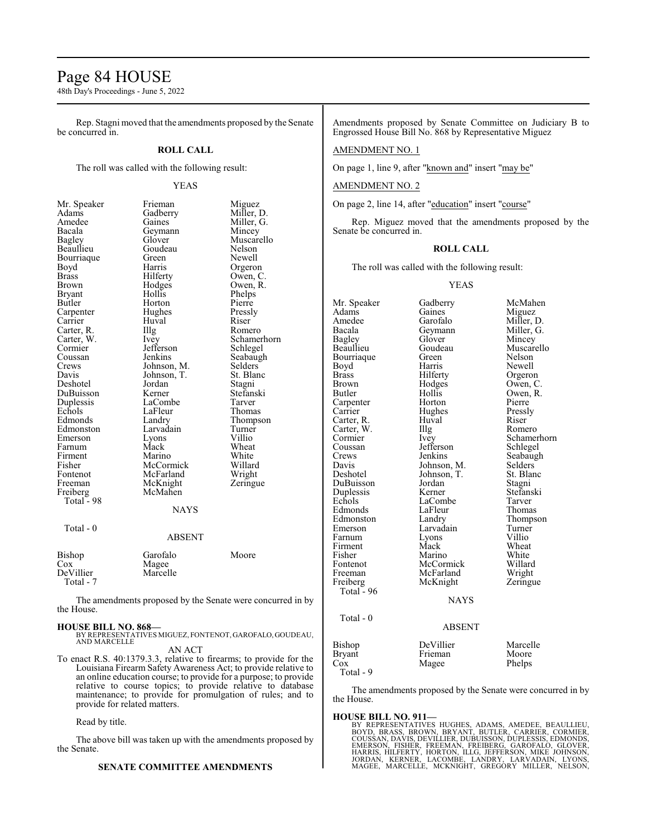### Page 84 HOUSE

48th Day's Proceedings - June 5, 2022

Rep. Stagni moved that the amendments proposed by the Senate be concurred in.

#### **ROLL CALL**

The roll was called with the following result:

#### YEAS

| Mr. Speaker  | Frieman                 | Miguez      |
|--------------|-------------------------|-------------|
| Adams        | Gadberry                | Miller, D.  |
| Amedee       | Gaines                  | Miller, G.  |
| Bacala       | Geymann                 | Mincey      |
| Bagley       | Glover                  | Muscarello  |
| Beaullieu    | Goudeau                 | Nelson      |
| Bourriaque   | Green                   | Newell      |
| Boyd         | Harris                  | Orgeron     |
| <b>Brass</b> | Hilferty                | Owen, C.    |
| Brown        | Hodges                  | Owen, R.    |
| Bryant       | Hollis                  | Phelps      |
| Butler       | Horton                  | Pierre      |
| Carpenter    | Hughes                  | Pressly     |
| Carrier      | Huval                   | Riser       |
| Carter, R.   | Illg                    | Romero      |
| Carter, W.   | Ivey                    | Schamerho:  |
| Cormier      | Jefferson               | Schlegel    |
| Coussan      | Jenkins                 | Seabaugh    |
| Crews        | Johnson, M.             | Selders     |
| Davis        | Johnson, T.             | St. Blanc   |
| Deshotel     | Jordan                  | Stagni      |
| DuBuisson    | Kerner                  | Stefanski   |
| Duplessis    | LaCombe                 | Tarver      |
| Echols       | LaFleur                 | Thomas      |
| Edmonds      | Landry                  | Thompson    |
| Edmonston    | Larvadain               | Turner      |
| Emerson      | Lyons                   | Villio      |
| Farnum       | Mack                    | Wheat       |
| Firment      | Marino                  | White       |
| Fisher       | McCormick               | Willard     |
| Fontenot     | McFarland               | Wright      |
| Freeman      | McKnight                | Zeringue    |
| Freiberg     | McMahen                 |             |
| Total - 98   |                         |             |
|              | <b>NAYS</b>             |             |
| Total - 0    |                         |             |
|              | ABSENT                  |             |
| Dishon       | $C$ <sub>arafa</sub> la | $M_{\odot}$ |

Owen, R. Phelps Pierre Pressly<br>Riser R<sub>omero</sub> Schamerhorn Schlegel Seabaugh<br>M. Selders M. Selders<br>T. St. Blan St. Blanc Stefanski

#### **AYS**

#### 8SENT

| Bishop<br>Cox          | Garofalo<br>Magee | Moore |
|------------------------|-------------------|-------|
| DeVillier<br>Total - 7 | Marcelle          |       |

The amendments proposed by the Senate were concurred in by the House.

#### **HOUSE BILL NO. 868—**

- BY REPRESENTATIVES MIGUEZ, FONTENOT, GAROFALO, GOUDEAU, AND MARCELLE AN ACT
- To enact R.S. 40:1379.3.3, relative to firearms; to provide for the Louisiana Firearm Safety Awareness Act; to provide relative to an online education course; to provide for a purpose; to provide relative to course topics; to provide relative to database maintenance; to provide for promulgation of rules; and to provide for related matters.

Read by title.

The above bill was taken up with the amendments proposed by the Senate.

#### **SENATE COMMITTEE AMENDMENTS**

Amendments proposed by Senate Committee on Judiciary B to Engrossed House Bill No. 868 by Representative Miguez

#### AMENDMENT NO. 1

On page 1, line 9, after "known and" insert "may be"

#### AMENDMENT NO. 2

On page 2, line 14, after "education" insert "course"

Rep. Miguez moved that the amendments proposed by the Senate be concurred in.

#### **ROLL CALL**

The roll was called with the following result:

#### YEAS

Mr. Speaker Gadberry McMahen<br>Adams Gaines Miguez Adams Gaines Miguez<br>
Amedee Garofalo Miller, I Amedee Garofalo Miller, D.<br>Bacala Geymann Miller, G. Bacala Geymann Miller, G.<br>Bagley Glover Mincey Bagley Glover Mincey Goudeau Muscarello<br>Green Nelson Bourriaque Green<br>Bovd Harris Boyd Harris Newell<br>Brass Hilferty Orgero Brass Hilferty Orgeron<br>Brown Hodges Owen, C Brown Hodges Owen, C.<br>Butler Hollis Owen, R. Hollis Owen, R.<br>Horton Pierre Carpenter Horton Pierre<br>Carrier Hughes Pressly Hughes Pressl<br>Huval Riser Carter, R. Huval Riser Carter, W. Illg<br>Cormier Ivey Cormier Ivey Schamerhorn<br>
Coussan Jefferson Schlegel Jefferson Schlegel<br>Jenkins Seabaugh Crews Jenkins Seabaugh<br>
Davis Johnson, M. Selders Davis Johnson, M. Selders Deshotel Johnson, T. St. Blanc Johnson, T. St. Blanch<br>Jordan Stagni DuBuisson Jordan Stagni<br>
Duplessis Kerner Stefanski Duplessis Kerner Stefans<br>Echols LaCombe Tarver LaCombe Tarver<br>
LaFleur Thomas Edmonds LaFleur Thomas<br>Edmonston Landry Thompson Edmonston Landry Thomp<br>
Emerson Larvadain Turner Larvadain Turner<br>Lyons Villio Farnum Lyons Villio<br>Firment Mack Wheat Firment Mack Wheat<br>
Fisher Marino White<br>
Marino White Fisher Marino White<br>Fontenot McCormick Willard Fontenot McCormick Willard<br>Freeman McFarland Wright Freeman McFarland Wright<br>
Freiberg McKnight Zeringue McKnight Total  $-96$ NAYS Total - 0 ABSENT Bishop DeVillier Marcelle<br>Bryant Frieman Moore Bryant Frieman Moore<br>
Cox Magee Phelps Magee

The amendments proposed by the Senate were concurred in by the House.

#### **HOUSE BILL NO. 911—**

BY REPRESENTATIVES HUGHES, ADAMS, AMEDEE, BEAULLIEU,<br>BOYD, BRASS, BROWN, BRYANT, BUTLER, CARRIER, CORMIER,<br>COUSSAN, DAVIS, DEVILLIER, DUBUISSON, DUPLESSIS, EDMONDS,<br>EMERSON, FISHER, FREEMAN, FREIBERG, GAROFALO, GLOVER,<br>HAR

Total - 9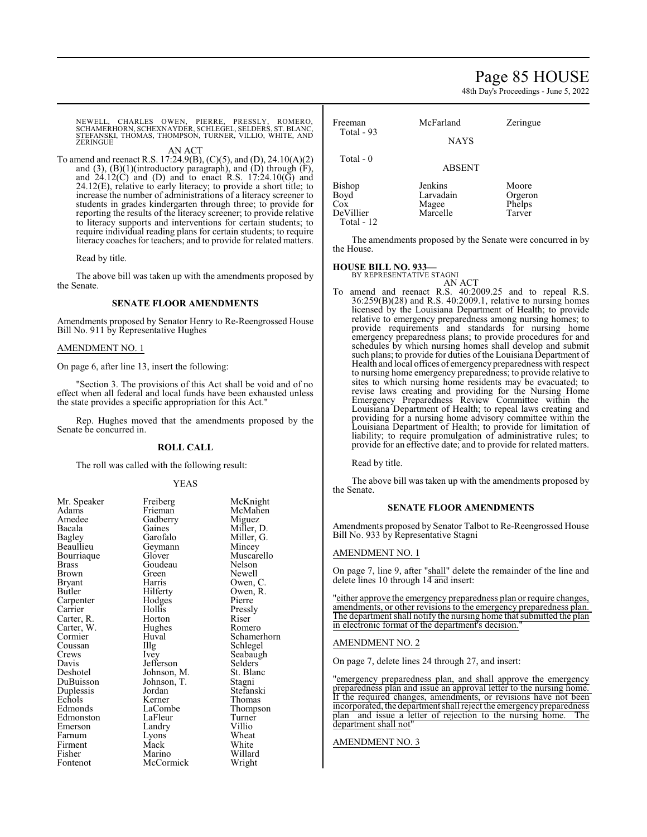### Page 85 HOUSE

48th Day's Proceedings - June 5, 2022

NEWELL, CHARLES OWEN, PIERRE, PRESSLY, ROMERO,<br>SCHAMERHORN,SCHEXNAYDER,SCHLEGEL,SELDERS,ST.BLANC,<br>STEFANSKI,THOMAS,THOMPSON,TURNER,VILLIO,WHITE,AND **ZERINGUE** 

AN ACT

To amend and reenact R.S. 17:24.9(B), (C)(5), and (D), 24.10(A)(2) and  $(3)$ ,  $(B)(1)$ (introductory paragraph), and  $(D)$  through  $(F)$ , and  $24.12(C)$  and (D) and to enact R.S.  $17:24.10(G)$  and 24.12(E), relative to early literacy; to provide a short title; to increase the number of administrations of a literacy screener to students in grades kindergarten through three; to provide for reporting the results of the literacy screener; to provide relative to literacy supports and interventions for certain students; to require individual reading plans for certain students; to require literacy coaches for teachers; and to provide for related matters.

Read by title.

The above bill was taken up with the amendments proposed by the Senate.

#### **SENATE FLOOR AMENDMENTS**

Amendments proposed by Senator Henry to Re-Reengrossed House Bill No. 911 by Representative Hughes

#### AMENDMENT NO. 1

On page 6, after line 13, insert the following:

Section 3. The provisions of this Act shall be void and of no effect when all federal and local funds have been exhausted unless the state provides a specific appropriation for this Act."

Rep. Hughes moved that the amendments proposed by the Senate be concurred in.

#### **ROLL CALL**

The roll was called with the following result:

#### YEAS

| Mr. Speaker | Freiberg    | McKnight    |
|-------------|-------------|-------------|
| Adams       | Frieman     | McMahen     |
| Amedee      | Gadberry    | Miguez      |
| Bacala      | Gaines      | Miller, D.  |
| Bagley      | Garofalo    | Miller, G.  |
| Beaullieu   | Geymann     | Mincey      |
| Bourriaque  | Glover      | Muscarello  |
| Brass       | Goudeau     | Nelson      |
| Brown       | Green)      | Newell      |
| Bryant      | Harris      | Owen, C.    |
| Butler      | Hilferty    | Owen, R.    |
| Carpenter   | Hodges      | Pierre      |
| Carrier     | Hollis      | Pressly     |
| Carter, R.  | Horton      | Riser       |
| Carter, W.  | Hughes      | Romero      |
| Cormier     | Huval       | Schamerhorn |
| Coussan     | Illg        | Schlegel    |
| Crews       | Ivey        | Seabaugh    |
| Davis       | Jefferson   | Selders     |
| Deshotel    | Johnson, M. | St. Blanc   |
| DuBuisson   | Johnson, T. | Stagni      |
| Duplessis   | Jordan      | Stefanski   |
| Echols      | Kerner      | Thomas      |
| Edmonds     | LaCombe     | Thompson    |
| Edmonston   | LaFleur     | Turner      |
| Emerson     | Landry      | Villio      |
| Farnum      | Lyons       | Wheat       |
| Firment     | Mack        | White       |
| Fisher      | Marino      | Willard     |
| Fontenot    | McCormick   | Wright      |
|             |             |             |

| Freeman<br>Total - 93                            | McFarland                                 | Zeringue                             |
|--------------------------------------------------|-------------------------------------------|--------------------------------------|
|                                                  | <b>NAYS</b>                               |                                      |
| Total - 0                                        | <b>ABSENT</b>                             |                                      |
| Bishop<br>Boyd<br>Cox<br>DeVillier<br>Total - 12 | Jenkins<br>Larvadain<br>Magee<br>Marcelle | Moore<br>Orgeron<br>Phelps<br>Tarver |

The amendments proposed by the Senate were concurred in by the House.

#### **HOUSE BILL NO. 933—**

BY REPRESENTATIVE STAGNI

- AN ACT
- To amend and reenact R.S. 40:2009.25 and to repeal R.S. 36:259(B)(28) and R.S. 40:2009.1, relative to nursing homes licensed by the Louisiana Department of Health; to provide relative to emergency preparedness among nursing homes; to provide requirements and standards for nursing home emergency preparedness plans; to provide procedures for and schedules by which nursing homes shall develop and submit such plans; to provide for duties of the Louisiana Department of Health and local offices of emergencypreparedness with respect to nursing home emergency preparedness; to provide relative to sites to which nursing home residents may be evacuated; to revise laws creating and providing for the Nursing Home Emergency Preparedness Review Committee within the Louisiana Department of Health; to repeal laws creating and providing for a nursing home advisory committee within the Louisiana Department of Health; to provide for limitation of liability; to require promulgation of administrative rules; to provide for an effective date; and to provide for related matters.

Read by title.

The above bill was taken up with the amendments proposed by the Senate.

#### **SENATE FLOOR AMENDMENTS**

Amendments proposed by Senator Talbot to Re-Reengrossed House Bill No. 933 by Representative Stagni

#### AMENDMENT NO. 1

On page 7, line 9, after "shall" delete the remainder of the line and delete lines 10 through 14 and insert:

"either approve the emergency preparedness plan or require changes, amendments, or other revisions to the emergency preparedness plan. The department shall notify the nursing home that submitted the plan in electronic format of the department's decision.

#### AMENDMENT NO. 2

On page 7, delete lines 24 through 27, and insert:

"emergency preparedness plan, and shall approve the emergency preparedness plan and issue an approval letter to the nursing home. If the required changes, amendments, or revisions have not been incorporated, the department shall reject the emergencypreparedness plan and issue a letter of rejection to the nursing home. The department shall not"

AMENDMENT NO. 3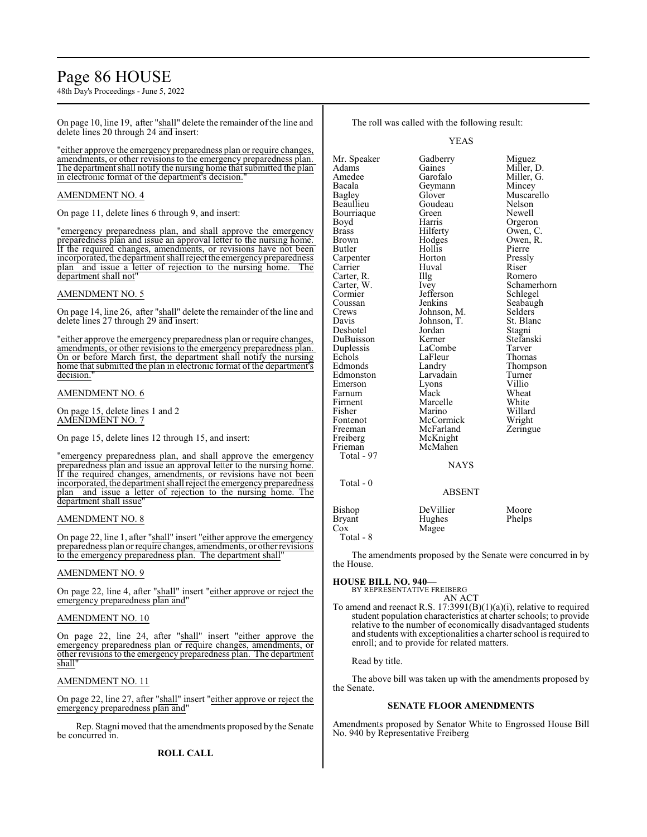# Page 86 HOUSE

48th Day's Proceedings - June 5, 2022

On page 10, line 19, after "shall" delete the remainder of the line and delete lines 20 through 24 and insert:

"either approve the emergency preparedness plan or require changes, amendments, or other revisions to the emergency preparedness plan. The department shall notify the nursing home that submitted the plan in electronic format of the department's decision.

#### AMENDMENT NO. 4

On page 11, delete lines 6 through 9, and insert:

"emergency preparedness plan, and shall approve the emergency preparedness plan and issue an approval letter to the nursing home. If the required changes, amendments, or revisions have not been incorporated, the department shall reject the emergencypreparedness plan and issue a letter of rejection to the nursing home. department shall not"

#### AMENDMENT NO. 5

On page 14, line 26, after "shall" delete the remainder of the line and delete lines 27 through 29 and insert:

"either approve the emergency preparedness plan or require changes, amendments, or other revisions to the emergency preparedness plan. On or before March first, the department shall notify the nursing home that submitted the plan in electronic format of the department's decision.

#### AMENDMENT NO. 6

On page 15, delete lines 1 and 2 AMENDMENT NO. 7

On page 15, delete lines 12 through 15, and insert:

"emergency preparedness plan, and shall approve the emergency preparedness plan and issue an approval letter to the nursing home. If the required changes, amendments, or revisions have not been incorporated, the department shall reject the emergency preparedness plan and issue a letter of rejection to the nursing home. The department shall issue

#### AMENDMENT NO. 8

On page 22, line 1, after "shall" insert "either approve the emergency preparedness plan or require changes, amendments, or other revisions to the emergency preparedness plan. The department shall"

#### AMENDMENT NO. 9

On page 22, line 4, after "shall" insert "either approve or reject the emergency preparedness plan and"

#### AMENDMENT NO. 10

On page 22, line 24, after "shall" insert "either approve the emergency preparedness plan or require changes, amendments, or other revisions to the emergency preparedness plan. The department shall

#### AMENDMENT NO. 11

On page 22, line 27, after "shall" insert "either approve or reject the emergency preparedness plan and"

Rep. Stagni moved that the amendments proposed by the Senate be concurred in.

The roll was called with the following result:

YEAS

Mr. Speaker Gadberry Miguez<br>Adams Gaines Miller. I Adams Gaines Miller, D.<br>Amedee Garofalo Miller G. Amedee Garofalo Miller, G. Bacala Geymann Mincey Glover Muscarello<br>Goudeau Nelson Beaullieu Goudeau Nelson<br>Bourriague Green Newell Bourriaque Green<br>Boyd Harris Boyd Harris Orgeron<br>Brass Hilferty Owen, C Brass Hilferty Owen, C.<br>Brown Hodges Owen, R. Brown Hodges Owen, R.<br>Butler Hollis Pierre Butler Hollis Pierre Carpenter Horton Pressly<br>Carrier Huval Riser Carrier Huval Riser<br>Carter, R. Illg Romero Carter, R. Illg<br>Carter, W. Ivey Carter, W. Ivey Schamerhorn<br>Cormier Jefferson Schlegel Cormier Jefferson<br>Coussan Jenkins Coussan Jenkins Seabaugh<br>Crews Johnson, M. Selders Crews Johnson, M. Selders<br>Davis Johnson, T. St. Blanc Johnson, T. St. Bla<br>Jordan Stagni Deshotel Jordan Stagni DuBuisson Kerner Stefans<br>
Duplessis LaCombe Tarver Duplessis LaComb<br>
Echols LaFleur Echols LaFleur Thomas<br>Edmonds Landry Thomas Landry Thompson<br>Larvadain Turner Edmonston Larvadain Turner<br>Emerson Lyons Villio Emerson Lyons<br>Farnum Mack Farnum Mack Wheat<br>Firment Marcelle White Firment Marcelle<br>Fisher Marino Fisher Marino Willard<br>Fontenot McCormick Wright Fontenot McCormick Wright<br>
Freeman McFarland Zeringue Freeman McFarland<br>Freiberg McKnight McKnight<br>McMahen Frieman Total - 97 NAYS Total - 0 ABSENT Bishop DeVillier Moore<br>Bryant Hughes Phelps Hughes

Cox Magee Total - 8

The amendments proposed by the Senate were concurred in by the House.

#### **HOUSE BILL NO. 940—**

BY REPRESENTATIVE FREIBERG AN ACT

To amend and reenact R.S. 17:3991(B)(1)(a)(i), relative to required student population characteristics at charter schools; to provide relative to the number of economically disadvantaged students and students with exceptionalities a charter school is required to enroll; and to provide for related matters.

Read by title.

The above bill was taken up with the amendments proposed by the Senate.

#### **SENATE FLOOR AMENDMENTS**

Amendments proposed by Senator White to Engrossed House Bill No. 940 by Representative Freiberg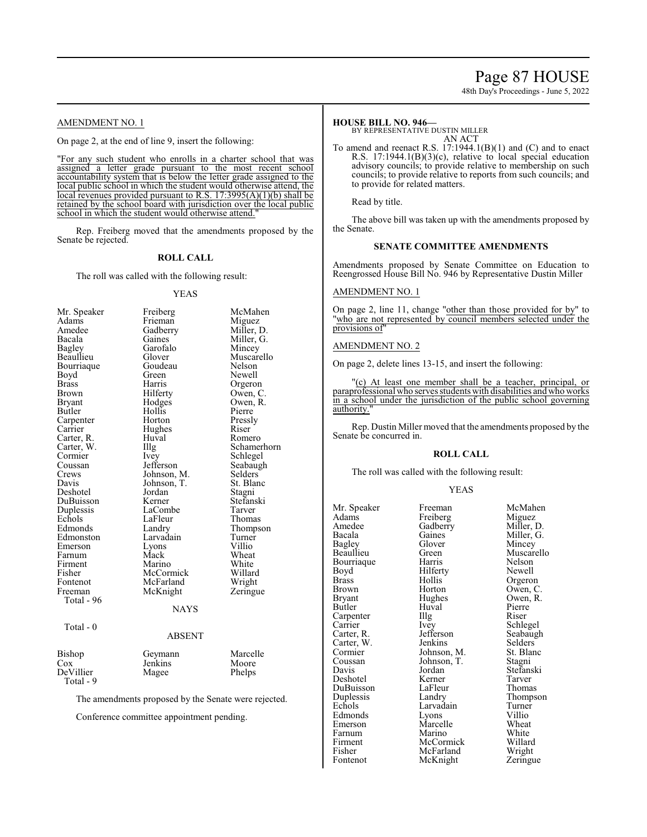# Page 87 HOUSE

48th Day's Proceedings - June 5, 2022

#### AMENDMENT NO. 1

On page 2, at the end of line 9, insert the following:

"For any such student who enrolls in a charter school that was assigned a letter grade pursuant to the most recent school accountability system that is below the letter grade assigned to the local public school in which the student would otherwise attend, the local revenues provided pursuant to R.S. 17:3995(A)(1)(b) shall be retained by the school board with jurisdiction over the local public school in which the student would otherwise attend.

Rep. Freiberg moved that the amendments proposed by the Senate be rejected.

#### **ROLL CALL**

The roll was called with the following result:

#### YEAS

| Mr. Speaker   | Freiberg          | McMahen     |
|---------------|-------------------|-------------|
| Adams         | Miguez<br>Frieman |             |
| Amedee        | Gadberry          | Miller, D.  |
| Bacala        | Gaines            | Miller, G.  |
| <b>Bagley</b> | Garofalo          | Mincey      |
| Beaullieu     | Glover            | Muscarello  |
| Bourriaque    | Goudeau           | Nelson      |
| Boyd          | Green             | Newell      |
| <b>Brass</b>  | Harris            | Orgeron     |
| Brown         | Hilferty          | Owen, C.    |
| Bryant        | Hodges            | Owen, R.    |
| Butler        | Hollis            | Pierre      |
| Carpenter     | Horton            | Pressly     |
| Carrier       | Hughes            | Riser       |
| Carter, R.    | Huval             | Romero      |
| Carter, W.    | Illg              | Schamerhorn |
| Cormier       | Ivey              | Schlegel    |
| Coussan       | Jefferson         | Seabaugh    |
| Crews         | Johnson, M.       | Selders     |
| Davis         | Johnson, T.       | St. Blanc   |
| Deshotel      | Jordan            | Stagni      |
| DuBuisson     | Kerner            | Stefanski   |
| Duplessis     | LaCombe           | Tarver      |
| Echols        | LaFleur           | Thomas      |
| Edmonds       | Landry            | Thompson    |
| Edmonston     | Larvadain         | Turner      |
| Emerson       | Lyons             | Villio      |
| Farnum        | Mack              | Wheat       |
| Firment       | Marino            | White       |
| Fisher        | McCormick         | Willard     |
| Fontenot      | McFarland         | Wright      |
| Freeman       | McKnight          | Zeringue    |
| Total - 96    |                   |             |
|               | NAYS              |             |
|               |                   |             |
| Total - 0     |                   |             |
|               | <b>ABSENT</b>     |             |
| Bishop        | Geymann           | Marcelle    |
| $\cos$        | Jenkins           | Moore       |
| DeVillier     | Magee             | Phelps      |
| Total - 9     |                   |             |

The amendments proposed by the Senate were rejected.

Conference committee appointment pending.

#### **HOUSE BILL NO. 946—**

BY REPRESENTATIVE DUSTIN MILLER

AN ACT To amend and reenact R.S. 17:1944.1(B)(1) and (C) and to enact R.S. 17:1944.1(B)(3)(c), relative to local special education advisory councils; to provide relative to membership on such councils; to provide relative to reports from such councils; and to provide for related matters.

Read by title.

The above bill was taken up with the amendments proposed by the Senate.

#### **SENATE COMMITTEE AMENDMENTS**

Amendments proposed by Senate Committee on Education to Reengrossed House Bill No. 946 by Representative Dustin Miller

#### AMENDMENT NO. 1

On page 2, line 11, change "other than those provided for by" to "who are not represented by council members selected under the provisions of"

#### AMENDMENT NO. 2

On page 2, delete lines 13-15, and insert the following:

"(c) At least one member shall be a teacher, principal, or paraprofessional who serves students with disabilities and who works in a school under the jurisdiction of the public school governing authority.'

Rep. Dustin Miller moved that the amendments proposed by the Senate be concurred in.

#### **ROLL CALL**

The roll was called with the following result:

#### YEAS

Mr. Speaker Freeman McMahen<br>Adams Freiberg Miguez Adams Freiberg Miguez<br>Amedee Gadberry Miller, D. Amedee Gadberry<br>Bacala Gaines Bacala Gaines Miller, G.<br>Bagley Glover Mincey Bagley Glover Mincey<br>Beaullieu Green Muscare Bourriaque Harris Nelson<br>Boyd Hilferty Newell Boyd Hilferty<br>Brass Hollis Brass Hollis Orgeron<br>Brown Horton Owen, C Brown Horton Owen, C.<br>Bryant Hughes Owen, R. Bryant Hughes Owen, R.<br>Butler Huval Pierre Carpenter Illg<br>Carrier Ivey Carrier Ivey Schlegel<br>Carter, R. Jefferson Seabaugl Carter, W. Jenkins Selders<br>
Cormier Johnson, M. St. Blanc Cormier Johnson, M. St. Blancoussan<br>
Johnson, T. Stagni Coussan Johnson, T.<br>Davis Jordan Deshotel Kerner Tarver DuBuisson LaFleur<br>Duplessis Landry Duplessis Landry Thompson<br>
Echols Larvadain Turner Echols Larvadain Turner<br>Edmonds Lyons Villio Edmonds Lyons Villio<br>
Emerson Marcelle Wheat Emerson Marcelle Wheat<br>
Farnum Marino White Farnum Marino White<br>Firment McCormick Willard Firment McCormick Willard

Green Muscarello<br>Harris Nelson Huval Pierre<br>Illg Riser Jefferson Seabaugh<br>Jenkins Selders Jordan Stefanski<br>Kerner Tarver Fisher McFarland Wright<br>Fontenot McKnight Zeringue McKnight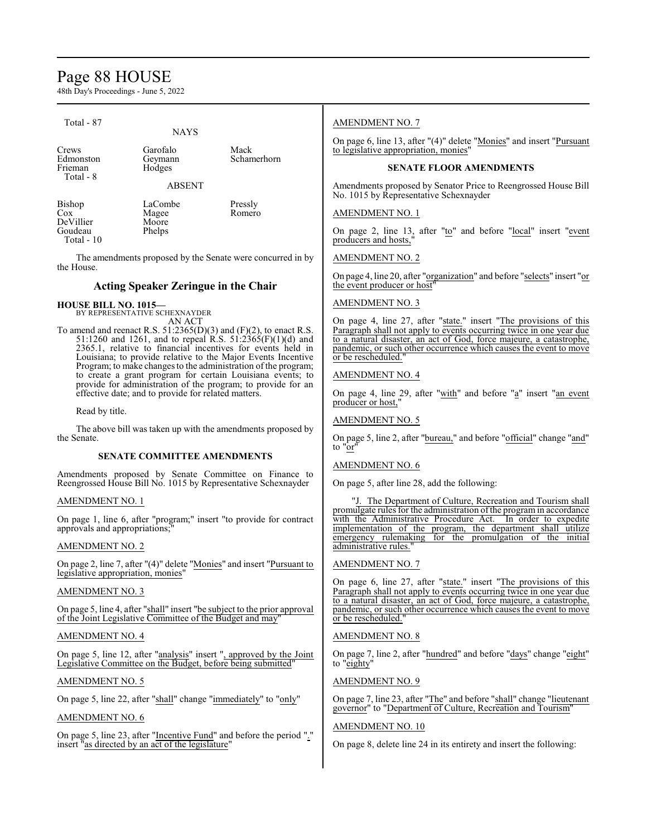# Page 88 HOUSE

48th Day's Proceedings - June 5, 2022

| Total - 87                    |                                                     |                                                                                                                                                                                                                                                                                                                                      | <b>AMENDMENT NO. 7</b>                                                                                                                                                                                                                                                                                      |
|-------------------------------|-----------------------------------------------------|--------------------------------------------------------------------------------------------------------------------------------------------------------------------------------------------------------------------------------------------------------------------------------------------------------------------------------------|-------------------------------------------------------------------------------------------------------------------------------------------------------------------------------------------------------------------------------------------------------------------------------------------------------------|
| Crews<br>Edmonston<br>Frieman | <b>NAYS</b><br>Garofalo<br>Geymann<br>Hodges        | Mack<br>Schamerhorn                                                                                                                                                                                                                                                                                                                  | On page 6, line 13, after "(4)" delete "Monies" and insert "Pursuant"<br>to legislative appropriation, monies'<br><b>SENATE FLOOR AMENDMENTS</b>                                                                                                                                                            |
| Total - 8                     |                                                     |                                                                                                                                                                                                                                                                                                                                      |                                                                                                                                                                                                                                                                                                             |
|                               | <b>ABSENT</b>                                       |                                                                                                                                                                                                                                                                                                                                      | Amendments proposed by Senator Price to Reengrossed House Bill<br>No. 1015 by Representative Schexnayder                                                                                                                                                                                                    |
| Bishop<br>Cox<br>DeVillier    | LaCombe<br>Magee<br>Moore                           | Pressly<br>Romero                                                                                                                                                                                                                                                                                                                    | <b>AMENDMENT NO. 1</b>                                                                                                                                                                                                                                                                                      |
| Goudeau<br>Total - 10         | Phelps                                              |                                                                                                                                                                                                                                                                                                                                      | On page 2, line 13, after "to" and before "local" insert "event<br>producers and hosts,                                                                                                                                                                                                                     |
| the House.                    |                                                     | The amendments proposed by the Senate were concurred in by                                                                                                                                                                                                                                                                           | <b>AMENDMENT NO. 2</b>                                                                                                                                                                                                                                                                                      |
|                               | <b>Acting Speaker Zeringue in the Chair</b>         |                                                                                                                                                                                                                                                                                                                                      | On page 4, line 20, after "organization" and before "selects" insert "or<br>the event producer or host"                                                                                                                                                                                                     |
| <b>HOUSE BILL NO. 1015-</b>   | BY REPRESENTATIVE SCHEXNAYDER                       |                                                                                                                                                                                                                                                                                                                                      | <b>AMENDMENT NO. 3</b>                                                                                                                                                                                                                                                                                      |
|                               | AN ACT                                              | To amend and reenact R.S. $51:2365(D)(3)$ and $(F)(2)$ , to enact R.S.<br>51:1260 and 1261, and to repeal R.S. 51:2365(F)(1)(d) and<br>2365.1, relative to financial incentives for events held in<br>Louisiana; to provide relative to the Major Events Incentive<br>Program; to make changes to the administration of the program; | On page 4, line 27, after "state." insert "The provisions of this<br>Paragraph shall not apply to events occurring twice in one year due<br>to a natural disaster, an act of God, force majeure, a catastrophe,<br>pandemic, or such other occurrence which causes the event to move<br>or be rescheduled." |
|                               | effective date; and to provide for related matters. | to create a grant program for certain Louisiana events; to<br>provide for administration of the program; to provide for an                                                                                                                                                                                                           | <b>AMENDMENT NO. 4</b><br>On page 4, line 29, after "with" and before "a" insert "an event                                                                                                                                                                                                                  |
| Read by title.                |                                                     |                                                                                                                                                                                                                                                                                                                                      | producer or host,"<br><b>AMENDMENT NO. 5</b>                                                                                                                                                                                                                                                                |
| the Senate.                   |                                                     | The above bill was taken up with the amendments proposed by                                                                                                                                                                                                                                                                          | On page 5, line 2, after "bureau," and before "official" change "and"<br>to "or"                                                                                                                                                                                                                            |
|                               | <b>SENATE COMMITTEE AMENDMENTS</b>                  |                                                                                                                                                                                                                                                                                                                                      |                                                                                                                                                                                                                                                                                                             |
|                               |                                                     | Amendments proposed by Senate Committee on Finance to<br>Reengrossed House Bill No. 1015 by Representative Schexnayder                                                                                                                                                                                                               | AMENDMENT NO. 6<br>On page 5, after line 28, add the following:                                                                                                                                                                                                                                             |

AMENDMENT NO. 1

On page 1, line 6, after "program;" insert "to provide for contract approvals and appropriations;"

#### AMENDMENT NO. 2

On page 2, line 7, after "(4)" delete "Monies" and insert "Pursuant to legislative appropriation, monies"

#### AMENDMENT NO. 3

On page 5, line 4, after "shall" insert "be subject to the prior approval of the Joint Legislative Committee of the Budget and may"

#### AMENDMENT NO. 4

On page 5, line 12, after "analysis" insert ", approved by the Joint Legislative Committee on the Budget, before being submitted"

#### AMENDMENT NO. 5

On page 5, line 22, after "shall" change "immediately" to "only"

#### AMENDMENT NO. 6

On page 5, line 23, after "Incentive Fund" and before the period "." insert "as directed by an act of the legislature"

promulgate rules for the administration of the program in accordance with the Administrative Procedure Act. In order to expedite implementation of the program, the department shall utilize emergency rulemaking for the promulgation of the initial administrative rules.

"J. The Department of Culture, Recreation and Tourism shall

#### AMENDMENT NO. 7

On page 6, line 27, after "state." insert "The provisions of this Paragraph shall not apply to events occurring twice in one year due to a natural disaster, an act of God, force majeure, a catastrophe, pandemic, or such other occurrence which causes the event to move or be rescheduled.

#### AMENDMENT NO. 8

On page 7, line 2, after "hundred" and before "days" change "eight" to "eighty"

#### AMENDMENT NO. 9

On page 7, line 23, after "The" and before "shall" change "lieutenant governor" to "Department of Culture, Recreation and Tourism"

#### AMENDMENT NO. 10

On page 8, delete line 24 in its entirety and insert the following: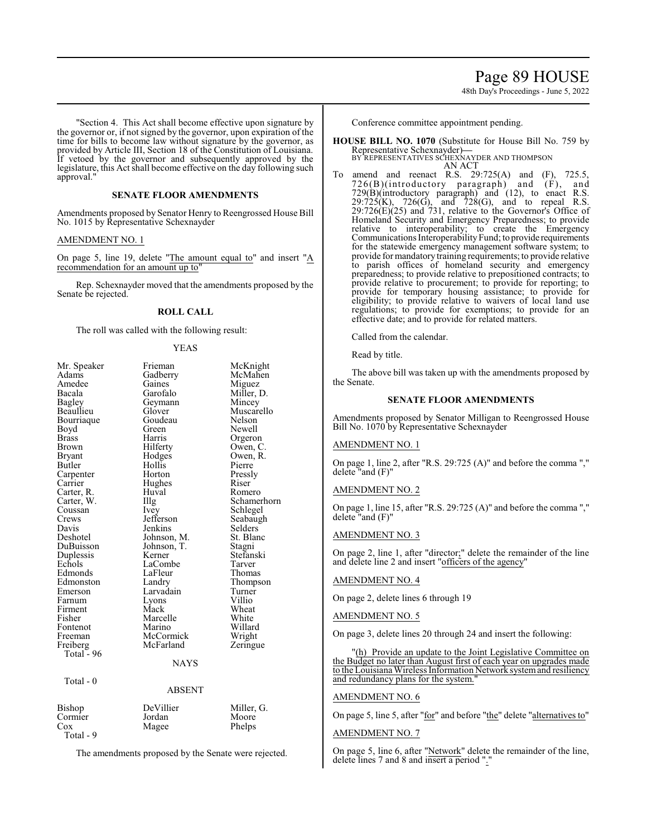### Page 89 HOUSE

48th Day's Proceedings - June 5, 2022

"Section 4. This Act shall become effective upon signature by the governor or, if not signed by the governor, upon expiration of the time for bills to become law without signature by the governor, as provided by Article III, Section 18 of the Constitution of Louisiana. If vetoed by the governor and subsequently approved by the legislature, this Act shall become effective on the day following such approval."

#### **SENATE FLOOR AMENDMENTS**

Amendments proposed by Senator Henry to Reengrossed House Bill No. 1015 by Representative Schexnayder

#### AMENDMENT NO. 1

On page 5, line 19, delete "The amount equal to" and insert "A recommendation for an amount up to

Rep. Schexnayder moved that the amendments proposed by the Senate be rejected.

#### **ROLL CALL**

The roll was called with the following result:

#### YEAS

| Mr. Speaker  | Frieman       | McKnight    |
|--------------|---------------|-------------|
| Adams        | Gadberry      | McMahen     |
| Amedee       | Gaines        | Miguez      |
| Bacala       | Garofalo      | Miller, D.  |
| Bagley       | Geymann       | Mincey      |
| Beaullieu    | Glover        | Muscarello  |
| Bourriaque   | Goudeau       | Nelson      |
| Boyd         | Green         | Newell      |
| <b>Brass</b> | Harris        | Orgeron     |
| Brown        | Hilferty      | Owen, C.    |
| Bryant       | Hodges        | Owen, R.    |
| Butler       | Hollis        | Pierre      |
| Carpenter    | Horton        | Pressly     |
| Carrier      | Hughes        | Riser       |
| Carter, R.   | Huval         | Romero      |
| Carter, W.   | Illg          | Schamerhorn |
| Coussan      | Ivey          | Schlegel    |
| Crews        | Jefferson     | Seabaugh    |
| Davis        | Jenkins       | Selders     |
| Deshotel     | Johnson, M.   | St. Blanc   |
| DuBuisson    | Johnson, T.   | Stagni      |
| Duplessis    | Kerner        | Stefanski   |
| Echols       | LaCombe       | Tarver      |
| Edmonds      | LaFleur       | Thomas      |
| Edmonston    | Landry        | Thompson    |
| Emerson      | Larvadain     | Turner      |
| Farnum       | Lyons         | Villio      |
| Firment      | Mack          | Wheat       |
| Fisher       | Marcelle      | White       |
| Fontenot     | Marino        | Willard     |
| Freeman      | McCormick     | Wright      |
| Freiberg     | McFarland     | Zeringue    |
| Total - 96   |               |             |
|              | <b>NAYS</b>   |             |
|              |               |             |
| Total - 0    | <b>ABSENT</b> |             |
|              |               |             |
| Bishop       | DeVillier     | Miller, G.  |
| Cormier      | Jordan        | Moore       |
| Cox          | Magee         | Phelps      |

Total - 9

The amendments proposed by the Senate were rejected.

Conference committee appointment pending.

- **HOUSE BILL NO. 1070** (Substitute for House Bill No. 759 by Representative Schexnayder)—<br>BY REPRESENTATIVES SCHEXNAYDER AND THOMPSON<br>AN ACT
- To amend and reenact R.S. 29:725(A) and (F), 725.5, 726(B)(introductory paragraph) and (F), and 729(B)(introductory paragraph) and (12), to enact R.S.  $29:725(K)$ ,  $726(G)$ , and  $728(G)$ , and to repeal R.S.  $29:726(E)(25)$  and 731, relative to the Governor's Office of Homeland Security and Emergency Preparedness; to provide relative to interoperability; to create the Emergency Communications Interoperability Fund; to provide requirements for the statewide emergency management software system; to provide for mandatory training requirements; to provide relative to parish offices of homeland security and emergency preparedness; to provide relative to prepositioned contracts; to provide relative to procurement; to provide for reporting; to provide for temporary housing assistance; to provide for eligibility; to provide relative to waivers of local land use regulations; to provide for exemptions; to provide for an effective date; and to provide for related matters.

Called from the calendar.

Read by title.

The above bill was taken up with the amendments proposed by the Senate.

#### **SENATE FLOOR AMENDMENTS**

Amendments proposed by Senator Milligan to Reengrossed House Bill No. 1070 by Representative Schexnayder

#### AMENDMENT NO. 1

On page 1, line 2, after "R.S. 29:725 (A)" and before the comma "," delete "and (F)"

#### AMENDMENT NO. 2

On page 1, line 15, after "R.S. 29:725 (A)" and before the comma "," delete "and (F)"

#### AMENDMENT NO. 3

On page 2, line 1, after "director;" delete the remainder of the line and delete line 2 and insert "officers of the agency"

#### AMENDMENT NO. 4

On page 2, delete lines 6 through 19

#### AMENDMENT NO. 5

On page 3, delete lines 20 through 24 and insert the following:

"(h) Provide an update to the Joint Legislative Committee on the Budget no later than August first of each year on upgrades made to the Louisiana Wireless Information Network system and resiliency and redundancy plans for the system.

#### AMENDMENT NO. 6

On page 5, line 5, after "for" and before "the" delete "alternatives to"

#### AMENDMENT NO. 7

On page 5, line 6, after "Network" delete the remainder of the line, delete lines 7 and 8 and insert a period ".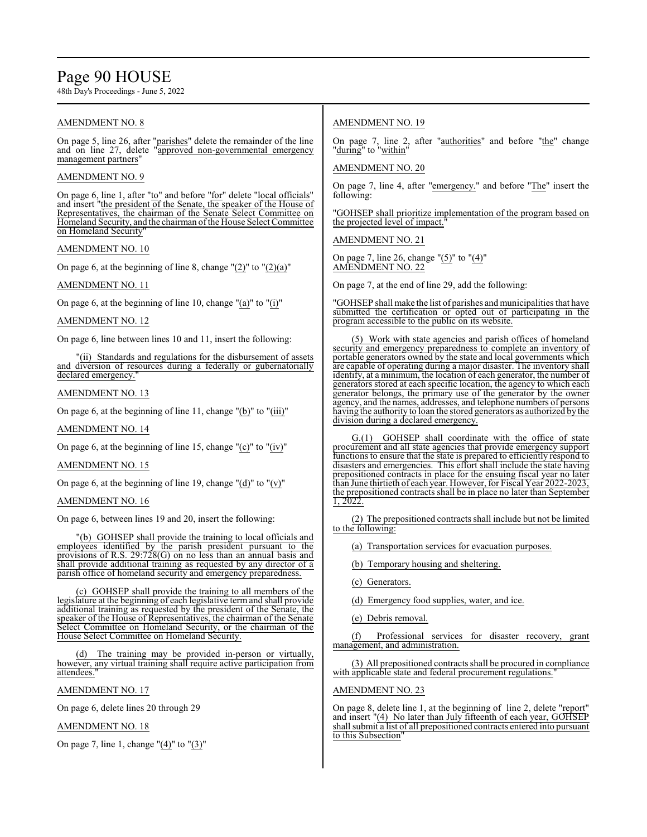# Page 90 HOUSE

48th Day's Proceedings - June 5, 2022

#### AMENDMENT NO. 8

On page 5, line 26, after "parishes" delete the remainder of the line and on line 27, delete "approved non-governmental emergency management partners"

#### AMENDMENT NO. 9

On page 6, line 1, after "to" and before "for" delete "local officials" and insert "the president of the Senate, the speaker of the House of Representatives, the chairman of the Senate Select Committee on Homeland Security, and the chairman ofthe House Select Committee on Homeland Security

#### AMENDMENT NO. 10

On page 6, at the beginning of line 8, change  $"(2)"$  to  $"(2)(a)"$ 

#### AMENDMENT NO. 11

On page 6, at the beginning of line 10, change "(a)" to "(i)"

#### AMENDMENT NO. 12

On page 6, line between lines 10 and 11, insert the following:

"(ii) Standards and regulations for the disbursement of assets and diversion of resources during a federally or gubernatorially declared emergency.

#### AMENDMENT NO. 13

On page 6, at the beginning of line 11, change " $(b)$ " to " $(iii)$ "

#### AMENDMENT NO. 14

On page 6, at the beginning of line 15, change "(c)" to "(iv)"

#### AMENDMENT NO. 15

On page 6, at the beginning of line 19, change " $(d)$ " to " $(v)$ "

#### AMENDMENT NO. 16

On page 6, between lines 19 and 20, insert the following:

"(b) GOHSEP shall provide the training to local officials and employees identified by the parish president pursuant to the provisions of R.S. 29:728(G) on no less than an annual basis and shall provide additional training as requested by any director of a parish office of homeland security and emergency preparedness.

(c) GOHSEP shall provide the training to all members of the legislature at the beginning of each legislative term and shall provide additional training as requested by the president of the Senate, the speaker of the House of Representatives, the chairman of the Senate Select Committee on Homeland Security, or the chairman of the House Select Committee on Homeland Security.

(d) The training may be provided in-person or virtually, however, any virtual training shall require active participation from attendees.

AMENDMENT NO. 17

On page 6, delete lines 20 through 29

#### AMENDMENT NO. 18

On page 7, line 1, change "(4)" to "(3)"

#### AMENDMENT NO. 19

On page 7, line 2, after "authorities" and before "the" change "during" to "within"

#### AMENDMENT NO. 20

On page 7, line 4, after "emergency." and before "The" insert the following:

"GOHSEP shall prioritize implementation of the program based on the projected level of impact."

AMENDMENT NO. 21

On page 7, line 26, change " $(5)$ " to " $(4)$ " AMENDMENT NO. 22

On page 7, at the end of line 29, add the following:

"GOHSEP shall make the list of parishes and municipalities that have submitted the certification or opted out of participating in the program accessible to the public on its website.

(5) Work with state agencies and parish offices of homeland security and emergency preparedness to complete an inventory of portable generators owned by the state and local governments which are capable of operating during a major disaster. The inventory shall identify, at a minimum, the location of each generator, the number of generators stored at each specific location, the agency to which each generator belongs, the primary use of the generator by the owner agency, and the names, addresses, and telephone numbers of persons having the authority to loan the stored generators as authorized by the division during a declared emergency.

G.(1) GOHSEP shall coordinate with the office of state procurement and all state agencies that provide emergency support functions to ensure that the state is prepared to efficiently respond to disasters and emergencies. This effort shall include the state having prepositioned contracts in place for the ensuing fiscal year no later than June thirtieth of each year. However, for Fiscal Year 2022-2023, the prepositioned contracts shall be in place no later than September 1, 2022.

(2) The prepositioned contracts shall include but not be limited to the following:

(a) Transportation services for evacuation purposes.

(b) Temporary housing and sheltering.

(c) Generators.

(d) Emergency food supplies, water, and ice.

(e) Debris removal.

(f) Professional services for disaster recovery, grant management, and administration.

(3) All prepositioned contracts shall be procured in compliance with applicable state and federal procurement regulations.

#### AMENDMENT NO. 23

On page 8, delete line 1, at the beginning of line 2, delete "report" and insert "(4) No later than July fifteenth of each year, GOHSEP shall submit a list of all prepositioned contracts entered into pursuant to this Subsection"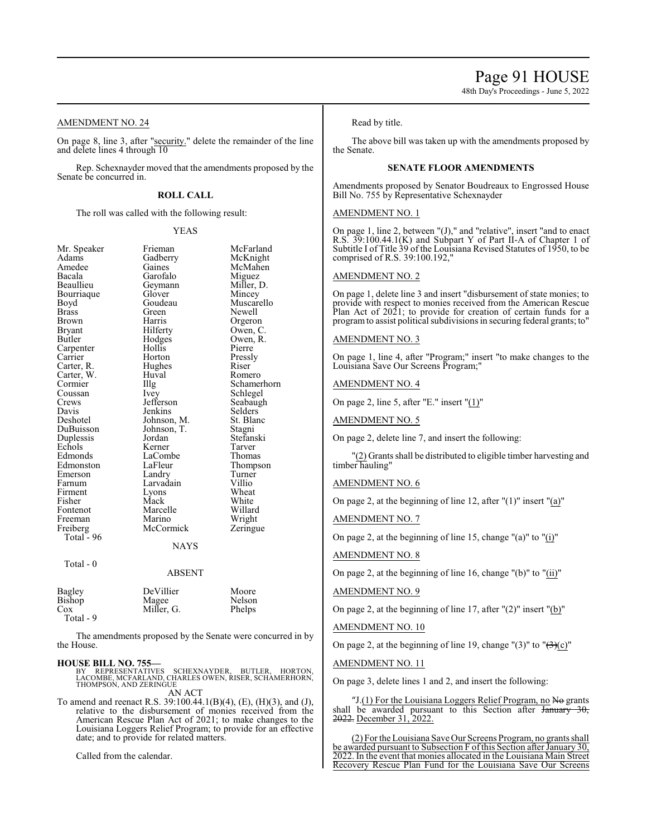Page 91 HOUSE

48th Day's Proceedings - June 5, 2022

#### AMENDMENT NO. 24

On page 8, line 3, after "security." delete the remainder of the line and delete lines 4 through 10

Rep. Schexnayder moved that the amendments proposed by the Senate be concurred in.

#### **ROLL CALL**

The roll was called with the following result:

#### YEAS

| Mr. Speaker   | Frieman     | McFarland   |
|---------------|-------------|-------------|
| Adams         | Gadberry    | McKnight    |
| Amedee        | Gaines      | McMahen     |
| Bacala        | Garofalo    | Miguez      |
| Beaullieu     | Geymann     | Miller, D.  |
| Bourriaque    | Glover      | Mincey      |
| Boyd          | Goudeau     | Muscarello  |
| <b>Brass</b>  | Green       | Newell      |
| Brown         | Harris      | Orgeron     |
| Bryant        | Hilferty    | Owen, C.    |
| Butler        | Hodges      | Owen, R.    |
| Carpenter     | Hollis      | Pierre      |
| Carrier       | Horton      | Pressly     |
| Carter, R.    | Hughes      | Riser       |
| Carter, W.    | Huval       | Romero      |
| Cormier       | Illg        | Schamerhorn |
| Coussan       | Ivey        | Schlegel    |
| Crews         | Jefferson   | Seabaugh    |
| Davis         | Jenkins     | Selders     |
| Deshotel      | Johnson, M. | St. Blanc   |
| DuBuisson     | Johnson, T. | Stagni      |
| Duplessis     | Jordan      | Stefanski   |
| Echols        | Kerner      | Tarver      |
| Edmonds       | LaCombe     | Thomas      |
| Edmonston     | LaFleur     | Thompson    |
| Emerson       | Landry      | Turner      |
| Farnum        | Larvadain   | Villio      |
| Firment       | Lyons       | Wheat       |
| Fisher        | Mack        | White       |
| Fontenot      | Marcelle    | Willard     |
| Freeman       | Marino      | Wright      |
| Freiberg      | McCormick   | Zeringue    |
| Total - 96    |             |             |
|               | <b>NAYS</b> |             |
| Total - 0     |             |             |
|               | ABSENT      |             |
| <b>Bagley</b> | DeVillier   | Moore       |
| Bishop        | Magee       | Nelson      |
| $\cos$        | Miller. G.  | Phelps      |

Total - 9

The amendments proposed by the Senate were concurred in by the House.

**HOUSE BILL NO. 755—** BY REPRESENTATIVES SCHEXNAYDER, BUTLER, HORTON, LACOMBE, MCFARLAND, CHARLES OWEN, RISER, SCHAMERHORN, THOMPSON, AND ZERINGUE AN ACT

To amend and reenact R.S. 39:100.44.1(B)(4), (E), (H)(3), and (J), relative to the disbursement of monies received from the American Rescue Plan Act of 2021; to make changes to the Louisiana Loggers Relief Program; to provide for an effective date; and to provide for related matters.

Called from the calendar.

#### Read by title.

The above bill was taken up with the amendments proposed by the Senate.

#### **SENATE FLOOR AMENDMENTS**

Amendments proposed by Senator Boudreaux to Engrossed House Bill No. 755 by Representative Schexnayder

#### AMENDMENT NO. 1

On page 1, line 2, between "(J)," and "relative", insert "and to enact R.S.  $39:100.44.1(K)$  and Subpart Y of Part II-A of Chapter 1 of Subtitle I of Title 39 of the Louisiana Revised Statutes of 1950, to be comprised of R.S. 39:100.192,"

#### AMENDMENT NO. 2

On page 1, delete line 3 and insert "disbursement of state monies; to provide with respect to monies received from the American Rescue Plan Act of 2021; to provide for creation of certain funds for a programto assist political subdivisions in securing federal grants; to"

#### AMENDMENT NO. 3

On page 1, line 4, after "Program;" insert "to make changes to the Louisiana Save Our Screens Program;"

#### AMENDMENT NO. 4

On page 2, line 5, after "E." insert "(1)"

AMENDMENT NO. 5

On page 2, delete line 7, and insert the following:

"(2) Grants shall be distributed to eligible timber harvesting and timber hauling"

#### AMENDMENT NO. 6

On page 2, at the beginning of line 12, after "(1)" insert "(a)"

AMENDMENT NO. 7

On page 2, at the beginning of line 15, change "(a)" to " $(i)$ "

#### AMENDMENT NO. 8

On page 2, at the beginning of line 16, change "(b)" to "(ii)"

#### AMENDMENT NO. 9

On page 2, at the beginning of line 17, after "(2)" insert "(b)"

AMENDMENT NO. 10

On page 2, at the beginning of line 19, change "(3)" to " $\left(\frac{3}{2}\right)$ (c)"

AMENDMENT NO. 11

On page 3, delete lines 1 and 2, and insert the following:

"J. $(1)$  For the Louisiana Loggers Relief Program, no No grants shall be awarded pursuant to this Section after January 30, 2022. December 31, 2022.

(2) Forthe Louisiana Save Our Screens Program, no grants shall be awarded pursuant to Subsection F ofthis Section after January 30, 2022. In the event that monies allocated in the Louisiana Main Street Recovery Rescue Plan Fund for the Louisiana Save Our Screens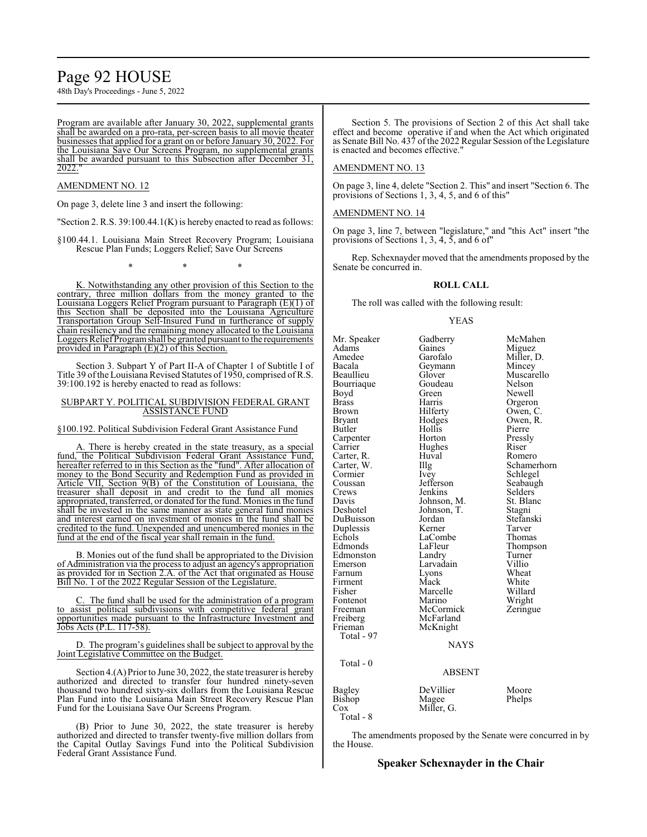# Page 92 HOUSE

48th Day's Proceedings - June 5, 2022

Program are available after January 30, 2022, supplemental grants shall be awarded on a pro-rata, per-screen basis to all movie theater businesses that applied for a grant on or before January 30, 2022. For the Louisiana Save Our Screens Program, no supplemental grants shall be awarded pursuant to this Subsection after December 31, 2022."

#### AMENDMENT NO. 12

On page 3, delete line 3 and insert the following:

"Section 2. R.S. 39:100.44.1(K) is hereby enacted to read as follows:

§100.44.1. Louisiana Main Street Recovery Program; Louisiana Rescue Plan Funds; Loggers Relief; Save Our Screens

\* \* \*

K. Notwithstanding any other provision of this Section to the contrary, three million dollars from the money granted to the Louisiana Loggers Relief Program pursuant to Paragraph (E)(1) of this Section shall be deposited into the Louisiana Agriculture Transportation Group Self-Insured Fund in furtherance of supply chain resiliency and the remaining money allocated to the Louisiana Loggers ReliefProgramshall be granted pursuant to the requirements provided in Paragraph (E)(2) of this Section.

Section 3. Subpart Y of Part II-A of Chapter 1 of Subtitle I of Title 39 ofthe Louisiana Revised Statutes of 1950, comprised ofR.S. 39:100.192 is hereby enacted to read as follows:

#### SUBPART Y. POLITICAL SUBDIVISION FEDERAL GRANT ASSISTANCE FUND

§100.192. Political Subdivision Federal Grant Assistance Fund

A. There is hereby created in the state treasury, as a special fund, the Political Subdivision Federal Grant Assistance Fund, hereafter referred to in this Section as the "fund". After allocation of money to the Bond Security and Redemption Fund as provided in Article VII, Section 9(B) of the Constitution of Louisiana, the treasurer shall deposit in and credit to the fund all monies appropriated, transferred, or donated for the fund. Monies in the fund shall be invested in the same manner as state general fund monies and interest earned on investment of monies in the fund shall be credited to the fund. Unexpended and unencumbered monies in the fund at the end of the fiscal year shall remain in the fund.

B. Monies out of the fund shall be appropriated to the Division of Administration via the process to adjust an agency's appropriation as provided for in Section 2.A. of the Act that originated as House Bill No. 1 of the 2022 Regular Session of the Legislature.

The fund shall be used for the administration of a program to assist political subdivisions with competitive federal grant opportunities made pursuant to the Infrastructure Investment and Jobs Acts (P.L. 117-58).

D. The program's guidelines shall be subject to approval by the Joint Legislative Committee on the Budget.

Section 4.(A) Prior to June 30, 2022, the state treasurer is hereby authorized and directed to transfer four hundred ninety-seven thousand two hundred sixty-six dollars from the Louisiana Rescue Plan Fund into the Louisiana Main Street Recovery Rescue Plan Fund for the Louisiana Save Our Screens Program.

(B) Prior to June 30, 2022, the state treasurer is hereby authorized and directed to transfer twenty-five million dollars from the Capital Outlay Savings Fund into the Political Subdivision Federal Grant Assistance Fund.

Section 5. The provisions of Section 2 of this Act shall take effect and become operative if and when the Act which originated as Senate Bill No. 437 ofthe 2022 Regular Session ofthe Legislature is enacted and becomes effective."

#### AMENDMENT NO. 13

On page 3, line 4, delete "Section 2. This" and insert "Section 6. The provisions of Sections 1, 3, 4, 5, and 6 of this"

#### AMENDMENT NO. 14

On page 3, line 7, between "legislature," and "this Act" insert "the provisions of Sections 1, 3, 4, 5, and 6 of"

Rep. Schexnayder moved that the amendments proposed by the Senate be concurred in.

#### **ROLL CALL**

The roll was called with the following result:

#### YEAS

Mr. Speaker Gadberry McMahen<br>Adams Gaines Miguez Adams Gaines Miguez<br>Amedee Garofalo Miller, I Amedee Garofalo Miller, D.<br>Bacala Geymann Mincey Bacala Geymann<br>Beaullieu Glover Glover Muscarello<br>Goudeau Nelson Bourriaque Goude<br>Boyd Green Boyd Green Newell<br>Brass Harris Orgerol Brass Harris Orgeron<br>Brown Hilferty Owen, C Brown Hilferty Owen, C.<br>Bryant Hodges Owen, R. Bryant Hodges Owen, R.<br>Butler Hollis Pierre Hollis Pierre<br>
Horton Pressly Carpenter Horton Press<br>
Carrier Hughes Riser Hughes Riser<br>Huval Romero Carter, R. Huval<br>Carter, W. Huval Carter, W. Illg Schamerhorn<br>
Cormier Ivey Schlegel Cormier Ivey Schlegel<br>Coussan Jefferson Seabaugl Coussan Jefferson Seabaugh<br>Crews Jenkins Selders Crews Jenkins Selders<br>Davis Johnson, M. St. Blanc Davis Johnson, M. St. Blanck<br>Deshotel Johnson, T. Stagni Johnson, T. Stagni<br>Jordan Stefanski DuBuisson Jordan Stefan:<br>Duplessis Kerner Tarver Duplessis Kerner Tarver<br>
Echols LaCombe Thomas Echols LaCombe<br>Edmonds LaFleur LaFleur Thompson<br>Landry Turner Edmonston Landry Turner<br>
Emerson Larvadain Villio Emerson Larvadain<br>Farnum Lyons Lyons Wheat<br>Mack White Firment Mack White<br>Fisher Marcelle Willard Marcelle Willard<br>
Marino Wright Fontenot Marino<br>Freeman McCormick Freeman McCormick Zeringue<br>
Freiberg McFarland Freiberg McFarland<br>Frieman McKnight McKnight Total - 97 Total - 0 Bagley DeVillier Moore<br>Bishop Magee Phelps Bishop<br>Cox Miller, G. Total - 8

The amendments proposed by the Senate were concurred in by the House.

**NAYS** 

ABSENT

#### **Speaker Schexnayder in the Chair**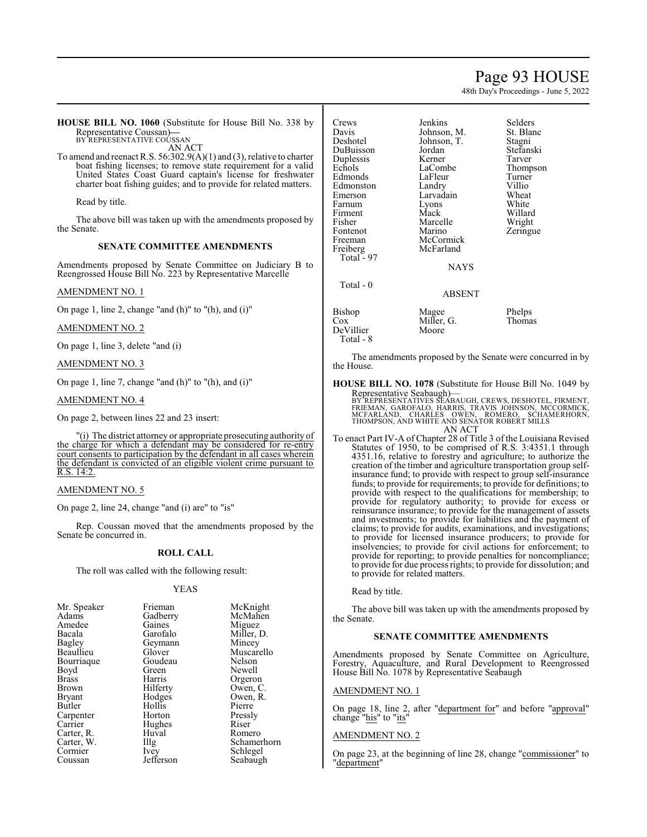### Page 93 HOUSE

48th Day's Proceedings - June 5, 2022

**HOUSE BILL NO. 1060** (Substitute for House Bill No. 338 by Representative Coussan)**—** BY REPRESENTATIVE COUSSAN

AN ACT

To amend and reenact R.S. 56:302.9(A)(1) and (3), relative to charter boat fishing licenses; to remove state requirement for a valid United States Coast Guard captain's license for freshwater charter boat fishing guides; and to provide for related matters.

Read by title.

The above bill was taken up with the amendments proposed by the Senate.

#### **SENATE COMMITTEE AMENDMENTS**

Amendments proposed by Senate Committee on Judiciary B to Reengrossed House Bill No. 223 by Representative Marcelle

#### AMENDMENT NO. 1

On page 1, line 2, change "and (h)" to "(h), and (i)"

#### AMENDMENT NO. 2

On page 1, line 3, delete "and (i)

#### AMENDMENT NO. 3

On page 1, line 7, change "and (h)" to "(h), and (i)"

#### AMENDMENT NO. 4

On page 2, between lines 22 and 23 insert:

"(i) The district attorney or appropriate prosecuting authority of the charge for which a defendant may be considered for re-entry court consents to participation by the defendant in all cases wherein the defendant is convicted of an eligible violent crime pursuant to R.S. 14:2.

#### AMENDMENT NO. 5

On page 2, line 24, change "and (i) are" to "is"

Rep. Coussan moved that the amendments proposed by the Senate be concurred in.

#### **ROLL CALL**

The roll was called with the following result:

#### YEAS

| Mr. Speaker   | Frieman   | McKnight    |
|---------------|-----------|-------------|
| Adams         | Gadberry  | McMahen     |
| Amedee        | Gaines    | Miguez      |
| Bacala        | Garofalo  | Miller, D.  |
| Bagley        | Geymann   | Mincey      |
| Beaullieu     | Glover    | Muscarello  |
| Bourriaque    | Goudeau   | Nelson      |
| Boyd          | Green     | Newell      |
| <b>Brass</b>  | Harris    | Orgeron     |
| Brown         | Hilferty  | Owen, C.    |
| <b>Bryant</b> | Hodges    | Owen, R.    |
| Butler        | Hollis    | Pierre      |
| Carpenter     | Horton    | Pressly     |
| Carrier       | Hughes    | Riser       |
| Carter, R.    | Huval     | Romero      |
| Carter, W.    | Illg      | Schamerhorn |
| Cormier       | Ivey      | Schlegel    |
| Coussan       | Jefferson | Seabaugh    |

| Crews<br>Davis<br>Deshotel<br>DuBuisson<br>Duplessis<br>Echols<br>Edmonds<br>Edmonston<br>Emerson<br>Farnum<br>Firment<br>Fisher<br>Fontenot<br>Freeman<br>Freiberg<br>Total $-97$ | Jenkins<br>Johnson, M.<br>Johnson, T.<br>Jordan<br>Kerner<br>LaCombe<br>LaFleur<br>Landry<br>Larvadain<br>Lyons<br>Mack<br>Marcelle<br>Marino<br>McCormick<br>McFarland | Selder<br>St. Bla<br>Stagni<br>Stefan:<br>Tarver<br>Thomp<br>Turner<br>Villio<br>Wheat<br>White<br>Willar<br>Wright<br>Zering |
|------------------------------------------------------------------------------------------------------------------------------------------------------------------------------------|-------------------------------------------------------------------------------------------------------------------------------------------------------------------------|-------------------------------------------------------------------------------------------------------------------------------|
|                                                                                                                                                                                    |                                                                                                                                                                         |                                                                                                                               |
|                                                                                                                                                                                    |                                                                                                                                                                         |                                                                                                                               |
|                                                                                                                                                                                    | <b>NAYS</b>                                                                                                                                                             |                                                                                                                               |
| Total - 0                                                                                                                                                                          |                                                                                                                                                                         |                                                                                                                               |
|                                                                                                                                                                                    | ABSENT                                                                                                                                                                  |                                                                                                                               |

DeVillier Total - 8

enkins Selders<br>
St. Blanc ohnson, M. St. Blanch<br>Davis Stagni ohnson, T.<br>ordan ordan Stefanski<br>Lerner Tarver andry Villio<br>Andrea Villio<br>Andrea Villio arvadain<br>.vons yons White<br>Tack Willard 1cCormick AcFarland

Miller, G.<br>Moore

aCombe Thompson *i*ack Willard<br>Tarcelle Wright 1arcelle Wright<br>1arino Zeringu Zeringue

#### NAYS

ABSENT Bishop Magee Phelps<br>Cox Miller, G. Thomas

The amendments proposed by the Senate were concurred in by the House.

**HOUSE BILL NO. 1078** (Substitute for House Bill No. 1049 by

Representative Seabaugh)—<br>BY REPRESENTATIVES SEABAUGH, CREWS, DESHOTEL, FIRMENT,<br>FRIEMAN, GAROFALO, HARRIS, TRAVIS JOHNSON, MCCORMICK,<br>MCFARLAND, CHARLES OWEN, ROMERO, SCHAMERHORN,<br>THOMPSON, AND WHITE AND SENATOR ROBERT MI AN ACT

To enact Part IV-A of Chapter 28 of Title 3 of the Louisiana Revised Statutes of 1950, to be comprised of R.S. 3:4351.1 through 4351.16, relative to forestry and agriculture; to authorize the creation of the timber and agriculture transportation group selfinsurance fund; to provide with respect to group self-insurance funds; to provide for requirements; to provide for definitions; to provide with respect to the qualifications for membership; to provide for regulatory authority; to provide for excess or reinsurance insurance; to provide for the management of assets and investments; to provide for liabilities and the payment of claims; to provide for audits, examinations, and investigations; to provide for licensed insurance producers; to provide for insolvencies; to provide for civil actions for enforcement; to provide for reporting; to provide penalties for noncompliance; to provide for due process rights; to provide for dissolution; and to provide for related matters.

Read by title.

The above bill was taken up with the amendments proposed by the Senate.

#### **SENATE COMMITTEE AMENDMENTS**

Amendments proposed by Senate Committee on Agriculture, Forestry, Aquaculture, and Rural Development to Reengrossed House Bill No. 1078 by Representative Seabaugh

#### AMENDMENT NO. 1

On page 18, line 2, after "department for" and before "approval" change "his" to "its"

#### AMENDMENT NO. 2

On page 23, at the beginning of line 28, change "commissioner" to "department"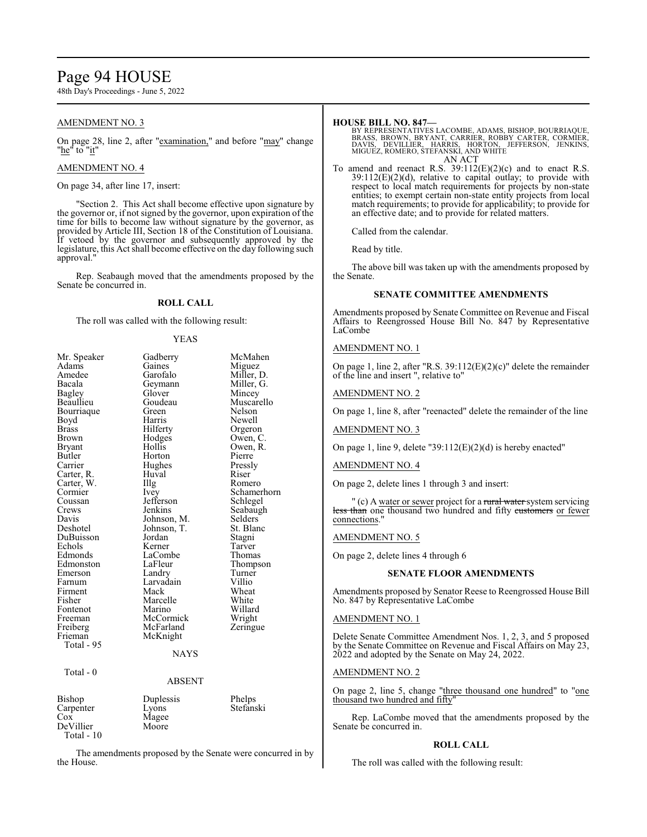# Page 94 HOUSE

48th Day's Proceedings - June 5, 2022

#### AMENDMENT NO. 3

On page 28, line 2, after "examination," and before "may" change "<u>he</u>" to "<u>it</u>"

#### AMENDMENT NO. 4

On page 34, after line 17, insert:

"Section 2. This Act shall become effective upon signature by the governor or, if not signed by the governor, upon expiration of the time for bills to become law without signature by the governor, as provided by Article III, Section 18 of the Constitution of Louisiana. If vetoed by the governor and subsequently approved by the legislature, this Act shall become effective on the day following such approval."

Rep. Seabaugh moved that the amendments proposed by the Senate be concurred in.

#### **ROLL CALL**

The roll was called with the following result:

#### YEAS

| Mr. Speaker<br>Adams<br>Amedee<br>Bacala<br>Bagley<br>Beaullieu<br>Bourriaque<br>Boyd<br><b>Brass</b><br>Brown<br>Bryant<br>Butler<br>Carrier<br>Carter, R.<br>Carter, W.<br>Cormier<br>Coussan<br>Crews<br>Davis<br>Deshotel<br>DuBuisson<br>Echols<br>Edmonds | Gadberry<br>Gaines<br>Garofalo<br>Geymann<br>Glover<br>Goudeau<br>Green<br>Harris<br>Hilferty<br>Hodges<br>Hollis<br>Horton<br>Hughes<br>Huval<br>Illg<br><i>lvey</i><br>Jefferson<br>Jenkins<br>Johnson, M.<br>Johnson, T.<br>Jordan<br>Kerner<br>LaCombe | McMahen<br>Miguez<br>Miller, D.<br>Miller, G.<br>Mincey<br>Muscarello<br>Nelson<br>Newell<br>Orgeron<br>Owen, C.<br>Owen, R.<br>Pierre<br>Pressly<br>Riser<br>Romero<br>Schamerhorn<br>Schlegel<br>Seabaugh<br>Selders<br>St. Blanc<br>Stagni<br>Tarver<br>Thomas |
|-----------------------------------------------------------------------------------------------------------------------------------------------------------------------------------------------------------------------------------------------------------------|------------------------------------------------------------------------------------------------------------------------------------------------------------------------------------------------------------------------------------------------------------|-------------------------------------------------------------------------------------------------------------------------------------------------------------------------------------------------------------------------------------------------------------------|
| Firment<br>Fisher                                                                                                                                                                                                                                               | Mack<br>Marcelle                                                                                                                                                                                                                                           | Wheat<br>White                                                                                                                                                                                                                                                    |
| Fontenot<br>Freeman                                                                                                                                                                                                                                             | Marino<br>McCormick                                                                                                                                                                                                                                        | Willard<br>Wright                                                                                                                                                                                                                                                 |
| Freiberg<br>Frieman<br>Total - 95                                                                                                                                                                                                                               | McFarland<br>McKnight                                                                                                                                                                                                                                      | Zeringue                                                                                                                                                                                                                                                          |
|                                                                                                                                                                                                                                                                 | <b>NAYS</b>                                                                                                                                                                                                                                                |                                                                                                                                                                                                                                                                   |
| Total - 0                                                                                                                                                                                                                                                       | ABSENT                                                                                                                                                                                                                                                     |                                                                                                                                                                                                                                                                   |
|                                                                                                                                                                                                                                                                 |                                                                                                                                                                                                                                                            |                                                                                                                                                                                                                                                                   |
| Bishop<br>Carpenter<br>Cox<br>DeVillier<br>Total - 10                                                                                                                                                                                                           | Duplessis<br>Lyons<br>Magee<br>Moore                                                                                                                                                                                                                       | Phelps<br>Stefanski                                                                                                                                                                                                                                               |

The amendments proposed by the Senate were concurred in by the House.

#### **HOUSE BILL NO. 847—**

- BY REPRESENTATIVES LACOMBE, ADAMS, BISHOP, BOURRIAQUE,<br>BRASS, BROWN, BRYANT, CARRIER, ROBBY CARTER, CORMIER,<br>DAVIS, DEVILLIER, HARRIS, HORTON, JEFFERSON, JENKINS,<br>MIGUEZ, ROMERO, STEFANSKI, AND WHITE AN ACT
- To amend and reenact R.S. 39:112(E)(2)(c) and to enact R.S.  $39:112(E)(2)(d)$ , relative to capital outlay; to provide with respect to local match requirements for projects by non-state entities; to exempt certain non-state entity projects from local match requirements; to provide for applicability; to provide for an effective date; and to provide for related matters.

Called from the calendar.

Read by title.

The above bill was taken up with the amendments proposed by the Senate.

#### **SENATE COMMITTEE AMENDMENTS**

Amendments proposed by Senate Committee on Revenue and Fiscal Affairs to Reengrossed House Bill No. 847 by Representative LaCombe

#### AMENDMENT NO. 1

On page 1, line 2, after "R.S. 39:112(E)(2)(c)" delete the remainder of the line and insert ", relative to"

#### AMENDMENT NO. 2

On page 1, line 8, after "reenacted" delete the remainder of the line

#### AMENDMENT NO. 3

On page 1, line 9, delete "39:112 $(E)(2)(d)$  is hereby enacted"

#### AMENDMENT NO. 4

On page 2, delete lines 1 through 3 and insert:

" (c) A water or sewer project for a rural water system servicing less than one thousand two hundred and fifty customers or fewer connections.

#### AMENDMENT NO. 5

On page 2, delete lines 4 through 6

#### **SENATE FLOOR AMENDMENTS**

Amendments proposed by Senator Reese to Reengrossed House Bill No. 847 by Representative LaCombe

#### AMENDMENT NO. 1

Delete Senate Committee Amendment Nos. 1, 2, 3, and 5 proposed by the Senate Committee on Revenue and Fiscal Affairs on May 23, 2022 and adopted by the Senate on May 24, 2022.

#### AMENDMENT NO. 2

On page 2, line 5, change "three thousand one hundred" to "one thousand two hundred and fifty"

Rep. LaCombe moved that the amendments proposed by the Senate be concurred in.

#### **ROLL CALL**

The roll was called with the following result: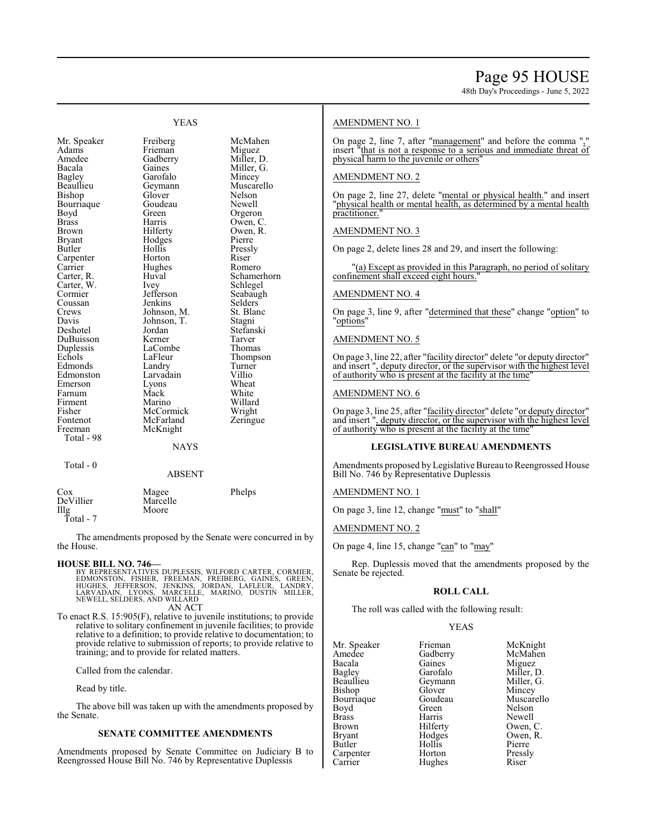48th Day's Proceedings - June 5, 2022

#### YEAS

Adams Frieman<br>Amedee Gadberry Bourriaque Goude<br>Boyd Green Bryant Hodges<br>
Butler Hollis Carrier Hughes<br>Carter, R. Huval Carter, W. Ivey<br>Cormier Jefferson Davis Johnson, T.<br>Deshotel Jordan Duplessis LaCombe<br>
Echols LaFleur Fontenot McFarland<br>Freeman McKnight Total - 98

Mr. Speaker Freiberg McMahen<br>Adams Frieman Miguez Amedee Gadberry Miller, D.<br>Bacala Gaines Miller. G. Bacala Gaines Miller, G.<br>Bagley Garofalo Mincey Bagley Garofalo Mincey Beaullieu Geymann Muscarello<br>Bishop Glover Nelson Glover Nelson<br>Goudeau Newell Boyd Green Orgeron<br>Brass Harris Owen, C Brass Harris Owen, C. Brown Hilferty Owen, R.<br>Bryant Hodges Pierre Carpenter Horton Riser<br>
Carrier Hughes Romero Huval Schamerhorn<br>
Ivey Schlegel Cormier Jefferson Seabaugh<br>Coussan Jenkins Selders Coussan Jenkins Selders<br>Crews Johnson, M. St. Blanc Crews Johnson, M. St. Blanch<br>Davis Johnson, T. Stagni Jordan Stefanski<br>Kerner Tarver DuBuisson Kerner Tarver<br>
Duplessis LaCombe Thomas LaFleur Thompson<br>Landry Turner Edmonds Landry Turner<br>
Edmonston Larvadain Villio Edmonston Larvadain Villio<br>Emerson Lyons Wheat Lyons Wheat<br>
Mack White Farnum Mack White<br>Firment Marino Willard Firment Marino Willard<br>Fisher McCormick Wright Fisher McCormick Wright<br>
Fontenot McFarland Zeringue McKnight

Pressly<br>Riser

**NAYS** 

Total - 0

#### ABSENT

| Cox       | Magee    | Phelps |
|-----------|----------|--------|
| DeVillier | Marcelle |        |
| Illg      | Moore    |        |
| Total - 7 |          |        |

The amendments proposed by the Senate were concurred in by the House.

**HOUSE BILL NO. 746**<br>BY REPRESENTATIVES DUPLESSIS, WILFORD CARTER, CORMIER,<br>EDMONSTON, FISHER, FREEMAN, FREIBERG, GAINES, GREEN,<br>HUGHES, JEFFERSON, JENKINS, JORDAN, LAFLEUR, LANDRY,<br>LARVADAIN, LYONS, MARCELLE, MARINO, DUST AN ACT

To enact R.S. 15:905(F), relative to juvenile institutions; to provide relative to solitary confinement in juvenile facilities; to provide relative to a definition; to provide relative to documentation; to provide relative to submission of reports; to provide relative to training; and to provide for related matters.

Called from the calendar.

Read by title.

The above bill was taken up with the amendments proposed by the Senate.

#### **SENATE COMMITTEE AMENDMENTS**

Amendments proposed by Senate Committee on Judiciary B to Reengrossed House Bill No. 746 by Representative Duplessis

#### AMENDMENT NO. 1

On page 2, line 7, after "management" and before the comma ", insert "that is not a response to a serious and immediate threat of physical harm to the juvenile or others'

#### AMENDMENT NO. 2

On page 2, line 27, delete "mental or physical health." and insert "physical health or mental health, as determined by a mental health practitioner.

#### AMENDMENT NO. 3

On page 2, delete lines 28 and 29, and insert the following:

"(a) Except as provided in this Paragraph, no period of solitary confinement shall exceed eight hours.

#### AMENDMENT NO. 4

On page 3, line 9, after "determined that these" change "option" to 'options"

#### AMENDMENT NO. 5

On page 3, line 22, after "facility director" delete "or deputy director" and insert ", deputy director, or the supervisor with the highest level of authority who is present at the facility at the time"

#### AMENDMENT NO. 6

On page 3, line 25, after "facility director" delete "or deputy director" and insert ", deputy director, or the supervisor with the highest level of authority who is present at the facility at the time"

#### **LEGISLATIVE BUREAU AMENDMENTS**

Amendments proposed by Legislative Bureau to Reengrossed House Bill No. 746 by Representative Duplessis

AMENDMENT NO. 1

On page 3, line 12, change "must" to "shall"

AMENDMENT NO. 2

On page 4, line 15, change "can" to "may"

Rep. Duplessis moved that the amendments proposed by the Senate be rejected.

#### **ROLL CALL**

The roll was called with the following result:

#### YEAS

Mr. Speaker Frieman McKnight<br>Amedee Gadberry McMahen Amedee Gadberry<br>Bacala Gaines Bacala Gaines Miguez Bagley Garofalo Miller, D. Beaullieu Geymann<br>Bishop Glover Bishop Glover Mincey Bourriaque Goudeau Muscarello<br>
Boyd Green Nelson Boyd Green Nelson<br>Brass Harris Newell Brass Harris Newell Brown Hilferty Owen, C.<br>Bryant Hodges Owen, R. Bryant Hodges Owen, R. Carpenter Horton Press<br>Carrier Hughes Riser Carrier Hughes

Hollis Pierre<br>
Horton Pressly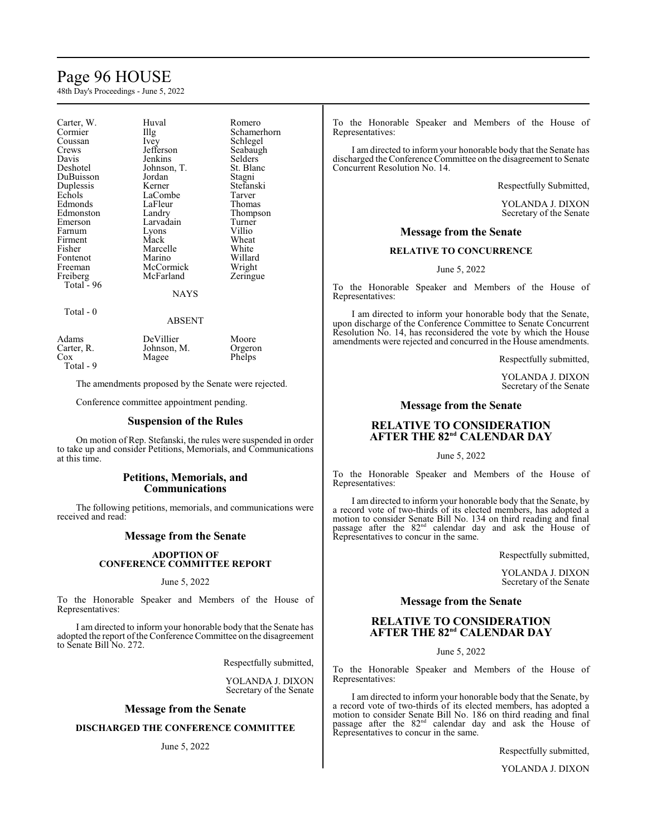# Page 96 HOUSE

48th Day's Proceedings - June 5, 2022

| Carter, W.<br>Cormier<br>Coussan<br>Crews<br>Davis<br>Deshotel<br>DuBuisson<br>Duplessis<br>Echols<br>Edmonds<br>Edmonston<br>Emerson<br>Farnum<br>Firment<br>Fisher<br>Fontenot<br>Freeman<br>Freiberg<br>Total - 96 | Huval<br>$\prod_{i=1}^{n}$<br>Ivey<br>Jefferson<br>Jenkins<br>Johnson, T.<br>Jordan<br>Kerner<br>LaCombe<br>LaFleur<br>Landry<br>Larvadain<br>Lyons<br>Mack<br>Marcelle<br>Marino<br>McCormick<br>McFarland | Romero<br>Schamerhorn<br>Schlegel<br>Seabaugh<br>Selders<br>St. Blanc<br>Stagni<br>Stefanski<br>Tarver<br>Thomas<br>Thompson<br>Turner<br>Villio<br>Wheat<br>White<br>Willard<br>Wright<br>Zeringue |
|-----------------------------------------------------------------------------------------------------------------------------------------------------------------------------------------------------------------------|-------------------------------------------------------------------------------------------------------------------------------------------------------------------------------------------------------------|-----------------------------------------------------------------------------------------------------------------------------------------------------------------------------------------------------|
|                                                                                                                                                                                                                       | NAYS                                                                                                                                                                                                        |                                                                                                                                                                                                     |
| Total - 0                                                                                                                                                                                                             | ABSENT                                                                                                                                                                                                      |                                                                                                                                                                                                     |

Total - 9

Adams DeVillier Moore<br>Carter, R. Johnson, M. Orgeron Carter, R. Johnson, M. Orgerones<br>Cox Magee Phelps

The amendments proposed by the Senate were rejected.

Conference committee appointment pending.

Magee

#### **Suspension of the Rules**

On motion of Rep. Stefanski, the rules were suspended in order to take up and consider Petitions, Memorials, and Communications at this time.

#### **Petitions, Memorials, and Communications**

The following petitions, memorials, and communications were received and read:

#### **Message from the Senate**

#### **ADOPTION OF CONFERENCE COMMITTEE REPORT**

#### June 5, 2022

To the Honorable Speaker and Members of the House of Representatives:

I am directed to inform your honorable body that the Senate has adopted the report of the Conference Committee on the disagreement to Senate Bill No. 272.

Respectfully submitted,

YOLANDA J. DIXON Secretary of the Senate

#### **Message from the Senate**

#### **DISCHARGED THE CONFERENCE COMMITTEE**

#### June 5, 2022

To the Honorable Speaker and Members of the House of Representatives:

I am directed to inform your honorable body that the Senate has discharged the Conference Committee on the disagreement to Senate Concurrent Resolution No. 14.

Respectfully Submitted,

YOLANDA J. DIXON Secretary of the Senate

#### **Message from the Senate**

#### **RELATIVE TO CONCURRENCE**

June 5, 2022

To the Honorable Speaker and Members of the House of Representatives:

I am directed to inform your honorable body that the Senate, upon discharge of the Conference Committee to Senate Concurrent Resolution No. 14, has reconsidered the vote by which the House amendments were rejected and concurred in the House amendments.

Respectfully submitted,

YOLANDA J. DIXON Secretary of the Senate

#### **Message from the Senate**

### **RELATIVE TO CONSIDERATION**  $A$ **FTER THE**  $82^{nd}$  **CALENDAR DAY**

June 5, 2022

To the Honorable Speaker and Members of the House of Representatives:

I am directed to inform your honorable body that the Senate, by a record vote of two-thirds of its elected members, has adopted a motion to consider Senate Bill No. 134 on third reading and final passage after the 82<sup>nd</sup> calendar day and ask the House of Representatives to concur in the same.

Respectfully submitted,

YOLANDA J. DIXON Secretary of the Senate

#### **Message from the Senate**

#### **RELATIVE TO CONSIDERATION**  $A$ **FTER THE 82<sup>nd</sup> CALENDAR DAY**

#### June 5, 2022

To the Honorable Speaker and Members of the House of Representatives:

I am directed to inform your honorable body that the Senate, by a record vote of two-thirds of its elected members, has adopted a motion to consider Senate Bill No. 186 on third reading and final passage after the 82<sup>nd</sup> calendar day and ask the House of Representatives to concur in the same.

Respectfully submitted,

YOLANDA J. DIXON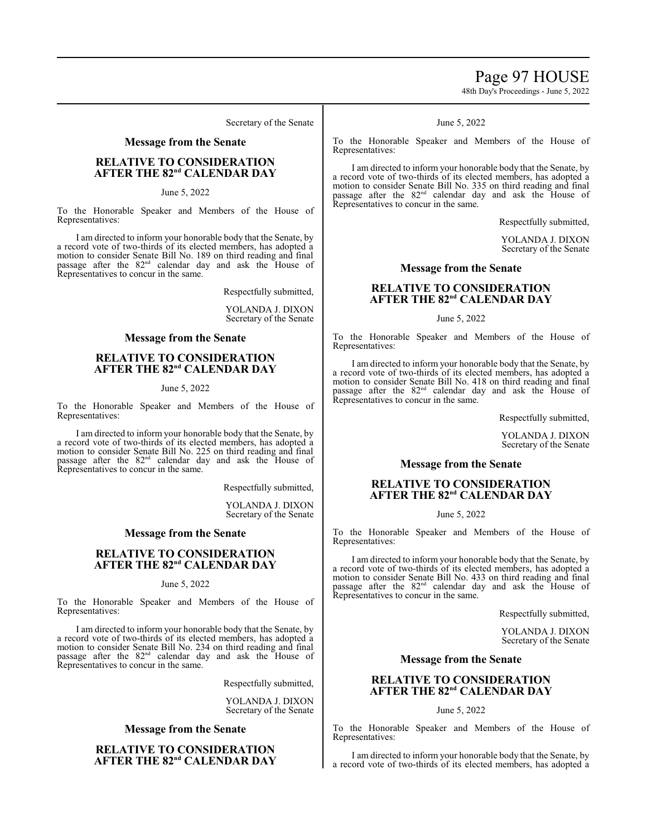# Page 97 HOUSE

48th Day's Proceedings - June 5, 2022

Secretary of the Senate

#### **Message from the Senate**

#### **RELATIVE TO CONSIDERATION**  $A$ **FTER THE**  $82^{\text{nd}}$  **CALENDAR DAY**

June 5, 2022

To the Honorable Speaker and Members of the House of Representatives:

I am directed to inform your honorable body that the Senate, by a record vote of two-thirds of its elected members, has adopted a motion to consider Senate Bill No. 189 on third reading and final passage after the 82<sup>nd</sup> calendar day and ask the House of Representatives to concur in the same.

Respectfully submitted,

YOLANDA J. DIXON Secretary of the Senate

#### **Message from the Senate**

### **RELATIVE TO CONSIDERATION**  $A$ **FTER THE**  $82^{\text{nd}}$  **CALENDAR DAY**

#### June 5, 2022

To the Honorable Speaker and Members of the House of Representatives:

I am directed to inform your honorable body that the Senate, by a record vote of two-thirds of its elected members, has adopted a motion to consider Senate Bill No. 225 on third reading and final passage after the 82<sup>nd</sup> calendar day and ask the House of Representatives to concur in the same.

Respectfully submitted,

YOLANDA J. DIXON Secretary of the Senate

#### **Message from the Senate**

#### **RELATIVE TO CONSIDERATION**  $A$ **FTER THE 82<sup>nd</sup> CALENDAR DAY**

#### June 5, 2022

To the Honorable Speaker and Members of the House of Representatives:

I am directed to inform your honorable body that the Senate, by a record vote of two-thirds of its elected members, has adopted a motion to consider Senate Bill No. 234 on third reading and final passage after the 82<sup>nd</sup> calendar day and ask the House of Representatives to concur in the same.

Respectfully submitted,

YOLANDA J. DIXON Secretary of the Senate

#### **Message from the Senate**

### **RELATIVE TO CONSIDERATION**  $A$ **FTER THE 82<sup>nd</sup> CALENDAR DAY**

#### June 5, 2022

To the Honorable Speaker and Members of the House of Representatives:

I am directed to inform your honorable body that the Senate, by a record vote of two-thirds of its elected members, has adopted a motion to consider Senate Bill No. 335 on third reading and final passage after the 82<sup>nd</sup> calendar day and ask the House of Representatives to concur in the same.

Respectfully submitted,

YOLANDA J. DIXON Secretary of the Senate

#### **Message from the Senate**

### **RELATIVE TO CONSIDERATION**  $A$ **FTER THE**  $82^{\text{nd}}$  **CALENDAR DAY**

June 5, 2022

To the Honorable Speaker and Members of the House of Representatives:

I am directed to inform your honorable body that the Senate, by a record vote of two-thirds of its elected members, has adopted a motion to consider Senate Bill No. 418 on third reading and final passage after the 82<sup>nd</sup> calendar day and ask the House of Representatives to concur in the same.

Respectfully submitted,

YOLANDA J. DIXON Secretary of the Senate

#### **Message from the Senate**

#### **RELATIVE TO CONSIDERATION**  $A$ **FTER THE**  $82^{\text{nd}}$  **CALENDAR DAY**

June 5, 2022

To the Honorable Speaker and Members of the House of Representatives:

I am directed to inform your honorable body that the Senate, by a record vote of two-thirds of its elected members, has adopted a motion to consider Senate Bill No. 433 on third reading and final passage after the 82<sup>nd</sup> calendar day and ask the House of Representatives to concur in the same.

Respectfully submitted,

YOLANDA J. DIXON Secretary of the Senate

#### **Message from the Senate**

#### **RELATIVE TO CONSIDERATION**  $A$ **FTER THE**  $82^{nd}$  **CALENDAR DAY**

June 5, 2022

To the Honorable Speaker and Members of the House of Representatives:

I am directed to inform your honorable body that the Senate, by a record vote of two-thirds of its elected members, has adopted a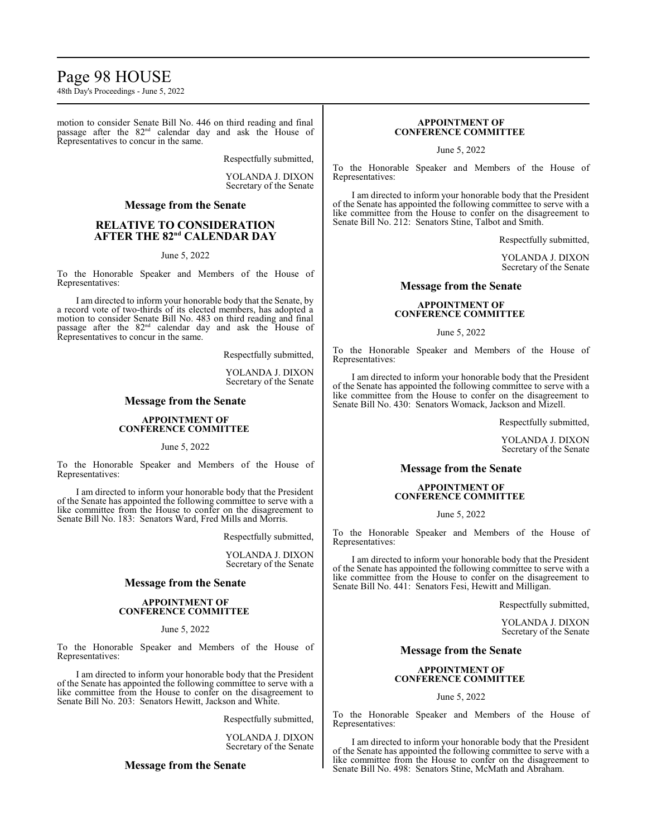# Page 98 HOUSE

48th Day's Proceedings - June 5, 2022

motion to consider Senate Bill No. 446 on third reading and final passage after the 82<sup>nd</sup> calendar day and ask the House of Representatives to concur in the same.

Respectfully submitted,

YOLANDA J. DIXON Secretary of the Senate

#### **Message from the Senate**

### **RELATIVE TO CONSIDERATION**  $A$ **FTER THE**  $82^{\text{nd}}$  **CALENDAR DAY**

#### June 5, 2022

To the Honorable Speaker and Members of the House of Representatives:

I am directed to inform your honorable body that the Senate, by a record vote of two-thirds of its elected members, has adopted a motion to consider Senate Bill No. 483 on third reading and final passage after the 82<sup>nd</sup> calendar day and ask the House of Representatives to concur in the same.

Respectfully submitted,

YOLANDA J. DIXON Secretary of the Senate

#### **Message from the Senate**

#### **APPOINTMENT OF CONFERENCE COMMITTEE**

#### June 5, 2022

To the Honorable Speaker and Members of the House of Representatives:

I am directed to inform your honorable body that the President of the Senate has appointed the following committee to serve with a like committee from the House to confer on the disagreement to Senate Bill No. 183: Senators Ward, Fred Mills and Morris.

Respectfully submitted,

YOLANDA J. DIXON Secretary of the Senate

#### **Message from the Senate**

#### **APPOINTMENT OF CONFERENCE COMMITTEE**

#### June 5, 2022

To the Honorable Speaker and Members of the House of Representatives:

I am directed to inform your honorable body that the President of the Senate has appointed the following committee to serve with a like committee from the House to confer on the disagreement to Senate Bill No. 203: Senators Hewitt, Jackson and White.

Respectfully submitted,

YOLANDA J. DIXON Secretary of the Senate

#### **Message from the Senate**

#### **APPOINTMENT OF CONFERENCE COMMITTEE**

June 5, 2022

To the Honorable Speaker and Members of the House of Representatives:

I am directed to inform your honorable body that the President of the Senate has appointed the following committee to serve with a like committee from the House to confer on the disagreement to Senate Bill No. 212: Senators Stine, Talbot and Smith.

Respectfully submitted,

YOLANDA J. DIXON Secretary of the Senate

#### **Message from the Senate**

#### **APPOINTMENT OF CONFERENCE COMMITTEE**

June 5, 2022

To the Honorable Speaker and Members of the House of Representatives:

I am directed to inform your honorable body that the President of the Senate has appointed the following committee to serve with a like committee from the House to confer on the disagreement to Senate Bill No. 430: Senators Womack, Jackson and Mizell.

Respectfully submitted,

YOLANDA J. DIXON Secretary of the Senate

#### **Message from the Senate**

#### **APPOINTMENT OF CONFERENCE COMMITTEE**

June 5, 2022

To the Honorable Speaker and Members of the House of Representatives:

I am directed to inform your honorable body that the President of the Senate has appointed the following committee to serve with a like committee from the House to confer on the disagreement to Senate Bill No. 441: Senators Fesi, Hewitt and Milligan.

Respectfully submitted,

YOLANDA J. DIXON Secretary of the Senate

#### **Message from the Senate**

#### **APPOINTMENT OF CONFERENCE COMMITTEE**

#### June 5, 2022

To the Honorable Speaker and Members of the House of Representatives:

I am directed to inform your honorable body that the President of the Senate has appointed the following committee to serve with a like committee from the House to confer on the disagreement to Senate Bill No. 498: Senators Stine, McMath and Abraham.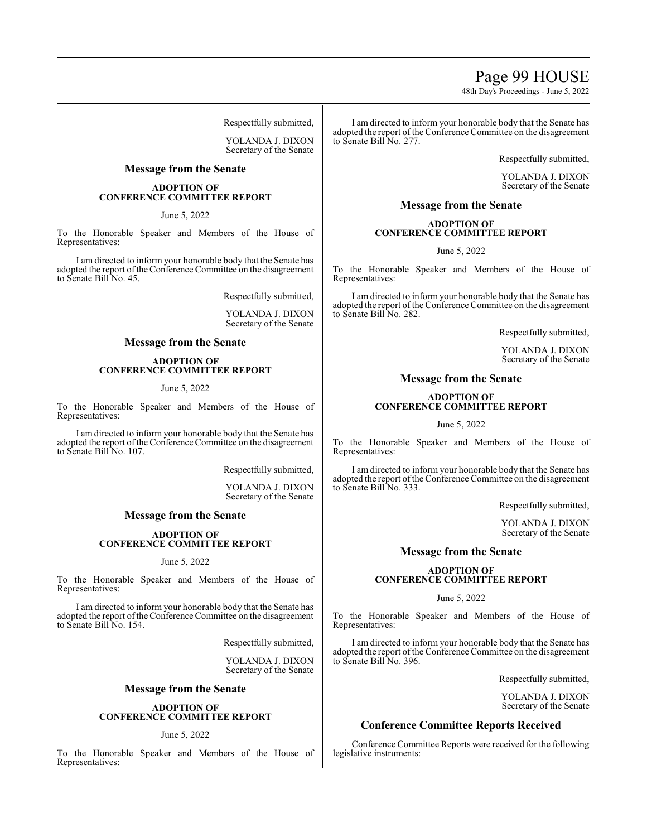### Page 99 HOUSE

48th Day's Proceedings - June 5, 2022

Respectfully submitted,

YOLANDA J. DIXON Secretary of the Senate

#### **Message from the Senate**

#### **ADOPTION OF CONFERENCE COMMITTEE REPORT**

#### June 5, 2022

To the Honorable Speaker and Members of the House of Representatives:

I am directed to inform your honorable body that the Senate has adopted the report of the Conference Committee on the disagreement to Senate Bill No. 45.

Respectfully submitted,

YOLANDA J. DIXON Secretary of the Senate

#### **Message from the Senate**

#### **ADOPTION OF CONFERENCE COMMITTEE REPORT**

#### June 5, 2022

To the Honorable Speaker and Members of the House of Representatives:

I am directed to inform your honorable body that the Senate has adopted the report of the Conference Committee on the disagreement to Senate Bill No. 107.

Respectfully submitted,

YOLANDA J. DIXON Secretary of the Senate

#### **Message from the Senate**

#### **ADOPTION OF CONFERENCE COMMITTEE REPORT**

#### June 5, 2022

To the Honorable Speaker and Members of the House of Representatives:

I am directed to inform your honorable body that the Senate has adopted the report of the Conference Committee on the disagreement to Senate Bill No. 154.

Respectfully submitted,

YOLANDA J. DIXON Secretary of the Senate

#### **Message from the Senate**

#### **ADOPTION OF CONFERENCE COMMITTEE REPORT**

#### June 5, 2022

To the Honorable Speaker and Members of the House of Representatives:

I am directed to inform your honorable body that the Senate has adopted the report of the Conference Committee on the disagreement to Senate Bill No. 277.

Respectfully submitted,

YOLANDA J. DIXON Secretary of the Senate

### **Message from the Senate**

#### **ADOPTION OF CONFERENCE COMMITTEE REPORT**

June 5, 2022

To the Honorable Speaker and Members of the House of Representatives:

I am directed to inform your honorable body that the Senate has adopted the report of the Conference Committee on the disagreement to Senate Bill No. 282.

Respectfully submitted,

YOLANDA J. DIXON Secretary of the Senate

#### **Message from the Senate**

#### **ADOPTION OF CONFERENCE COMMITTEE REPORT**

#### June 5, 2022

To the Honorable Speaker and Members of the House of Representatives:

I am directed to inform your honorable body that the Senate has adopted the report of the Conference Committee on the disagreement to Senate Bill No. 333.

Respectfully submitted,

YOLANDA J. DIXON Secretary of the Senate

#### **Message from the Senate**

#### **ADOPTION OF CONFERENCE COMMITTEE REPORT**

#### June 5, 2022

To the Honorable Speaker and Members of the House of Representatives:

I am directed to inform your honorable body that the Senate has adopted the report of the Conference Committee on the disagreement to Senate Bill No. 396.

Respectfully submitted,

YOLANDA J. DIXON Secretary of the Senate

#### **Conference Committee Reports Received**

Conference Committee Reports were received for the following legislative instruments: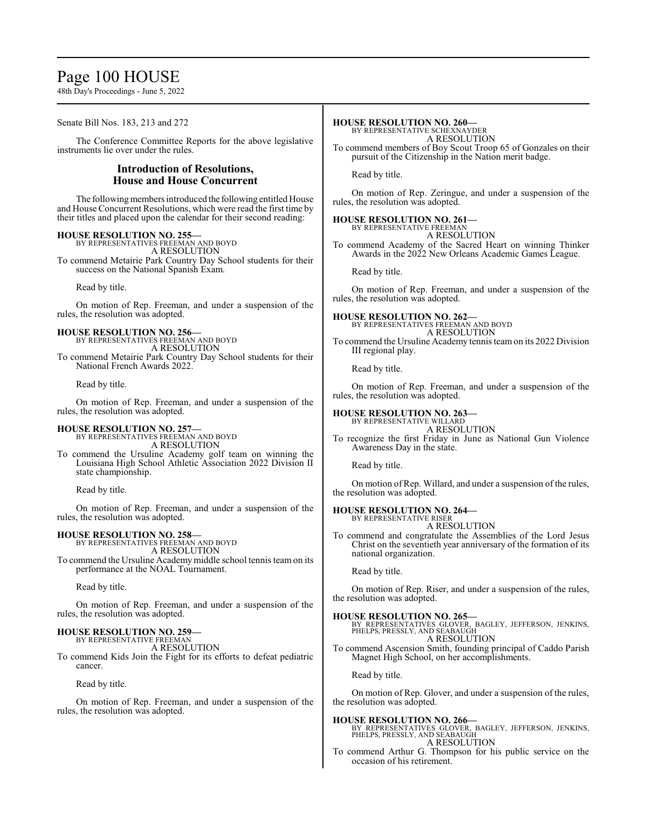# Page 100 HOUSE

48th Day's Proceedings - June 5, 2022

Senate Bill Nos. 183, 213 and 272

The Conference Committee Reports for the above legislative instruments lie over under the rules.

#### **Introduction of Resolutions, House and House Concurrent**

The following members introduced the following entitled House and House Concurrent Resolutions, which were read the first time by their titles and placed upon the calendar for their second reading:

**HOUSE RESOLUTION NO. 255—** BY REPRESENTATIVES FREEMAN AND BOYD A RESOLUTION To commend Metairie Park Country Day School students for their success on the National Spanish Exam.

Read by title.

On motion of Rep. Freeman, and under a suspension of the rules, the resolution was adopted.

**HOUSE RESOLUTION NO. 256—** BY REPRESENTATIVES FREEMAN AND BOYD A RESOLUTION

To commend Metairie Park Country Day School students for their National French Awards 2022.

Read by title.

On motion of Rep. Freeman, and under a suspension of the rules, the resolution was adopted.

### **HOUSE RESOLUTION NO. 257—**

BY REPRESENTATIVES FREEMAN AND BOYD A RESOLUTION

To commend the Ursuline Academy golf team on winning the Louisiana High School Athletic Association 2022 Division II state championship.

Read by title.

On motion of Rep. Freeman, and under a suspension of the rules, the resolution was adopted.

# **HOUSE RESOLUTION NO. 258—** BY REPRESENTATIVES FREEMAN AND BOYD

A RESOLUTION To commend the Ursuline Academy middle school tennis team on its performance at the NOAL Tournament.

Read by title.

On motion of Rep. Freeman, and under a suspension of the rules, the resolution was adopted.

### **HOUSE RESOLUTION NO. 259—**

BY REPRESENTATIVE FREEMAN A RESOLUTION

To commend Kids Join the Fight for its efforts to defeat pediatric cancer.

Read by title.

On motion of Rep. Freeman, and under a suspension of the rules, the resolution was adopted.

#### **HOUSE RESOLUTION NO. 260—**

BY REPRESENTATIVE SCHEXNAYDER A RESOLUTION

To commend members of Boy Scout Troop 65 of Gonzales on their pursuit of the Citizenship in the Nation merit badge.

Read by title.

On motion of Rep. Zeringue, and under a suspension of the rules, the resolution was adopted.

#### **HOUSE RESOLUTION NO. 261—**

BY REPRESENTATIVE FREEMAN

- A RESOLUTION
- To commend Academy of the Sacred Heart on winning Thinker Awards in the 2022 New Orleans Academic Games League.

Read by title.

On motion of Rep. Freeman, and under a suspension of the rules, the resolution was adopted.

**HOUSE RESOLUTION NO. 262—** BY REPRESENTATIVES FREEMAN AND BOYD A RESOLUTION

To commend the Ursuline Academy tennis teamon its 2022 Division III regional play.

Read by title.

On motion of Rep. Freeman, and under a suspension of the rules, the resolution was adopted.

# **HOUSE RESOLUTION NO. 263—** BY REPRESENTATIVE WILLARD

A RESOLUTION

To recognize the first Friday in June as National Gun Violence Awareness Day in the state.

Read by title.

On motion of Rep. Willard, and under a suspension of the rules, the resolution was adopted.

#### **HOUSE RESOLUTION NO. 264—** BY REPRESENTATIVE RISER

A RESOLUTION

To commend and congratulate the Assemblies of the Lord Jesus Christ on the seventieth year anniversary of the formation of its national organization.

Read by title.

On motion of Rep. Riser, and under a suspension of the rules, the resolution was adopted.

#### **HOUSE RESOLUTION NO. 265—**

BY REPRESENTATIVES GLOVER, BAGLEY, JEFFERSON, JENKINS, PHELPS, PRESSLY, AND SEABAUGH A RESOLUTION

To commend Ascension Smith, founding principal of Caddo Parish Magnet High School, on her accomplishments.

Read by title.

On motion of Rep. Glover, and under a suspension of the rules, the resolution was adopted.

#### **HOUSE RESOLUTION NO. 266—**

BY REPRESENTATIVES GLOVER, BAGLEY, JEFFERSON, JENKINS, PHELPS, PRESSLY, AND SEABAUGH A RESOLUTION

To commend Arthur G. Thompson for his public service on the occasion of his retirement.